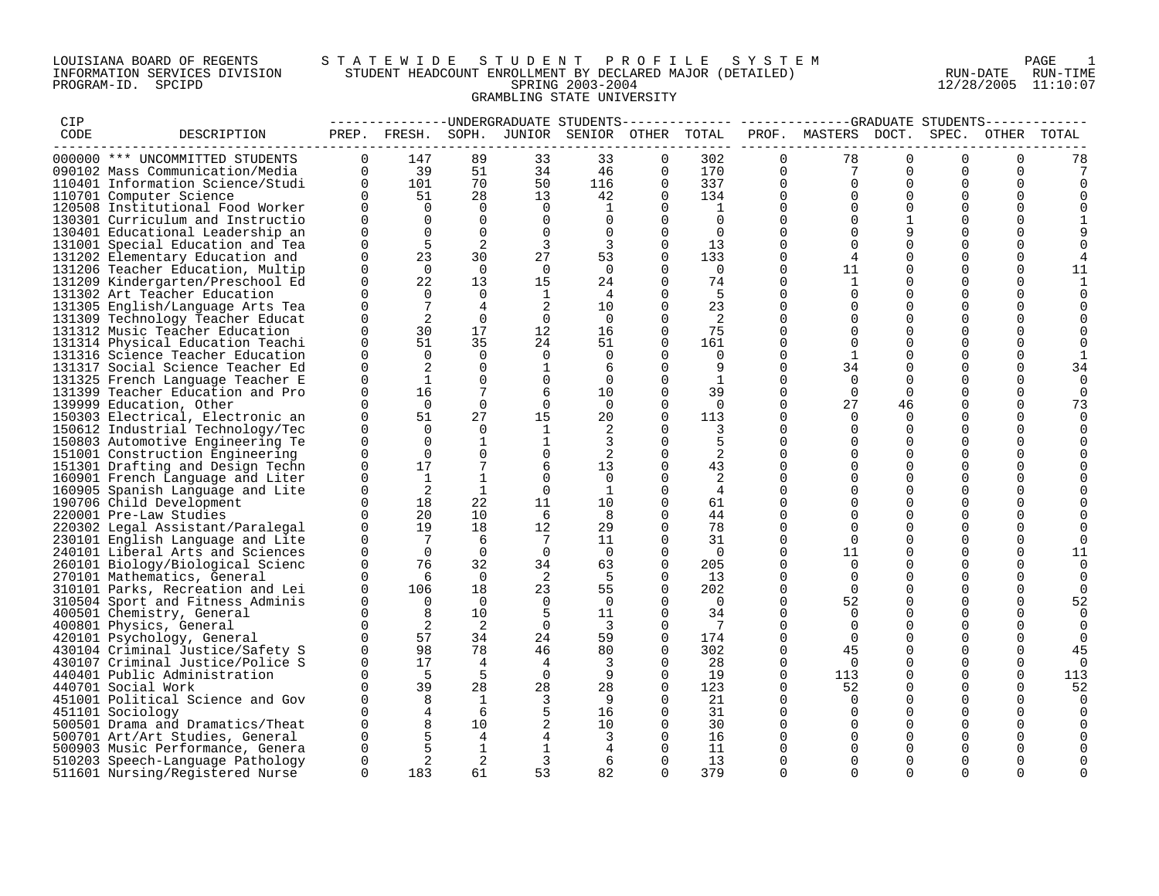## LOUISIANA BOARD OF REGENTS S T A T E W I D E S T U D E N T P R O F I L E S Y S T E M PAGE 1 INFORMATION SERVICES DIVISION STUDENT HEADCOUNT ENROLLMENT BY DECLARED MAJOR (DETAILED) RUN-DATE RUN-TIME PROGRAM-ID. SPCIPD SPRING 2003-2004 12/28/2005 11:10:07 GRAMBLING STATE UNIVERSITY

| CIP  |                                  |             |                 |                |                |                                              |          |                |             | --------------DNDERGRADUATE STUDENTS------------- -----------GRADUATE STUDENTS- |             |                      |             |                      |
|------|----------------------------------|-------------|-----------------|----------------|----------------|----------------------------------------------|----------|----------------|-------------|---------------------------------------------------------------------------------|-------------|----------------------|-------------|----------------------|
| CODE | DESCRIPTION                      |             |                 |                |                | PREP. FRESH. SOPH. JUNIOR SENIOR OTHER TOTAL |          |                |             | PROF. MASTERS DOCT. SPEC. OTHER TOTAL                                           |             |                      |             |                      |
|      |                                  |             |                 |                |                |                                              |          |                |             |                                                                                 |             |                      |             |                      |
|      | 000000 *** UNCOMMITTED STUDENTS  | $\Omega$    | 147             | 89             | 33             | 33                                           | $\Omega$ | 302            | $\Omega$    | 78                                                                              | $\Omega$    | $\Omega$             | 0           | 78                   |
|      | 090102 Mass Communication/Media  | $\Omega$    | 39              | 51             | 34             | 46                                           | $\Omega$ | 170            | $\Omega$    | 7                                                                               | $\Omega$    | $\Omega$             | $\Omega$    |                      |
|      | 110401 Information Science/Studi | $\Omega$    | 101             | 70             | 50             | 116                                          | $\Omega$ | 337            | $\Omega$    | $\Omega$                                                                        | $\Omega$    | $\Omega$             | $\Omega$    | 0                    |
|      | 110701 Computer Science          | $\Omega$    | 51              | 28             | 13             | 42                                           | $\Omega$ | 134            | $\Omega$    | $\Omega$                                                                        | $\Omega$    | $\Omega$             | $\mathbf 0$ |                      |
|      | 120508 Institutional Food Worker | $\Omega$    | $\Omega$        | $\overline{0}$ | $\Omega$       | 1                                            | $\Omega$ | 1              | $\Omega$    | $\Omega$                                                                        | $\Omega$    | $\Omega$             | 0           |                      |
|      | 130301 Curriculum and Instructio | $\Omega$    | $\Omega$        | $\Omega$       | $\Omega$       | $\Omega$                                     | $\Omega$ | $\Omega$       | $\Omega$    | $\Omega$                                                                        | 1           | $\Omega$             | $\Omega$    |                      |
|      | 130401 Educational Leadership an | $\Omega$    | $\Omega$        | $\Omega$       | $\Omega$       | $\Omega$                                     | $\Omega$ | $\Omega$       | $\Omega$    | $\Omega$                                                                        | 9           | $\Omega$             | $\Omega$    |                      |
|      | 131001 Special Education and Tea | $\Omega$    | 5               | 2              | 3              | 3                                            | $\Omega$ | 13             | $\Omega$    | $\Omega$                                                                        | $\Omega$    | $\Omega$             | $\Omega$    |                      |
|      | 131202 Elementary Education and  | $\Omega$    | 23              | 30             | 27             | 53                                           | $\Omega$ | 133            | $\mathbf 0$ | 4                                                                               | $\mathbf 0$ | $\mathbf 0$          | 0           |                      |
|      | 131206 Teacher Education, Multip | $\Omega$    | $\Omega$        | $\Omega$       | $\Omega$       | $\Omega$                                     | $\Omega$ | $\Omega$       | $\Omega$    | 11                                                                              | $\Omega$    | $\Omega$             | $\mathbf 0$ | 11                   |
|      | 131209 Kindergarten/Preschool Ed | $\Omega$    | 22              | 13             | 15             | 24                                           | $\Omega$ | 74             | $\Omega$    | $\mathbf{1}$                                                                    | $\Omega$    | $\Omega$             | $\mathbf 0$ |                      |
|      | 131302 Art Teacher Education     | $\Omega$    | $\Omega$        | $\Omega$       | 1              | 4                                            | $\Omega$ | 5              | $\Omega$    | $\Omega$                                                                        | $\Omega$    | $\Omega$             | $\Omega$    | $\Omega$             |
|      | 131305 English/Language Arts Tea | $\Omega$    | $7\phantom{.0}$ | $\overline{4}$ | 2              | 10                                           | $\Omega$ | 23             | $\Omega$    | $\Omega$                                                                        | $\Omega$    | $\Omega$             | $\Omega$    |                      |
|      | 131309 Technology Teacher Educat | $\Omega$    | 2               | $\mathbf 0$    | $\overline{0}$ | $\mathbf 0$                                  |          | 2              | $\Omega$    | $\mathbf 0$                                                                     | $\mathbf 0$ | $\mathbf 0$          | 0           |                      |
|      | 131312 Music Teacher Education   | $\Omega$    | 30              | 17             | 12             | 16                                           | 0        | 75             | $\mathbf 0$ | $\Omega$                                                                        | $\Omega$    | $\Omega$             | 0           |                      |
|      | 131314 Physical Education Teachi | $\Omega$    | 51              | 35             | 24             | 51                                           | $\Omega$ | 161            | $\Omega$    | $\Omega$                                                                        | $\Omega$    | $\Omega$             | $\Omega$    | $\Omega$             |
|      | 131316 Science Teacher Education | $\Omega$    | $\Omega$        | $\Omega$       | $\Omega$       | $\Omega$                                     | $\Omega$ | $\Omega$       | $\Omega$    | 1                                                                               | $\Omega$    | $\Omega$             | $\Omega$    |                      |
|      | 131317 Social Science Teacher Ed | $\Omega$    | 2               | $\Omega$       | 1              | 6                                            | $\Omega$ | 9              | $\Omega$    | 34                                                                              | $\Omega$    | $\Omega$             | 0           | 34                   |
|      | 131325 French Language Teacher E | $\Omega$    | 1               | $\Omega$       | $\mathbf 0$    | $\Omega$                                     | $\Omega$ | 1              | $\Omega$    | $\Omega$                                                                        | $\mathbf 0$ | $\mathbf 0$          | $\mathbf 0$ | $\mathbf 0$          |
|      | 131399 Teacher Education and Pro | 0           | 16              | 7              | 6              | 10                                           | 0        | 39             | 0           | 0                                                                               | 0           | 0                    | 0           | 0                    |
|      | 139999 Education, Other          | $\Omega$    | $\Omega$        | $\Omega$       | 0              | $\Omega$                                     | $\Omega$ | $\Omega$       | $\Omega$    | 27                                                                              | 46          | $\Omega$             | $\Omega$    | 73                   |
|      | 150303 Electrical, Electronic an | $\Omega$    | 51              | 27             | 15             | 20                                           | $\Omega$ | 113            | $\Omega$    | $\Omega$                                                                        | $\Omega$    | $\Omega$             | $\mathbf 0$ | $\Omega$             |
|      | 150612 Industrial Technology/Tec | $\Omega$    | $\Omega$        | $\Omega$       | <sup>1</sup>   | 2                                            |          | 3              | $\Omega$    | $\Omega$                                                                        | $\Omega$    | $\Omega$             | $\Omega$    | $\Omega$             |
|      | 150803 Automotive Engineering Te | $\Omega$    | $\Omega$        | $\mathbf{1}$   | $\mathbf{1}$   | 3                                            | $\Omega$ | 5              | $\Omega$    | $\Omega$                                                                        | $\Omega$    | $\Omega$             | $\Omega$    |                      |
|      | 151001 Construction Engineering  | 0           | $\Omega$        | $\Omega$       | 0              | 2                                            | 0        | 2              | $\Omega$    | $\Omega$                                                                        | $\Omega$    | $\Omega$             | 0           |                      |
|      | 151301 Drafting and Design Techn | $\Omega$    | 17              | 7              | 6              | 13                                           | $\Omega$ | 43             | $\Omega$    | $\Omega$                                                                        | $\Omega$    | $\Omega$             | $\Omega$    |                      |
|      | 160901 French Language and Liter | $\Omega$    | <sup>1</sup>    | 1              | 0              | $\Omega$                                     |          | 2              | $\Omega$    | $\Omega$                                                                        | $\Omega$    | $\mathbf 0$          | 0           |                      |
|      | 160905 Spanish Language and Lite | $\Omega$    | 2               | $\mathbf{1}$   | $\Omega$       | 1                                            | $\Omega$ | $\overline{4}$ | $\Omega$    | $\Omega$                                                                        | $\Omega$    | $\Omega$             | $\Omega$    |                      |
|      | 190706 Child Development         | $\Omega$    | 18              | 22             | 11             | 10                                           | $\Omega$ | 61             | $\Omega$    | $\Omega$                                                                        | $\Omega$    | $\Omega$             | $\Omega$    |                      |
|      | 220001 Pre-Law Studies           | $\Omega$    | 20              | 10             | 6              | 8                                            | $\Omega$ | 44             | $\Omega$    | $\Omega$                                                                        | $\Omega$    | $\Omega$             | 0           |                      |
|      | 220302 Legal Assistant/Paralegal | $\Omega$    | 19              | 18             | 12             | 29                                           | $\Omega$ | 78             | $\Omega$    | $\Omega$                                                                        | $\Omega$    | $\Omega$             | 0           |                      |
|      |                                  | $\Omega$    | $\overline{7}$  | 6              | $\overline{7}$ | 11                                           | $\Omega$ | 31             | $\Omega$    | $\Omega$                                                                        | $\Omega$    | $\Omega$             | 0           | $\Omega$             |
|      | 230101 English Language and Lite | $\Omega$    | $\overline{0}$  | $\overline{0}$ | $\overline{0}$ | $\overline{0}$                               | $\Omega$ | $\overline{0}$ | $\mathbf 0$ | 11                                                                              | $\Omega$    | $\Omega$             | $\mathbf 0$ | 11                   |
|      | 240101 Liberal Arts and Sciences | $\Omega$    |                 | 32             |                |                                              | $\Omega$ | 205            | $\Omega$    | $\Omega$                                                                        | $\Omega$    | $\Omega$             | $\Omega$    |                      |
|      | 260101 Biology/Biological Scienc | $\Omega$    | 76<br>6         | $\Omega$       | 34<br>2        | 63<br>5                                      | $\Omega$ | 13             | $\Omega$    | $\Omega$                                                                        | $\Omega$    | $\Omega$             | $\Omega$    | $\Omega$<br>$\Omega$ |
|      | 270101 Mathematics, General      |             |                 |                |                |                                              |          |                |             |                                                                                 |             |                      |             |                      |
|      | 310101 Parks, Recreation and Lei | 0           | 106             | 18             | 23             | 55                                           | 0        | 202            | 0           | $\Omega$                                                                        | $\Omega$    | $\Omega$             | 0           |                      |
|      | 310504 Sport and Fitness Adminis | $\Omega$    | $\Omega$        | $\Omega$       | $\Omega$       | $\Omega$                                     | $\Omega$ | $\overline{0}$ | $\Omega$    | 52                                                                              | $\Omega$    | $\Omega$<br>$\Omega$ | 0           | 52                   |
|      | 400501 Chemistry, General        | $\mathbf 0$ | 8               | 10             | -5             | 11                                           | 0        | 34             | $\Omega$    | $\Omega$                                                                        | $\Omega$    |                      | $\mathbf 0$ | 0                    |
|      | 400801 Physics, General          | $\Omega$    | 2               | 2              | $\Omega$       | $\overline{3}$                               | $\Omega$ | 7              | $\Omega$    | $\Omega$                                                                        | $\Omega$    | $\Omega$             | $\Omega$    | 0                    |
|      | 420101 Psychology, General       | $\Omega$    | 57              | 34             | 24             | 59                                           | $\Omega$ | 174            | $\Omega$    | $\Omega$                                                                        | $\Omega$    | $\Omega$             | $\Omega$    | $\Omega$             |
|      | 430104 Criminal Justice/Safety S | $\Omega$    | 98              | 78             | 46             | 80                                           | 0        | 302            | $\mathbf 0$ | 45                                                                              | $\mathbf 0$ | $\mathbf 0$          | 0           | 45                   |
|      | 430107 Criminal Justice/Police S | $\Omega$    | 17              | $\overline{4}$ | $\overline{4}$ | 3                                            | $\Omega$ | 28             | $\Omega$    | $\Omega$                                                                        | $\Omega$    | $\Omega$             | 0           | 0                    |
|      | 440401 Public Administration     | $\Omega$    | - 5             | 5              | $\overline{0}$ | 9                                            | $\Omega$ | 19             | $\Omega$    | 113                                                                             | $\Omega$    | $\Omega$             | $\mathbf 0$ | 113                  |
|      | 440701 Social Work               | $\Omega$    | 39              | 28             | 28             | 28                                           | $\Omega$ | 123            | $\Omega$    | 52                                                                              | $\Omega$    | $\Omega$             | $\Omega$    | 52                   |
|      | 451001 Political Science and Gov | $\Omega$    | 8               | $\overline{1}$ | 3              | 9                                            |          | 21             | $\Omega$    | $\Omega$                                                                        | $\Omega$    | $\Omega$             | $\Omega$    | $\Omega$             |
|      | 451101 Sociology                 | $\Omega$    | 4               | 6              |                | 16                                           | $\Omega$ | 31             | $\mathbf 0$ | $\Omega$                                                                        | $\mathbf 0$ | $\mathbf 0$          | $\mathbf 0$ |                      |
|      | 500501 Drama and Dramatics/Theat | $\Omega$    |                 | 10             |                | 10                                           | $\Omega$ | 30             | $\Omega$    | $\Omega$                                                                        | $\Omega$    | 0                    | $\mathbf 0$ |                      |
|      | 500701 Art/Art Studies, General  | $\Omega$    | 5               | 4              | 4              | 3                                            | $\Omega$ | 16             | $\Omega$    | $\Omega$                                                                        | $\Omega$    | $\Omega$             | $\Omega$    |                      |
|      | 500903 Music Performance, Genera | $\Omega$    | 5               | 1              | $\mathbf{1}$   | 4                                            | $\Omega$ | 11             | $\Omega$    | $\Omega$                                                                        | $\Omega$    | $\Omega$             | $\Omega$    |                      |
|      | 510203 Speech-Language Pathology | $\Omega$    | 2               | 2              | 3              | 6                                            | $\Omega$ | 13             | $\Omega$    | $\Omega$                                                                        | $\Omega$    | $\Omega$             | $\Omega$    | 0                    |
|      | 511601 Nursing/Registered Nurse  | $\Omega$    | 183             | 61             | 53             | 82                                           | $\Omega$ | 379            | $\Omega$    | $\Omega$                                                                        | $\Omega$    | $\Omega$             | $\Omega$    | $\Omega$             |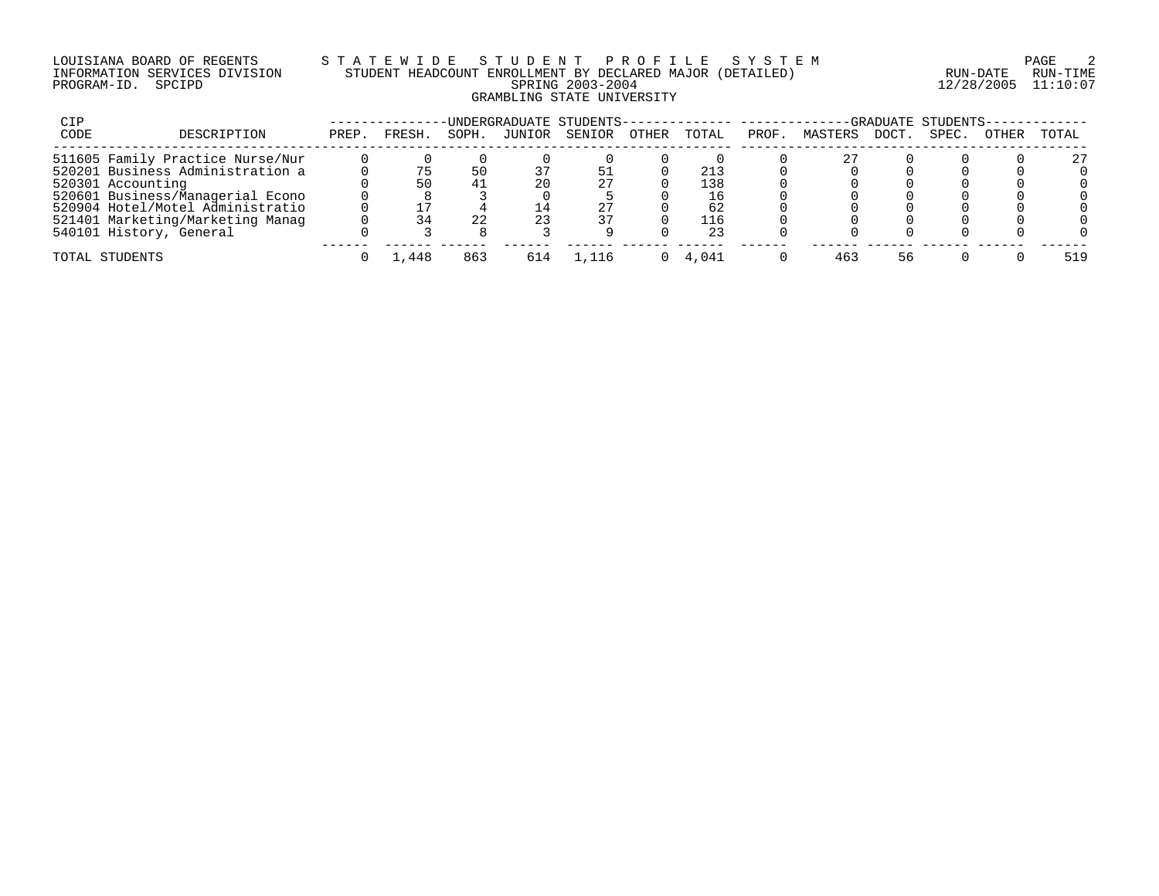## LOUISIANA BOARD OF REGENTS S T A T E W I D E S T U D E N T P R O F I L E S Y S T E M PAGE 2 INFORMATION SERVICES DIVISION STUDENT HEADCOUNT ENROLLMENT BY DECLARED MAJOR (DETAILED) RUN-DATE RUN-TIME PROGRAM-ID. SPCIPD SPRING 2003-2004 12/28/2005 11:10:07 GRAMBLING STATE UNIVERSITY

| CIP  |                                  |       |       |       |        | UNDERGRADUATE STUDENTS- |              |       |       |         |             | -GRADUATE STUDENTS- |       |       |
|------|----------------------------------|-------|-------|-------|--------|-------------------------|--------------|-------|-------|---------|-------------|---------------------|-------|-------|
| CODE | DESCRIPTION                      | PREP. | FRESH | SOPH. | JUNIOR | SENIOR                  | <b>OTHER</b> | TOTAL | PROF. | MASTERS | <b>DOCT</b> | SPEC.               | OTHER | TOTAL |
|      | 511605 Family Practice Nurse/Nur |       |       |       |        |                         |              |       |       |         |             |                     |       | 27    |
|      | 520201 Business Administration a |       |       |       |        |                         |              |       |       |         |             |                     |       |       |
|      | 520301 Accounting                |       |       |       | 20     | 27                      |              | 138   |       |         |             |                     |       |       |
|      | 520601 Business/Managerial Econo |       |       |       |        |                         |              | 16    |       |         |             |                     |       |       |
|      | 520904 Hotel/Motel Administratio |       |       |       |        |                         |              | 62    |       |         |             |                     |       |       |
|      | 521401 Marketing/Marketing Manag |       |       | 22    | 23     | 37                      |              | 116   |       |         |             |                     |       |       |
|      | 540101 History, General          |       |       |       |        |                         |              | 23    |       |         |             |                     |       |       |
|      | TOTAL STUDENTS                   |       | 1,448 | 863   |        |                         |              | 4.041 |       | 463     | 56          |                     |       | 519   |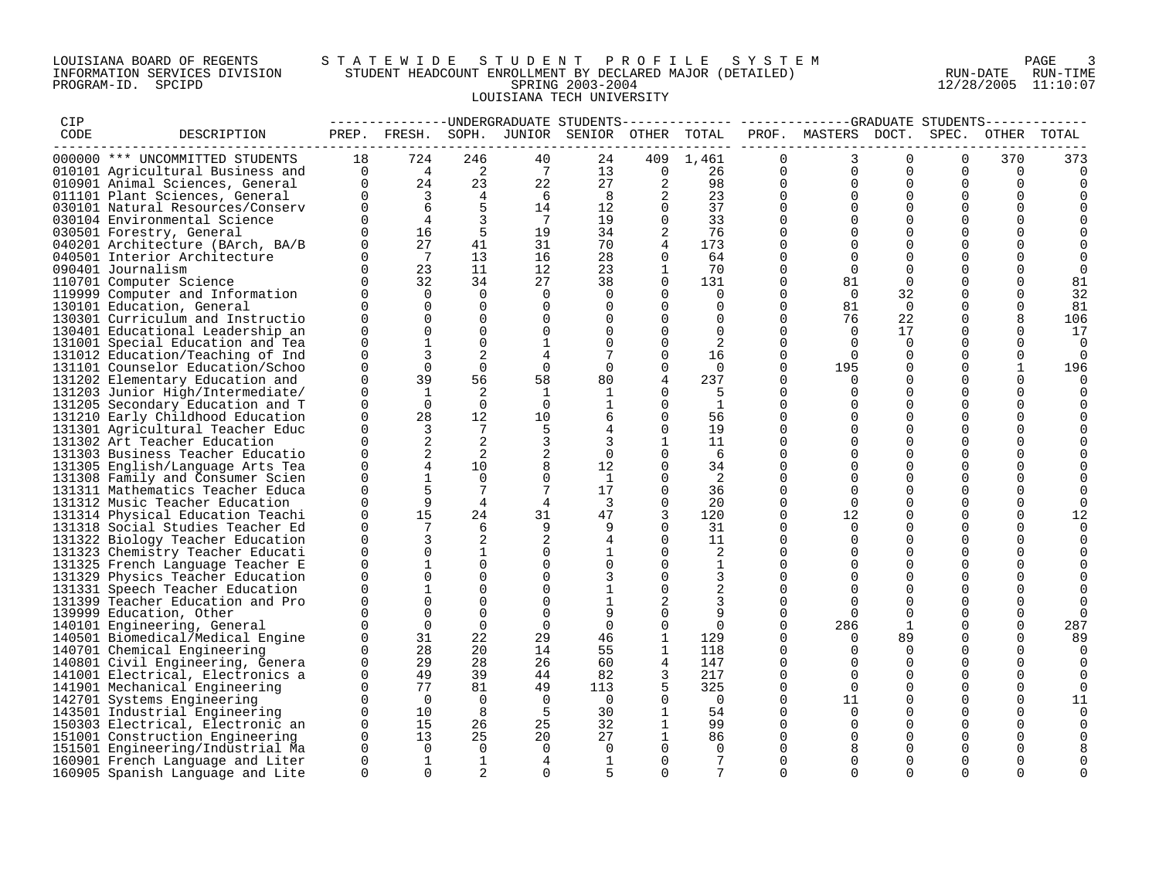## LOUISIANA BOARD OF REGENTS S T A T E W I D E S T U D E N T P R O F I L E S Y S T E M PAGE 3 INFORMATION SERVICES DIVISION STUDENT HEADCOUNT ENROLLMENT BY DECLARED MAJOR (DETAILED) RUN-DATE RUN-TIME PROGRAM-ID. SPCIPD SPRING 2003-2004 12/28/2005 11:10:07 LOUISIANA TECH UNIVERSITY

| CIP  |                                  |          |                         |                |                 | --------------DNDERGRADUATE STUDENTS         |              |                |             |                           |             |             |              |             |
|------|----------------------------------|----------|-------------------------|----------------|-----------------|----------------------------------------------|--------------|----------------|-------------|---------------------------|-------------|-------------|--------------|-------------|
| CODE | DESCRIPTION                      |          |                         |                |                 | PREP. FRESH. SOPH. JUNIOR SENIOR OTHER TOTAL |              |                |             | PROF. MASTERS DOCT. SPEC. |             |             |              | OTHER TOTAL |
|      |                                  |          |                         |                |                 |                                              |              |                |             |                           |             |             |              |             |
|      | 000000 *** UNCOMMITTED STUDENTS  | 18       | 724                     | 246            | 40              | 24                                           | 409          | 1,461          | $\Omega$    | 3                         | $\Omega$    | $\Omega$    | 370          | 373         |
|      | 010101 Agricultural Business and | $\Omega$ | $\overline{4}$          | $\overline{a}$ | $7\overline{ }$ | 13                                           | $\Omega$     | 26             | $\Omega$    | $\Omega$                  | $\Omega$    | $\Omega$    | $\mathbf 0$  | $\Omega$    |
|      | 010901 Animal Sciences, General  | $\Omega$ | 24                      | 23             | 22              | 27                                           | 2            | 98             | $\Omega$    | $\Omega$                  | $\Omega$    | $\Omega$    | $\Omega$     | 0           |
|      | 011101 Plant Sciences, General   | $\Omega$ | $\overline{\mathbf{3}}$ | $\overline{4}$ | 6               | 8                                            |              | 23             | $\Omega$    | $\Omega$                  | $\Omega$    | $\Omega$    | $\mathbf 0$  |             |
|      | 030101 Natural Resources/Conserv | $\Omega$ | 6                       | 5              | 14              | 12                                           | $\mathbf{0}$ | 37             | $\Omega$    | $\Omega$                  | $\Omega$    | $\Omega$    | $\mathbf 0$  |             |
|      | 030104 Environmental Science     | $\Omega$ | $\overline{4}$          | 3              | $\overline{7}$  | 19                                           | $\Omega$     | 33             | $\Omega$    | $\Omega$                  | $\Omega$    | $\Omega$    | $\Omega$     |             |
|      | 030501 Forestry, General         | $\Omega$ | 16                      | 5              | 19              | 34                                           |              | 76             | $\Omega$    | $\Omega$                  | $\Omega$    | $\Omega$    | $\Omega$     |             |
|      | 040201 Architecture (BArch, BA/B | $\Omega$ | 27                      | 41             | 31              | 70                                           | 4            | 173            | $\Omega$    | $\Omega$                  | $\Omega$    | $\Omega$    | $\Omega$     |             |
|      | 040501 Interior Architecture     | $\Omega$ | $\overline{7}$          | 13             | 16              | 28                                           | $\Omega$     | 64             | $\Omega$    | 0                         | $\Omega$    | $\mathbf 0$ | 0            | 0           |
|      | 090401 Journalism                | $\Omega$ | 23                      | 11             | 12              | 23                                           | 1            | 70             | $\Omega$    | $\Omega$                  | $\Omega$    | $\Omega$    | $\Omega$     | 0           |
|      | 110701 Computer Science          | $\Omega$ | 32                      | 34             | 27              | 38                                           | $\Omega$     | 131            | $\Omega$    | 81                        | $\Omega$    | $\Omega$    | $\Omega$     | 81          |
|      | 119999 Computer and Information  | $\Omega$ | $\Omega$                | $\Omega$       | $\Omega$        | $\Omega$                                     | $\Omega$     | $\Omega$       | $\Omega$    | $\Omega$                  | 32          | $\Omega$    | $\Omega$     | 32          |
|      | 130101 Education, General        | $\Omega$ | $\Omega$                | $\Omega$       | $\Omega$        | $\Omega$                                     | $\Omega$     | $\Omega$       | $\Omega$    | 81                        | $\Omega$    | $\Omega$    | $\Omega$     | 81          |
|      | 130301 Curriculum and Instructio | $\Omega$ |                         | $\Omega$       | $\mathbf 0$     | $\Omega$                                     | 0            | $\mathbf 0$    | $\Omega$    | 76                        | 22          | $\mathbf 0$ | 8            | 106         |
|      | 130401 Educational Leadership an | 0        | $\Omega$                | $\Omega$       | 0               | $\Omega$                                     | $\Omega$     | $\overline{0}$ | $\mathbf 0$ | $\Omega$                  | 17          | $\Omega$    | $\mathbf 0$  | 17          |
|      | 131001 Special Education and Tea | $\Omega$ |                         | $\Omega$       | $\mathbf{1}$    | $\Omega$                                     | $\Omega$     | 2              | $\Omega$    | $\Omega$                  | $\Omega$    | $\Omega$    | $\Omega$     | 0           |
|      | 131012 Education/Teaching of Ind | $\Omega$ |                         | 2              | 4               |                                              | $\Omega$     | 16             | $\Omega$    | $\Omega$                  | $\Omega$    | $\Omega$    | $\Omega$     | 0           |
|      | 131101 Counselor Education/Schoo | $\Omega$ | $\Omega$                | $\mathbf 0$    | $\overline{0}$  | $\Omega$                                     |              | $\Omega$       | $\Omega$    | 195                       | $\Omega$    | $\Omega$    | $\mathbf{1}$ | 196         |
|      | 131202 Elementary Education and  | $\Omega$ | 39                      | 56             | 58              | 80                                           |              | 237            | $\Omega$    | $\Omega$                  | $\Omega$    | $\mathbf 0$ | $\mathbf 0$  | 0           |
|      | 131203 Junior High/Intermediate/ | 0        | 1                       | 2              | 1               | 1                                            |              | -5             | $\mathbf 0$ | $\Omega$                  | $\Omega$    | 0           | 0            | $\Omega$    |
|      | 131205 Secondary Education and T | $\Omega$ | $\Omega$                | $\Omega$       | $\Omega$        |                                              | $\Omega$     | 1              | $\Omega$    | $\Omega$                  | $\Omega$    | $\Omega$    | $\Omega$     |             |
|      | 131210 Early Childhood Education | $\Omega$ | 28                      | 12             | 10              | 6                                            | $\Omega$     | 56             | $\Omega$    | $\Omega$                  | $\Omega$    | $\Omega$    | 0            |             |
|      | 131301 Agricultural Teacher Educ | $\Omega$ | 3                       | 7              | 5               | 4                                            | $\Omega$     | 19             | $\Omega$    | $\Omega$                  | $\Omega$    | $\Omega$    | 0            |             |
|      | 131302 Art Teacher Education     | $\Omega$ |                         | 2              | 3               | 3                                            |              | 11             | $\Omega$    | $\Omega$                  | $\Omega$    | $\Omega$    | $\Omega$     |             |
|      | 131303 Business Teacher Educatio | $\Omega$ | 2                       | 2              | $\overline{c}$  | 0                                            | $\Omega$     | 6              | $\Omega$    | $\Omega$                  | $\Omega$    | $\mathbf 0$ | 0            |             |
|      | 131305 English/Language Arts Tea | $\Omega$ | 4                       | 10             | 8               | 12                                           | $\Omega$     | 34             | $\Omega$    | $\Omega$                  | $\Omega$    | $\Omega$    | $\Omega$     |             |
|      | 131308 Family and Consumer Scien | $\Omega$ |                         | $\Omega$       | $\Omega$        | -1                                           |              | 2              | $\Omega$    | $\Omega$                  | $\Omega$    | $\mathbf 0$ | 0            |             |
|      | 131311 Mathematics Teacher Educa | $\Omega$ |                         | 7              |                 | 17                                           | $\Omega$     | 36             | $\Omega$    | $\Omega$                  | $\Omega$    | $\Omega$    | $\Omega$     |             |
|      | 131312 Music Teacher Education   | $\Omega$ | 9                       | $\overline{4}$ | $\overline{4}$  | 3                                            | $\Omega$     | 20             | $\Omega$    | $\Omega$                  | $\Omega$    | $\Omega$    | $\Omega$     | $\Omega$    |
|      | 131314 Physical Education Teachi | $\Omega$ | 15                      | 24             | 31              | 47                                           |              | 120            | $\Omega$    | 12                        | $\Omega$    | $\Omega$    | $\mathbf 0$  | 12          |
|      | 131318 Social Studies Teacher Ed | $\Omega$ |                         | 6              | 9               | 9                                            | $\Omega$     | 31             | $\Omega$    | $\Omega$                  | $\Omega$    | $\Omega$    | 0            |             |
|      | 131322 Biology Teacher Education | $\Omega$ |                         | 2              | 2               | 4                                            | $\Omega$     | 11             | $\Omega$    | $\Omega$                  | $\Omega$    | $\Omega$    | 0            | $\Omega$    |
|      | 131323 Chemistry Teacher Educati | $\Omega$ | $\Omega$                | 1              | $\mathbf 0$     |                                              | $\Omega$     | 2              | $\Omega$    | $\Omega$                  | $\Omega$    | $\Omega$    | 0            |             |
|      | 131325 French Language Teacher E | $\Omega$ |                         | $\Omega$       | $\Omega$        | $\Omega$                                     | $\Omega$     | $\mathbf{1}$   | $\Omega$    | $\Omega$                  | $\Omega$    | $\Omega$    | $\Omega$     |             |
|      | 131329 Physics Teacher Education | $\Omega$ |                         | $\Omega$       | $\Omega$        | 3                                            | $\Omega$     | 3              | $\Omega$    | $\Omega$                  | $\Omega$    | $\Omega$    | $\Omega$     |             |
|      | 131331 Speech Teacher Education  | $\Omega$ |                         | $\Omega$       | 0               |                                              | 0            |                | $\Omega$    | $\Omega$                  | $\Omega$    | $\mathbf 0$ | 0            |             |
|      | 131399 Teacher Education and Pro | $\Omega$ |                         | $\Omega$       | $\Omega$        |                                              |              |                | $\Omega$    | $\Omega$                  | $\Omega$    | $\Omega$    | 0            | $\Omega$    |
|      | 139999 Education, Other          | $\Omega$ |                         | $\Omega$       | $\Omega$        | 9                                            | $\Omega$     | 9              | $\Omega$    | $\Omega$                  | $\Omega$    | $\Omega$    | $\mathbf 0$  | $\Omega$    |
|      | 140101 Engineering, General      | $\Omega$ | $\Omega$                | $\Omega$       | $\Omega$        | $\Omega$                                     | $\Omega$     | $\Omega$       | $\Omega$    | 286                       | 1           | $\Omega$    | $\Omega$     | 287         |
|      | 140501 Biomedical/Medical Engine | $\Omega$ | 31                      | 22             | 29              | 46                                           | $\mathbf{1}$ | 129            | $\Omega$    | $\Omega$                  | 89          | $\Omega$    | $\Omega$     | 89          |
|      | 140701 Chemical Engineering      | $\Omega$ | 28                      | 20             | 14              | 55                                           | $\mathbf 1$  | 118            | $\mathbf 0$ | $\Omega$                  | $\mathbf 0$ | $\mathbf 0$ | 0            |             |
|      | 140801 Civil Engineering, Genera | $\Omega$ | 29                      | 28             | 26              | 60                                           | 4            | 147            | $\Omega$    | $\Omega$                  | $\Omega$    | $\Omega$    | 0            | 0           |
|      | 141001 Electrical, Electronics a | $\Omega$ | 49                      | 39             | 44              | 82                                           |              | 217            | $\mathbf 0$ | $\Omega$                  | $\Omega$    | $\Omega$    | $\mathbf 0$  | $\Omega$    |
|      | 141901 Mechanical Engineering    | $\Omega$ | 77                      | 81             | 49              | 113                                          | 5            | 325            | $\Omega$    | $\Omega$                  | $\Omega$    | $\Omega$    | $\Omega$     | $\Omega$    |
|      | 142701 Systems Engineering       | $\Omega$ | $\Omega$                | $\Omega$       | $\Omega$        | $\Omega$                                     | $\Omega$     | $\Omega$       | $\Omega$    | 11                        | $\Omega$    | $\Omega$    | $\mathbf 0$  | 11          |
|      | 143501 Industrial Engineering    | $\Omega$ | 10                      | 8              | 5               | 30                                           |              | 54             | $\mathbf 0$ | $\Omega$                  | $\Omega$    | $\mathbf 0$ | 0            | 0           |
|      | 150303 Electrical, Electronic an | $\Omega$ | 15                      | 26             | 25              | 32                                           |              | 99             | $\Omega$    | $\Omega$                  | $\Omega$    | 0           | 0            | 0           |
|      | 151001 Construction Engineering  | $\Omega$ | 13                      | 25             | 20              | 27                                           |              | 86             | $\Omega$    | $\Omega$                  | $\Omega$    | $\Omega$    | $\Omega$     |             |
|      | 151501 Engineering/Industrial Ma | $\Omega$ | $\Omega$                | $\Omega$       | $\Omega$        | $\Omega$                                     | $\Omega$     | $\Omega$       | $\Omega$    | 8                         | $\Omega$    | $\Omega$    | $\Omega$     |             |
|      | 160901 French Language and Liter | $\Omega$ | $\mathbf{1}$            | $\mathbf{1}$   | 4               | 1                                            | $\Omega$     | 7              | $\Omega$    | $\Omega$                  | $\Omega$    | $\Omega$    | $\Omega$     | 0           |
|      | 160905 Spanish Language and Lite | $\Omega$ | $\Omega$                | 2              | $\Omega$        | 5                                            | $\Omega$     | 7              | $\Omega$    | $\Omega$                  | $\Omega$    | $\Omega$    | $\Omega$     | $\Omega$    |
|      |                                  |          |                         |                |                 |                                              |              |                |             |                           |             |             |              |             |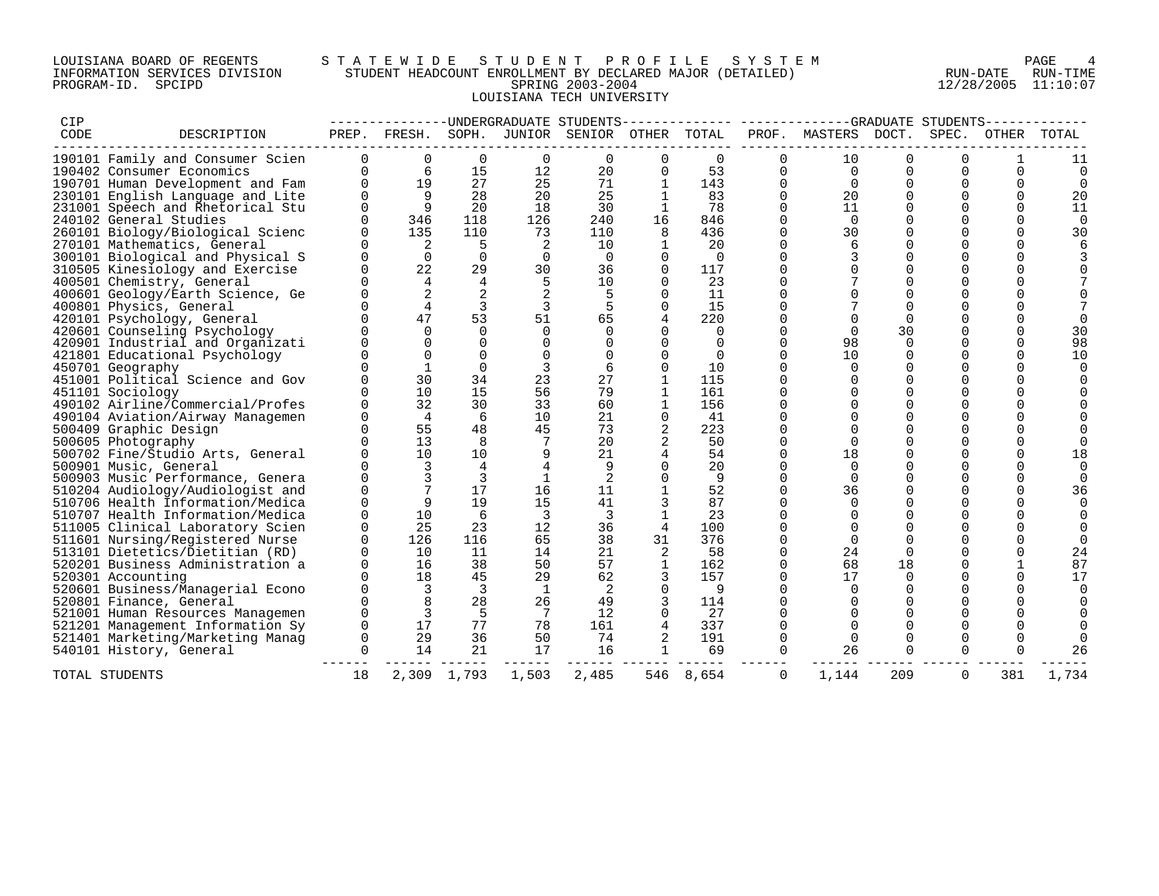## LOUISIANA BOARD OF REGENTS S T A T E W I D E S T U D E N T P R O F I L E S Y S T E M PAGE 4 INFORMATION SERVICES DIVISION STUDENT HEADCOUNT ENROLLMENT BY DECLARED MAJOR (DETAILED) RUN-DATE RUN-TIME PROGRAM-ID. SPCIPD SPRING 2003-2004 12/28/2005 11:10:07 LOUISIANA TECH UNIVERSITY

| CIP  |                                  |          |                |                         |                | ---------------UNDERGRADUATE STUDENTS-- |                |           |              | -------------GRADUATE STUDENTS- |          |             |          |          |
|------|----------------------------------|----------|----------------|-------------------------|----------------|-----------------------------------------|----------------|-----------|--------------|---------------------------------|----------|-------------|----------|----------|
| CODE | DESCRIPTION                      |          | PREP. FRESH.   | SOPH.                   |                | JUNIOR SENIOR OTHER                     |                | TOTAL     |              | PROF. MASTERS DOCT.             |          | SPEC.       | OTHER    | TOTAL    |
|      | 190101 Family and Consumer Scien | $\Omega$ | $\mathbf 0$    | $\mathbf 0$             | $\Omega$       | $\mathbf 0$                             | $\Omega$       | $\Omega$  | $\Omega$     | 10                              | $\Omega$ | $\Omega$    |          | 11       |
|      | 190402 Consumer Economics        | $\Omega$ | 6              | 15                      | 12             | 20                                      | 0              | 53        | 0            | $\Omega$                        | $\Omega$ | $\Omega$    | $\Omega$ | 0        |
|      | 190701 Human Development and Fam | $\Omega$ | 19             | 27                      | 25             | 71                                      | $\mathbf{1}$   | 143       | $\Omega$     | $\Omega$                        | $\Omega$ | $\Omega$    | $\Omega$ | $\Omega$ |
|      | 230101 English Language and Lite | $\Omega$ | 9              | 28                      | 20             | 25                                      | $\mathbf{1}$   | 83        | $\Omega$     | 20                              | $\Omega$ | $\Omega$    | $\Omega$ | 20       |
|      | 231001 Speech and Rhetorical Stu | $\Omega$ | 9              | 20                      | 18             | 30                                      | $\mathbf{1}$   | 78        | $\mathbf{0}$ | 11                              | 0        | $\Omega$    | $\Omega$ | 11       |
|      | 240102 General Studies           |          | 346            | 118                     | 126            | 240                                     | 16             | 846       | $\Omega$     | $\Omega$                        | $\Omega$ | $\Omega$    | $\Omega$ | $\Omega$ |
|      | 260101 Biology/Biological Scienc |          | 135            | 110                     | 73             | 110                                     | 8              | 436       | $\Omega$     | 30                              | $\Omega$ | $\Omega$    | $\Omega$ | 30       |
|      | 270101 Mathematics, General      |          | 2              | 5                       |                | 10                                      | $\mathbf{1}$   | 20        | $\Omega$     | 6                               | $\Omega$ | $\Omega$    | $\Omega$ |          |
|      | 300101 Biological and Physical S |          | $\Omega$       | $\Omega$                | $\Omega$       | $\Omega$                                | $\Omega$       | $\Omega$  | $\Omega$     | 3                               | $\Omega$ | $\Omega$    | $\Omega$ |          |
|      | 310505 Kinesiology and Exercise  |          | 22             | 29                      | 30             | 36                                      | $\mathbf{0}$   | 117       | $\Omega$     | $\Omega$                        | $\Omega$ | $\Omega$    | 0        |          |
|      | 400501 Chemistry, General        |          | $\overline{4}$ | $\overline{4}$          | 5              | 10                                      | $\Omega$       | 23        | $\Omega$     |                                 | $\Omega$ | $\Omega$    | U        |          |
|      | 400601 Geology/Earth Science, Ge |          | 2              | 2                       |                |                                         | $\Omega$       | 11        | $\Omega$     | $\Omega$                        | $\Omega$ | $\Omega$    | ∩        |          |
|      | 400801 Physics, General          |          | $\overline{4}$ | 3                       | 3              | 5                                       | $\Omega$       | 15        | $\Omega$     |                                 | $\Omega$ | $\Omega$    |          |          |
|      | 420101 Psychology, General       |          | 47             | 53                      | 51             | 65                                      |                | 220       | $\Omega$     | $\Omega$                        | 0        | $\mathbf 0$ | 0        |          |
|      | 420601 Counseling Psychology     |          | $\cap$         | $\Omega$                | $\Omega$       | $\Omega$                                |                | $\Omega$  | $\Omega$     | $\Omega$                        | 30       | $\Omega$    | $\Omega$ | 30       |
|      | 420901 Industrial and Organizati |          | $\Omega$       | $\Omega$                |                |                                         | $\Omega$       | $\Omega$  | $\Omega$     | 98                              | $\Omega$ | $\Omega$    | $\Omega$ | 98       |
|      | 421801 Educational Psychology    |          | $\Omega$       | $\Omega$                |                |                                         |                | $\Omega$  | $\Omega$     | 10                              | $\Omega$ | $\Omega$    | $\Omega$ | 10       |
|      | 450701 Geography                 |          |                | $\Omega$                | 3              | 6                                       | $\Omega$       | 10        | $\Omega$     | $\Omega$                        | $\Omega$ | $\Omega$    | 0        |          |
|      | 451001 Political Science and Gov |          | 30             | 34                      | 23             | 27                                      | $\mathbf{1}$   | 115       | $\Omega$     | $\Omega$                        | $\Omega$ | $\Omega$    | $\Omega$ |          |
|      | 451101 Sociology                 |          | 10             | 15                      | 56             | 79                                      | $\mathbf{1}$   | 161       | $\Omega$     | $\Omega$                        | $\Omega$ | $\Omega$    | U        |          |
|      | 490102 Airline/Commercial/Profes |          | 32             | 30                      | 33             | 60                                      | $\mathbf{1}$   | 156       | 0            | $\Omega$                        | 0        | 0           |          |          |
|      | 490104 Aviation/Airway Managemen |          | $\overline{4}$ | 6                       | 10             | 21                                      | $\mathbf{0}$   | 41        | $\Omega$     |                                 | $\Omega$ | $\Omega$    | U        |          |
|      | 500409 Graphic Design            |          | 55             | 48                      | 45             | 73                                      | $\overline{2}$ | 223       | $\Omega$     | $\Omega$                        | $\Omega$ | $\Omega$    | U        |          |
|      | 500605 Photography               |          | 13             | 8                       |                | 20                                      |                | 50        | $\Omega$     | $\Omega$                        | $\Omega$ | $\Omega$    | $\Omega$ |          |
|      | 500702 Fine/Studio Arts, General |          | 10             | 10                      | 9              | 21                                      |                | 54        | $\Omega$     | 18                              | $\Omega$ | $\Omega$    | $\Omega$ | 18       |
|      | 500901 Music, General            |          | 3              | 4                       |                | 9                                       | $\Omega$       | 20        | $\Omega$     | $\Omega$                        | $\Omega$ | 0           | $\Omega$ |          |
|      | 500903 Music Performance, Genera |          |                |                         |                | 2                                       |                | 9         | $\Omega$     | $\Omega$                        | $\Omega$ | $\Omega$    | U        |          |
|      | 510204 Audiology/Audiologist and |          |                | 17                      | 16             | 11                                      |                | 52        | $\Omega$     | 36                              | $\Omega$ | $\Omega$    | U        | 36       |
|      | 510706 Health Information/Medica |          | 9              | 19                      | 15             | 41                                      |                | 87        | $\Omega$     | $\Omega$                        | $\Omega$ | $\Omega$    | U        |          |
|      | 510707 Health Information/Medica |          | 10             | -6                      | $\overline{3}$ | -3                                      |                | 23        | $\Omega$     |                                 | $\Omega$ | $\Omega$    | U        |          |
|      | 511005 Clinical Laboratory Scien | $\Omega$ | 25             | 23                      | 12             | 36                                      | $\overline{4}$ | 100       | $\Omega$     | $\Omega$                        | $\Omega$ | $\Omega$    | U        |          |
|      | 511601 Nursing/Registered Nurse  | $\Omega$ | 126            | 116                     | 65             | 38                                      | 31             | 376       | $\Omega$     | $\Omega$                        | $\Omega$ | $\Omega$    |          |          |
|      | 513101 Dietetics/Dietitian (RD)  |          | 10             | 11                      | 14             | 21                                      | 2              | 58        | $\Omega$     | 24                              | $\Omega$ | $\Omega$    | U        | 24       |
|      | 520201 Business Administration a |          | 16             | 38                      | 50             | 57                                      | 1              | 162       | $\Omega$     | 68                              | 18       | 0           |          | 87       |
|      | 520301 Accounting                |          | 18             | 45                      | 29             | 62                                      |                | 157       | $\mathbf 0$  | 17                              | 0        | 0           | $\Omega$ | 17       |
|      | 520601 Business/Managerial Econo |          | 3              | $\overline{\mathbf{3}}$ | <sup>1</sup>   | 2                                       | $\Omega$       | 9         | $\Omega$     | $\Omega$                        | $\Omega$ | $\Omega$    | U        |          |
|      | 520801 Finance, General          |          | 8              | 28                      | 26             | 49                                      | 3              | 114       | $\Omega$     | $\Omega$                        | $\Omega$ | $\Omega$    |          |          |
|      | 521001 Human Resources Managemen |          | 3              | -5                      | 7              | 12                                      |                | 27        | $\Omega$     |                                 | $\Omega$ | $\Omega$    |          |          |
|      | 521201 Management Information Sy | $\Omega$ | 17             | 77                      | 78             | 161                                     |                | 337       | $\Omega$     | $\Omega$                        | $\Omega$ | $\Omega$    | 0        |          |
|      | 521401 Marketing/Marketing Manag | $\Omega$ | 29             | 36                      | 50             | 74                                      |                | 191       | $\Omega$     | $\Omega$                        | $\Omega$ | $\Omega$    | $\Omega$ |          |
|      | 540101 History, General          | $\Omega$ | 14             | 21                      | 17             | 16                                      | $\mathbf{1}$   | 69        | $\Omega$     | 26                              | $\Omega$ | $\Omega$    | $\Omega$ | 26       |
|      | TOTAL STUDENTS                   | 18       |                | 2,309 1,793             | 1,503          | 2,485                                   |                | 546 8,654 | 0            | 1,144                           | 209      | 0           | 381      | 1,734    |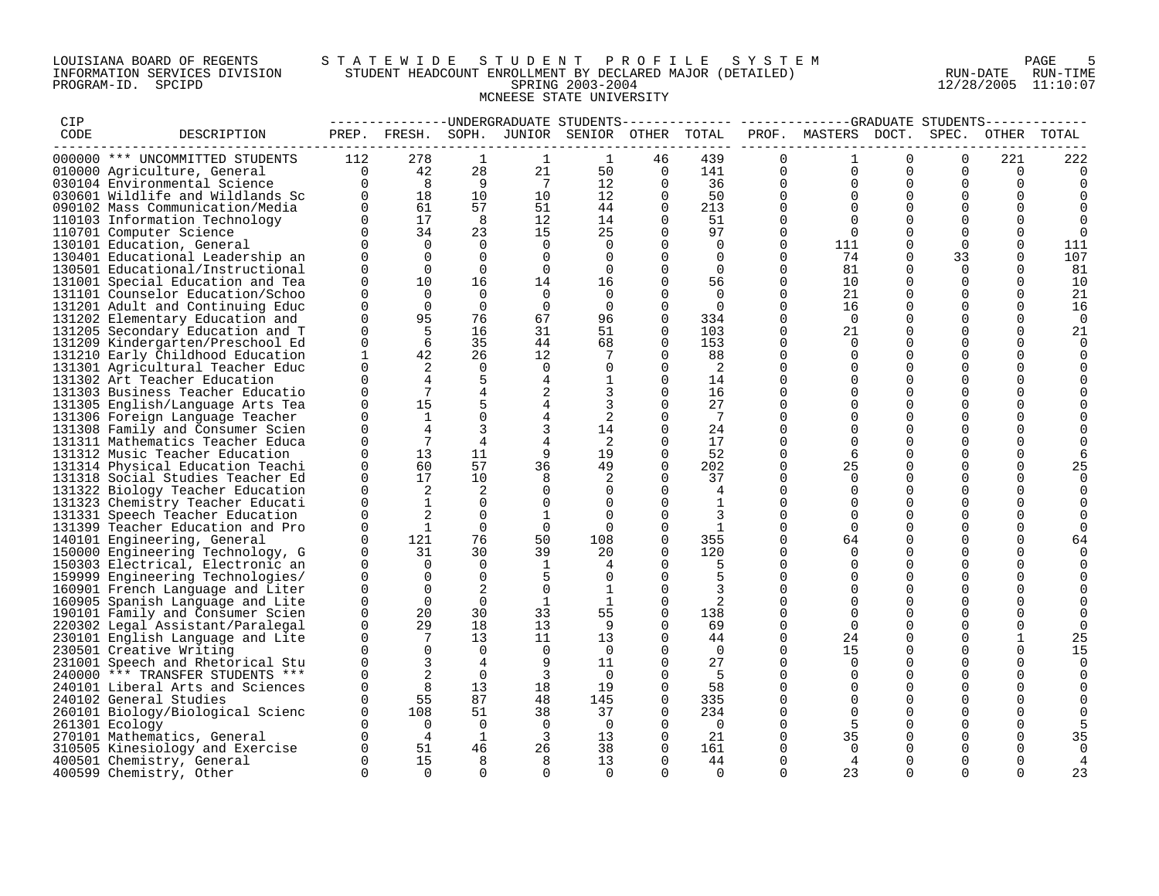## LOUISIANA BOARD OF REGENTS S T A T E W I D E S T U D E N T P R O F I L E S Y S T E M PAGE 5 INFORMATION SERVICES DIVISION STUDENT HEADCOUNT ENROLLMENT BY DECLARED MAJOR (DETAILED) RUN-DATE RUN-TIME PROGRAM-ID. SPCIPD SPRING 2003-2004 12/28/2005 11:10:07 MCNEESE STATE UNIVERSITY

| CIP  |                                                                      |                      |                      |                      |                | --------------DNDERGRADUATE STUDENTS         |                      | -----------     |                      | -------------GRADUATE STUDENTS- |                      |                         |                 |                 |
|------|----------------------------------------------------------------------|----------------------|----------------------|----------------------|----------------|----------------------------------------------|----------------------|-----------------|----------------------|---------------------------------|----------------------|-------------------------|-----------------|-----------------|
| CODE | DESCRIPTION                                                          |                      |                      |                      |                | PREP. FRESH. SOPH. JUNIOR SENIOR OTHER TOTAL |                      |                 |                      | PROF. MASTERS DOCT. SPEC.       |                      |                         |                 | OTHER TOTAL     |
|      |                                                                      |                      |                      |                      |                |                                              |                      |                 |                      |                                 |                      |                         |                 |                 |
|      | 000000 *** UNCOMMITTED STUDENTS                                      | 112<br>$\Omega$      | 278<br>42            | 1<br>28              | 1<br>21        | 1<br>50                                      | 46<br>$\mathbf 0$    | 439<br>141      | $\Omega$<br>$\Omega$ | 1<br>$\Omega$                   | $\Omega$<br>$\Omega$ | $\Omega$<br>$\Omega$    | 221<br>$\Omega$ | 222<br>$\Omega$ |
|      | 010000 Agriculture, General<br>030104 Environmental Science          | $\Omega$             | 8                    | $\overline{9}$       | $\overline{7}$ | 12                                           | $\Omega$             | 36              | $\Omega$             | $\Omega$                        | $\Omega$             | $\Omega$                | $\Omega$        |                 |
|      | 030601 Wildlife and Wildlands Sc                                     | $\Omega$             | 18                   | 10                   | 10             | 12                                           | $\mathbf 0$          | 50              | $\Omega$             | $\Omega$                        | $\Omega$             | $\mathbf 0$             | $\Omega$        |                 |
|      | 090102 Mass Communication/Media                                      | $\Omega$             | 61                   | 57                   | 51             | 44                                           | 0                    | 213             | $\Omega$             |                                 | $\Omega$             | 0                       | $\Omega$        |                 |
|      | 110103 Information Technology                                        | $\Omega$             | 17                   | 8                    | 12             | 14                                           | $\Omega$             | 51              | $\Omega$             |                                 | $\Omega$             | $\mathbf 0$             | $\Omega$        |                 |
|      | 110701 Computer Science                                              | $\Omega$             | 34                   | 23                   | 15             | 25                                           | $\Omega$             | 97              | $\Omega$             | $\Omega$                        |                      | $\Omega$                | $\Omega$        | $\Omega$        |
|      | 130101 Education, General                                            | $\Omega$             | $\Omega$             | $\Omega$             | $\Omega$       | $\Omega$                                     | $\Omega$             | $\Omega$        | $\Omega$             | 111                             | $\Omega$             | $\Omega$                | $\Omega$        | 111             |
|      | 130401 Educational Leadership an                                     | $\Omega$             | $\Omega$             | $\Omega$             | $\Omega$       | $\Omega$                                     | $\Omega$             | $\Omega$        | $\Omega$             | 74                              | $\Omega$             | 33                      | $\Omega$        | 107             |
|      | 130501 Educational/Instructional                                     | $\Omega$             | $\Omega$             | $\Omega$             | $\Omega$       | $\Omega$                                     | $\Omega$             | $\Omega$        | $\Omega$             | 81                              |                      | $\Omega$                | $\Omega$        | 81              |
|      | 131001 Special Education and Tea                                     | $\Omega$             | 10                   | 16                   | 14             | 16                                           | 0                    | 56              | $\Omega$             | 10                              | $\Omega$             | $\mathbf 0$             | $\Omega$        | 10              |
|      | 131101 Counselor Education/Schoo                                     | $\Omega$             | $\Omega$             | $\Omega$             | $\Omega$       | $\Omega$                                     | $\Omega$             | $\Omega$        | $\Omega$             | 21                              | $\Omega$             | $\Omega$                | $\Omega$        | 21              |
|      | 131201 Adult and Continuing Educ                                     | $\Omega$             | $\Omega$             | $\Omega$             | $\Omega$       | $\overline{0}$                               | $\Omega$             | $\Omega$        | $\Omega$             | 16                              | $\Omega$             | 0                       | $\Omega$        | 16              |
|      | 131202 Elementary Education and                                      | $\Omega$             | 95                   | 76                   | 67             | 96                                           | $\Omega$             | 334             | $\Omega$             | $\Omega$                        | $\Omega$             | $\Omega$                | $\Omega$        | $\Omega$        |
|      | 131205 Secondary Education and T                                     | $\Omega$             | 5                    | 16                   | 31             | 51                                           | $\Omega$             | 103             | $\Omega$             | 21                              | $\Omega$             | $\Omega$                | $\Omega$        | 21              |
|      | 131209 Kindergarten/Preschool Ed                                     | $\Omega$             | 6                    | 35                   | 44             | 68                                           | $\Omega$             | 153             | $\Omega$             | $\Omega$                        | $\Omega$             | $\Omega$                | $\Omega$        | $\Omega$        |
|      | 131210 Early Childhood Education                                     | $\mathbf{1}$         | 42                   | 26                   | 12             |                                              | $\Omega$             | 88              | $\Omega$             | $\Omega$                        | $\Omega$             | $\Omega$                | $\Omega$        |                 |
|      | 131301 Agricultural Teacher Educ                                     | $\mathbf 0$          | 2                    | $\mathbf 0$          | $\mathbf 0$    | 0                                            | 0                    | 2               | $\Omega$             | $\Omega$                        | 0                    | 0                       | 0               |                 |
|      | 131302 Art Teacher Education                                         | $\Omega$             |                      | 5                    | 4              |                                              | 0                    | 14              | $\Omega$             | $\Omega$                        | $\Omega$             | $\mathbf 0$             |                 |                 |
|      | 131303 Business Teacher Educatio                                     | $\Omega$             | 7                    | $\overline{4}$       | 2              | 3                                            | $\Omega$             | 16              | $\Omega$             | $\Omega$                        | 0                    | 0                       | $\Omega$        |                 |
|      | 131305 English/Language Arts Tea                                     | $\cap$               | 15                   |                      | 4              |                                              | $\Omega$             | 27              | $\Omega$             |                                 | $\Omega$             | $\Omega$                | ∩               |                 |
|      | 131306 Foreign Language Teacher                                      | $\Omega$             | $\mathbf{1}$         | $\Omega$             | 4              | 2                                            | $\Omega$             | $7\phantom{.0}$ | $\Omega$             | $\Omega$                        | $\Omega$             | $\Omega$                | ∩               |                 |
|      | 131308 Family and Consumer Scien                                     | $\Omega$             |                      |                      |                | 14                                           | $\Omega$             | 24              | 0                    |                                 | $\Omega$             | $\Omega$                | $\Omega$        |                 |
|      | 131311 Mathematics Teacher Educa                                     | $\Omega$             | $7\phantom{.0}$      | $\overline{4}$       | $\overline{4}$ | 2                                            | $\Omega$             | 17              | $\Omega$             | $\Omega$                        | $\Omega$             | $\Omega$                | $\Omega$        |                 |
|      | 131312 Music Teacher Education                                       | $\Omega$             | 13                   | 11                   | 9              | 19                                           | 0                    | 52              | $\Omega$             | 6                               | $\Omega$             | 0                       | 0               |                 |
|      | 131314 Physical Education Teachi                                     | $\Omega$             | 60                   | 57                   | 36             | 49                                           | $\Omega$             | 202             | $\Omega$             | 25                              | $\Omega$             | $\Omega$                | $\Omega$        | 25              |
|      | 131318 Social Studies Teacher Ed                                     | $\Omega$             | 17                   | 10                   | 8              | 2                                            | $\Omega$             | 37              | $\Omega$             | $\Omega$                        | $\Omega$             | $\mathbf 0$             | $\Omega$        | $\Omega$        |
|      | 131322 Biology Teacher Education                                     | $\Omega$             | 2                    | 2                    | 0              | $\Omega$                                     | $\Omega$             | 4               | 0                    |                                 | $\Omega$             | $\mathbf 0$             | $\Omega$        |                 |
|      | 131323 Chemistry Teacher Educati                                     | $\Omega$             | $\mathbf{1}$         | $\Omega$             | $\mathbf 0$    |                                              | $\Omega$             |                 | $\Omega$             |                                 | $\Omega$             | $\Omega$                |                 |                 |
|      | 131331 Speech Teacher Education                                      | $\Omega$             | 2                    | $\Omega$             | $\mathbf{1}$   | $\Omega$                                     | $\Omega$             | 3               | $\Omega$             | $\Omega$                        | $\Omega$             | $\Omega$                | ∩               |                 |
|      | 131399 Teacher Education and Pro                                     | $\Omega$             | $\mathbf{1}$         | $\Omega$             | $\mathbf 0$    | $\cap$                                       | $\Omega$             | 1               | $\Omega$             | $\Omega$                        | $\Omega$             | $\Omega$                | $\Omega$        |                 |
|      | 140101 Engineering, General                                          | $\Omega$             | 121                  | 76                   | 50             | 108                                          | 0                    | 355             | $\Omega$             | 64                              | $\Omega$             | 0                       | $\Omega$        |                 |
|      | 150000 Engineering Technology, G                                     | 0                    | 31                   | 30                   | 39             | 20                                           | $\Omega$             | 120             | $\Omega$             | $\Omega$                        | 0                    | 0                       | $\Omega$        |                 |
|      | 150303 Electrical, Electronic an                                     | $\Omega$<br>$\Omega$ | $\Omega$             | $\Omega$<br>$\Omega$ | $\mathbf{1}$   | 4                                            | $\Omega$             | 5               | 0<br>$\Omega$        |                                 | $\Omega$<br>$\Omega$ | $\mathbf 0$<br>$\Omega$ | $\Omega$<br>∩   |                 |
|      | 159999 Engineering Technologies/                                     | $\Omega$             | $\Omega$<br>$\Omega$ | 2                    | 5<br>$\Omega$  | $\mathbf{1}$                                 | $\Omega$<br>$\Omega$ | 5<br>3          | $\Omega$             |                                 | $\Omega$             | $\Omega$                |                 |                 |
|      | 160901 French Language and Liter<br>160905 Spanish Language and Lite | $\Omega$             | $\Omega$             | $\Omega$             | $\mathbf{1}$   | 1                                            | $\Omega$             | 2               | $\Omega$             |                                 | $\Omega$             | $\Omega$                |                 |                 |
|      | 190101 Family and Consumer Scien                                     | $\mathbf 0$          | 20                   | 30                   | 33             | 55                                           | $\mathbf 0$          | 138             | $\Omega$             |                                 | $\mathbf 0$          | $\mathbf 0$             | $\Omega$        |                 |
|      | 220302 Legal Assistant/Paralegal                                     | $\Omega$             | 29                   | 18                   | 13             | -9                                           | $\Omega$             | 69              | $\Omega$             | $\Omega$                        | $\Omega$             | $\Omega$                | $\Omega$        |                 |
|      | 230101 English Language and Lite                                     | $\Omega$             | 7                    | 13                   | 11             | 13                                           | $\Omega$             | 44              | $\Omega$             | 24                              | $\Omega$             | $\Omega$                | $\mathbf{1}$    | 25              |
|      | 230501 Creative Writing                                              | $\Omega$             | $\Omega$             | $\Omega$             | $\Omega$       | $\Omega$                                     | $\Omega$             | $\Omega$        | $\Omega$             | 15                              | $\Omega$             | $\Omega$                | $\Omega$        | 15              |
|      | 231001 Speech and Rhetorical Stu                                     | $\Omega$             | 3                    | 4                    | 9              | 11                                           | $\Omega$             | 27              | $\Omega$             | $\Omega$                        | $\Omega$             | $\Omega$                | $\Omega$        | $\Omega$        |
|      | 240000 *** TRANSFER STUDENTS ***                                     | $\Omega$             |                      | $\Omega$             | 3              | $\Omega$                                     | $\Omega$             | -5              | $\Omega$             | ∩                               | $\Omega$             | 0                       | $\Omega$        |                 |
|      | 240101 Liberal Arts and Sciences                                     | $\Omega$             | 8                    | 13                   | 18             | 19                                           | $\Omega$             | 58              | $\Omega$             |                                 | $\Omega$             | $\Omega$                | $\cap$          |                 |
|      | 240102 General Studies                                               | $\Omega$             | 55                   | 87                   | 48             | 145                                          | $\Omega$             | 335             | $\Omega$             | $\Omega$                        | $\Omega$             | $\mathbf 0$             |                 |                 |
|      | 260101 Biology/Biological Scienc                                     | $\Omega$             | 108                  | 51                   | 38             | 37                                           | 0                    | 234             | $\Omega$             | $\Omega$                        | $\Omega$             | 0                       | $\Omega$        |                 |
|      | 261301 Ecology                                                       | $\Omega$             | $\overline{0}$       | $\Omega$             | $\overline{0}$ | $\Omega$                                     | $\Omega$             | $\overline{0}$  | 0                    |                                 | $\Omega$             | 0                       | $\Omega$        |                 |
|      | 270101 Mathematics, General                                          | $\Omega$             | $\overline{4}$       | 1                    | $\overline{3}$ | 13                                           | 0                    | 21              | $\Omega$             | 35                              | 0                    | $\Omega$                | $\Omega$        | 35              |
|      | 310505 Kinesiology and Exercise                                      | $\Omega$             | 51                   | 46                   | 26             | 38                                           | $\Omega$             | 161             | 0                    |                                 |                      | $\Omega$                |                 |                 |
|      | 400501 Chemistry, General                                            | $\Omega$             | 15                   | 8                    | 8              | 13                                           | $\Omega$             | 44              | $\Omega$             | 4                               | $\Omega$             | $\Omega$                | $\Omega$        |                 |
|      | 400599 Chemistry, Other                                              | $\Omega$             | $\Omega$             | $\cap$               | $\Omega$       | $\Omega$                                     | $\Omega$             | $\Omega$        | $\Omega$             | 23                              |                      |                         |                 | 23              |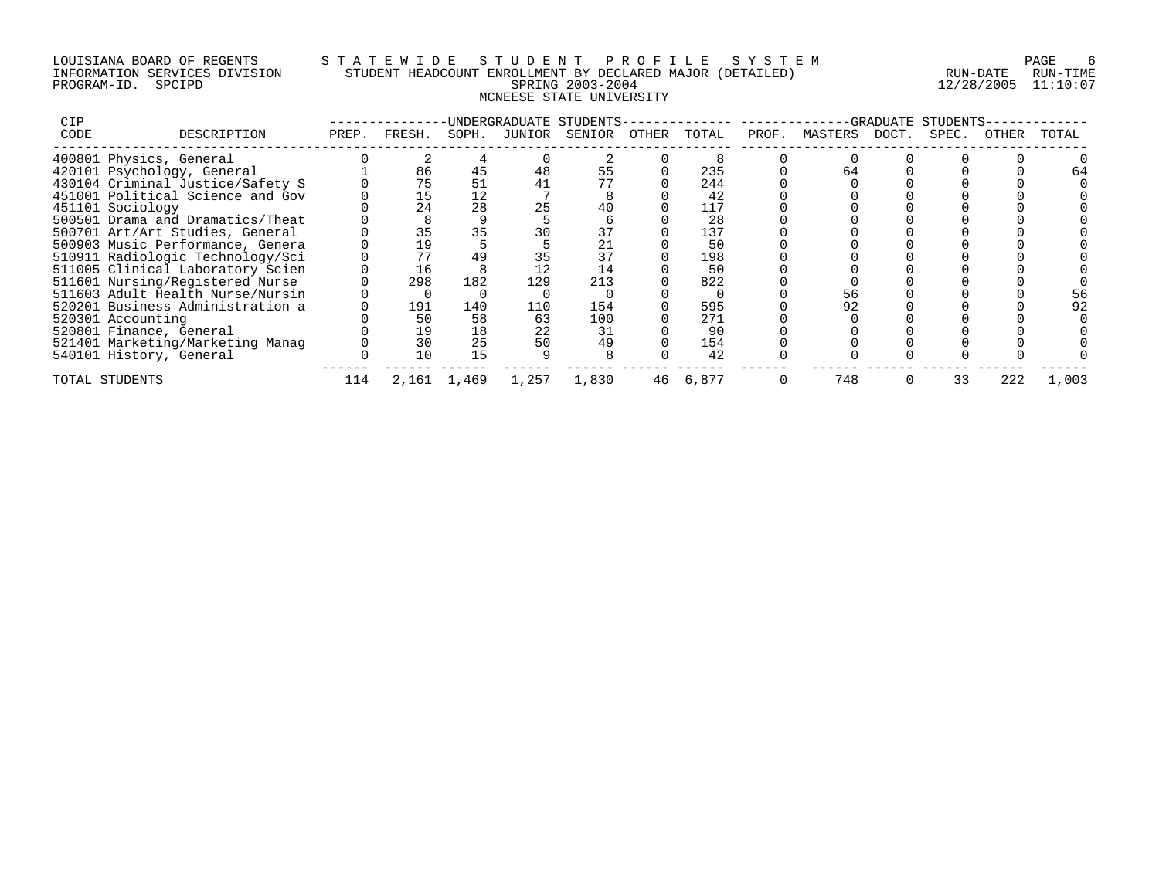## LOUISIANA BOARD OF REGENTS S T A T E W I D E S T U D E N T P R O F I L E S Y S T E M PAGE 6 INFORMATION SERVICES DIVISION STUDENT HEADCOUNT ENROLLMENT BY DECLARED MAJOR (DETAILED) RUN-DATE RUN-TIME PROGRAM-ID. SPCIPD SPRING 2003-2004 12/28/2005 11:10:07 MCNEESE STATE UNIVERSITY

| <b>CIP</b> |                                  |       |          |             |        | UNDERGRADUATE STUDENTS- |       |       |       |               | ·GRADUATE | STUDENTS |       |       |
|------------|----------------------------------|-------|----------|-------------|--------|-------------------------|-------|-------|-------|---------------|-----------|----------|-------|-------|
| CODE       | DESCRIPTION                      | PREP. | FRESH.   | SOPH.       | JUNIOR | SENIOR                  | OTHER | TOTAL | PROF. | MASTERS DOCT. |           | SPEC.    | OTHER | TOTAL |
|            | 400801 Physics, General          |       |          |             |        |                         |       |       |       |               |           |          |       |       |
|            | 420101 Psychology, General       |       | 86       | 45          | 48     | 55                      |       | 235   |       |               |           |          |       |       |
|            | 430104 Criminal Justice/Safety S |       | 75       | 51          |        |                         |       | 244   |       |               |           |          |       |       |
|            | 451001 Political Science and Gov |       | 15       | 12          |        |                         |       | 42    |       |               |           |          |       |       |
|            | 451101 Sociology                 |       | 24       | 28          |        | 40                      |       | 117   |       |               |           |          |       |       |
|            | 500501 Drama and Dramatics/Theat |       |          |             |        |                         |       | 28    |       |               |           |          |       |       |
|            | 500701 Art/Art Studies, General  |       | 35       | 35          |        |                         |       | 137   |       |               |           |          |       |       |
|            | 500903 Music Performance, Genera |       | 19       |             |        | 21                      |       | 50    |       |               |           |          |       |       |
|            | 510911 Radiologic Technology/Sci |       |          | 49          |        | 37                      |       | 198   |       |               |           |          |       |       |
|            | 511005 Clinical Laboratory Scien |       | 16       |             |        | 14                      |       | 50    |       |               |           |          |       |       |
|            | 511601 Nursing/Registered Nurse  |       | 298      | 182         | 129    | 213                     |       | 822   |       |               |           |          |       |       |
|            | 511603 Adult Health Nurse/Nursin |       | $\Omega$ |             |        |                         |       |       |       | 56            |           |          |       |       |
|            | 520201 Business Administration a |       | 191      | 140         | 110    | 154                     |       | 595   |       |               |           |          |       |       |
|            | 520301 Accounting                |       | 50       | 58          | 63     | 100                     |       | 271   |       |               |           |          |       |       |
|            | 520801 Finance, General          |       | 19       | 18          | 22     | 31                      |       | 90    |       |               |           |          |       |       |
|            | 521401 Marketing/Marketing Manag |       | 30       | 25          | 50     | 49                      |       | 154   |       |               |           |          |       |       |
|            | 540101 History, General          |       | 10       | 15          |        |                         |       | 42    |       |               |           |          |       |       |
|            | TOTAL STUDENTS                   | 114   |          | 2,161 1,469 | 1,257  | 1,830                   | 46    | 6,877 |       | 748           |           | 33       | 222   | 1,003 |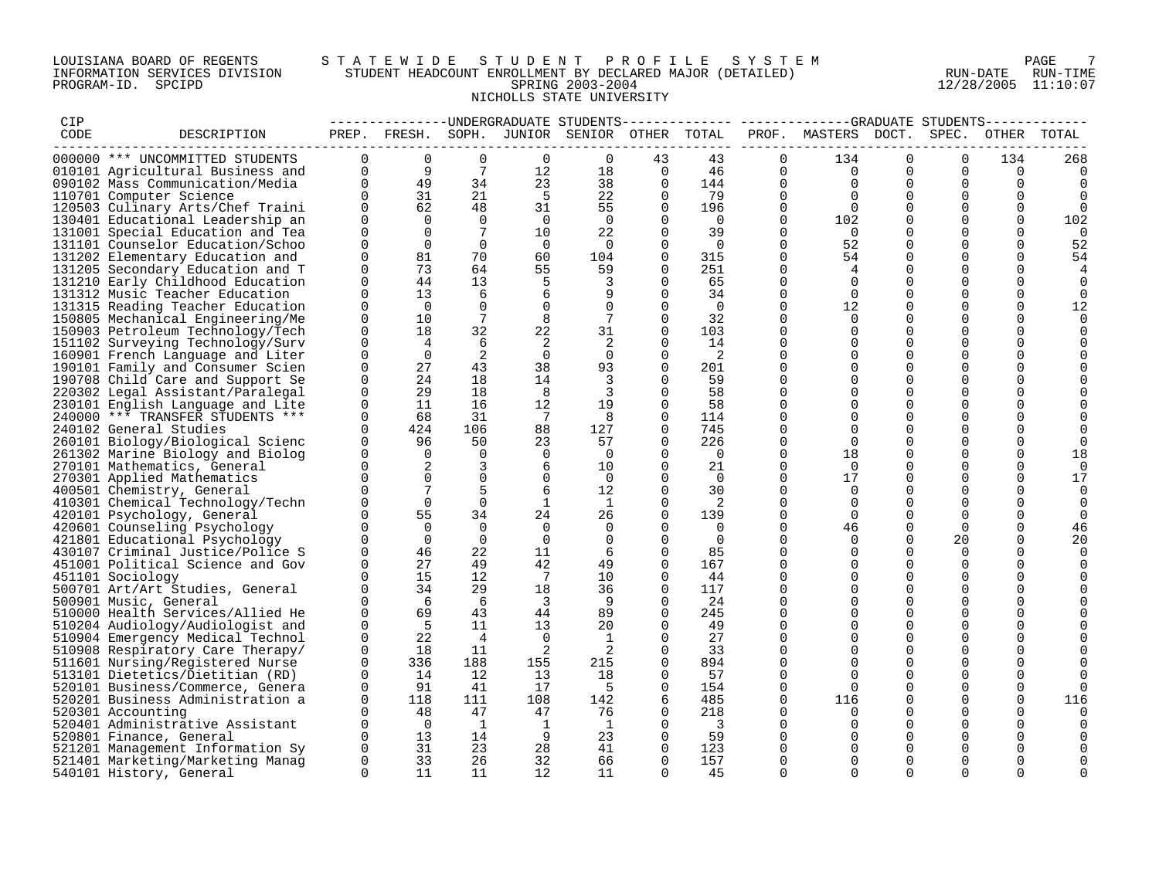## LOUISIANA BOARD OF REGENTS S T A T E W I D E S T U D E N T P R O F I L E S Y S T E M PAGE 7 INFORMATION SERVICES DIVISION STUDENT HEADCOUNT ENROLLMENT BY DECLARED MAJOR (DETAILED) RUN-DATE RUN-TIME PROGRAM-ID. SPCIPD SPRING 2003-2004 12/28/2005 11:10:07 NICHOLLS STATE UNIVERSITY

| CIP  |                                  |                         |                |                 |                         | --------------DNDERGRADUATE STUDENTS--       |             |                          |             |                           |             |             |               | ------------ |
|------|----------------------------------|-------------------------|----------------|-----------------|-------------------------|----------------------------------------------|-------------|--------------------------|-------------|---------------------------|-------------|-------------|---------------|--------------|
| CODE | DESCRIPTION                      |                         |                |                 |                         | PREP. FRESH. SOPH. JUNIOR SENIOR OTHER TOTAL |             |                          |             | PROF. MASTERS DOCT. SPEC. |             |             |               | OTHER TOTAL  |
|      | 000000 *** UNCOMMITTED STUDENTS  | $\Omega$                | $\Omega$       | $\mathbf 0$     | $\Omega$                | $\Omega$                                     | 43          | 43                       | $\Omega$    | 134                       | $\Omega$    | $\Omega$    | 134           | 268          |
|      | 010101 Agricultural Business and | $\Omega$                | 9              | 7               | 12                      | 18                                           | $\Omega$    | 46                       | $\Omega$    | $\Omega$                  | $\Omega$    | $\Omega$    | $\Omega$      | $\Omega$     |
|      | 090102 Mass Communication/Media  | $\Omega$                | 49             | 34              | 23                      | 38                                           | $\Omega$    | 144                      | $\Omega$    | $\Omega$                  | $\Omega$    | $\Omega$    | $\Omega$      | 0            |
|      | 110701 Computer Science          | $\Omega$                | 31             | 21              | - 5                     | 22                                           | $\Omega$    | 79                       | $\Omega$    | $\Omega$                  | $\Omega$    | $\mathbf 0$ | $\mathbf 0$   | 0            |
|      | 120503 Culinary Arts/Chef Traini | $\Omega$                | 62             | 48              | 31                      | 55                                           | 0           | 196                      | $\mathbf 0$ | $\Omega$                  | 0           | 0           | $\mathbf 0$   | 0            |
|      | 130401 Educational Leadership an | $\Omega$                | $\Omega$       | $\Omega$        | $\overline{0}$          | $\Omega$                                     | $\Omega$    | $\bigcirc$               | $\Omega$    | 102                       | $\Omega$    | $\Omega$    | $\Omega$      | 102          |
|      | 131001 Special Education and Tea | $\Omega$                | $\Omega$       | $7\phantom{.0}$ | 10                      | 22                                           | $\Omega$    | 39                       | $\Omega$    | $\Omega$                  | $\Omega$    | $\Omega$    | $\Omega$      | $\Omega$     |
|      | 131101 Counselor Education/Schoo | $\Omega$                | $\Omega$       | $\Omega$        | $\overline{0}$          | $\Omega$                                     | $\Omega$    | $\Omega$                 | $\Omega$    | 52                        | $\Omega$    | $\Omega$    | $\Omega$      | 52           |
|      | 131202 Elementary Education and  | $\mathbf 0$             | 81             | 70              | 60                      | 104                                          | 0           | 315                      | $\mathbf 0$ | 54                        | $\mathbf 0$ | 0           | $\mathbf 0$   | 54           |
|      | 131205 Secondary Education and T | $\Omega$                | 73             | 64              | 55                      | 59                                           | 0           | 251                      | $\mathbf 0$ | 4                         | $\Omega$    | 0           | $\mathbf 0$   |              |
|      | 131210 Early Childhood Education | $\Omega$                | 44             | 13              | 5                       | 3                                            | $\Omega$    | 65                       | $\Omega$    | $\Omega$                  | $\Omega$    | $\Omega$    | $\Omega$      | 0            |
|      | 131312 Music Teacher Education   | $\Omega$                | 13             | 6               | 6                       | 9                                            | $\Omega$    | 34                       | $\Omega$    | $\Omega$                  | $\Omega$    | $\Omega$    | $\Omega$      | $\Omega$     |
|      | 131315 Reading Teacher Education | $\Omega$                | $\Omega$       | $\Omega$        | $\Omega$                | $\Omega$                                     | $\Omega$    | $\Omega$                 | $\Omega$    | 12                        | $\Omega$    | $\Omega$    | $\Omega$      | 12           |
|      | 150805 Mechanical Engineering/Me | $\mathbf 0$             | 10             | $7\phantom{.0}$ | 8                       | $7\phantom{.0}$                              | $\mathbf 0$ | 32                       | $\Omega$    | $\mathbf 0$               | $\mathbf 0$ | $\mathbf 0$ | $\mathbf 0$   | $\mathbf 0$  |
|      |                                  | $\mathbf 0$             | 18             | 32              | 22                      | 31                                           | 0           | 103                      | $\mathbf 0$ | 0                         | $\Omega$    | 0           | 0             |              |
|      | 150903 Petroleum Technology/Tech |                         |                |                 |                         |                                              |             |                          | $\Omega$    |                           | $\Omega$    | $\Omega$    |               | 0            |
|      | 151102 Surveying Technology/Surv | $\mathbf 0$<br>$\Omega$ | $\overline{4}$ | 6               | -2                      | 2                                            | $\Omega$    | 14                       | $\Omega$    | $\Omega$<br>$\Omega$      | $\Omega$    | $\Omega$    | 0<br>$\Omega$ | 0            |
|      | 160901 French Language and Liter |                         | $\Omega$       | 2               | $\overline{0}$          | $\Omega$                                     | $\Omega$    | 2                        |             |                           |             |             |               |              |
|      | 190101 Family and Consumer Scien | $\Omega$                | 27             | 43              | 38                      | 93                                           | 0           | 201                      | $\Omega$    | $\Omega$                  | $\Omega$    | $\mathbf 0$ | 0             |              |
|      | 190708 Child Care and Support Se | $\mathbf 0$             | 24             | 18              | 14                      | 3                                            | $\Omega$    | 59                       | $\Omega$    | $\mathbf 0$               | $\Omega$    | $\mathbf 0$ | 0             |              |
|      | 220302 Legal Assistant/Paralegal | 0                       | 29             | 18              | 8                       | 3                                            | 0           | 58                       | $\mathbf 0$ | 0                         | $\Omega$    | 0           | 0             |              |
|      | 230101 English Language and Lite | $\Omega$                | 11             | 16              | 12                      | 19                                           | $\Omega$    | 58                       | $\Omega$    | $\Omega$                  | $\Omega$    | $\Omega$    | $\Omega$      |              |
|      | 240000 *** TRANSFER STUDENTS *** | $\mathbf 0$             | 68             | 31              | 7                       | 8                                            | $\Omega$    | 114                      | $\Omega$    | $\Omega$                  | $\Omega$    | $\Omega$    | 0             | $\Omega$     |
|      | 240102 General Studies           | $\Omega$                | 424            | 106             | 88                      | 127                                          | 0           | 745                      | $\Omega$    | $\Omega$                  | $\Omega$    | $\Omega$    | 0             | $\Omega$     |
|      | 260101 Biology/Biological Scienc | $\Omega$                | 96             | 50              | 23                      | 57                                           | $\Omega$    | 226                      | $\Omega$    | $\Omega$                  | $\Omega$    | $\Omega$    | $\Omega$      | $\Omega$     |
|      | 261302 Marine Biology and Biolog | 0                       | $\overline{0}$ | $\overline{0}$  | 0                       | 0                                            | 0           | $\overline{0}$           | 0           | 18                        | $\Omega$    | 0           | $\mathbf 0$   | 18           |
|      | 270101 Mathematics, General      | $\Omega$                | 2              | 3               | 6                       | 10                                           | $\Omega$    | 21                       | $\Omega$    | $\Omega$                  | $\Omega$    | $\Omega$    | $\Omega$      | 0            |
|      | 270301 Applied Mathematics       | $\Omega$                | $\Omega$       | $\Omega$        | 0                       | 0                                            |             | $\Omega$                 | $\Omega$    | 17                        | $\Omega$    | $\mathbf 0$ | $\mathbf 0$   | 17           |
|      | 400501 Chemistry, General        | $\Omega$                |                | 5               | 6                       | 12                                           | $\Omega$    | 30                       | $\Omega$    | $\Omega$                  | $\Omega$    | $\Omega$    | $\Omega$      | 0            |
|      | 410301 Chemical Technology/Techn | $\Omega$                | $\Omega$       | $\Omega$        | -1                      | 1                                            | $\Omega$    | 2                        | $\Omega$    | $\Omega$                  | $\Omega$    | $\Omega$    | $\Omega$      | 0            |
|      | 420101 Psychology, General       | $\Omega$                | 55             | 34              | 24                      | 26                                           | $\Omega$    | 139                      | $\mathbf 0$ | $\overline{0}$            | $\Omega$    | $\mathbf 0$ | $\mathbf 0$   | $\mathbf 0$  |
|      | 420601 Counseling Psychology     | $\Omega$                | $\Omega$       | $\Omega$        | $\Omega$                | 0                                            | $\Omega$    | 0                        | $\Omega$    | 46                        | $\Omega$    | $\Omega$    | $\mathbf 0$   | 46           |
|      | 421801 Educational Psychology    | $\Omega$                | $\Omega$       | $\Omega$        | $\Omega$                | 0                                            | $\Omega$    | $\Omega$                 | $\Omega$    | $\mathbf 0$               | $\Omega$    | 20          | $\mathbf 0$   | 20           |
|      | 430107 Criminal Justice/Police S | $\Omega$                | 46             | 22              | 11                      | 6                                            | $\Omega$    | 85                       | $\mathbf 0$ | $\Omega$                  | $\Omega$    | $\Omega$    | 0             | $\Omega$     |
|      | 451001 Political Science and Gov | $\Omega$                | 27             | 49              | 42                      | 49                                           | $\Omega$    | 167                      | $\Omega$    | $\Omega$                  | $\Omega$    | $\Omega$    | $\Omega$      | $\Omega$     |
|      | 451101 Sociology                 | $\Omega$                | 15             | 12              | $7\phantom{.0}$         | 10                                           | $\Omega$    | 44                       | $\Omega$    | $\Omega$                  | $\Omega$    | $\Omega$    | $\Omega$      | $\Omega$     |
|      | 500701 Art/Art Studies, General  | $\Omega$                | 34             | 29              | 18                      | 36                                           | 0           | 117                      | 0           | 0                         | $\Omega$    | 0           | 0             |              |
|      | 500901 Music, General            | $\Omega$                | -6             | 6               | $\overline{\mathbf{3}}$ | 9                                            | $\Omega$    | 24                       | $\Omega$    | $\Omega$                  | $\Omega$    | $\mathbf 0$ | 0             |              |
|      | 510000 Health Services/Allied He | $\Omega$                | 69             | 43              | 44                      | 89                                           | 0           | 245                      | 0           | $\Omega$                  | $\Omega$    | $\mathbf 0$ | 0             |              |
|      | 510204 Audiology/Audiologist and | $\Omega$                | - 5            | 11              | 13                      | 20                                           | $\Omega$    | 49                       | $\Omega$    | $\Omega$                  | $\Omega$    | $\Omega$    | $\Omega$      |              |
|      | 510904 Emergency Medical Technol | $\Omega$                | 22             | $\overline{4}$  | $\Omega$                | 1                                            | $\Omega$    | 27                       | $\Omega$    | $\Omega$                  | $\Omega$    | $\Omega$    | 0             | O            |
|      | 510908 Respiratory Care Therapy/ | $\mathbf 0$             | 18             | 11              | -2                      | 2                                            | $\mathbf 0$ | 33                       | $\mathbf 0$ | 0                         | $\mathbf 0$ | $\mathbf 0$ | $\mathbf 0$   |              |
|      | 511601 Nursing/Registered Nurse  | $\Omega$                | 336            | 188             | 155                     | 215                                          | $\Omega$    | 894                      | 0           | $\Omega$                  | $\Omega$    | $\Omega$    | 0             | 0            |
|      | 513101 Dietetics/Dietitian (RD)  | 0                       | 14             | 12              | 13                      | 18                                           | 0           | 57                       | $\mathbf 0$ | $\Omega$                  | $\Omega$    | $\Omega$    | $\mathbf 0$   | $\Omega$     |
|      | 520101 Business/Commerce, Genera | $\Omega$                | 91             | 41              | 17                      | .5                                           | $\Omega$    | 154                      | $\Omega$    | $\Omega$                  | $\Omega$    | $\Omega$    | $\Omega$      |              |
|      | 520201 Business Administration a | $\Omega$                | 118            | 111             | 108                     | 142                                          | 6           | 485                      | $\Omega$    | 116                       | $\Omega$    | $\mathbf 0$ | $\mathbf 0$   | 116          |
|      | 520301 Accounting                | $\Omega$                | 48             | 47              | 47                      | 76                                           | 0           | 218                      | 0           | $\Omega$                  | $\mathbf 0$ | $\mathbf 0$ | 0             | 0            |
|      | 520401 Administrative Assistant  | $\Omega$                | $\overline{0}$ | $\mathbf{1}$    | -1                      | 1                                            | $\Omega$    | $\overline{\phantom{a}}$ | $\Omega$    | 0                         | $\Omega$    | 0           | 0             | 0            |
|      | 520801 Finance, General          | $\Omega$                | 13             | 14              | 9                       | 23                                           | $\Omega$    | 59                       | $\Omega$    | $\Omega$                  | $\Omega$    | $\Omega$    | $\Omega$      |              |
|      | 521201 Management Information Sy | $\Omega$                | 31             | 23              | 28                      | 41                                           | $\Omega$    | 123                      | $\Omega$    | $\Omega$                  | $\Omega$    | $\Omega$    | $\Omega$      |              |
|      | 521401 Marketing/Marketing Manag | $\mathbf 0$             | 33             | 26              | 32                      | 66                                           | $\Omega$    | 157                      | $\Omega$    | $\Omega$                  | $\Omega$    | $\Omega$    | $\Omega$      | 0            |
|      | 540101 History, General          | $\Omega$                | 11             | 11              | 12                      | 11                                           | $\Omega$    | 45                       | $\Omega$    | $\Omega$                  | $\Omega$    | $\Omega$    | $\Omega$      | $\Omega$     |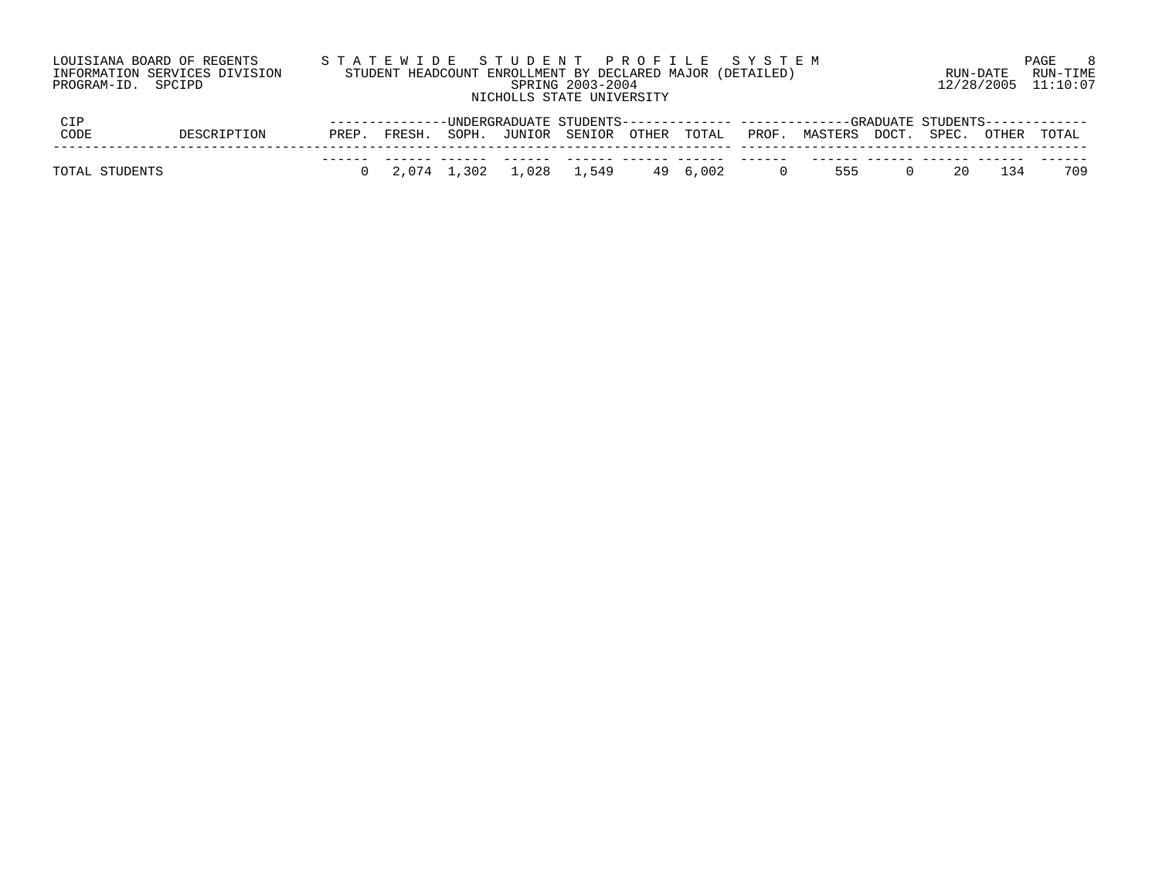|                    | LOUISIANA BOARD OF REGENTS<br>INFORMATION SERVICES DIVISION |       |        |             | STATEWIDE STUDENT PROFILE SYSTEM<br>STUDENT HEADCOUNT ENROLLMENT BY DECLARED MAJOR (DETAILED) |                  |       |          |       |                                                                               |       | RUN-DATE |            | -8<br>PAGE<br>RUN-TIME |
|--------------------|-------------------------------------------------------------|-------|--------|-------------|-----------------------------------------------------------------------------------------------|------------------|-------|----------|-------|-------------------------------------------------------------------------------|-------|----------|------------|------------------------|
| PROGRAM-ID. SPCIPD |                                                             |       |        |             | NICHOLLS STATE UNIVERSITY                                                                     | SPRING 2003-2004 |       |          |       |                                                                               |       |          | 12/28/2005 | 11:10:07               |
| <b>CIP</b>         |                                                             |       |        |             |                                                                                               |                  |       |          |       | -UNDERGRADUATE STUDENTS------------- ------------GRADUATE STUDENTS----------- |       |          |            |                        |
| CODE               | DESCRIPTION                                                 | PREP. | FRESH. | SOPH.       | JUNIOR                                                                                        | SENIOR           | OTHER | TOTAL    | PROF. | MASTERS                                                                       | DOCT. | SPEC.    | OTHER      | TOTAL                  |
|                    |                                                             |       |        |             |                                                                                               |                  |       |          |       |                                                                               |       |          |            |                        |
| TOTAL STUDENTS     |                                                             |       |        | 2,074 1,302 | 1,028                                                                                         | 1,549            |       | 49 6.002 |       | 555                                                                           |       |          | । २४       | 709                    |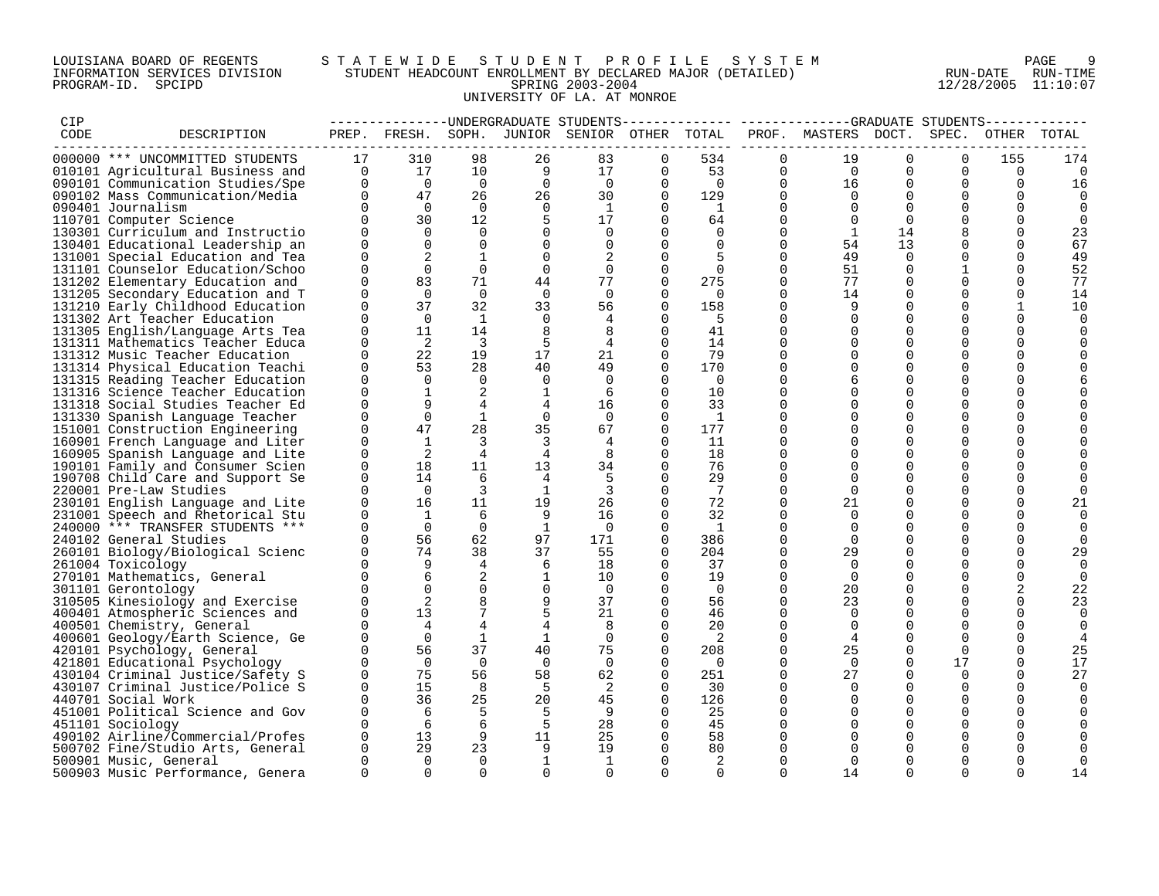## LOUISIANA BOARD OF REGENTS STA TEWIDE STUDENT PROFILE SYSTEM NAGE 9 INFORMATION SERVICES DIVISION STUDENT HEADCOUNT ENROLLMENT BY DECLARED MAJOR (DETAILED) RUN-DATE RUN-DATE RUN-TIME<br>PROGRAM-ID. SPCIPD 11:10:07 PROGRAM-ID. SPCIPD SPRING 2003-2004 12/28/2005 11:10:07 UNIVERSITY OF LA. AT MONROE

| CIP  |                                  |              |                |                |                | --------------DNDERGRADUATE STUDENTS         |              | ------------             |             | -------------GRADUATE STUDENTS- |             |             |              |              |
|------|----------------------------------|--------------|----------------|----------------|----------------|----------------------------------------------|--------------|--------------------------|-------------|---------------------------------|-------------|-------------|--------------|--------------|
| CODE | DESCRIPTION                      |              |                |                |                | PREP. FRESH. SOPH. JUNIOR SENIOR OTHER TOTAL |              |                          |             | PROF. MASTERS DOCT. SPEC.       |             |             |              | OTHER TOTAL  |
|      |                                  |              |                |                |                |                                              |              |                          |             |                                 |             |             |              |              |
|      | 000000 *** UNCOMMITTED STUDENTS  | 17           | 310            | 98             | 26             | 83                                           | $\Omega$     | 534                      | $\Omega$    | 19                              | $\Omega$    | $\Omega$    | 155          | 174          |
|      | 010101 Agricultural Business and | $\mathbf{0}$ | 17             | 10             | 9              | 17                                           | 0            | 53                       | 0           | $\overline{0}$                  | 0           | 0           | 0            | $\Omega$     |
|      | 090101 Communication Studies/Spe | $\Omega$     | $\overline{0}$ | $\overline{0}$ | $\Omega$       | $\Omega$                                     | $\Omega$     | $\Omega$                 | $\Omega$    | 16                              | $\Omega$    | $\Omega$    | $\Omega$     | 16           |
|      | 090102 Mass Communication/Media  | $\Omega$     | 47             | 26             | 26             | 30                                           | $\Omega$     | 129                      | $\Omega$    | $\Omega$                        | $\Omega$    | $\Omega$    | $\Omega$     | $\Omega$     |
|      | 090401 Journalism                | $\cap$       | $\Omega$       | $\Omega$       | $\mathbf 0$    | 1                                            | $\Omega$     | $\overline{\phantom{0}}$ | $\Omega$    | $\Omega$                        | $\Omega$    | $\Omega$    | $\Omega$     | $\Omega$     |
|      | 110701 Computer Science          | $\Omega$     | 30             | 12             | 5              | 17                                           | $\Omega$     | 64                       | $\Omega$    | $\Omega$                        | $\Omega$    | $\Omega$    | $\Omega$     | 0            |
|      | 130301 Curriculum and Instructio | $\Omega$     | $\Omega$       | $\Omega$       | $\Omega$       | $\Omega$                                     | <sup>0</sup> | $\Omega$                 | $\Omega$    | 1                               | 14          | 8           | $\Omega$     | 23           |
|      | 130401 Educational Leadership an | $\Omega$     | $\Omega$       | $\Omega$       | $\Omega$       | $\Omega$                                     | $\Omega$     | $\Omega$                 | $\Omega$    | 54                              | 13          | $\Omega$    | $\Omega$     | 67           |
|      | 131001 Special Education and Tea | $\Omega$     |                | 1              | $\mathbf 0$    |                                              | $\Omega$     |                          | $\mathbf 0$ | 49                              | $\mathbf 0$ | 0           | $\mathbf 0$  | 49           |
|      | 131101 Counselor Education/Schoo | $\Omega$     | $\Omega$       | $\mathbf 0$    | 0              | 0                                            | $\Omega$     | $\mathbf 0$              | 0           | 51                              | 0           | 1           | $\mathbf 0$  | 52           |
|      | 131202 Elementary Education and  |              | 83             | 71             | 44             | 77                                           | $\Omega$     | 275                      | $\Omega$    | 77                              | $\Omega$    | $\Omega$    | $\Omega$     | 77           |
|      | 131205 Secondary Education and T | $\Omega$     | $\Omega$       | $\Omega$       | $\Omega$       | $\Omega$                                     | $\Omega$     | $\Omega$                 | $\Omega$    | 14                              | $\Omega$    | $\Omega$    | $\Omega$     | 14           |
|      | 131210 Early Childhood Education | $\Omega$     | 37             | 32             | 33             | 56                                           | 0            | 158                      | 0           | 9                               | 0           | 0           | $\mathbf{1}$ | 10           |
|      | 131302 Art Teacher Education     |              | $\Omega$       | $\mathbf{1}$   | $\Omega$       | 4                                            | $\Omega$     | -5                       | $\Omega$    | $\Omega$                        | $\Omega$    | $\mathbf 0$ | $\mathbf 0$  | 0            |
|      | 131305 English/Language Arts Tea | <sup>n</sup> | 11             | 14             | 8              | 8                                            | $\Omega$     | 41                       | $\Omega$    | $\Omega$                        | $\Omega$    | $\mathbf 0$ | 0            | $\Omega$     |
|      | 131311 Mathematics Teacher Educa | $\Omega$     | 2              | $\overline{3}$ | 5              | 4                                            | $\Omega$     | 14                       | $\Omega$    | $\Omega$                        | $\Omega$    | $\Omega$    | $\Omega$     |              |
|      | 131312 Music Teacher Education   | $\Omega$     | 22             | 19             | 17             | 21                                           | 0            | 79                       | $\Omega$    | 0                               | 0           | $\mathbf 0$ | 0            |              |
|      | 131314 Physical Education Teachi | $\Omega$     | 53             | 28             | 40             | 49                                           | $\Omega$     | 170                      | $\Omega$    | $\Omega$                        | $\Omega$    | 0           | 0            |              |
|      | 131315 Reading Teacher Education | $\Omega$     | $\Omega$       | $\Omega$       | $\Omega$       | $\Omega$                                     | $\Omega$     | $\Omega$                 | $\Omega$    | 6                               | $\Omega$    | $\Omega$    | $\Omega$     |              |
|      | 131316 Science Teacher Education | $\Omega$     | $\mathbf{1}$   | 2              | 1              | 6                                            | $\Omega$     | 10                       | $\Omega$    | $\Omega$                        | $\Omega$    | $\Omega$    | $\Omega$     |              |
|      | 131318 Social Studies Teacher Ed | $\Omega$     | 9              | $\overline{4}$ | $\overline{4}$ | 16                                           | $\Omega$     | 33                       | $\Omega$    | $\Omega$                        | $\Omega$    | 0           | 0            |              |
|      | 131330 Spanish Language Teacher  | $\Omega$     | $\mathbf 0$    | 1              | $\mathbf 0$    | $\overline{0}$                               | 0            | $\overline{1}$           | $\Omega$    | $\Omega$                        | 0           | $\mathbf 0$ | 0            |              |
|      | 151001 Construction Engineering  | $\Omega$     | 47             | 28             | 35             | 67                                           | $\Omega$     | 177                      | $\Omega$    | $\Omega$                        | $\Omega$    | 0           | 0            |              |
|      | 160901 French Language and Liter | $\cap$       | $\mathbf{1}$   | $\overline{3}$ | $\overline{3}$ | 4                                            | 0            | 11                       | $\Omega$    | $\Omega$                        | $\Omega$    | $\Omega$    | $\Omega$     |              |
|      | 160905 Spanish Language and Lite | $\Omega$     | 2              | $\overline{4}$ | $\overline{4}$ | 8                                            | $\Omega$     | 18                       | $\Omega$    | $\Omega$                        | $\Omega$    | 0           | 0            |              |
|      | 190101 Family and Consumer Scien | <sup>n</sup> | 18             | 11             | 13             | 34                                           | $\Omega$     | 76                       | $\Omega$    | $\Omega$                        | $\Omega$    | 0           | 0            |              |
|      | 190708 Child Care and Support Se |              | 14             | 6              | $\overline{4}$ |                                              | 0            | 29                       | $\Omega$    | $\Omega$                        | $\Omega$    | $\Omega$    | $\Omega$     |              |
|      | 220001 Pre-Law Studies           |              | $\Omega$       | $\overline{3}$ | <sup>1</sup>   | 3                                            | $\Omega$     | 7                        | $\Omega$    | $\Omega$                        | $\Omega$    | $\Omega$    | $\Omega$     |              |
|      | 230101 English Language and Lite | <sup>n</sup> | 16             | 11             | 19             | 26                                           | $\Omega$     | 72                       | $\Omega$    | 21                              | $\Omega$    | $\Omega$    | 0            | 21           |
|      | 231001 Speech and Rhetorical Stu | $\Omega$     | 1              | 6              | 9              | 16                                           | $\Omega$     | 32                       | $\Omega$    | $\Omega$                        | $\Omega$    | 0           | 0            | $\Omega$     |
|      | 240000 *** TRANSFER STUDENTS *** |              | $\Omega$       | $\Omega$       | -1             | $\Omega$                                     | $\Omega$     | $\overline{1}$           | $\Omega$    | $\Omega$                        | $\Omega$    | $\Omega$    | $\Omega$     | $\Omega$     |
|      | 240102 General Studies           |              | 56             | 62             | 97             | 171                                          | $\Omega$     | 386                      | $\Omega$    | $\Omega$                        | $\Omega$    | $\Omega$    | $\Omega$     | $\Omega$     |
|      | 260101 Biology/Biological Scienc |              | 74             | 38             | 37             | 55                                           | $\Omega$     | 204                      | $\Omega$    | 29                              | $\Omega$    | $\Omega$    | $\Omega$     | 29           |
|      | 261004 Toxicology                |              | 9              | 4              | 6              | 18                                           | $\Omega$     | 37                       | $\Omega$    | $\Omega$                        | $\Omega$    | $\Omega$    | $\Omega$     | 0            |
|      | 270101 Mathematics, General      |              | 6              | 2              | $\mathbf{1}$   | 10                                           | $\Omega$     | 19                       | $\Omega$    | $\Omega$                        | $\Omega$    | $\Omega$    | 0            | $\mathbf 0$  |
|      | 301101 Gerontology               |              | $\Omega$       | $\mathbf 0$    | 0              | $\overline{0}$                               | $\Omega$     | $\overline{0}$           | $\Omega$    | 20                              | 0           | 0           | 2            | 22           |
|      | 310505 Kinesiology and Exercise  |              | 2              | 8              | 9              | 37                                           | $\Omega$     | 56                       | $\Omega$    | 23                              | $\Omega$    | $\Omega$    | $\Omega$     | 23           |
|      | 400401 Atmospheric Sciences and  |              | 13             | 7              | 5              | 21                                           | $\Omega$     | 46                       | $\Omega$    | $\Omega$                        | $\Omega$    | $\Omega$    | $\Omega$     | 0            |
|      | 400501 Chemistry, General        |              | $\overline{4}$ | 4              |                | 8                                            | $\Omega$     | 20                       | $\Omega$    | $\Omega$                        | $\Omega$    | $\Omega$    | $\Omega$     | 0            |
|      | 400601 Geology/Earth Science, Ge |              | $\Omega$       | 1              | $\mathbf{1}$   | $\mathbf 0$                                  | $\Omega$     | 2                        | $\Omega$    | 4                               | $\Omega$    | $\mathbf 0$ | 0            | 4            |
|      | 420101 Psychology, General       | <sup>n</sup> | 56             | 37             | 40             | 75                                           | $\Omega$     | 208                      | 0           | 25                              | $\Omega$    | $\Omega$    | $\mathbf 0$  | 25           |
|      | 421801 Educational Psychology    | <sup>n</sup> | $\Omega$       | $\Omega$       | $\Omega$       | $\Omega$                                     | 0            | $\Omega$                 | $\Omega$    | $\Omega$                        | $\Omega$    | 17          | $\Omega$     | 17           |
|      | 430104 Criminal Justice/Safety S | <sup>n</sup> | 75             | 56             | 58             | 62                                           | $\Omega$     | 251                      | $\Omega$    | 27                              | $\Omega$    | $\Omega$    | $\Omega$     | 27           |
|      | 430107 Criminal Justice/Police S | $\Omega$     | 15             | 8              | 5              | 2                                            | $\Omega$     | 30                       | $\Omega$    | $\Omega$                        | $\Omega$    | $\mathbf 0$ | 0            |              |
|      | 440701 Social Work               |              | 36             | 25             | 20             | 45                                           | $\Omega$     | 126                      | $\Omega$    | $\Omega$                        | $\Omega$    | $\Omega$    | 0            | 0            |
|      | 451001 Political Science and Gov |              | 6              | 5              | 5              | 9                                            | $\Omega$     | 25                       | $\Omega$    | $\Omega$                        | $\Omega$    | $\Omega$    | $\Omega$     |              |
|      | 451101 Sociology                 |              | 6              | 6              | 5              | 28                                           | $\Omega$     | 45                       | $\Omega$    | $\Omega$                        | $\Omega$    | $\Omega$    | $\Omega$     |              |
|      | 490102 Airline/Commercial/Profes |              | 13             | 9              | 11             | 25                                           | $\Omega$     | 58                       | $\Omega$    | $\Omega$                        | $\Omega$    | $\mathbf 0$ | $\Omega$     |              |
|      | 500702 Fine/Studio Arts, General | $\Omega$     | 29             | 23             | 9              | 19                                           | $\Omega$     | 80                       | 0           | $\Omega$                        | $\Omega$    | $\Omega$    | 0            |              |
|      |                                  |              | $\Omega$       | $\Omega$       | 1              | 1                                            | <sup>0</sup> | 2                        | 0           | $\Omega$                        | $\Omega$    | $\Omega$    | $\Omega$     | <sup>0</sup> |
|      | 500901 Music, General            |              |                |                |                |                                              |              |                          |             |                                 |             |             |              |              |
|      | 500903 Music Performance, Genera | $\Omega$     | $\Omega$       | $\Omega$       | $\Omega$       | $\Omega$                                     | $\Omega$     | $\Omega$                 | $\Omega$    | 14                              | $\Omega$    | $\Omega$    | $\Omega$     | 14           |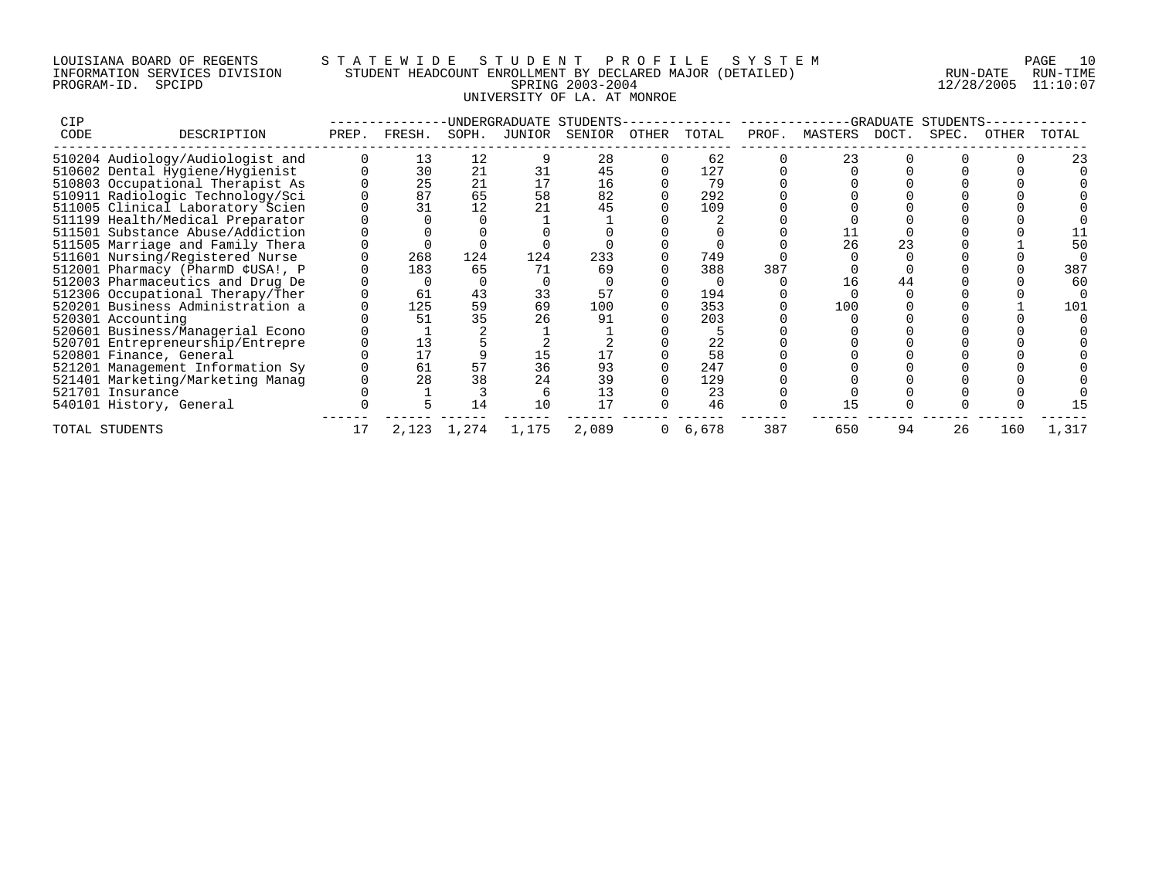## LOUISIANA BOARD OF REGENTS S T A T E W I D E S T U D E N T P R O F I L E S Y S T E M PAGE 10 INFORMATION SERVICES DIVISION STUDENT HEADCOUNT ENROLLMENT BY DECLARED MAJOR (DETAILED) RUN-DATE RUN-TIME PROGRAM-ID. SPCIPD SPRING 2003-2004 12/28/2005 11:10:07 UNIVERSITY OF LA. AT MONROE

| <b>CIP</b> |                                  |       |        |       | UNDERGRADUATE STUDENTS- |        |       |       |       |         | <b>GRADUATE</b> | STUDENTS |       |       |
|------------|----------------------------------|-------|--------|-------|-------------------------|--------|-------|-------|-------|---------|-----------------|----------|-------|-------|
| CODE       | DESCRIPTION                      | PREP. | FRESH. | SOPH. | JUNIOR                  | SENIOR | OTHER | TOTAL | PROF. | MASTERS | DOCT.           | SPEC.    | OTHER | TOTAL |
|            | 510204 Audiology/Audiologist and |       | 13     | 12    |                         | 28     |       | 62    |       | 23      |                 |          |       |       |
|            | 510602 Dental Hygiene/Hygienist  |       | 30     | 21    |                         | 45     |       | 127   |       |         |                 |          |       |       |
|            | 510803 Occupational Therapist As |       | 25     | 21    |                         | 16     |       | 79    |       |         |                 |          |       |       |
|            | 510911 Radiologic Technology/Sci |       | 87     | 65    | 58                      | 82     |       | 292   |       |         |                 |          |       |       |
|            | 511005 Clinical Laboratory Scien |       | 31     | 12    |                         | 45     |       | 109   |       |         |                 |          |       |       |
|            | 511199 Health/Medical Preparator |       |        |       |                         |        |       |       |       |         |                 |          |       |       |
|            | 511501 Substance Abuse/Addiction |       |        |       |                         |        |       |       |       |         |                 |          |       |       |
|            | 511505 Marriage and Family Thera |       |        |       |                         |        |       |       |       | 26      |                 |          |       |       |
|            | 511601 Nursing/Registered Nurse  |       | 268    | 124   | 124                     | 233    |       | 749   |       |         |                 |          |       |       |
|            | 512001 Pharmacy (PharmD ¢USA!, P |       | 183    | 65    | 71                      | 69     |       | 388   | 387   |         |                 |          |       | 387   |
|            | 512003 Pharmaceutics and Drug De |       |        |       |                         |        |       |       |       |         | 44              |          |       | 6 C   |
|            | 512306 Occupational Therapy/Ther |       | 61     | 43    | 33                      | 57     |       | 194   |       |         |                 |          |       |       |
|            | 520201 Business Administration a |       | 125    | 59    | 69                      | 100    |       | 353   |       | 100     |                 |          |       | 101   |
|            | 520301 Accounting                |       | 51     | 35    |                         | 91     |       | 203   |       |         |                 |          |       |       |
|            | 520601 Business/Managerial Econo |       |        |       |                         |        |       |       |       |         |                 |          |       |       |
|            | 520701 Entrepreneurship/Entrepre |       | 13     |       |                         |        |       | 22    |       |         |                 |          |       |       |
|            | 520801 Finance, General          |       | 17     |       |                         |        |       | 58    |       |         |                 |          |       |       |
|            | 521201 Management Information Sy |       | 61     | 57    | 36                      | 93     |       | 247   |       |         |                 |          |       |       |
|            | 521401 Marketing/Marketing Manag |       | 28     | 38    |                         | 39     |       | 129   |       |         |                 |          |       |       |
|            | 521701 Insurance                 |       |        |       |                         | 13     |       | 23    |       |         |                 |          |       |       |
|            | 540101 History, General          |       |        | 14    | 10                      | 17     |       | 46    |       |         |                 |          |       |       |
|            | TOTAL STUDENTS                   | 17    | 2,123  | 1,274 | 1,175                   | 2,089  |       | 6,678 | 387   | 650     | 94              | 26       | 160   | 1,317 |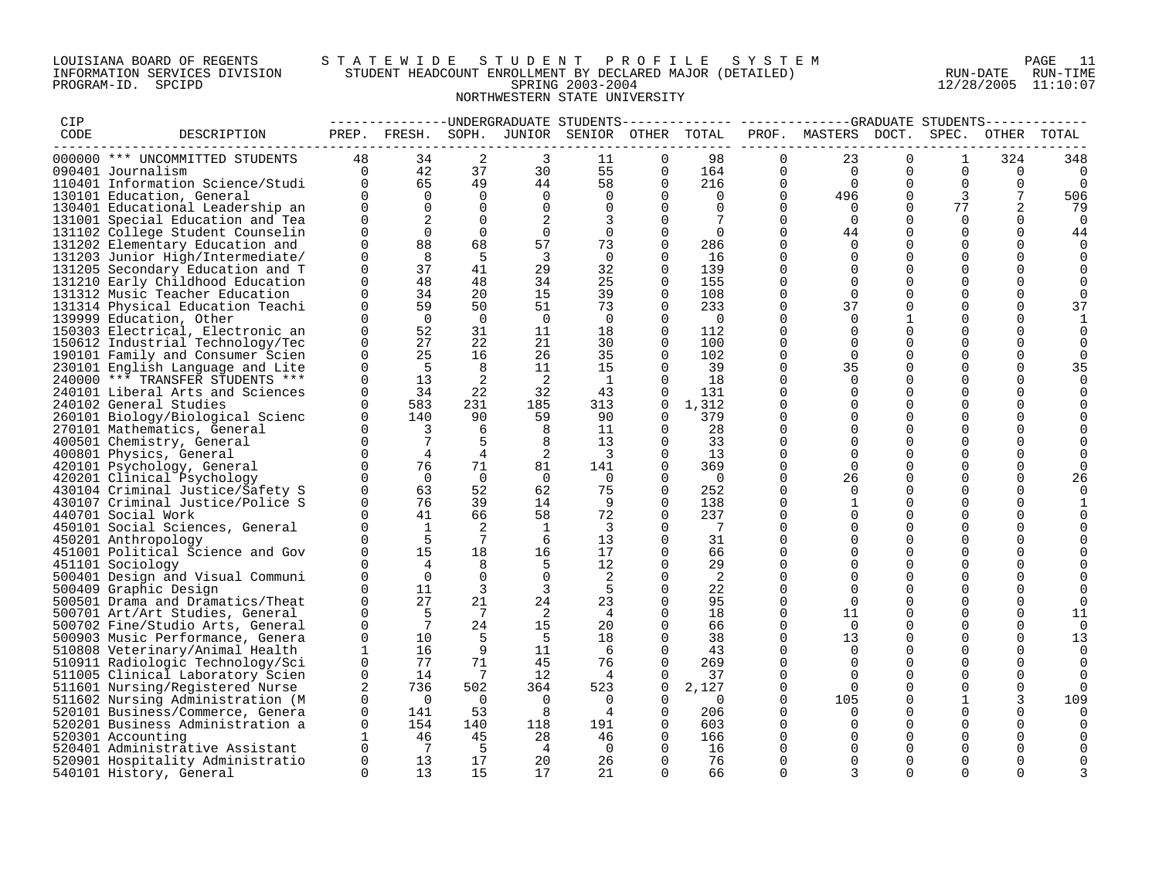## LOUISIANA BOARD OF REGENTS S T A T E W I D E S T U D E N T P R O F I L E S Y S T E M PAGE 11 INFORMATION SERVICES DIVISION STUDENT HEADCOUNT ENROLLMENT BY DECLARED MAJOR (DETAILED) RUN-DATE RUN-TIME PROGRAM-ID. SPCIPD SPRING 2003-2004 12/28/2005 11:10:07 NORTHWESTERN STATE UNIVERSITY

| CIP  |                                  |                                     |                 |                              |                          | ---------------- UNDERGRADUATE STUDENTS-     |                |                       |                         |                     |               |                            |                      |          |
|------|----------------------------------|-------------------------------------|-----------------|------------------------------|--------------------------|----------------------------------------------|----------------|-----------------------|-------------------------|---------------------|---------------|----------------------------|----------------------|----------|
| CODE | DESCRIPTION                      |                                     |                 |                              |                          | PREP. FRESH. SOPH. JUNIOR SENIOR OTHER TOTAL |                |                       |                         | PROF. MASTERS DOCT. |               |                            | SPEC. OTHER TOTAL    |          |
|      | 000000 *** UNCOMMITTED STUDENTS  | 48                                  | 34              | 2                            | 3                        | 11                                           | $\Omega$       | 98                    | $\Omega$                | 23                  | $\Omega$      | $\mathbf{1}$               | 324                  | 348      |
|      | 090401 Journalism                | $\overline{0}$                      | 42              | 37                           | 30                       | 55                                           | 0              | 164                   | 0                       | $\overline{0}$      | $\Omega$      | $\mathbf 0$                | 0                    | 0        |
|      | 110401 Information Science/Studi | $\overline{0}$                      | 65              | 49                           | 44                       | 58                                           | $\Omega$       | 216                   | $\Omega$                | $\overline{0}$      | $\Omega$      | $\mathbf 0$                | $\Omega$             | 0        |
|      | 130101 Education, General        | $\Omega$                            | $\Omega$        | $\Omega$                     | $\Omega$                 | $\Omega$                                     | $\Omega$       | $\overline{0}$        | $\Omega$                | 496                 | $\Omega$      | $\overline{3}$             | 7                    | 506      |
|      | 130401 Educational Leadership an | $\Omega$                            | $\Omega$        | $\Omega$                     | $\Omega$                 | $\overline{0}$                               | $\Omega$       | $\Omega$              | $\Omega$                | $\overline{0}$      | $\Omega$      | 77                         | 2                    | 79       |
|      |                                  | $\Omega$                            |                 | $\Omega$                     |                          |                                              | $\Omega$       |                       | $\Omega$                | $\bigcirc$          | $\Omega$      | $\Omega$                   | $\Omega$             | $\Omega$ |
|      | 131001 Special Education and Tea |                                     |                 |                              | 2                        | 3                                            |                |                       |                         |                     |               |                            |                      |          |
|      | 131102 College Student Counselin | $\mathbf 0$<br>$\Omega$             | $\Omega$<br>88  | $\overline{0}$<br>68         | $\overline{0}$<br>57     | $\mathbf{0}$                                 | 0<br>$\Omega$  | $\overline{0}$<br>286 | $\mathbf 0$<br>$\Omega$ | 44<br>$\Omega$      | 0<br>$\Omega$ | $\overline{0}$<br>$\Omega$ | $\Omega$<br>$\Omega$ | 44       |
|      | 131202 Elementary Education and  | $\Omega$                            | 8               |                              | $\overline{3}$           | 73                                           |                |                       | $\Omega$                | $\Omega$            |               | $\Omega$                   |                      |          |
|      | 131203 Junior High/Intermediate/ | $\Omega$                            |                 | - 5                          |                          | $\Omega$                                     | $\Omega$       | 16                    | $\Omega$                |                     | $\Omega$      |                            | $\Omega$             |          |
|      | 131205 Secondary Education and T |                                     | 37              | 41                           | 29                       | 32                                           | $\Omega$       | 139                   |                         | $\Omega$            | $\Omega$      | $\Omega$                   | $\Omega$             |          |
|      | 131210 Early Childhood Education | $\Omega$                            | 48              | 48                           | 34                       | 25                                           | $\Omega$       | 155                   | $\Omega$                | $\Omega$            | $\mathbf 0$   | $\mathbf 0$                | 0                    |          |
|      | 131312 Music Teacher Education   | $\Omega$                            | 34              | 20                           | 15                       | 39                                           | 0              | 108                   | $\Omega$                | $\Omega$            | $\Omega$      | $\mathbf 0$                | 0                    |          |
|      | 131314 Physical Education Teachi | $\Omega$                            | 59              | 50                           | 51                       | 73                                           | $\Omega$       | 233                   | $\Omega$                | 37                  | $\Omega$      | $\Omega$                   | $\Omega$             | 37       |
|      | 139999 Education, Other          | $\Omega$                            | $\overline{0}$  | $\overline{0}$               | $\overline{0}$           | $\overline{0}$                               | $\Omega$       | $\overline{0}$        | $\Omega$                | $\Omega$            | $\mathbf{1}$  | $\Omega$                   | $\Omega$             |          |
|      | 150303 Electrical, Electronic an | $\Omega$                            | 52              | 31                           | 11                       | 18                                           | $\Omega$       | 112                   | $\Omega$                | $\Omega$            | $\Omega$      | $\Omega$                   | $\Omega$             |          |
|      | 150612 Industrial Technology/Tec | $\Omega$                            | 27              | 22                           | 21                       | 30                                           | $\Omega$       | 100                   | $\Omega$                | $\Omega$            | $\Omega$      | $\Omega$                   | $\Omega$             |          |
|      | 190101 Family and Consumer Scien | $\Omega$                            | 25              | 16                           | 26                       | 35                                           | $\Omega$       | 102                   | $\Omega$                | $\Omega$            | $\Omega$      | $\Omega$                   | $\Omega$             |          |
|      | 230101 English Language and Lite | $\Omega$                            | 5               | 8                            | 11                       | 15                                           | $\Omega$       | 39                    | $\Omega$                | 35                  | $\Omega$      | $\Omega$                   | $\Omega$             | 35       |
|      | 240000 *** TRANSFER STUDENTS *** | $\Omega$                            | 13              | $\overline{a}$               | $\overline{2}$           | $\overline{1}$                               | $\Omega$       | 18                    | $\Omega$                | $\Omega$            | $\Omega$      | $\Omega$                   | 0                    |          |
|      | 240101 Liberal Arts and Sciences | $\mathbf 0$                         | 34              | 22                           | 32                       | 43                                           | $\overline{0}$ | 131                   | $\mathbf 0$             | $\Omega$            | $\mathbf 0$   | $\mathbf 0$                | 0                    |          |
|      | 240102 General Studies           | $\Omega$                            | 583             | 231                          | 185                      | 313                                          | $\Omega$       | 1,312                 | $\Omega$                | $\Omega$            | $\Omega$      | $\Omega$                   | $\Omega$             |          |
|      | 260101 Biology/Biological Scienc | $\Omega$                            | 140             | 90                           | 59                       | 90                                           | $\Omega$       | 379                   | $\Omega$                | $\Omega$            | $\Omega$      | $\Omega$                   | $\Omega$             |          |
|      | 270101 Mathematics, General      | $\overline{0}$                      | 3               | 6                            | $_{\rm 8}$               | 11                                           | $\overline{0}$ | 28                    | $\Omega$                | $\Omega$            | $\Omega$      | $\Omega$                   | 0                    |          |
|      | 400501 Chemistry, General        | $\Omega$                            | $\overline{7}$  | -5                           | 8                        | 13                                           | $\Omega$       | 33                    | $\Omega$                | $\Omega$            | $\Omega$      | $\Omega$                   | $\Omega$             |          |
|      | 400801 Physics, General          | $\begin{matrix}0\\0\\0\end{matrix}$ | $4\overline{ }$ | $4\overline{ }$              | $\overline{2}$           | $\overline{\mathbf{3}}$                      | 0              | 13                    | 0                       | $\Omega$            | 0             | 0                          | 0                    |          |
|      | 420101 Psychology, General       |                                     | 76              | 71                           | 81                       | 141                                          | $\Omega$       | 369                   | $\Omega$                | $\Omega$            | $\Omega$      | $\Omega$                   | $\Omega$             |          |
|      | 420201 Clinical Psychology       | $\Omega$                            | $\overline{0}$  | $\overline{0}$               | $\overline{0}$           | $\Omega$                                     | $\Omega$       | $\overline{0}$        | $\Omega$                | 26                  | $\Omega$      | $\Omega$                   | $\Omega$             | 26       |
|      | 430104 Criminal Justice/Safety S | $\Omega$                            | 63              | 52                           | 62                       | 75                                           | $\Omega$       | 252                   | $\Omega$                | $\Omega$            | $\Omega$      | $\Omega$                   | $\Omega$             |          |
|      | 430107 Criminal Justice/Police S | $\Omega$                            | 76              | 39                           | 14                       | - 9                                          | $\Omega$       | 138                   | $\mathbf 0$             | 1                   | $\mathbf 0$   | $\mathbf 0$                | 0                    |          |
|      | 440701 Social Work               | $\Omega$                            | 41              | 66                           | 58                       | 72                                           | $\Omega$       | 237                   | $\Omega$                | $\Omega$            | $\Omega$      | $\Omega$                   | $\Omega$             |          |
|      | 450101 Social Sciences, General  | $\Omega$                            | $\mathbf{1}$    | 2                            | $\overline{1}$           | $\overline{\mathbf{3}}$                      | $\Omega$       | $\overline{7}$        | $\Omega$                | $\Omega$            | $\Omega$      | $\Omega$                   | $\Omega$             |          |
|      | 450201 Anthropology              | $\Omega$                            | 5               | $7\phantom{.0}\phantom{.0}7$ | - 6                      | 13                                           | $\Omega$       | 31                    | $\Omega$                | $\Omega$            | $\Omega$      | $\Omega$                   | $\Omega$             |          |
|      | 451001 Political Science and Gov | $\Omega$                            | 15              | 18                           | 16                       | 17                                           | $\Omega$       | 66                    | $\Omega$                | $\Omega$            | $\Omega$      | $\Omega$                   | $\Omega$             |          |
|      | 451101 Sociology                 | $\Omega$                            | $4\overline{ }$ | 8                            | 5                        | 12                                           | $\Omega$       | 29                    | $\Omega$                | $\Omega$            | $\Omega$      | $\mathbf 0$                | O                    |          |
|      | 500401 Design and Visual Communi | $\Omega$                            | $\Omega$        | $\Omega$                     | $\Omega$                 | 2                                            | $\Omega$       | 2                     | $\Omega$                | $\Omega$            | $\Omega$      | $\Omega$                   | $\Omega$             |          |
|      | 500409 Graphic Design            | $\Omega$                            | 11              | $\overline{3}$               | $\overline{3}$           | 5                                            | $\Omega$       | 22                    | $\Omega$                | $\Omega$            | $\Omega$      | $\Omega$                   | $\Omega$             |          |
|      | 500501 Drama and Dramatics/Theat | $\Omega$                            | 27              | 21                           | 24                       | 23                                           | $\Omega$       | 95                    | $\Omega$                | $\Omega$            | $\Omega$      | $\Omega$                   | $\Omega$             |          |
|      | 500701 Art/Art Studies, General  | $\mathbf 0$                         | -5              | $7\overline{ }$              | $\overline{\phantom{a}}$ | 4                                            | 0              | 18                    | 0                       | 11                  | $\mathbf 0$   | $\mathbf 0$                | 0                    | 11       |
|      | 500702 Fine/Studio Arts, General | $\Omega$                            | $7\overline{ }$ | 24                           | 15                       | 20                                           | $\Omega$       | 66                    | $\Omega$                | $\bigcap$           | $\Omega$      | $\Omega$                   | $\Omega$             |          |
|      | 500903 Music Performance, Genera | $\Omega$                            | 10              | $-5$                         | $5^{\circ}$              | 18                                           | $\Omega$       | 38                    | $\mathbf 0$             | 13                  | $\Omega$      | $\Omega$                   | $\Omega$             | 13       |
|      | 510808 Veterinary/Animal Health  | $\mathbf{1}$                        | 16              | 9                            | 11                       | 6                                            | $\Omega$       | 43                    | $\Omega$                | $\Omega$            | $\Omega$      | $\Omega$                   | $\Omega$             |          |
|      | 510911 Radiologic Technology/Sci | $\Omega$                            | 77              | 71                           | 45                       | 76                                           | $\Omega$       | 269                   | $\Omega$                | $\Omega$            | $\Omega$      | $\Omega$                   | $\Omega$             | $\Omega$ |
|      | 511005 Clinical Laboratory Scien | $\mathbf 0$                         | 14              | $\overline{7}$               | 12                       | 4                                            | 0              | 37                    | $\Omega$                | $\Omega$            | $\mathbf 0$   | $\mathbf 0$                | 0                    |          |
|      | 511601 Nursing/Registered Nurse  | 2                                   | 736             | 502                          | 364                      | 523                                          | $\overline{0}$ | 2,127                 | $\Omega$                | $\bigcap$           | $\Omega$      | $\Omega$                   | $\Omega$             |          |
|      | 511602 Nursing Administration (M | $\mathbf 0$                         | $\overline{0}$  | $\overline{0}$               | $\overline{0}$           | $\overline{0}$                               | $\overline{0}$ | $\overline{0}$        | $\Omega$                | 105                 | $\mathbf 0$   | $\mathbf{1}$               | 3                    | 109      |
|      | 520101 Business/Commerce, Genera | $\mathbf 0$                         | 141             | 53                           | 8                        | 4                                            | $\Omega$       | 206                   | $\Omega$                | $\Omega$            | $\Omega$      | $\Omega$                   | $\Omega$             |          |
|      | 520201 Business Administration a | $\mathbf 0$                         | 154             | 140                          | 118                      | 191                                          | $\Omega$       | 603                   | $\mathbf 0$             | $\Omega$            | $\mathbf 0$   | $\mathbf 0$                | 0                    |          |
|      | 520301 Accounting                | $\mathbf{1}$                        | 46              | 45                           | 28                       | 46                                           | $\Omega$       | 166                   | $\Omega$                | $\Omega$            | $\Omega$      | $\Omega$                   | $\Omega$             |          |
|      | 520401 Administrative Assistant  | $\Omega$                            | $\overline{7}$  | $-5$                         | $\overline{4}$           | $\overline{\mathbf{0}}$                      | $\Omega$       | 16                    | $\Omega$                | $\Omega$            | $\Omega$      | $\Omega$                   | $\Omega$             |          |
|      | 520901 Hospitality Administratio | $\mathbf 0$                         | 13              | 17                           | 20                       | 26                                           | $\Omega$       | 76                    | $\Omega$                | $\Omega$            | $\Omega$      | $\Omega$                   | $\Omega$             |          |
|      | 540101 History, General          | $\Omega$                            | 13              | 15                           | 17                       | 21                                           | $\Omega$       | 66                    | $\Omega$                | 3                   | $\Omega$      | $\Omega$                   | $\Omega$             | 3        |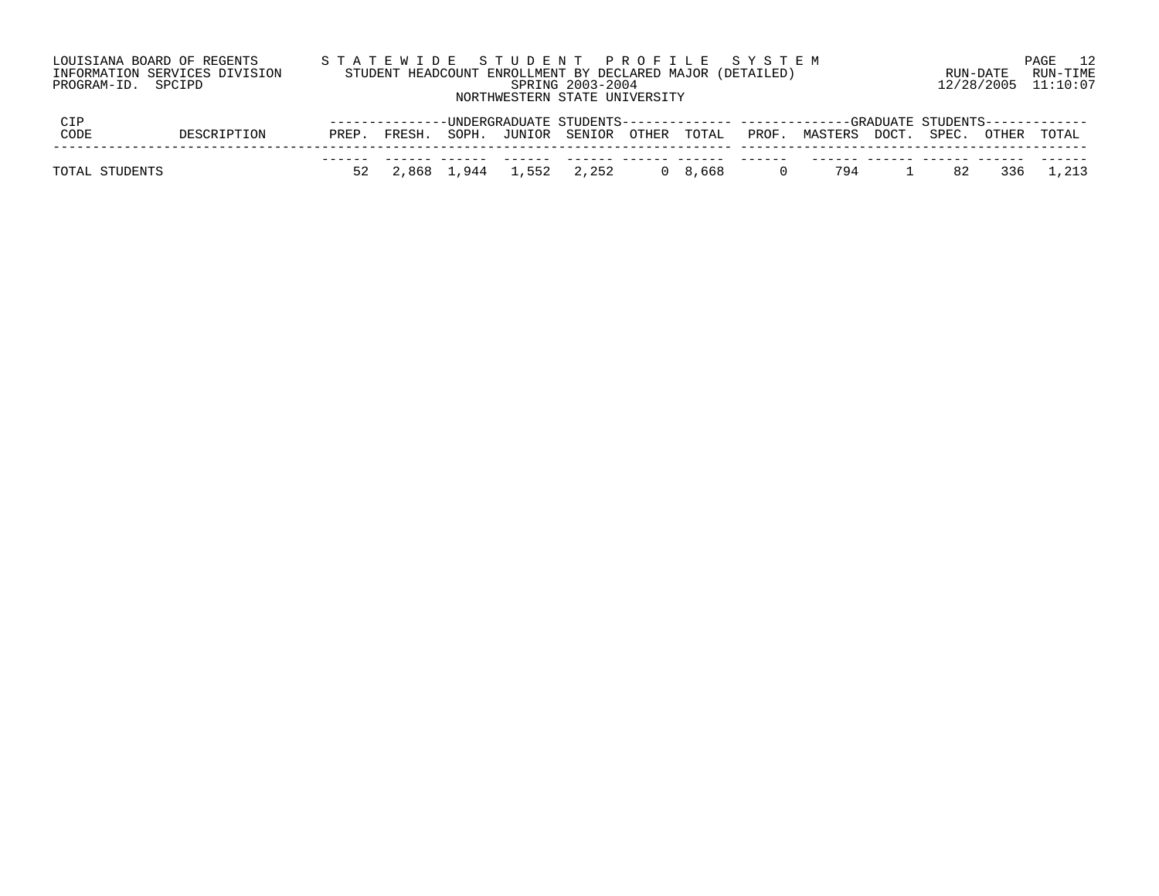|                | LOUISIANA BOARD OF REGENTS    |       |               |             | STATEWIDE STUDENT PROFILE SYSTEM                          |                  |                 |                |                                                                                 |    |            | 12<br>PAGE |
|----------------|-------------------------------|-------|---------------|-------------|-----------------------------------------------------------|------------------|-----------------|----------------|---------------------------------------------------------------------------------|----|------------|------------|
|                | INFORMATION SERVICES DIVISION |       |               |             | STUDENT HEADCOUNT ENROLLMENT BY DECLARED MAJOR (DETAILED) |                  |                 |                |                                                                                 |    | RUN-DATE   | RUN-TIME   |
|                | PROGRAM-ID. SPCIPD            |       |               |             |                                                           | SPRING 2003-2004 |                 |                |                                                                                 |    | 12/28/2005 | 11:10:07   |
|                |                               |       |               |             | NORTHWESTERN STATE UNIVERSITY                             |                  |                 |                |                                                                                 |    |            |            |
| CIP            |                               |       | ------------- |             |                                                           |                  |                 |                | -UNDERGRADUATE STUDENTS------------- -------------GRADUATE STUDENTS------------ |    |            |            |
| CODE           | DESCRIPTION                   | PREP. | FRESH.        | SOPH.       | JUNIOR SENIOR OTHER TOTAL                                 |                  |                 | PROF.          | MASTERS DOCT. SPEC.                                                             |    | OTHER      | TOTAL      |
|                |                               |       |               |             |                                                           |                  |                 |                |                                                                                 |    |            |            |
| TOTAL STUDENTS |                               |       |               | 2,868 1,944 | 1,552                                                     | 2,252            | $0 \quad 8.668$ | $\overline{0}$ | 794                                                                             | 82 | 336        | 1,213      |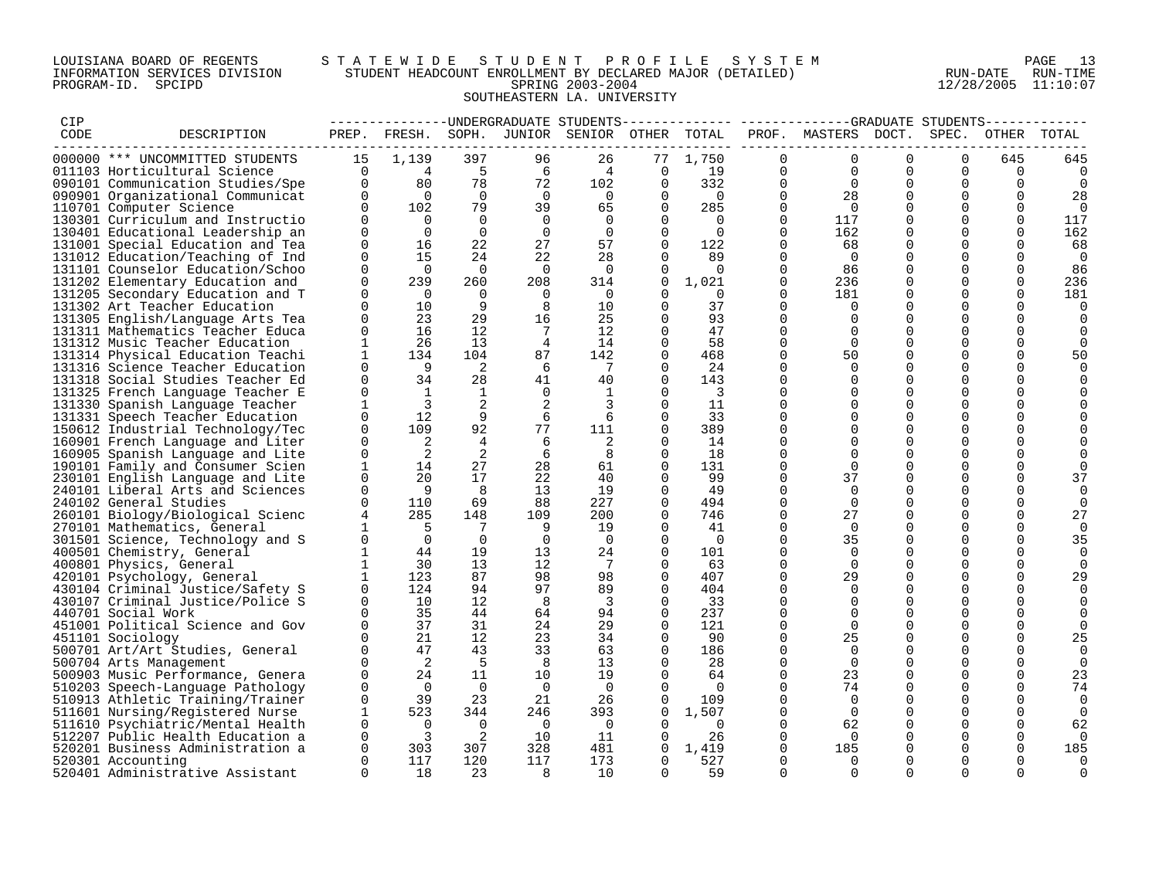## LOUISIANA BOARD OF REGENTS S T A T E W I D E S T U D E N T P R O F I L E S Y S T E M PAGE 13 INFORMATION SERVICES DIVISION STUDENT HEADCOUNT ENROLLMENT BY DECLARED MAJOR (DETAILED) RUN-DATE RUN-TIME PROGRAM-ID. SPCIPD SPRING 2003-2004 12/28/2005 11:10:07 SOUTHEASTERN LA. UNIVERSITY

| CIP  |                                                                      |                         |                                        |                      |                      |                                 |                         |                                |                      | --------------UNDERGRADUATE STUDENTS-------------- ------------GRADUATE STUDENTS----------- |                      |                      |                      |          |
|------|----------------------------------------------------------------------|-------------------------|----------------------------------------|----------------------|----------------------|---------------------------------|-------------------------|--------------------------------|----------------------|---------------------------------------------------------------------------------------------|----------------------|----------------------|----------------------|----------|
| CODE | DESCRIPTION                                                          |                         | PREP. FRESH.                           |                      |                      | SOPH. JUNIOR SENIOR OTHER TOTAL |                         |                                |                      | PROF. MASTERS DOCT.                                                                         |                      | SPEC.                | OTHER                | TOTAL    |
|      | 000000 *** UNCOMMITTED STUDENTS                                      | 15                      | 1,139                                  | 397                  | 96                   | 26                              | 77                      | 1,750                          | $\Omega$             | $\Omega$                                                                                    | $\Omega$             | $\Omega$             | 645                  | 645      |
|      | 011103 Horticultural Science                                         | $\Omega$                |                                        | $-5$                 | 6                    | 4                               | $\mathbf 0$             | 19                             | $\Omega$             | $\Omega$                                                                                    | $\Omega$             | $\Omega$             | $\Omega$             | $\Omega$ |
|      | 090101 Communication Studies/Spe                                     | $\mathbf 0$             | $\begin{array}{c} 4 \\ 80 \end{array}$ | 78                   | 72                   | 102                             | $\mathbf 0$             | 332                            | $\mathbf 0$          | $\Omega$                                                                                    | $\Omega$             | 0                    | $\Omega$             | 0        |
|      | 090901 Organizational Communicat                                     | $\mathbf{0}$            | $\overline{0}$                         | $\overline{0}$       | $\overline{0}$       | $\overline{0}$                  | 0                       | $\overline{0}$                 | $\mathbf 0$          | 28                                                                                          | $\Omega$             | $\mathbf 0$          | $\Omega$             | 28       |
|      | 110701 Computer Science                                              | $\Omega$                | 102                                    | 79                   | 39                   | 65                              | $\Omega$                | 285                            | $\Omega$             | $\bigcap$                                                                                   | $\Omega$             | $\Omega$             | $\Omega$             | $\Omega$ |
|      | 130301 Curriculum and Instructio                                     | $\Omega$                | $\overline{0}$                         | $\overline{0}$       | $\Omega$             | $\Omega$                        | $\Omega$                | $\Omega$                       | $\Omega$             | 117                                                                                         | $\Omega$             | $\Omega$             | $\Omega$             | 117      |
|      | 130401 Educational Leadership an                                     | $\Omega$                | $\overline{0}$                         | $\overline{0}$       | $\overline{0}$       | $\Omega$                        | $\mathbf 0$             | $\Omega$                       | $\mathbf 0$          | 162                                                                                         |                      | $\mathbf 0$          | 0                    | 162      |
|      | 131001 Special Education and Tea                                     | $\Omega$                | 16                                     | 22                   | 27                   | 57                              | $\Omega$                | 122                            | 0                    | 68                                                                                          | $\Omega$             | 0                    | $\Omega$             | 68       |
|      | 131012 Education/Teaching of Ind                                     | $\Omega$                | 15                                     | 24                   | 22                   | 28                              | $\Omega$                | 89                             | $\Omega$             | $\Omega$                                                                                    | $\Omega$             | $\Omega$             | $\Omega$             | $\Omega$ |
|      | 131101 Counselor Education/Schoo                                     | $\Omega$                | $\overline{0}$                         | $\overline{0}$       | $\Omega$             | $\Omega$                        | $\Omega$                | $\Omega$                       | $\Omega$             | 86                                                                                          | $\Omega$             | $\Omega$             | $\Omega$             | 86       |
|      | 131202 Elementary Education and                                      | $\Omega$                | 239                                    | 260                  | 208                  | 314                             | $\Omega$                | 1,021                          | $\Omega$             | 236                                                                                         | $\Omega$             | $\Omega$             | $\Omega$             | 236      |
|      | 131205 Secondary Education and T                                     | $\Omega$                | $\overline{0}$                         | $\overline{0}$       | $\overline{0}$       | $\overline{0}$                  | $\Omega$                | $\overline{0}$                 | $\mathbf 0$          | 181                                                                                         | 0                    | 0                    | $\Omega$             | 181      |
|      | 131302 Art Teacher Education                                         | $\Omega$                | 10                                     | 9                    | 8                    | 10                              | $\Omega$                | 37                             | $\Omega$             | $\Omega$                                                                                    | $\Omega$             | $\Omega$             | $\Omega$             | $\Omega$ |
|      | 131305 English/Language Arts Tea                                     | $\Omega$                | 23                                     | 29                   | 16                   | 25                              | $\Omega$                | 93                             | $\Omega$             | $\Omega$                                                                                    | $\Omega$             | $\Omega$             | $\Omega$             |          |
|      | 131311 Mathematics Teacher Educa                                     | $\Omega$                | 16                                     | 12 <sup>°</sup>      | 7                    | 12                              | $\Omega$                | 47                             | $\Omega$             | $\Omega$                                                                                    | $\Omega$             | $\Omega$             | $\Omega$             |          |
|      | 131312 Music Teacher Education                                       | $\mathbf{1}$            | 26                                     | 13                   | $\overline{4}$       | 14                              | $\Omega$                | 58                             | $\Omega$             | $\Omega$                                                                                    | $\Omega$             | $\Omega$             | $\Omega$             |          |
|      | 131314 Physical Education Teachi                                     | $\mathbf 1$<br>$\Omega$ | 134<br>- 9                             | 104                  | 87                   | 142                             | 0                       | 468                            | 0                    | 50                                                                                          | $\Omega$             | 0                    | 0                    | 50       |
|      | 131316 Science Teacher Education                                     | $\Omega$                |                                        | $\overline{2}$       | -6                   | $\overline{7}$                  | $\Omega$                | -24                            | $\Omega$<br>$\Omega$ | $\Omega$                                                                                    | $\Omega$             | $\Omega$<br>$\Omega$ | $\Omega$<br>$\Omega$ |          |
|      | 131318 Social Studies Teacher Ed<br>131325 French Language Teacher E | $\Omega$                | 34<br>1                                | 28<br>$\mathbf{1}$   | 41<br>$\overline{0}$ | 40<br>1                         | $\Omega$<br>$\Omega$    | 143<br>$\overline{\mathbf{3}}$ | $\Omega$             | $\Omega$                                                                                    | $\Omega$<br>$\Omega$ | $\Omega$             | $\Omega$             |          |
|      | 131330 Spanish Language Teacher                                      | $\mathbf{1}$            | 3                                      | 2                    | 2                    | 3                               | $\Omega$                | 11                             | $\Omega$             | $\Omega$                                                                                    | $\Omega$             | $\Omega$             | $\Omega$             |          |
|      | 131331 Speech Teacher Education                                      | $\Omega$                | 12                                     | 9                    | 6                    | 6                               | $\Omega$                | 33                             | $\Omega$             | $\Omega$                                                                                    | $\Omega$             | $\Omega$             | $\Omega$             |          |
|      | 150612 Industrial Technology/Tec                                     | $\Omega$                | 109                                    | 92                   | 77                   | 111                             | $\Omega$                | 389                            | $\Omega$             | $\Omega$                                                                                    | $\Omega$             | 0                    | $\Omega$             |          |
|      | 160901 French Language and Liter                                     | $\Omega$                | 2                                      | $\overline{4}$       | 6                    |                                 | $\Omega$                | 14                             | $\Omega$             | $\Omega$                                                                                    | $\Omega$             | $\Omega$             | $\Omega$             |          |
|      | 160905 Spanish Language and Lite                                     | $\Omega$                | $\overline{2}$                         | 2                    | 6                    | 8                               | $\Omega$                | 18                             | $\Omega$             |                                                                                             | $\Omega$             | $\Omega$             |                      |          |
|      | 190101 Family and Consumer Scien                                     | $\mathbf{1}$            | 14                                     | 27                   | 28                   | 61                              | $\Omega$                | 131                            | $\Omega$             | $\Omega$                                                                                    | $\Omega$             | $\Omega$             | $\Omega$             |          |
|      | 230101 English Language and Lite                                     | $\Omega$                | 20                                     | 17                   | 22                   | 40                              | $\Omega$                | 99                             | $\Omega$             | 37                                                                                          | $\Omega$             | $\Omega$             | $\Omega$             | 37       |
|      | 240101 Liberal Arts and Sciences                                     | $\Omega$                | - 9                                    | - 8                  | 13                   | 19                              | $\Omega$                | 49                             | 0                    | $\Omega$                                                                                    | $\Omega$             | 0                    | 0                    | $\Omega$ |
|      | 240102 General Studies                                               | $\Omega$                | 110                                    | 69                   | 88                   | 227                             | $\Omega$                | 494                            | $\Omega$             | $\Omega$                                                                                    |                      | $\Omega$             | $\Omega$             | $\Omega$ |
|      | 260101 Biology/Biological Scienc                                     | 4                       | 285                                    | 148                  | 109                  | 200                             | $\Omega$                | 746                            | $\mathbf 0$          | 27                                                                                          | $\Omega$             | $\Omega$             | $\Omega$             | 27       |
|      | 270101 Mathematics, General                                          |                         | $-5$                                   | $\overline{7}$       | 9                    | 19                              | $\Omega$                | 41                             | $\Omega$             | $\overline{0}$                                                                              | $\Omega$             | $\Omega$             | $\Omega$             | $\cap$   |
|      | 301501 Science, Technology and S                                     | $\mathbf 0$             | $\overline{0}$                         | $\overline{0}$       | $\overline{0}$       | $\overline{0}$                  | 0                       | $\overline{0}$                 | $\mathbf 0$          | 35                                                                                          | $\Omega$             | $\mathbf 0$          | $\Omega$             | 35       |
|      | 400501 Chemistry, General                                            | 1                       | 44                                     | 19                   | 13                   | 24                              | 0                       | 101                            | 0                    | $\Omega$                                                                                    | $\Omega$             | 0                    | $\Omega$             | $\Omega$ |
|      | 400801 Physics, General                                              | $\mathbf{1}$            | 30                                     | 13                   | 12                   | $\overline{7}$                  | $\Omega$                | 63                             | $\Omega$             | $\Omega$                                                                                    | $\Omega$             | $\Omega$             | $\Omega$             | $\Omega$ |
|      | 420101 Psychology, General                                           | $\mathbf{1}$            | 123                                    | 87                   | 98                   | 98                              | $\Omega$                | 407                            | $\Omega$             | 29                                                                                          | $\Omega$             | $\Omega$             | $\Omega$             | 29       |
|      | 430104 Criminal Justice/Safety S                                     | $\Omega$                | 124                                    | 94                   | 97                   | 89                              | $\Omega$                | 404                            | $\Omega$             | $\Omega$                                                                                    | $\Omega$             | $\Omega$             | ∩                    |          |
|      | 430107 Criminal Justice/Police S                                     | $\Omega$                | 10                                     | 12                   | 8                    | $\overline{3}$                  | 0                       | 33                             | 0                    | $\Omega$                                                                                    | $\Omega$             | $\mathbf 0$          | $\Omega$             | 0        |
|      | 440701 Social Work                                                   |                         | 35                                     | 44                   | 64                   | 94                              | $\Omega$                | 237                            | $\Omega$             |                                                                                             | $\Omega$             | 0                    |                      |          |
|      | 451001 Political Science and Gov                                     | $\Omega$                | 37                                     | 31                   | 24                   | 29                              | $\Omega$                | 121                            | $\Omega$             | $\Omega$                                                                                    | $\Omega$             | $\Omega$             | $\Omega$             |          |
|      | 451101 Sociology                                                     | $\Omega$                | 21                                     | 12                   | 23                   | 34                              | $\Omega$                | 90                             | $\Omega$             | 25                                                                                          | $\Omega$             | $\Omega$             | $\Omega$             | 25       |
|      | 500701 Art/Art Studies, General                                      | $\Omega$<br>$\Omega$    | 47<br>$\overline{2}$                   | 43                   | 33                   | 63                              | $\Omega$                | 186                            | $\Omega$             | $\Omega$                                                                                    | $\Omega$             | $\Omega$             | $\Omega$<br>$\Omega$ | $\Omega$ |
|      | 500704 Arts Management                                               | 0                       | 24                                     | $5\phantom{0}$<br>11 | 8<br>10              | 13<br>19                        | $\mathbf 0$<br>$\Omega$ | 28<br>64                       | 0<br>0               | $\Omega$<br>23                                                                              | $\Omega$<br>0        | $\mathbf 0$<br>0     | 0                    | $\Omega$ |
|      | 500903 Music Performance, Genera                                     | $\Omega$                | $\overline{0}$                         | $\overline{0}$       | $\Omega$             | $\Omega$                        | $\Omega$                | $\overline{0}$                 | $\Omega$             | 74                                                                                          | $\Omega$             | $\Omega$             | $\Omega$             | 23<br>74 |
|      | 510203 Speech-Language Pathology<br>510913 Athletic Training/Trainer | $\Omega$                | 39                                     | 23                   | 21                   | 26                              | $\Omega$                | 109                            | $\Omega$             | $\Omega$                                                                                    | $\Omega$             | $\Omega$             | $\Omega$             | $\Omega$ |
|      | 511601 Nursing/Registered Nurse                                      | $\mathbf{1}$            | 523                                    | 344                  | 246                  | 393                             | $\Omega$                | 1,507                          | $\Omega$             | $\Omega$                                                                                    | $\Omega$             | $\Omega$             | $\Omega$             | $\Omega$ |
|      | 511610 Psychiatric/Mental Health                                     | $\Omega$                | $\overline{0}$                         | $\overline{0}$       | $\overline{0}$       | $\overline{0}$                  | $\Omega$                | $\Omega$                       | $\Omega$             | 62                                                                                          | $\Omega$             | 0                    | $\Omega$             | 62       |
|      | 512207 Public Health Education a                                     | 0                       | $\overline{\mathbf{3}}$                | $\overline{a}$       | 10                   | 11                              | $\Omega$                | 26                             | 0                    | - 0                                                                                         |                      | 0                    | 0                    |          |
|      | 520201 Business Administration a                                     | $\Omega$                | 303                                    | 307                  | 328                  | 481                             | $\Omega$                | 1,419                          | $\Omega$             | 185                                                                                         |                      | $\Omega$             | $\Omega$             | 185      |
|      | 520301 Accounting                                                    | $\Omega$                | 117                                    | 120                  | 117                  | 173                             | $\Omega$                | 527                            | $\Omega$             | $\Omega$                                                                                    | $\Omega$             | $\Omega$             | $\Omega$             | $\Omega$ |
|      | 520401 Administrative Assistant                                      | $\cap$                  | 18                                     | 23                   | -8                   | 10                              | $\Omega$                | 59                             | $\cap$               | $\cap$                                                                                      | $\cap$               |                      |                      | $\Omega$ |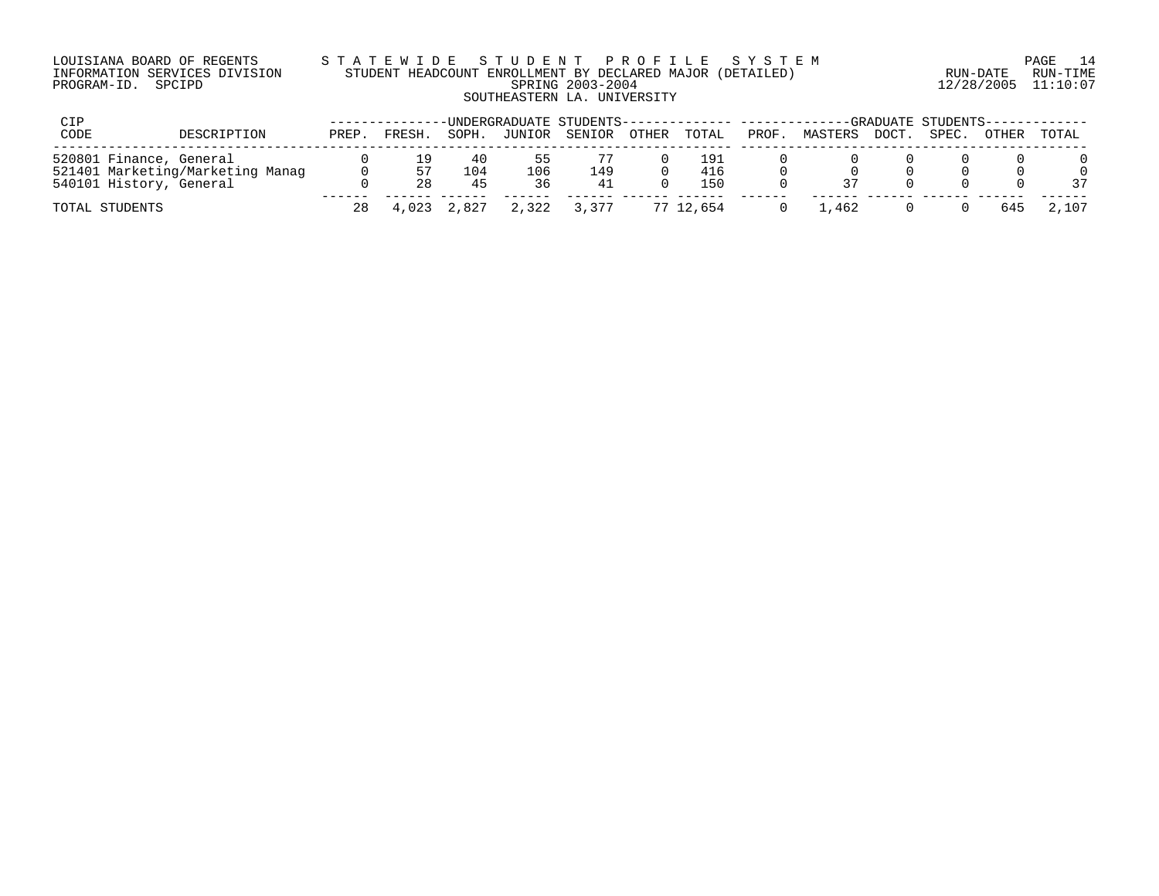| LOUISIANA BOARD OF REGENTS    |  |  |
|-------------------------------|--|--|
| INFORMATION SERVICES DIVISION |  |  |
| PROGRAM-ID. SPCIPD            |  |  |

# LOUISIANA BOARD OF REGENTS S T A T E W I D E S T U D E N T P R O F I L E S Y S T E M PAGE 14 INFORMATION SERVICES DIVISION STUDENT HEADCOUNT ENROLLMENT BY DECLARED MAJOR (DETAILED) RUN-DATE RUN-TIME PROGRAM-ID. SPCIPD SPRING 2003-2004 12/28/2005 11:10:07 SOUTHEASTERN LA. UNIVERSITY

| CIP                                                                                    |       |          |                 |                  | -UNDERGRADUATE STUDENTS-------------- ---------- |       |                   |       |         |       | ---GRADUATE STUDENTS----- |       |       |
|----------------------------------------------------------------------------------------|-------|----------|-----------------|------------------|--------------------------------------------------|-------|-------------------|-------|---------|-------|---------------------------|-------|-------|
| CODE<br>DESCRIPTION                                                                    | PREP. | FRESH.   | SOPH.           | JUNIOR           | SENIOR                                           | OTHER | TOTAL             | PROF. | MASTERS | DOCT. | SPEC.                     | OTHER | TOTAL |
| 520801 Finance, General<br>521401 Marketing/Marketing Manag<br>540101 History, General |       | 57<br>28 | 40<br>104<br>45 | כ כ<br>106<br>36 | 149<br>41                                        |       | 191<br>416<br>150 |       |         |       |                           |       | 37    |
| TOTAL STUDENTS                                                                         | 28    |          | 4,023 2,827     | 2,322            | 3,377                                            |       | 77 12,654         |       | . . 462 |       |                           | 645   | 2,107 |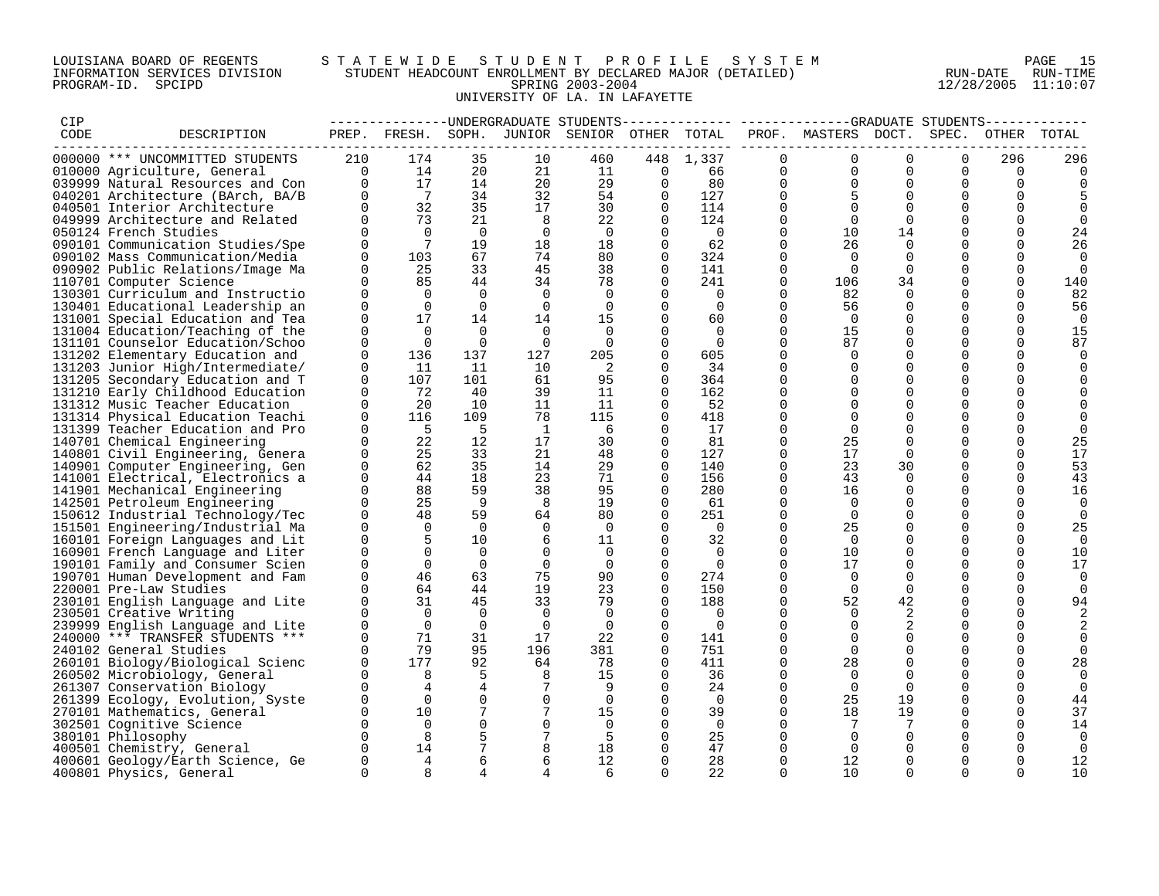## LOUISIANA BOARD OF REGENTS S T A T E W I D E S T U D E N T P R O F I L E S Y S T E M PAGE 15 INFORMATION SERVICES DIVISION STUDENT HEADCOUNT ENROLLMENT BY DECLARED MAJOR (DETAILED) RUN-DATE RUN-TIME PROGRAM-ID. SPCIPD SPRING 2003-2004 12/28/2005 11:10:07 UNIVERSITY OF LA. IN LAFAYETTE

| CIP  |                                                                    |                      |                              |               |               | -------------DNDERGRADUATE STUDENTS |                      |                      |                      |                     |                      |                      |               |                |
|------|--------------------------------------------------------------------|----------------------|------------------------------|---------------|---------------|-------------------------------------|----------------------|----------------------|----------------------|---------------------|----------------------|----------------------|---------------|----------------|
| CODE | DESCRIPTION                                                        |                      | PREP. FRESH. SOPH.           |               |               | JUNIOR SENIOR OTHER TOTAL           |                      |                      |                      | PROF. MASTERS DOCT. |                      | SPEC.                | OTHER         | TOTAL          |
|      | 000000 *** UNCOMMITTED STUDENTS                                    | 210                  | 174                          | 35            | 10            | 460                                 |                      | 448 1,337            | $\Omega$             | $\Omega$            | $\Omega$             | $\Omega$             | 296           | 296            |
|      | 010000 Agriculture, General                                        | $\overline{0}$       | 14                           | 20            | 21            | 11                                  | $\mathbf 0$          | 66                   | $\mathbf 0$          | $\Omega$            | $\Omega$             | $\Omega$             | $\Omega$      |                |
|      | 039999 Natural Resources and Con                                   | $\Omega$             | 17                           | 14            | 20            | 29                                  | $\Omega$             | 80                   | $\Omega$             | $\Omega$            | $\Omega$             | $\Omega$             | $\Omega$      |                |
|      | 040201 Architecture (BArch, BA/B                                   | $\Omega$             | $7\phantom{0}$               | 34            | 32            | 54                                  | $\Omega$             | 127                  | $\Omega$             |                     | $\Omega$             | $\Omega$             | $\Omega$      |                |
|      | 040501 Interior Architecture                                       | $\Omega$             | 32                           | 35            | 17            | 30                                  | $\mathbf 0$          | 114                  | 0                    |                     | $\Omega$             | 0                    | $\Omega$      |                |
|      | 049999 Architecture and Related                                    | $\Omega$             | 73                           | 21            | 8             | 22                                  | $\Omega$             | 124                  | $\Omega$             | $\Omega$            | $\Omega$             | $\Omega$             |               | $\Omega$       |
|      | 050124 French Studies                                              | $\Omega$             | $\Omega$                     | $\Omega$      | $\Omega$      | $\Omega$                            | $\Omega$             | $\overline{0}$       | $\mathbf 0$          | 10                  | 14                   | $\Omega$             | 0             | 24             |
|      | 090101 Communication Studies/Spe                                   | $\Omega$             | $7\phantom{.0}\phantom{.0}7$ | 19            | 18            | 18                                  | $\Omega$             | 62                   | $\Omega$             | 26                  | $\Omega$             | $\Omega$             | $\Omega$      | 26             |
|      | 090102 Mass Communication/Media                                    | $\Omega$             | 103                          | 67            | 74            | 80                                  | $\Omega$             | 324                  | $\Omega$             | $\Omega$            | $\Omega$             | $\Omega$             | $\Omega$      | $\Omega$       |
|      | 090902 Public Relations/Image Ma                                   | $\Omega$             | 25                           | 33            | 45            | 38                                  | 0                    | 141                  | 0                    | $\Omega$            | $\Omega$             |                      | 0             | $\Omega$       |
|      | 110701 Computer Science                                            | $\Omega$             | 85                           | 44            | 34            | 78                                  | $\Omega$             | 241                  | $\Omega$             | 106                 | 34                   | $\Omega$             | $\Omega$      | 140            |
|      | 130301 Curriculum and Instructio                                   | 0                    | $\Omega$                     | $\Omega$      | $\Omega$      | $\Omega$                            | $\Omega$             | 0                    | $\Omega$             | 82                  | $\Omega$             | $\Omega$             | $\Omega$      | 82             |
|      | 130401 Educational Leadership an                                   | $\Omega$             | $\Omega$                     | $\Omega$      | $\Omega$      | $\Omega$                            | $\Omega$             | $\Omega$             | $\Omega$             | 56                  | $\Omega$             | $\Omega$             | $\Omega$      | 56             |
|      | 131001 Special Education and Tea                                   | $\Omega$             | 17                           | 14            | 14            | 15                                  | $\Omega$             | 60                   | $\Omega$             | $\Omega$            | $\Omega$             | $\Omega$             | 0             | $\Omega$       |
|      | 131004 Education/Teaching of the                                   | $\Omega$             | $\Omega$                     | $\Omega$      | $\Omega$      | $\Omega$                            | $\Omega$             | $\Omega$             | $\Omega$             | 15                  | $\Omega$             | $\Omega$             | $\Omega$      | 15             |
|      | 131101 Counselor Education/Schoo                                   | $\Omega$             | $\Omega$                     | $\Omega$      | $\Omega$      | $\Omega$                            | $\Omega$             | $\Omega$             | $\Omega$             | 87                  | $\Omega$             | $\Omega$             | 0             | 87             |
|      | 131202 Elementary Education and                                    | $\Omega$             | 136                          | 137           | 127           | 205                                 | $\Omega$             | 605                  | $\Omega$             | $\Omega$            | $\Omega$             | $\Omega$             | 0             | $\Omega$       |
|      | 131203 Junior High/Intermediate/                                   | $\Omega$             | 11                           | 11            | 10            | -2                                  | $\Omega$             | 34                   | $\Omega$             |                     | $\Omega$             | $\Omega$             | 0             |                |
|      | 131205 Secondary Education and T                                   | $\Omega$<br>$\Omega$ | 107<br>72                    | 101<br>40     | 61<br>39      | 95<br>11                            | $\Omega$<br>$\Omega$ | 364<br>162           | $\Omega$<br>$\Omega$ |                     | $\Omega$<br>$\Omega$ | $\Omega$<br>$\Omega$ |               |                |
|      | 131210 Early Childhood Education<br>131312 Music Teacher Education | $\Omega$             | 20                           | 10            | 11            | 11                                  | $\Omega$             | 52                   | $\Omega$             |                     | $\Omega$             | $\Omega$             |               |                |
|      | 131314 Physical Education Teachi                                   | $\Omega$             | 116                          | 109           | 78            | 115                                 | $\mathbf 0$          | 418                  | $\Omega$             | $\Omega$            | $\Omega$             | $\Omega$             |               |                |
|      | 131399 Teacher Education and Pro                                   | $\Omega$             | - 5                          | 5             | <sup>1</sup>  | 6                                   | 0                    | 17                   | $\Omega$             | $\Omega$            |                      | $\Omega$             | $\Omega$      |                |
|      | 140701 Chemical Engineering                                        | $\Omega$             | 22                           | 12            | 17            | 30                                  | $\Omega$             | 81                   | $\Omega$             | 25                  | $\Omega$             | $\Omega$             | $\Omega$      | 25             |
|      | 140801 Civil Engineering, Genera                                   | $\Omega$             | 25                           | 33            | 21            | 48                                  | $\Omega$             | 127                  | $\Omega$             | 17                  | $\Omega$             | $\Omega$             | 0             | 17             |
|      | 140901 Computer Engineering, Gen                                   | $\Omega$             | 62                           | 35            | 14            | 29                                  | $\Omega$             | 140                  | $\Omega$             | 23                  | 30                   | $\Omega$             | $\Omega$      | 53             |
|      | 141001 Electrical, Electronics a                                   | $\Omega$             | 44                           | 18            | 23            | 71                                  | $\Omega$             | 156                  | $\Omega$             | 43                  | $\Omega$             | $\Omega$             | $\Omega$      | 43             |
|      | 141901 Mechanical Engineering                                      | $\Omega$             | 88                           | 59            | 38            | 95                                  | 0                    | 280                  | 0                    | 16                  | $\Omega$             | $\Omega$             | $\Omega$      | 16             |
|      | 142501 Petroleum Engineering                                       | $\Omega$             | 25                           | - 9           | 8             | 19                                  | $\mathbf 0$          | 61                   | $\Omega$             | $\Omega$            | $\Omega$             | $\Omega$             | $\Omega$      | 0              |
|      | 150612 Industrial Technology/Tec                                   | $\Omega$             | 48                           | 59            | 64            | 80                                  | $\mathbf 0$          | 251                  | 0                    | $\Omega$            | $\Omega$             | $\Omega$             | $\Omega$      | $\Omega$       |
|      | 151501 Engineering/Industrial Ma                                   | $\Omega$             | $\Omega$                     | $\Omega$      | $\Omega$      | $\Omega$                            | $\Omega$             | $\overline{0}$       | $\Omega$             | 25                  | $\Omega$             | $\Omega$             | $\Omega$      | 25             |
|      | 160101 Foreign Languages and Lit                                   | $\Omega$             | 5                            | 10            | 6             | 11                                  | $\Omega$             | 32                   | $\Omega$             | $\Omega$            | $\Omega$             | $\Omega$             | 0             | $\Omega$       |
|      | 160901 French Language and Liter                                   | $\Omega$             | $\Omega$                     | $\Omega$      | $\Omega$      | $\Omega$                            | $\Omega$             | $\Omega$             | $\Omega$             | 10                  | $\Omega$             | $\Omega$             | $\Omega$      | 10             |
|      | 190101 Family and Consumer Scien                                   | $\Omega$             | $\Omega$                     | $\Omega$      | $\mathbf 0$   | $\mathbf 0$                         | $\Omega$             | $\Omega$             | $\Omega$             | 17                  | $\Omega$             | $\Omega$             | 0             | 17             |
|      | 190701 Human Development and Fam                                   | $\Omega$             | 46                           | 63            | 75            | 90                                  | $\mathbf 0$          | 274                  | $\Omega$             | $\Omega$            | $\Omega$             | $\Omega$             | 0             | $\Omega$       |
|      | 220001 Pre-Law Studies                                             |                      | 64                           | 44            | 19            | 23                                  | $\Omega$             | 150                  | $\Omega$             | $\Omega$            | $\Omega$             | $\Omega$             | $\Omega$      |                |
|      | 230101 English Language and Lite                                   |                      | 31                           | 45            | 33            | 79                                  | $\Omega$             | 188                  | 0                    | 52                  | 42                   | $\Omega$             | $\Omega$      | 94             |
|      | 230501 Creative Writing                                            | $\Omega$             | $\Omega$                     | $\Omega$      | $\Omega$      | $\Omega$                            | $\Omega$             | $\Omega$             | $\Omega$             |                     |                      |                      | $\Omega$      |                |
|      | 239999 English Language and Lite                                   | $\Omega$             | $\Omega$                     | $\Omega$      | $\Omega$      | $\Omega$                            | $\Omega$             | $\Omega$             | $\Omega$             |                     |                      | $\Omega$             |               |                |
|      | 240000 *** TRANSFER STUDENTS ***                                   | $\Omega$             | 71                           | 31            | 17            | 22                                  | $\mathbf 0$          | 141                  | $\Omega$             | $\Omega$            | $\Omega$             | $\Omega$             | $\Omega$      | $\Omega$       |
|      | 240102 General Studies                                             |                      | 79                           | 95            | 196           | 381                                 | $\Omega$             | 751                  | $\Omega$             | $\Omega$            | $\Omega$             | $\Omega$             | $\Omega$      |                |
|      | 260101 Biology/Biological Scienc                                   | $\Omega$             | 177                          | 92            | 64            | 78                                  | $\mathbf 0$          | 411                  | $\Omega$             | 28                  | $\Omega$             | $\Omega$             |               | 28             |
|      | 260502 Microbiology, General                                       | $\Omega$             | 8                            | 5             | 8             | 15                                  | 0                    | 36                   | $\Omega$             | $\Omega$            | $\Omega$             | $\Omega$             | 0             | $\Omega$       |
|      | 261307 Conservation Biology                                        | $\Omega$             | 4                            | 4             | 7             | 9                                   | $\Omega$             | 24                   | $\Omega$             | $\Omega$            | $\Omega$             | $\Omega$             | $\Omega$      | $\Omega$       |
|      | 261399 Ecology, Evolution, Syste                                   | $\Omega$             | $\overline{0}$               | $\Omega$      | $\Omega$      | $\Omega$                            | $\Omega$             | $\Omega$             | $\Omega$             | 25                  | 19                   | $\Omega$             | $\Omega$      | 44             |
|      | 270101 Mathematics, General                                        | 0<br>$\Omega$        | 10<br>$\overline{0}$         | 7<br>$\Omega$ | 7<br>$\Omega$ | 15<br>$\overline{0}$                | 0                    | 39<br>$\overline{0}$ | 0<br>$\Omega$        | 18                  | 19                   | 0<br>$\Omega$        | $\Omega$<br>0 | 37             |
|      | 302501 Cognitive Science<br>380101 Philosophy                      | $\Omega$             | 8                            | 5             |               | 5                                   | 0<br>0               | 25                   | 0                    |                     | $\Omega$             | $\Omega$             |               | 14<br>$\Omega$ |
|      | 400501 Chemistry, General                                          |                      | 14                           | 7             |               | 18                                  | $\Omega$             | 47                   | $\Omega$             | $\Omega$            |                      | $\Omega$             | 0             | $\Omega$       |
|      | 400601 Geology/Earth Science, Ge                                   | $\mathbf 0$          | 4                            | 6             | 6             | 12                                  | $\Omega$             | 28                   | $\Omega$             | 12                  | $\Omega$             | $\Omega$             | 0             | 12             |
|      | 400801 Physics, General                                            | $\Omega$             | <sub>R</sub>                 | 4             |               | 6                                   | $\cap$               | 22                   | $\cap$               | 10                  | $\cap$               | $\cap$               | $\Omega$      | 10             |
|      |                                                                    |                      |                              |               |               |                                     |                      |                      |                      |                     |                      |                      |               |                |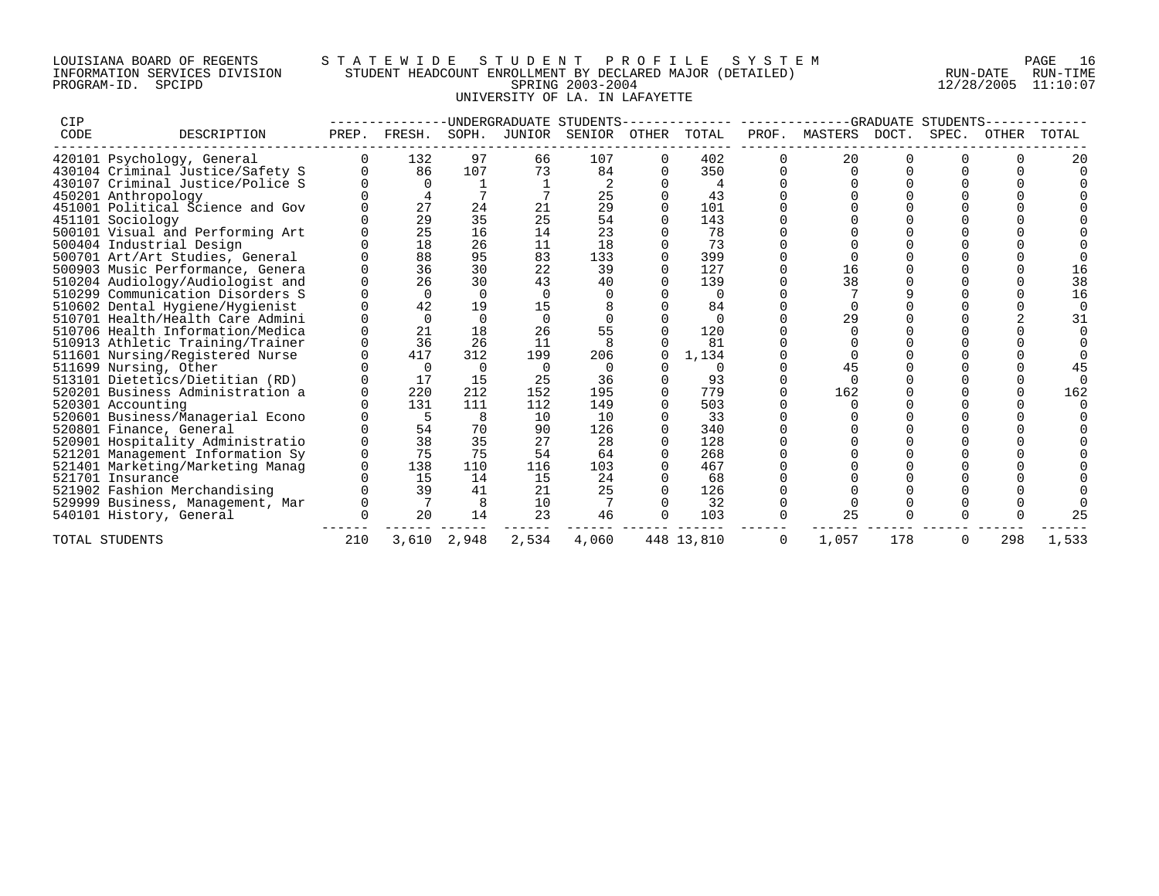## LOUISIANA BOARD OF REGENTS S T A T E W I D E S T U D E N T P R O F I L E S Y S T E M PAGE 16 INFORMATION SERVICES DIVISION STUDENT HEADCOUNT ENROLLMENT BY DECLARED MAJOR (DETAILED) RUN-DATE RUN-TIME PROGRAM-ID. SPCIPD SPRING 2003-2004 12/28/2005 11:10:07 UNIVERSITY OF LA. IN LAFAYETTE

| CIP  |                                  |       |          |          | UNDERGRADUATE STUDENTS- |        |       |            |       |         |       | GRADUATE STUDENTS |       |       |
|------|----------------------------------|-------|----------|----------|-------------------------|--------|-------|------------|-------|---------|-------|-------------------|-------|-------|
| CODE | DESCRIPTION                      | PREP. | FRESH.   | SOPH.    | JUNIOR                  | SENIOR | OTHER | TOTAL      | PROF. | MASTERS | DOCT. | SPEC.             | OTHER | TOTAL |
|      | 420101 Psychology, General       |       | 132      | 97       | 66                      | 107    |       | 402        |       | 20      |       |                   |       | 2C    |
|      | 430104 Criminal Justice/Safety S |       | 86       | 107      | 73                      | 84     |       | 350        |       |         |       |                   |       |       |
|      | 430107 Criminal Justice/Police S |       |          |          |                         |        |       |            |       |         |       |                   |       |       |
|      | 450201 Anthropology              |       |          |          |                         | 25     |       | 43         |       |         |       |                   |       |       |
|      | 451001 Political Science and Gov |       | 27       | 24       | 21                      | 29     |       | 101        |       |         |       |                   |       |       |
|      | 451101 Sociology                 |       | 29       | 35       | 25                      | 54     |       | 143        |       |         |       |                   |       |       |
|      | 500101 Visual and Performing Art |       | 25       | 16       | 14                      | 23     |       | 78         |       |         |       |                   |       |       |
|      | 500404 Industrial Design         |       | 18       | 26       | 11                      | 18     |       | 73         |       |         |       |                   |       |       |
|      | 500701 Art/Art Studies, General  |       | 88       | 95       | 83                      | 133    |       | 399        |       |         |       |                   |       |       |
|      | 500903 Music Performance, Genera |       | 36       | 30       | 22                      | 39     |       | 127        |       | 16      |       |                   |       |       |
|      | 510204 Audiology/Audiologist and |       | 26       | 30       | 43                      | 40     |       | 139        |       | 38      |       |                   |       | 38    |
|      | 510299 Communication Disorders S |       | $\Omega$ | $\Omega$ |                         |        |       | $\Omega$   |       |         |       |                   |       | 16    |
|      | 510602 Dental Hygiene/Hygienist  |       | 42       | 19       | 15                      |        |       | 84         |       |         |       |                   |       |       |
|      | 510701 Health/Health Care Admini |       | $\Omega$ |          |                         |        |       |            |       | 29      |       |                   |       | 31    |
|      | 510706 Health Information/Medica |       | 21       | 18       | 26                      | 55     |       | 120        |       |         |       |                   |       |       |
|      | 510913 Athletic Training/Trainer |       | 36       | 26       | 11                      |        |       | 81         |       |         |       |                   |       |       |
|      | 511601 Nursing/Registered Nurse  |       | 417      | 312      | 199                     | 206    |       | 1,134      |       |         |       |                   |       |       |
|      | 511699 Nursing, Other            |       | $\Omega$ | 0        |                         |        |       |            |       | 45      |       |                   |       |       |
|      | 513101 Dietetics/Dietitian (RD)  |       | 17       | 15       | 25                      | 36     |       | 93         |       |         |       |                   |       |       |
|      | 520201 Business Administration a |       | 220      | 212      | 152                     | 195    |       | 779        |       | 162     |       |                   |       | 162   |
|      | 520301 Accounting                |       | 131      | 111      | 112                     | 149    |       | 503        |       |         |       |                   |       |       |
|      | 520601 Business/Managerial Econo |       | 5        | 8        | 10                      | 10     |       | 33         |       |         |       |                   |       |       |
|      | 520801 Finance, General          |       | 54       | 70       | 90                      | 126    |       | 340        |       |         |       |                   |       |       |
|      | 520901 Hospitality Administratio |       | 38       | 35       | 27                      | 28     |       | 128        |       |         |       |                   |       |       |
|      | 521201 Management Information Sy |       | 75       | 75       | 54                      | 64     |       | 268        |       |         |       |                   |       |       |
|      | 521401 Marketing/Marketing Manag |       | 138      | 110      | 116                     | 103    |       | 467        |       |         |       |                   |       |       |
|      | 521701 Insurance                 |       | 15       | 14       | 15                      | 24     |       | 68         |       |         |       |                   |       |       |
|      | 521902 Fashion Merchandising     |       | 39       | 41       | 21                      | 25     |       | 126        |       |         |       |                   |       |       |
|      | 529999 Business, Management, Mar |       |          |          | 10                      |        |       | 32         |       |         |       |                   |       |       |
|      | 540101 History, General          |       | 20       | 14       | 23                      | 46     |       | 103        |       | 25      |       |                   |       |       |
|      | TOTAL STUDENTS                   | 210   | 3,610    | 2,948    | 2,534                   | 4,060  |       | 448 13,810 | 0     | 1,057   | 178   | 0                 | 298   | 1,533 |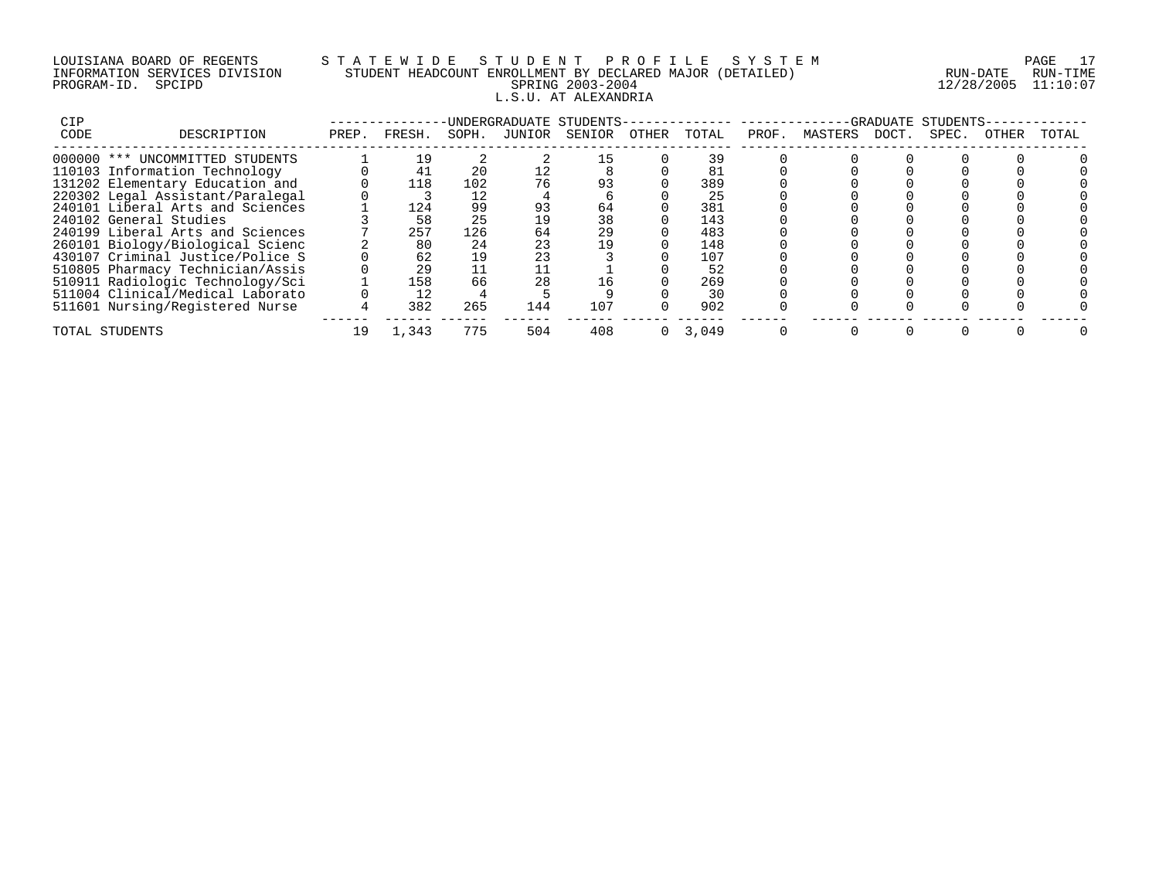## LOUISIANA BOARD OF REGENTS S T A T E W I D E S T U D E N T P R O F I L E S Y S T E M PAGE 17 INFORMATION SERVICES DIVISION STUDENT HEADCOUNT ENROLLMENT BY DECLARED MAJOR (DETAILED) RUN-DATE RUN-TIME PROGRAM-ID. SPCIPD SPRING 2003-2004 12/28/2005 11:10:07 L.S.U. AT ALEXANDRIA

| CIP  |                                  |       |        |       |        | UNDERGRADUATE STUDENTS- |       |       |       |         | -GRADUATE | STUDENTS- |       |       |
|------|----------------------------------|-------|--------|-------|--------|-------------------------|-------|-------|-------|---------|-----------|-----------|-------|-------|
| CODE | DESCRIPTION                      | PREP. | FRESH. | SOPH. | JUNIOR | SENIOR                  | OTHER | TOTAL | PROF. | MASTERS | DOCT.     | SPEC.     | OTHER | TOTAL |
|      | 000000 *** UNCOMMITTED STUDENTS  |       | 19     |       |        |                         |       | 39    |       |         |           |           |       |       |
|      | 110103 Information Technology    |       |        | 20    |        |                         |       | 81    |       |         |           |           |       |       |
|      | 131202 Elementary Education and  |       | 118    | 102   | 76     | 93                      |       | 389   |       |         |           |           |       |       |
|      | 220302 Legal Assistant/Paralegal |       |        | 12    |        |                         |       | 25    |       |         |           |           |       |       |
|      | 240101 Liberal Arts and Sciences |       | 124    | 99    | 93     | 64                      |       | 381   |       |         |           |           |       |       |
|      | 240102 General Studies           |       | 58     | 25    | 19     | 38                      |       | 143   |       |         |           |           |       |       |
|      | 240199 Liberal Arts and Sciences |       | 257    | 126   | 64     | 29                      |       | 483   |       |         |           |           |       |       |
|      | 260101 Biology/Biological Scienc |       | 80     | 24    | 23     | 19                      |       | 148   |       |         |           |           |       |       |
|      | 430107 Criminal Justice/Police S |       | 62     | 19    |        |                         |       | 107   |       |         |           |           |       |       |
|      | 510805 Pharmacy Technician/Assis |       | 29     |       |        |                         |       | 52    |       |         |           |           |       |       |
|      | 510911 Radiologic Technology/Sci |       | 158    | 66    | 28     | 16                      |       | 269   |       |         |           |           |       |       |
|      | 511004 Clinical/Medical Laborato |       | 12     |       |        |                         |       | 30    |       |         |           |           |       |       |
|      | 511601 Nursing/Registered Nurse  |       | 382    | 265   | 144    | 107                     |       | 902   |       |         |           |           |       |       |
|      | TOTAL STUDENTS                   | 19    | 1,343  | 775   | 504    | 408                     |       | 3,049 |       |         |           |           |       |       |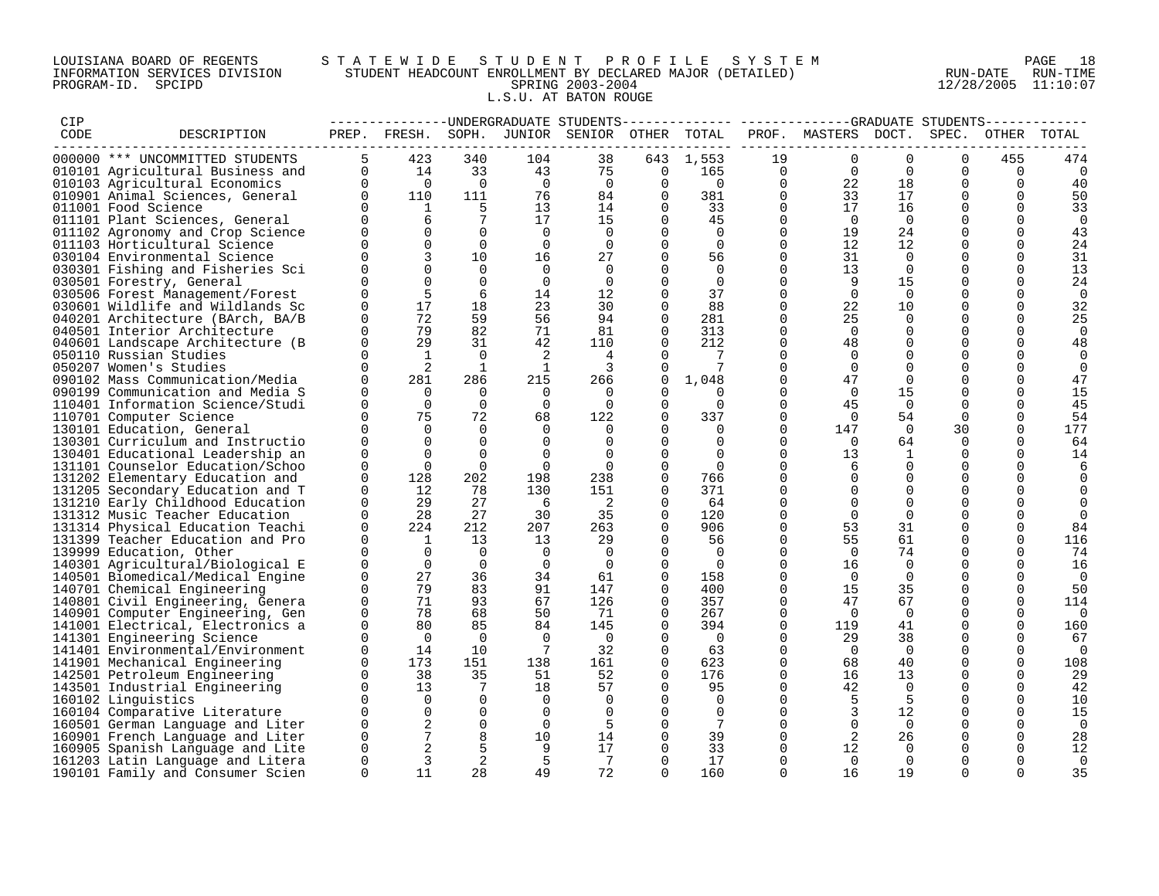## LOUISIANA BOARD OF REGENTS S T A T E W I D E S T U D E N T P R O F I L E S Y S T E M PAGE 18 INFORMATION SERVICES DIVISION STUDENT HEADCOUNT ENROLLMENT BY DECLARED MAJOR (DETAILED) RUN-DATE RUN-TIME PROGRAM-ID. SPCIPD SPRING 2003-2004 12/28/2005 11:10:07 L.S.U. AT BATON ROUGE

| CIP  |                                                                  |             |                 |                 |                | --------------DNDERGRADUATE STUDENTS         |          |                |             |                     |                |             |                |                |
|------|------------------------------------------------------------------|-------------|-----------------|-----------------|----------------|----------------------------------------------|----------|----------------|-------------|---------------------|----------------|-------------|----------------|----------------|
| CODE | DESCRIPTION                                                      |             |                 |                 |                | PREP. FRESH. SOPH. JUNIOR SENIOR OTHER TOTAL |          |                |             | PROF. MASTERS DOCT. |                | SPEC.       | OTHER          | TOTAL          |
|      |                                                                  |             |                 |                 |                |                                              |          |                |             |                     |                |             |                |                |
|      | 000000 *** UNCOMMITTED STUDENTS                                  |             | 423             | 340             | 104            | 38                                           | 643      | 1,553          | 19          | $\mathbf 0$         | $\Omega$       | $\mathbf 0$ | 455            | 474            |
|      | 010101 Agricultural Business and                                 | $\mathbf 0$ | 14              | 33              | 43             | 75                                           | 0        | 165            | 0           | $\Omega$            | $\Omega$       | 0           | $\overline{0}$ | $\overline{0}$ |
|      | 010103 Agricultural Economics                                    | $\Omega$    | $\overline{0}$  | $\overline{0}$  | $\overline{0}$ | $\overline{0}$                               | $\Omega$ | $\overline{0}$ | $\mathbf 0$ | 22                  | 18             | $\Omega$    | $\Omega$       | 40             |
|      | 010901 Animal Sciences, General                                  | $\Omega$    | 110             | 111             | 76             | 84                                           | $\Omega$ | 381            | $\Omega$    | 33                  | 17             | $\Omega$    | $\Omega$       | 50             |
|      | 011001 Food Science                                              |             | $\mathbf{1}$    | 5               | 13             | 14                                           | $\Omega$ | 33             | 0           | 17                  | 16             | $\mathbf 0$ | $\Omega$       | 33             |
|      | 011101 Plant Sciences, General                                   |             | 6               | $7\phantom{.0}$ | 17             | 15                                           | $\Omega$ | 45             | $\mathbf 0$ | $\overline{0}$      | $\overline{0}$ | $\Omega$    | $\Omega$       | $\overline{0}$ |
|      | 011102 Agronomy and Crop Science                                 |             | $\Omega$        | $\Omega$        | $\Omega$       | $\mathbf 0$                                  | $\Omega$ | $\Omega$       | $\mathbf 0$ | 19                  | 24             | $\Omega$    | $\Omega$       | 43             |
|      | 011103 Horticultural Science                                     |             | $\Omega$        | $\Omega$        | $\Omega$       | $\Omega$                                     | $\Omega$ | $\Omega$       | $\Omega$    | 12                  | 12             | $\Omega$    | $\Omega$       | 24             |
|      | 030104 Environmental Science                                     |             | $\overline{3}$  | 10              | 16             | 27                                           | $\Omega$ | 56             | $\mathbf 0$ | 31                  | $\Omega$       | 0           | $\Omega$       | 31             |
|      | 030301 Fishing and Fisheries Sci                                 | 0           |                 | $\Omega$        | $\Omega$       | $\Omega$                                     |          | $\Omega$       | 0           | 13                  | $\Omega$       | 0           | $\Omega$       | 13             |
|      | 030501 Forestry, General                                         |             | $\Omega$        | $\Omega$        | $\Omega$       | $\Omega$                                     | $\cap$   | $\Omega$       | $\Omega$    | 9                   | 15             | $\Omega$    | $\Omega$       | 24             |
|      | 030506 Forest Management/Forest                                  | $\Omega$    | 5               | 6               | 14             | 12                                           | $\Omega$ | 37             | $\mathbf 0$ | $\Omega$            | $\Omega$       | $\Omega$    | $\Omega$       | $\overline{0}$ |
|      | 030601 Wildlife and Wildlands Sc                                 | O           | 17              | 18              | 23             | 30                                           | $\Omega$ | 88             | $\mathbf 0$ | 22                  | 10             | 0           | $\Omega$       | 32             |
|      |                                                                  | $\Omega$    | 72              | 59              | 56             | 94                                           | $\Omega$ | 281            | $\Omega$    | 25                  | $\Omega$       | $\mathbf 0$ | $\Omega$       | 25             |
|      | 040201 Architecture (BArch, BA/B<br>040501 Interior Architecture | $\Omega$    | 79              | 82              | 71             | 81                                           | $\Omega$ | 313            | $\mathbf 0$ | $\Omega$            | $\Omega$       | $\Omega$    | $\Omega$       | $\Omega$       |
|      |                                                                  |             | 29              |                 |                |                                              |          |                |             |                     |                |             | $\Omega$       |                |
|      | 040601 Landscape Architecture (B                                 | $\Omega$    |                 | 31              | 42             | 110                                          | $\Omega$ | 212            | 0           | 48                  | $\Omega$       | $\Omega$    |                | 48             |
|      | 050110 Russian Studies                                           | $\Omega$    | $\mathbf{1}$    | $\Omega$        | 2              | 4                                            | $\Omega$ | 7              | $\Omega$    | $\Omega$            | $\Omega$       | $\Omega$    | $\Omega$       | $\Omega$       |
|      | 050207 Women's Studies                                           | $\Omega$    | 2               | $\overline{1}$  | 1              | $\overline{\mathbf{3}}$                      |          | 7              | $\mathbf 0$ | $\Omega$            | $\Omega$       | $\Omega$    | $\Omega$       | $\mathbf 0$    |
|      | 090102 Mass Communication/Media                                  | $\Omega$    | 281             | 286             | 215            | 266                                          | $\Omega$ | 1,048          | $\mathbf 0$ | 47                  | $\Omega$       | $\mathbf 0$ | $\Omega$       | 47             |
|      | 090199 Communication and Media S                                 | U           | $\overline{0}$  | $\Omega$        | $\Omega$       | $\Omega$                                     | $\Omega$ | $\Omega$       | $\mathbf 0$ | $\Omega$            | 15             | 0           | $\Omega$       | 15             |
|      | 110401 Information Science/Studi                                 | $\Omega$    | $\Omega$        | $\Omega$        | $\Omega$       | $\Omega$                                     | $\Omega$ | $\Omega$       | $\Omega$    | 45                  | $\Omega$       | $\Omega$    | $\Omega$       | 45             |
|      | 110701 Computer Science                                          | $\Omega$    | 75              | 72              | 68             | 122                                          | $\Omega$ | 337            | $\mathbf 0$ | $\Omega$            | 54             | $\mathbf 0$ | $\Omega$       | 54             |
|      | 130101 Education, General                                        | $\Omega$    | $\Omega$        | $\Omega$        | $\Omega$       | $\Omega$                                     | $\Omega$ | $\mathbf 0$    | 0           | 147                 | $\overline{0}$ | 30          | $\mathbf 0$    | 177            |
|      | 130301 Curriculum and Instructio                                 | $\Omega$    | $\Omega$        | $\Omega$        | $\Omega$       | $\Omega$                                     | $\Omega$ | $\Omega$       | $\Omega$    | $\Omega$            | 64             | $\Omega$    | $\Omega$       | 64             |
|      | 130401 Educational Leadership an                                 | $\Omega$    | $\Omega$        | $\Omega$        | $\Omega$       | $\Omega$                                     | $\Omega$ | $\Omega$       | $\Omega$    | 13                  | 1              | $\Omega$    | $\Omega$       | 14             |
|      | 131101 Counselor Education/Schoo                                 | $\Omega$    | $\Omega$        | $\Omega$        | $\Omega$       | $\Omega$                                     | $\Omega$ | $\bigcap$      | $\Omega$    | 6                   | $\Omega$       | $\Omega$    | $\Omega$       | 6              |
|      | 131202 Elementary Education and                                  | $\Omega$    | 128             | 202             | 198            | 238                                          | $\Omega$ | 766            | $\Omega$    | $\Omega$            |                | $\Omega$    | $\Omega$       | $\Omega$       |
|      | 131205 Secondary Education and T                                 | 0           | 12              | 78              | 130            | 151                                          | $\Omega$ | 371            | $\mathbf 0$ |                     | $\Omega$       | 0           | $\Omega$       | $\Omega$       |
|      | 131210 Early Childhood Education                                 | $\Omega$    | 29              | 27              | - 6            | 2                                            | $\Omega$ | 64             | $\Omega$    | $\Omega$            | $\Omega$       | $\Omega$    | $\Omega$       | $\Omega$       |
|      | 131312 Music Teacher Education                                   | 0           | 28              | 27              | 30             | 35                                           | $\Omega$ | 120            | $\mathbf 0$ | $\mathbf 0$         | 0              | $\Omega$    | $\Omega$       | $\mathbf 0$    |
|      | 131314 Physical Education Teachi                                 | $\Omega$    | 224             | 212             | 207            | 263                                          | $\Omega$ | 906            | $\mathbf 0$ | 53                  | 31             | 0           | $\Omega$       | 84             |
|      | 131399 Teacher Education and Pro                                 | $\Omega$    | $\mathbf{1}$    | 13              | 13             | 29                                           | $\Omega$ | 56             | $\Omega$    | 55                  | 61             | $\Omega$    | $\Omega$       | 116            |
|      | 139999 Education, Other                                          | $\Omega$    | $\bigcirc$      | $\Omega$        | $\Omega$       | $\Omega$                                     | $\Omega$ | $\Omega$       | $\Omega$    | $\Omega$            | 74             | $\Omega$    | $\Omega$       | 74             |
|      | 140301 Agricultural/Biological E                                 | $\Omega$    | $\Omega$        | $\Omega$        | $\Omega$       | $\Omega$                                     | $\Omega$ | $\overline{0}$ | $\mathbf 0$ | 16                  | $\Omega$       | $\Omega$    | $\Omega$       | 16             |
|      | 140501 Biomedical/Medical Engine                                 | $\Omega$    | 27              | 36              | 34             | 61                                           | $\Omega$ | 158            | $\mathbf 0$ | $\overline{0}$      | $\Omega$       | $\Omega$    | $\Omega$       | $\overline{0}$ |
|      | 140701 Chemical Engineering                                      | $\Omega$    | 79              | 83              | 91             | 147                                          | $\Omega$ | 400            | $\mathbf 0$ | 15                  | 35             | $\mathbf 0$ | $\Omega$       | 50             |
|      | 140801 Civil Engineering, Genera                                 | $\Omega$    | 71              | 93              | 67             | 126                                          | $\Omega$ | 357            | $\mathbf 0$ | 47                  | 67             | $\mathbf 0$ | $\Omega$       | 114            |
|      | 140901 Computer Engineering, Gen                                 | $\Omega$    | 78              | 68              | 50             | 71                                           | $\Omega$ | 267            | $\mathbf 0$ | $\Omega$            | $\Omega$       | $\Omega$    | $\Omega$       | $\overline{0}$ |
|      | 141001 Electrical, Electronics a                                 | $\Omega$    | 80              | 85              | 84             | 145                                          | $\Omega$ | 394            | $\mathbf 0$ | 119                 | 41             | $\Omega$    | $\Omega$       | 160            |
|      | 141301 Engineering Science                                       | $\Omega$    | $\bigcap$       | $\Omega$        | $\overline{0}$ | $\overline{0}$                               | $\Omega$ | $\bigcirc$     | $\Omega$    | 29                  | 38             | $\Omega$    | $\Omega$       | 67             |
|      |                                                                  | 0           |                 |                 |                |                                              | $\Omega$ |                |             | $\overline{0}$      |                |             |                |                |
|      | 141401 Environmental/Environment                                 |             | 14              | 10              | -7             | 32                                           | $\Omega$ | 63             | 0           |                     | $\mathbf 0$    | $\mathbf 0$ | $\mathbf 0$    | $\overline{0}$ |
|      | 141901 Mechanical Engineering                                    | $\Omega$    | 173             | 151             | 138            | 161                                          |          | 623            | $\Omega$    | 68                  | 40             | $\Omega$    | $\Omega$       | 108            |
|      | 142501 Petroleum Engineering                                     | $\Omega$    | 38              | 35              | 51             | 52                                           | $\Omega$ | 176            | $\mathbf 0$ | 16                  | 13             | 0           | $\Omega$       | 29             |
|      | 143501 Industrial Engineering                                    | $\Omega$    | 13              | 7               | 18             | 57                                           | $\Omega$ | 95             | $\mathbf 0$ | 42                  | $\Omega$       | $\mathbf 0$ | $\Omega$       | 42             |
|      | 160102 Linguistics                                               | $\Omega$    | $\overline{0}$  | $\Omega$        | $\Omega$       | 0                                            | $\Omega$ | 0              | 0           | 5                   | -5             | 0           | $\Omega$       | 10             |
|      | 160104 Comparative Literature                                    | $\Omega$    | $\Omega$        | $\Omega$        | $\Omega$       | $\Omega$                                     | $\Omega$ | $\Omega$       | $\Omega$    | 3                   | 12             | $\mathbf 0$ | $\Omega$       | 15             |
|      | 160501 German Language and Liter                                 | $\Omega$    | 2               | $\Omega$        | $\Omega$       | .5                                           | $\Omega$ | 7              | $\Omega$    | $\Omega$            | $\overline{0}$ | $\Omega$    | $\Omega$       | $\Omega$       |
|      | 160901 French Language and Liter                                 | $\Omega$    | $7\phantom{.0}$ | 8               | 10             | 14                                           | $\Omega$ | 39             | $\mathbf 0$ |                     | 26             | 0           | $\Omega$       | 28             |
|      | 160905 Spanish Language and Lite                                 | 0           |                 | 5               | 9              | 17                                           | $\Omega$ | 33             | 0           | 12                  | $\Omega$       | 0           | 0              | 12             |
|      | 161203 Latin Language and Litera                                 | $\Omega$    | 3               | 2               | 5              | 7                                            | $\Omega$ | 17             | $\Omega$    | $\Omega$            | $\Omega$       | $\Omega$    | $\Omega$       | $\Omega$       |
|      | 190101 Family and Consumer Scien                                 | $\Omega$    | 11              | 28              | 49             | 72                                           | $\cap$   | 160            | $\Omega$    | 16                  | 19             | $\Omega$    | $\Omega$       | 35             |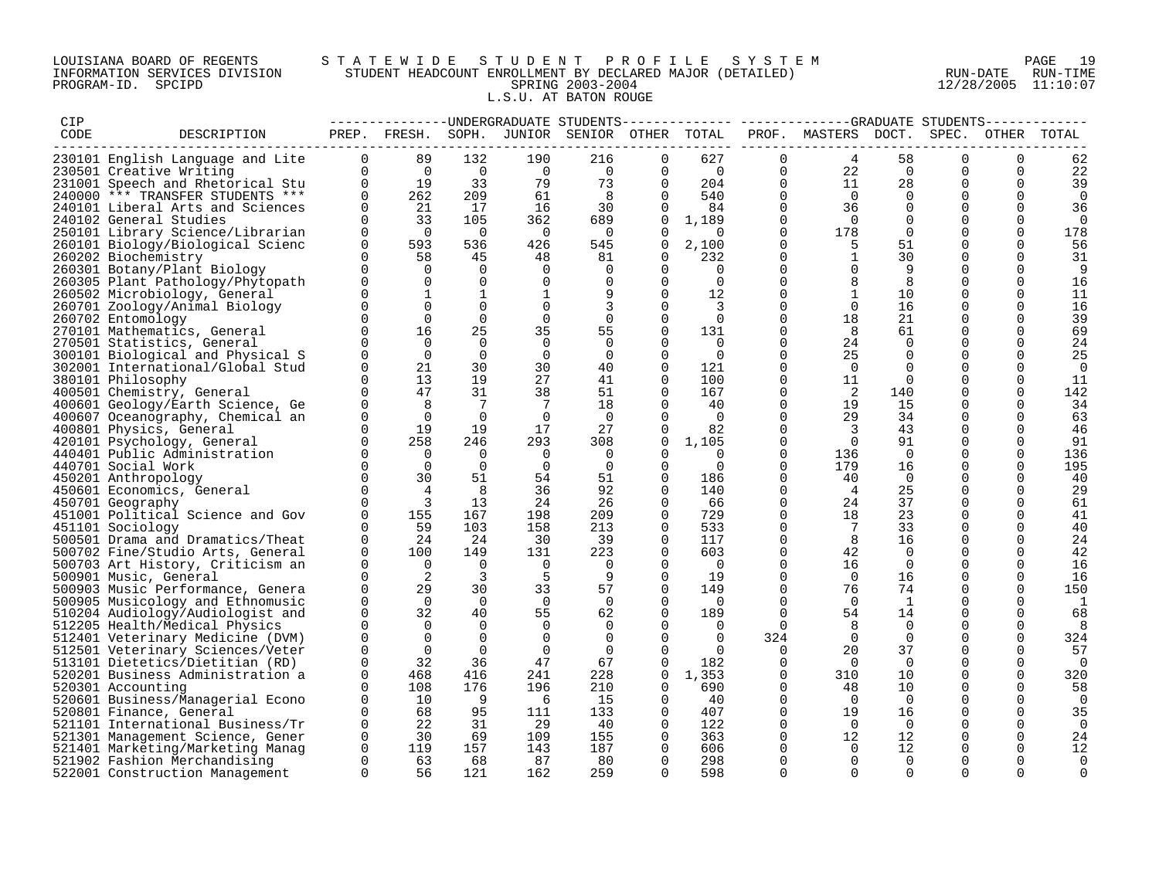## LOUISIANA BOARD OF REGENTS S T A T E W I D E S T U D E N T P R O F I L E S Y S T E M PAGE 19 INFORMATION SERVICES DIVISION STUDENT HEADCOUNT ENROLLMENT BY DECLARED MAJOR (DETAILED) RUN-DATE RUN-TIME PROGRAM-ID. SPCIPD SPRING 2003-2004 12/28/2005 11:10:07 L.S.U. AT BATON ROUGE

| CIP  |                                                                  |                          | --------------DNDERGRADUATE STUDENTS-        |                       |                       |                       |                      |                       |                         |                      |                      |                      |                      |                |
|------|------------------------------------------------------------------|--------------------------|----------------------------------------------|-----------------------|-----------------------|-----------------------|----------------------|-----------------------|-------------------------|----------------------|----------------------|----------------------|----------------------|----------------|
| CODE | DESCRIPTION                                                      |                          | PREP. FRESH. SOPH. JUNIOR SENIOR OTHER TOTAL |                       |                       |                       |                      |                       |                         | PROF. MASTERS DOCT.  |                      |                      | SPEC. OTHER TOTAL    |                |
|      |                                                                  |                          |                                              |                       |                       |                       |                      |                       |                         |                      |                      |                      |                      |                |
|      | 230101 English Language and Lite                                 | $\mathbf{0}$<br>$\Omega$ | 89<br>$\overline{0}$                         | 132<br>$\overline{0}$ | 190<br>$\overline{0}$ | 216<br>$\overline{0}$ | 0<br>$\Omega$        | 627<br>$\overline{0}$ | $\mathbf 0$<br>$\Omega$ | $\overline{4}$<br>22 | 58<br>$\overline{0}$ | $\Omega$<br>$\Omega$ | $\Omega$<br>$\Omega$ | 62<br>22       |
|      | 230501 Creative Writing<br>231001 Speech and Rhetorical Stu      | $\Omega$                 | 19                                           | 33                    | 79                    | 73                    | $\Omega$             | 204                   | $\Omega$                | 11                   | 28                   | $\Omega$             | $\Omega$             | 39             |
|      | 240000 *** TRANSFER STUDENTS ***                                 | $\Omega$                 | 262                                          | 209                   | 61                    | 8                     | $\Omega$             | 540                   | $\Omega$                | $\overline{0}$       | $\Omega$             | $\Omega$             | $\Omega$             | $\Omega$       |
|      | 240101 Liberal Arts and Sciences                                 | $\mathbf{0}$             | 21                                           | 17                    | 16                    | 30                    | $\mathbf 0$          | 84                    | $\mathbf 0$             | 36                   | $\Omega$             | 0                    | 0                    | 36             |
|      | 240102 General Studies                                           | $\Omega$                 | 33                                           | 105                   | 362                   | 689                   | $\Omega$             | 1,189                 | $\mathbf 0$             | $\overline{0}$       | $\Omega$             | $\Omega$             | $\Omega$             | $\Omega$       |
|      | 250101 Library Science/Librarian                                 | $\mathbf 0$              | $\overline{0}$                               | $\overline{0}$        | $\overline{0}$        | $\overline{0}$        | $\Omega$             | $\Omega$              | $\mathbf 0$             | 178                  | $\Omega$             | $\Omega$             | $\Omega$             | 178            |
|      | 260101 Biology/Biological Scienc                                 | $\Omega$                 | 593                                          | 536                   | 426                   | 545                   | $\Omega$             | 2,100                 | $\Omega$                | -5                   | 51                   | $\Omega$             | $\Omega$             | 56             |
|      | 260202 Biochemistry                                              | $\Omega$                 | 58                                           | 45                    | 48                    | 81                    | $\Omega$             | 232                   | $\Omega$                | $\mathbf{1}$         | 30                   | $\Omega$             | $\Omega$             | 31             |
|      | 260301 Botany/Plant Biology                                      | $\Omega$                 | 0                                            | 0                     | 0                     | 0                     | 0                    | 0                     | 0                       | 0                    | 9                    | 0                    | $\Omega$             | 9              |
|      | 260305 Plant Pathology/Phytopath                                 | $\Omega$                 | $\Omega$                                     | $\mathbf 0$           | 0                     | 0                     | $\Omega$             | $\Omega$              | $\Omega$                | 8                    | 8                    | $\Omega$             | $\Omega$             | 16             |
|      | 260502 Microbiology, General                                     | $\Omega$                 | 1                                            | $\mathbf 1$           | 1                     | 9                     | $\Omega$             | 12                    | $\Omega$                | 1                    | 10                   | $\Omega$             | $\Omega$             | 11             |
|      | 260701 Zoology/Animal Biology                                    | $\Omega$                 | $\Omega$                                     | $\Omega$              | $\Omega$              | 3                     | $\Omega$             | 3                     | $\Omega$                | $\Omega$             | 16                   | $\Omega$             | $\Omega$             | 16             |
|      | 260702 Entomology                                                | $\Omega$                 | $\Omega$                                     | $\Omega$              | $\mathbf 0$           | $\Omega$              | $\Omega$             | $\Omega$              | $\Omega$                | 18                   | 21                   | $\Omega$             | $\Omega$             | 39             |
|      | 270101 Mathematics, General                                      | $\Omega$                 | 16                                           | 25                    | 35                    | 55                    | $\Omega$             | 131                   | $\Omega$                | 8                    | 61                   | $\Omega$             | $\Omega$             | 69             |
|      | 270501 Statistics, General                                       | $\Omega$                 | $\Omega$                                     | $\Omega$              | 0                     | $\overline{0}$        | $\Omega$             | $\overline{0}$        | $\Omega$                | 24                   | $\Omega$             | $\Omega$             | $\Omega$             | 24             |
|      | 300101 Biological and Physical S                                 | $\Omega$                 | $\overline{0}$                               | $\overline{0}$        | 0                     | $\overline{0}$        | 0                    | 0                     | $\mathbf 0$             | 25                   | $\Omega$             | $\Omega$             | $\Omega$             | 25             |
|      | 302001 International/Global Stud                                 | $\Omega$                 | 21                                           | 30                    | 30                    | 40                    | $\Omega$             | 121                   | $\mathbf 0$             | $\overline{0}$       | $\Omega$             | 0                    | $\Omega$             | $\overline{0}$ |
|      | 380101 Philosophy                                                | $\Omega$                 | 13                                           | 19                    | 27                    | 41                    | $\Omega$             | 100                   | $\mathbf 0$             | 11                   | $\Omega$             | $\Omega$             | $\Omega$             | 11             |
|      | 400501 Chemistry, General                                        | $\Omega$                 | 47                                           | 31                    | 38                    | 51                    | $\Omega$             | 167                   | $\Omega$                | -2                   | 140                  |                      | $\Omega$             | 142            |
|      | 400601 Geology/Earth Science, Ge                                 | $\Omega$                 | 8                                            | 7                     | $7\phantom{.0}$       | 18                    | $\Omega$             | 40                    | $\Omega$                | 19                   | 15                   | $\Omega$             | $\Omega$             | 34             |
|      | 400607 Oceanography, Chemical an                                 | 0                        | $\Omega$                                     | $\Omega$              | $\overline{0}$        | $\overline{0}$        | $\Omega$             | $\Omega$              | $\Omega$                | 29                   | 34                   | $\Omega$             | $\Omega$             | 63             |
|      | 400801 Physics, General                                          | $\Omega$                 | 19                                           | 19                    | 17                    | 27                    | 0                    | 82                    | 0                       | 3                    | 43                   | 0                    | $\Omega$             | 46             |
|      | 420101 Psychology, General                                       | $\Omega$<br>$\Omega$     | 258<br>$\Omega$                              | 246<br>$\Omega$       | 293<br>$\Omega$       | 308                   | $\Omega$<br>$\Omega$ | 1,105<br>$\Omega$     | $\Omega$<br>$\mathbf 0$ | $\bigcap$<br>136     | 91<br>$\Omega$       | $\Omega$<br>$\Omega$ | $\Omega$             | 91             |
|      | 440401 Public Administration                                     | $\Omega$                 | $\Omega$                                     | $\Omega$              | $\Omega$              | $\overline{0}$        | $\Omega$             | $\Omega$              | $\Omega$                | 179                  |                      | $\Omega$             | $\Omega$             | 136<br>195     |
|      | 440701 Social Work<br>450201 Anthropology                        | $\Omega$                 | 30                                           | 51                    | 54                    | $\overline{0}$<br>51  | $\Omega$             | 186                   | $\Omega$                | 40                   | 16<br>$\Omega$       | $\Omega$             | $\Omega$             | 40             |
|      | 450601 Economics, General                                        | $\Omega$                 | 4                                            | 8                     | 36                    | 92                    | $\Omega$             | 140                   | 0                       | 4                    | 25                   | 0                    | 0                    | 29             |
|      | 450701 Geography                                                 | $\Omega$                 | $\overline{3}$                               | 13                    | 24                    | 26                    | $\Omega$             | 66                    | $\Omega$                | 24                   | 37                   | $\Omega$             | $\Omega$             | 61             |
|      | 451001 Political Science and Gov                                 | $\mathbf 0$              | 155                                          | 167                   | 198                   | 209                   | 0                    | 729                   | $\mathbf 0$             | 18                   | 23                   | $\Omega$             | 0                    | 41             |
|      | 451101 Sociology                                                 | $\Omega$                 | 59                                           | 103                   | 158                   | 213                   | $\Omega$             | 533                   | $\Omega$                | 7                    | 33                   | $\Omega$             | $\Omega$             | 40             |
|      | 500501 Drama and Dramatics/Theat                                 | $\Omega$                 | 24                                           | 24                    | 30                    | 39                    | $\Omega$             | 117                   | $\Omega$                | 8                    | 16                   | $\Omega$             | $\Omega$             | 24             |
|      | 500702 Fine/Studio Arts, General                                 | $\mathbf 0$              | 100                                          | 149                   | 131                   | 223                   | $\Omega$             | 603                   | $\Omega$                | 42                   | $\Omega$             | $\Omega$             | $\Omega$             | 42             |
|      | 500703 Art History, Criticism an                                 | $\mathbf 0$              | $\overline{0}$                               | $\mathbf 0$           | $\overline{0}$        | $\overline{0}$        | $\Omega$             | $\overline{0}$        | $\Omega$                | 16                   | $\Omega$             | $\Omega$             | $\Omega$             | 16             |
|      | 500901 Music, General                                            | $\Omega$                 | 2                                            | 3                     | - 5                   | 9                     | 0                    | 19                    | $\Omega$                | $\overline{0}$       | 16                   | $\Omega$             | $\Omega$             | 16             |
|      | 500903 Music Performance, Genera                                 | $\Omega$                 | 29                                           | 30                    | 33                    | 57                    | $\Omega$             | 149                   | $\Omega$                | 76                   | 74                   | $\Omega$             | $\Omega$             | 150            |
|      | 500905 Musicology and Ethnomusic                                 | $\Omega$                 | $\Omega$                                     | $\Omega$              | $\overline{0}$        | $\Omega$              | $\Omega$             | $\overline{0}$        | $\Omega$                | $\overline{0}$       | -1                   | $\Omega$             | $\Omega$             | 1              |
|      | 510204 Audiology/Audiologist and                                 | $\Omega$                 | 32                                           | 40                    | 55                    | 62                    | $\Omega$             | 189                   | $\Omega$                | 54                   | 14                   |                      | $\Omega$             | 68             |
|      | 512205 Health/Medical Physics                                    | $\Omega$                 | $\Omega$                                     | $\Omega$              | $\Omega$              | $\Omega$              | $\Omega$             | $\Omega$              | $\Omega$                | 8                    | $\Omega$             | $\Omega$             | $\Omega$             | 8              |
|      | 512401 Veterinary Medicine (DVM)                                 | $\Omega$                 | $\Omega$                                     | 0                     | 0                     | 0                     | $\Omega$             | $\Omega$              | 324                     | $\overline{0}$       | $\Omega$             | $\Omega$             | 0                    | 324            |
|      | 512501 Veterinary Sciences/Veter                                 | $\Omega$                 | $\Omega$                                     | $\Omega$              | 0                     | $\overline{0}$        | $\Omega$             | $\Omega$              | $\Omega$                | 20                   | 37                   | $\Omega$             | $\Omega$             | 57             |
|      | 513101 Dietetics/Dietitian (RD)                                  | $\Omega$                 | 32                                           | 36                    | 47                    | 67                    | $\Omega$             | 182                   | 0                       | $\overline{0}$       | $\Omega$             | $\Omega$             | $\Omega$             | $\Omega$       |
|      | 520201 Business Administration a                                 | 0                        | 468                                          | 416                   | 241                   | 228                   | $\Omega$             | 1,353                 | $\mathbf 0$             | 310                  | 10                   | 0                    | $\Omega$             | 320            |
|      | 520301 Accounting                                                | $\Omega$                 | 108                                          | 176                   | 196                   | 210                   | $\Omega$             | 690                   | $\Omega$                | 48                   | 10                   | $\Omega$             | $\Omega$             | 58             |
|      | 520601 Business/Managerial Econo                                 | $\Omega$                 | 10                                           | 9                     | - 6                   | 15                    | $\Omega$             | 40                    | $\Omega$                | $\Omega$             | $\Omega$             | $\Omega$             | $\Omega$             | $\Omega$       |
|      | 520801 Finance, General                                          | $\Omega$                 | 68                                           | 95                    | 111                   | 133                   | 0                    | 407                   | 0                       | 19                   | 16                   | 0                    | 0                    | 35             |
|      | 521101 International Business/Tr                                 | $\mathbf 0$              | 22                                           | 31                    | 29                    | - 40                  | $\Omega$             | 122                   | $\Omega$                | $\overline{0}$       | $\overline{0}$       | $\Omega$             | 0                    | $\Omega$       |
|      | 521301 Management Science, Gener                                 | $\mathbf 0$<br>$\Omega$  | 30                                           | 69<br>157             | 109                   | 155                   | 0<br>$\Omega$        | 363<br>606            | $\mathbf 0$<br>$\Omega$ | 12<br>$\Omega$       | 12                   | $\Omega$<br>$\Omega$ | 0<br>$\Omega$        | 24             |
|      | 521401 Marketing/Marketing Manag<br>521902 Fashion Merchandising | $\Omega$                 | 119<br>63                                    | 68                    | 143<br>87             | 187<br>80             | $\Omega$             | 298                   | $\Omega$                | $\Omega$             | 12<br>$\Omega$       | $\Omega$             | $\Omega$             | 12<br>$\Omega$ |
|      | 522001 Construction Management                                   | $\Omega$                 | 56                                           | 121                   | 162                   | 259                   | $\Omega$             | 598                   | $\Omega$                | $\cap$               | $\cap$               | $\cap$               |                      | $\Omega$       |
|      |                                                                  |                          |                                              |                       |                       |                       |                      |                       |                         |                      |                      |                      |                      |                |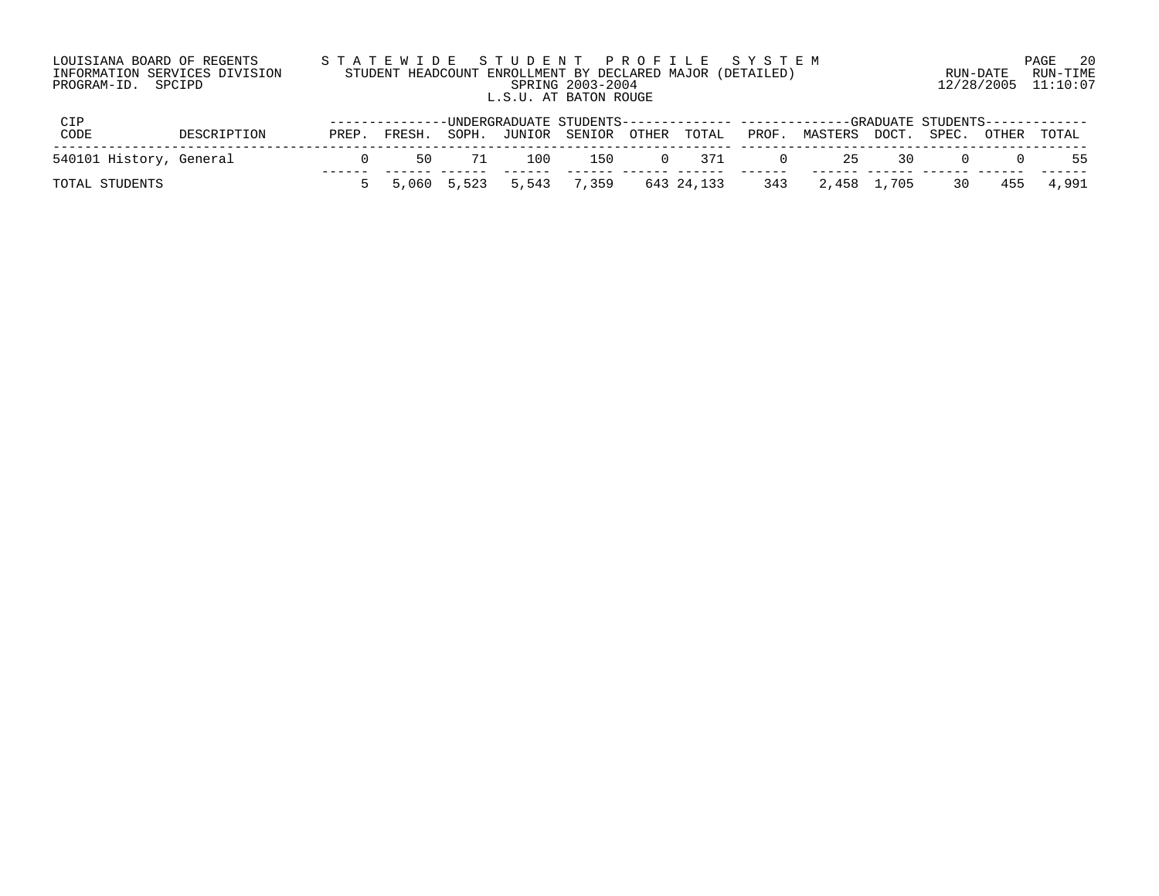| LOUISIANA BOARD OF REGENTS    | STATEWIDE STUDENT PROFILE SYSTEM                          |                     | 20<br>PAGE |
|-------------------------------|-----------------------------------------------------------|---------------------|------------|
| INFORMATION SERVICES DIVISION | STUDENT HEADCOUNT ENROLLMENT BY DECLARED MAJOR (DETAILED) | RUN-DATE            | RUN-TIME   |
| PROGRAM-ID. SPCIPD            | SPRING 2003-2004                                          | 12/28/2005 11:10:07 |            |
|                               | L.S.U. AT BATON ROUGE                                     |                     |            |
|                               |                                                           |                     |            |

| <b>CIP</b>              |             |       |         |    |     |                                          |        |        |        | --------------UNDERGRADUATE STUDENTS------------- ------------GRADUATE STUDENTS------------ |  |           |                          |
|-------------------------|-------------|-------|---------|----|-----|------------------------------------------|--------|--------|--------|---------------------------------------------------------------------------------------------|--|-----------|--------------------------|
| CODE                    | DESCRIPTION | PREP. | FRESH.  |    |     | SOPH. JUNIOR SENIOR OTHER TOTAL          |        |        | PROF.  | MASTERS DOCT. SPEC. OTHER TOTAL                                                             |  |           |                          |
| 540101 History, General |             |       | 50 - 50 | 71 | 100 | 150                                      | $\cap$ | $-371$ | $\Box$ |                                                                                             |  | 25 30 0 0 | 55                       |
| TOTAL STUDENTS          |             |       |         |    |     | 5 5,060 5,523 5,543 7,359 643 24,133 343 |        |        |        |                                                                                             |  |           | 2,458 1,705 30 455 4,991 |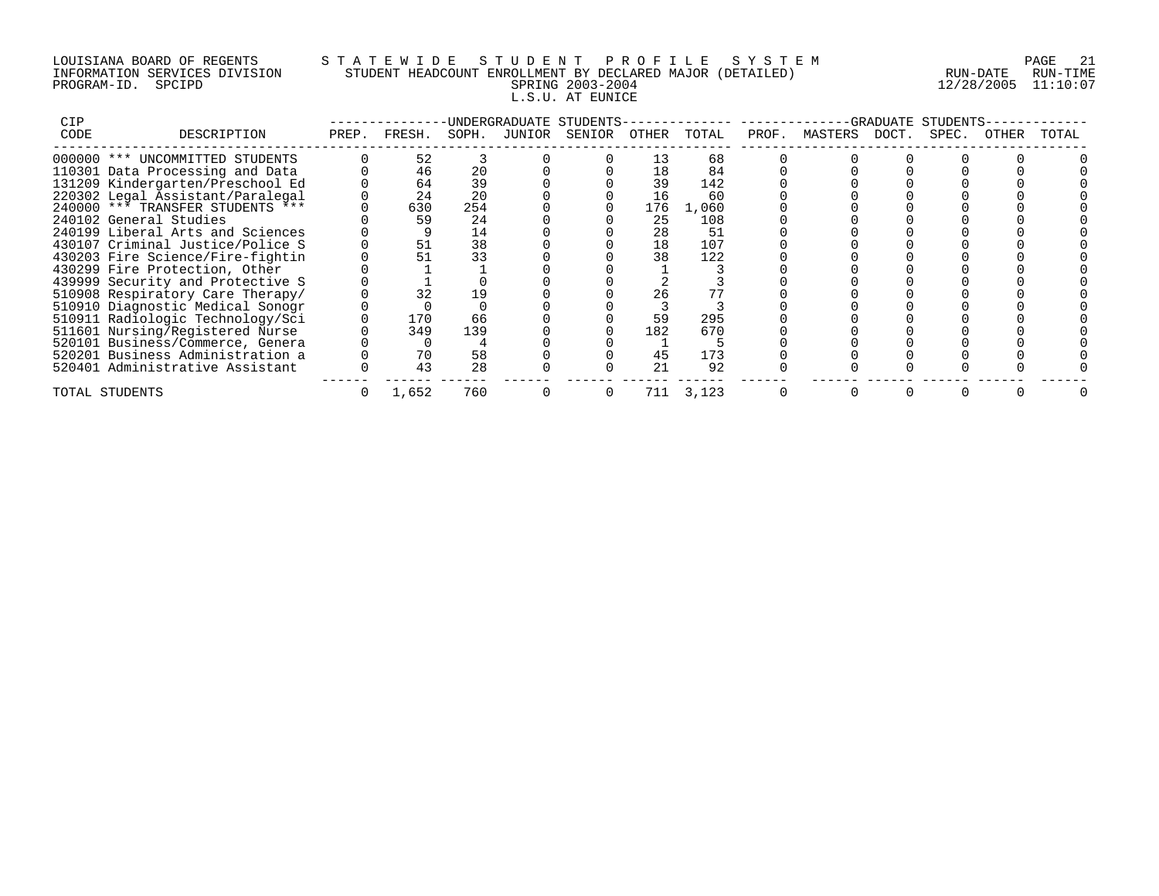## LOUISIANA BOARD OF REGENTS S T A T E W I D E S T U D E N T P R O F I L E S Y S T E M PAGE 21 INFORMATION SERVICES DIVISION STUDENT HEADCOUNT ENROLLMENT BY DECLARED MAJOR (DETAILED) RUN-DATE RUN-TIME PROGRAM-ID. SPCIPD SPRING 2003-2004 12/28/2005 11:10:07 L.S.U. AT EUNICE

| CIP  |                                  |       |        |       | INDERGRADUATE STUDENTS-   |     |       |       |               | -GRADUATE | STUDENTS |       |       |
|------|----------------------------------|-------|--------|-------|---------------------------|-----|-------|-------|---------------|-----------|----------|-------|-------|
| CODE | DESCRIPTION                      | PREP. | FRESH. | SOPH. | JUNIOR SENIOR OTHER TOTAL |     |       | PROF. | MASTERS DOCT. |           | SPEC.    | OTHER | TOTAL |
|      | 000000 *** UNCOMMITTED STUDENTS  |       | 52     |       |                           | 13  | 68    |       |               |           |          |       |       |
|      | 110301 Data Processing and Data  |       | 46     | 20    |                           | 18  | 84    |       |               |           |          |       |       |
|      | 131209 Kindergarten/Preschool Ed |       | 64     | 39    |                           | 39  | 142   |       |               |           |          |       |       |
|      | 220302 Legal Assistant/Paralegal |       | 24     | 20    |                           | 16  | 60    |       |               |           |          |       |       |
|      | 240000 *** TRANSFER STUDENTS *** |       | 630    | 254   |                           | 176 | 1,060 |       |               |           |          |       |       |
|      | 240102 General Studies           |       | 59     | 24    |                           | 25  | 108   |       |               |           |          |       |       |
|      | 240199 Liberal Arts and Sciences |       |        | 14    |                           | 28  | 51    |       |               |           |          |       |       |
|      | 430107 Criminal Justice/Police S |       | 51     | 38    |                           | 18  | 107   |       |               |           |          |       |       |
|      | 430203 Fire Science/Fire-fightin |       |        | 33    |                           | 38  | 122   |       |               |           |          |       |       |
|      | 430299 Fire Protection, Other    |       |        |       |                           |     |       |       |               |           |          |       |       |
|      | 439999 Security and Protective S |       |        |       |                           |     |       |       |               |           |          |       |       |
|      | 510908 Respiratory Care Therapy/ |       |        | 19    |                           | 26  |       |       |               |           |          |       |       |
|      | 510910 Diagnostic Medical Sonogr |       |        |       |                           |     |       |       |               |           |          |       |       |
|      | 510911 Radiologic Technology/Sci |       | 170    | 66    |                           | 59  | 295   |       |               |           |          |       |       |
|      | 511601 Nursing/Registered Nurse  |       | 349    | 139   |                           | 182 | 670   |       |               |           |          |       |       |
|      | 520101 Business/Commerce, Genera |       |        |       |                           |     |       |       |               |           |          |       |       |
|      | 520201 Business Administration a |       | 70     | 58    |                           | 45  | 173   |       |               |           |          |       |       |
|      | 520401 Administrative Assistant  |       | 43     | 28    |                           | 21  | 92    |       |               |           |          |       |       |
|      | TOTAL STUDENTS                   |       | 1,652  | 760   | 0                         | 711 | 3,123 |       |               |           |          |       |       |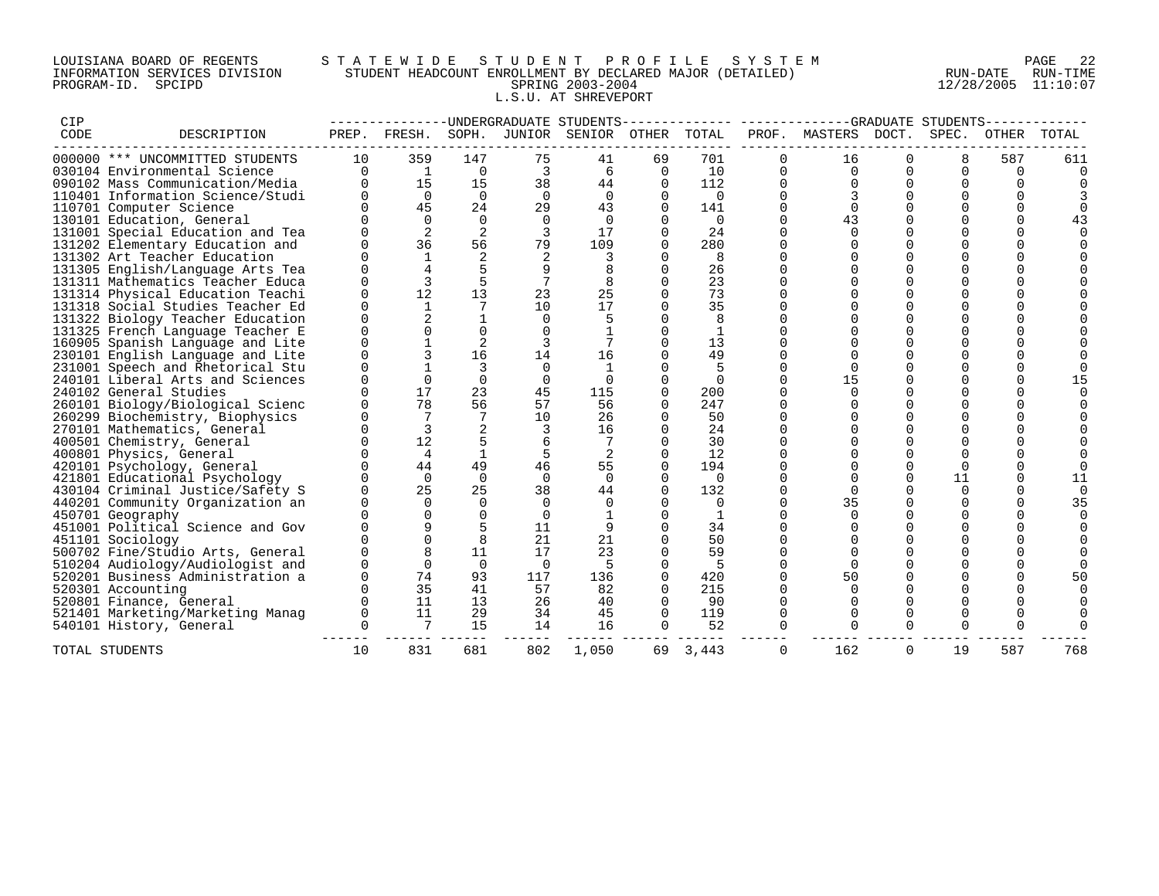## LOUISIANA BOARD OF REGENTS S T A T E W I D E S T U D E N T P R O F I L E S Y S T E M PAGE 22 INFORMATION SERVICES DIVISION STUDENT HEADCOUNT ENROLLMENT BY DECLARED MAJOR (DETAILED) RUN-DATE RUN-TIME PROGRAM-ID. SPCIPD SPRING 2003-2004 12/28/2005 11:10:07 L.S.U. AT SHREVEPORT

| CIP  |                                  |              |                |                |          | -UNDERGRADUATE STUDENTS |          |             |          |          |             | -GRADUATE STUDENTS |          |       |
|------|----------------------------------|--------------|----------------|----------------|----------|-------------------------|----------|-------------|----------|----------|-------------|--------------------|----------|-------|
| CODE | DESCRIPTION                      | PREP.        | FRESH.         | SOPH.          | JUNIOR   | SENIOR                  | OTHER    | TOTAL       | PROF.    | MASTERS  | DOCT.       | SPEC.              | OTHER    | TOTAL |
|      | 000000 *** UNCOMMITTED STUDENTS  | 10           | 359            | 147            | 75       | 41                      | 69       | 701         | 0        | 16       | 0           | 8                  | 587      | 611   |
|      | 030104 Environmental Science     | $\Omega$     | $\overline{1}$ | $\Omega$       | 3        | 6                       | $\Omega$ | 10          | $\Omega$ | $\Omega$ | $\Omega$    | $\Omega$           | $\Omega$ |       |
|      | 090102 Mass Communication/Media  | <sup>n</sup> | 15             | 15             | 38       | 44                      | $\Omega$ | 112         |          |          | $\Omega$    | $\Omega$           |          |       |
|      | 110401 Information Science/Studi |              | $\Omega$       | $\Omega$       | $\Omega$ | $\Omega$                | $\Omega$ | $\mathbf 0$ | $\Omega$ |          | $\Omega$    | $\Omega$           |          |       |
|      | 110701 Computer Science          |              | 45             | 24             | 29       | 43                      | $\Omega$ | 141         | $\Omega$ |          | $\Omega$    | $\Omega$           |          |       |
|      | 130101 Education, General        |              | $\Omega$       | $\Omega$       | $\Omega$ | $\Omega$                |          | 0           | $\Omega$ | 43       |             | $\Omega$           | $\Omega$ |       |
|      | 131001 Special Education and Tea |              | 2              | 2              | 3        | 17                      | $\Omega$ | 24          |          | $\Omega$ | $\Omega$    | $\Omega$           | ∩        |       |
|      | 131202 Elementary Education and  |              | 36             | 56             | 79       | 109                     |          | 280         |          |          | $\Omega$    | $\Omega$           |          |       |
|      | 131302 Art Teacher Education     |              |                | 2              |          |                         |          | 8           |          |          |             | $\Omega$           |          |       |
|      | 131305 English/Language Arts Tea |              |                |                |          |                         | $\Omega$ | 26          |          |          | $\Omega$    | $\Omega$           |          |       |
|      | 131311 Mathematics Teacher Educa |              | 3              | 5              |          | 8                       | $\Omega$ | 23          |          |          | $\mathbf 0$ | 0                  |          |       |
|      | 131314 Physical Education Teachi | $\Omega$     | 12             | 13             | 23       | 25                      | $\Omega$ | 73          |          | $\Omega$ | $\Omega$    | $\Omega$           |          |       |
|      | 131318 Social Studies Teacher Ed | U            |                |                | 10       | 17                      | $\cap$   | 35          |          |          | $\Omega$    | $\Omega$           |          |       |
|      | 131322 Biology Teacher Education |              | $\mathfrak{D}$ |                | $\Omega$ |                         |          | 8           |          | $\Omega$ | $\Omega$    | $\Omega$           |          |       |
|      | 131325 French Language Teacher E |              |                | $\Omega$       | $\Omega$ |                         |          | 1           |          |          | $\Omega$    | $\Omega$           |          |       |
|      | 160905 Spanish Language and Lite |              |                | $\overline{2}$ |          |                         |          | 13          |          |          |             | $\Omega$           |          |       |
|      | 230101 English Language and Lite |              |                | 16             | 14       | 16                      |          | 49          |          |          | $\Omega$    | $\Omega$           |          |       |
|      | 231001 Speech and Rhetorical Stu |              |                | 3              | $\Omega$ |                         |          | 5           |          | $\Omega$ | $\Omega$    | 0                  |          |       |
|      | 240101 Liberal Arts and Sciences |              |                | $\Omega$       | $\Omega$ |                         |          | $\Omega$    |          | 15       | $\Omega$    | $\Omega$           |          |       |
|      | 240102 General Studies           |              | 17             | 23             | 45       | 115                     | $\Omega$ | 200         |          | $\Omega$ | $\Omega$    | $\Omega$           | ∩        |       |
|      | 260101 Biology/Biological Scienc |              | 78             | 56             | 57       | 56                      | $\Omega$ | 247         | $\Omega$ | $\Omega$ | $\Omega$    | $\Omega$           |          |       |
|      | 260299 Biochemistry, Biophysics  |              | 7              | 7              | 10       | 26                      | $\Omega$ | 50          | $\Omega$ |          | $\Omega$    | $\Omega$           |          |       |
|      | 270101 Mathematics, General      |              | 3              |                |          | 16                      |          | 24          |          |          | $\cap$      | $\Omega$           |          |       |
|      | 400501 Chemistry, General        |              | 12             | 5              |          |                         |          | 30          |          |          | $\Omega$    | $\Omega$           |          |       |
|      | 400801 Physics, General          |              | $\overline{4}$ | $\mathbf{1}$   | 5        | 2                       | $\Omega$ | 12          |          |          | $\Omega$    | $\Omega$           |          |       |
|      | 420101 Psychology, General       |              | 44             | 49             | 46       | 55                      |          | 194         |          |          | $\Omega$    | $\Omega$           |          |       |
|      | 421801 Educational Psychology    |              | $\Omega$       | $\Omega$       | $\Omega$ | $\Omega$                | $\Omega$ | 0           |          | $\Omega$ | $\Omega$    | 11                 | $\Omega$ | 11    |
|      | 430104 Criminal Justice/Safety S |              | 25             | 25             | 38       | 44                      |          | 132         |          | $\Omega$ | $\Omega$    | $\Omega$           | $\Omega$ |       |
|      | 440201 Community Organization an |              | $\Omega$       | $\Omega$       | $\Omega$ |                         |          | $\Omega$    |          | 35       | $\Omega$    | $\Omega$           |          | 35    |
|      | 450701 Geography                 |              |                | $\Omega$       | $\Omega$ |                         | $\Omega$ | 1           |          |          | $\Omega$    | $\Omega$           |          |       |
|      | 451001 Political Science and Gov |              |                |                | 11       |                         | $\Omega$ | 34          |          |          | $\Omega$    | $\Omega$           |          |       |
|      | 451101 Sociology                 |              |                | 8              | 21       | 21                      |          | 50          |          |          | $\Omega$    | $\Omega$           |          |       |
|      | 500702 Fine/Studio Arts, General |              |                | 11             | 17       | 23                      |          | 59          |          |          | $\Omega$    | $\Omega$           |          |       |
|      | 510204 Audiology/Audiologist and |              | $\Omega$       | $\Omega$       | $\Omega$ | 5                       |          | 5           | $\Omega$ | $\Omega$ | $\Omega$    | $\Omega$           |          |       |
|      | 520201 Business Administration a |              | 74             | 93             | 117      | 136                     | $\Omega$ | 420         |          | 50       |             | $\Omega$           |          |       |
|      | 520301 Accounting                |              | 35             | 41             | 57       | 82                      |          | 215         |          |          |             |                    |          |       |
|      | 520801 Finance, General          |              | 11             | 13             | 26       | 40                      | $\Omega$ | 90          | $\Omega$ |          | $\Omega$    | $\Omega$           |          |       |
|      | 521401 Marketing/Marketing Manag | 0            | 11             | 29             | 34       | 45                      | $\Omega$ | 119         | 0        | $\Omega$ | $\Omega$    | $\Omega$           |          |       |
|      | 540101 History, General          | $\Omega$     | 7              | 15             | 14       | 16                      | $\Omega$ | 52          |          |          | $\Omega$    | $\Omega$           |          |       |
|      | TOTAL STUDENTS                   | 10           | 831            | 681            | 802      | 1,050                   | 69       | 3,443       | $\Omega$ | 162      | $\Omega$    | 19                 | 587      | 768   |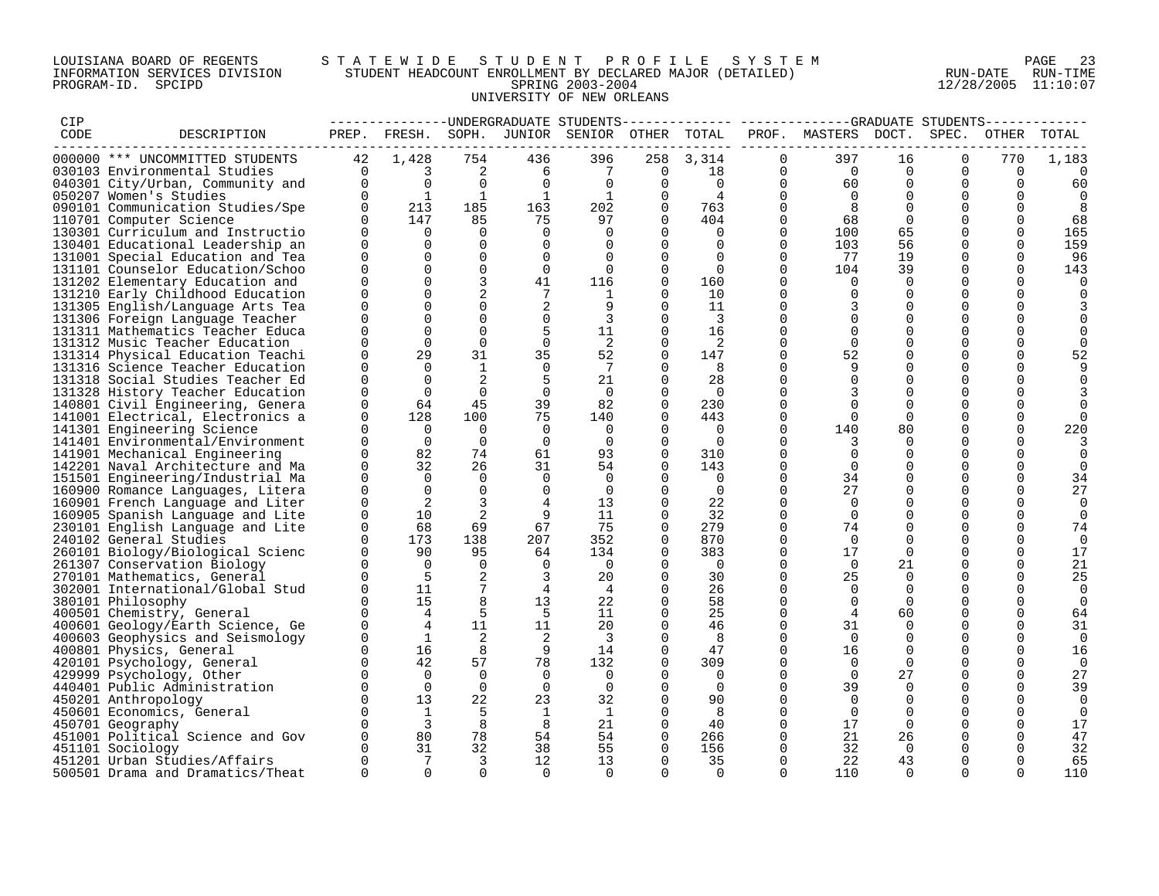## LOUISIANA BOARD OF REGENTS S T A T E W I D E S T U D E N T P R O F I L E S Y S T E M PAGE 23 INFORMATION SERVICES DIVISION STUDENT HEADCOUNT ENROLLMENT BY DECLARED MAJOR (DETAILED) RUN-DATE RUN-TIME PROGRAM-ID. SPCIPD SPRING 2003-2004 12/28/2005 11:10:07 UNIVERSITY OF NEW ORLEANS

| CIP  |                                  |             |                              |              |                |                                        |             |                |             | -------------UNDERGRADUATE STUDENTS------------- ------------GRADUATE STUDENTS-------- |                |             |          |          |
|------|----------------------------------|-------------|------------------------------|--------------|----------------|----------------------------------------|-------------|----------------|-------------|----------------------------------------------------------------------------------------|----------------|-------------|----------|----------|
| CODE | DESCRIPTION                      | PREP.       |                              |              |                | FRESH. SOPH. JUNIOR SENIOR OTHER TOTAL |             |                |             | PROF. MASTERS DOCT.                                                                    |                | SPEC.       | OTHER    | TOTAL    |
|      | 000000 *** UNCOMMITTED STUDENTS  | 42          | 1,428                        | 754          | 436            | 396                                    | 258         | 3,314          | $\Omega$    | 397                                                                                    | 16             | $\Omega$    | 770      | 1,183    |
|      | 030103 Environmental Studies     | $\Omega$    | 3                            | 2            | 6              | 7                                      | 0           | 18             | 0           | $\overline{0}$                                                                         | 0              | 0           | 0        | $\Omega$ |
|      | 040301 City/Urban, Community and | $\mathbf 0$ | $\overline{0}$               | $\Omega$     | 0              | $\overline{0}$                         | 0           | $\Omega$       | 0           | 60                                                                                     | $\Omega$       | 0           | $\Omega$ | 60       |
|      | 050207 Women's Studies           | $\Omega$    | $\mathbf{1}$                 | 1            | $\mathbf{1}$   | 1                                      | $\Omega$    | 4              | $\Omega$    | $\Omega$                                                                               | $\Omega$       | $\Omega$    | $\Omega$ | $\Omega$ |
|      | 090101 Communication Studies/Spe | $\Omega$    | 213                          | 185          | 163            | 202                                    | $\Omega$    | 763            | $\Omega$    | - 8                                                                                    | $\Omega$       | $\Omega$    | $\Omega$ | 8        |
|      | 110701 Computer Science          | $\Omega$    | 147                          | 85           | 75             | 97                                     | $\Omega$    | 404            | $\mathbf 0$ | 68                                                                                     | $\overline{0}$ | $\mathbf 0$ | $\Omega$ | 68       |
|      | 130301 Curriculum and Instructio | $\Omega$    | $\Omega$                     | $\Omega$     | $\Omega$       | $\Omega$                               |             | $\Omega$       | $\Omega$    | 100                                                                                    | 65             |             |          | 165      |
|      | 130401 Educational Leadership an | $\Omega$    | $\Omega$                     | $\Omega$     | $\Omega$       | $\Omega$                               | $\Omega$    | $\Omega$       | $\Omega$    | 103                                                                                    | 56             | $\Omega$    | $\Omega$ | 159      |
|      | 131001 Special Education and Tea | $\Omega$    | $\Omega$                     | $\Omega$     | $\Omega$       | $\Omega$                               | $\Omega$    | $\Omega$       | $\Omega$    | 77                                                                                     | 19             | $\Omega$    | $\Omega$ | 96       |
|      | 131101 Counselor Education/Schoo | $\Omega$    | $\Omega$                     | $\mathbf 0$  | $\mathbf 0$    | $\Omega$                               | $\mathbf 0$ | $\overline{0}$ | 0           | 104                                                                                    | 39             | 0           | 0        | 143      |
|      | 131202 Elementary Education and  | $\Omega$    |                              | 3            | 41             | 116                                    | $\mathbf 0$ | 160            | $\Omega$    | $\Omega$                                                                               | $\Omega$       | $\mathbf 0$ | $\Omega$ | $\Omega$ |
|      | 131210 Early Childhood Education | $\Omega$    | $\Omega$                     |              |                | -1                                     | $\mathbf 0$ | 10             | $\Omega$    | $\Omega$                                                                               |                | 0           | $\Omega$ |          |
|      | 131305 English/Language Arts Tea | $\Omega$    | $\Omega$                     | $\Omega$     | 2              |                                        | $\Omega$    | 11             | $\Omega$    |                                                                                        | $\Omega$       | $\Omega$    |          |          |
|      | 131306 Foreign Language Teacher  | $\Omega$    | $\Omega$                     | $\Omega$     | $\mathbf 0$    | 3                                      | $\Omega$    | 3              | $\Omega$    | $\Omega$                                                                               | $\Omega$       | $\mathbf 0$ |          |          |
|      | 131311 Mathematics Teacher Educa | $\Omega$    | $\Omega$                     | $\Omega$     | 5              | 11                                     | $\mathbf 0$ | 16             | $\Omega$    |                                                                                        | $\Omega$       | 0           |          |          |
|      | 131312 Music Teacher Education   | $\Omega$    | $\Omega$                     | $\Omega$     | $\mathbf 0$    | 2                                      | $\Omega$    | 2              | $\Omega$    | $\Omega$                                                                               | $\Omega$       | $\mathbf 0$ |          |          |
|      | 131314 Physical Education Teachi | $\Omega$    | 29                           | 31           | 35             | 52                                     | $\Omega$    | 147            | $\Omega$    | 52                                                                                     | $\Omega$       | $\Omega$    | $\Omega$ | 52       |
|      | 131316 Science Teacher Education | $\Omega$    | $\Omega$                     | $\mathbf{1}$ | $\mathbf 0$    | 7                                      | $\Omega$    | 8              | $\Omega$    |                                                                                        | 0              | $\mathbf 0$ | ∩        |          |
|      | 131318 Social Studies Teacher Ed | $\Omega$    | $\Omega$                     | 2            | 5              | 21                                     | 0           | 28             | 0           | $\Omega$                                                                               | $\Omega$       | $\Omega$    |          |          |
|      | 131328 History Teacher Education | $\Omega$    | $\Omega$                     | $\Omega$     | $\mathbf 0$    | $\Omega$                               | 0           | $\Omega$       | $\Omega$    |                                                                                        |                | 0           |          |          |
|      | 140801 Civil Engineering, Genera | $\Omega$    | 64                           | 45           | 39             | 82                                     | $\Omega$    | 230            | $\Omega$    |                                                                                        | $\Omega$       | $\Omega$    |          |          |
|      | 141001 Electrical, Electronics a | $\Omega$    | 128                          | 100          | 75             | 140                                    | $\Omega$    | 443            | $\Omega$    | $\Omega$                                                                               | $\Omega$       | $\Omega$    | $\Omega$ |          |
|      | 141301 Engineering Science       | $\Omega$    | 0                            | $\Omega$     | 0              | 0                                      | $\Omega$    | 0              | 0           | 140                                                                                    | 80             | 0           | $\Omega$ | 220      |
|      | 141401 Environmental/Environment | $\Omega$    | $\mathbf 0$                  | $\Omega$     | $\mathbf 0$    | $\Omega$                               | 0           | 0              | $\Omega$    | 3                                                                                      | $\Omega$       | $\mathbf 0$ | $\Omega$ |          |
|      | 141901 Mechanical Engineering    | $\Omega$    | 82                           | 74           | 61             | 93                                     | 0           | 310            | $\Omega$    |                                                                                        | $\Omega$       | $\Omega$    | ∩        |          |
|      | 142201 Naval Architecture and Ma | $\Omega$    | 32                           | 26           | 31             | 54                                     | $\Omega$    | 143            | $\Omega$    |                                                                                        |                | $\Omega$    |          |          |
|      | 151501 Engineering/Industrial Ma | 0           | $\Omega$                     | $\Omega$     | $\mathbf 0$    | 0                                      | $\Omega$    | 0              | $\Omega$    | 34                                                                                     | $\Omega$       | 0           | $\Omega$ | 34       |
|      | 160900 Romance Languages, Litera | $\mathbf 0$ | $\Omega$                     | $\Omega$     | $\mathbf 0$    | $\overline{0}$                         | 0           | $\overline{0}$ | $\Omega$    | 27                                                                                     | 0              | 0           | $\Omega$ | 27       |
|      | 160901 French Language and Liter | $\Omega$    | 2                            | 3            | $\overline{4}$ | 13                                     | $\Omega$    | 22             | $\Omega$    | $\Omega$                                                                               | $\Omega$       | $\Omega$    | $\Omega$ | $\Omega$ |
|      | 160905 Spanish Language and Lite | $\Omega$    | 10                           | 2            | 9              | 11                                     | $\Omega$    | 32             | $\Omega$    | $\Omega$                                                                               | $\Omega$       | $\Omega$    | ∩        | $\Omega$ |
|      | 230101 English Language and Lite | $\Omega$    | 68                           | 69           | 67             | 75                                     | $\Omega$    | 279            | $\Omega$    | 74                                                                                     | $\Omega$       | $\Omega$    | $\Omega$ | 74       |
|      | 240102 General Studies           | $\Omega$    | 173                          | 138          | 207            | 352                                    | $\Omega$    | 870            | 0           | $\Omega$                                                                               | $\Omega$       | $\Omega$    | $\Omega$ | $\Omega$ |
|      | 260101 Biology/Biological Scienc | $\Omega$    | 90                           | 95           | 64             | 134                                    | $\Omega$    | 383            | 0           | 17                                                                                     | $\Omega$       | 0           | $\Omega$ | 17       |
|      | 261307 Conservation Biology      | $\Omega$    | $\Omega$                     | $\Omega$     | $\overline{0}$ | $\Omega$                               | $\Omega$    | $\Omega$       | $\Omega$    | $\Omega$                                                                               | 21             | $\Omega$    | $\Omega$ | 21       |
|      | 270101 Mathematics, General      | $\Omega$    | 5                            | 2            | 3              | 20                                     | $\mathbf 0$ | 30             | $\Omega$    | 25                                                                                     | $\Omega$       | $\Omega$    | $\Omega$ | 25       |
|      | 302001 International/Global Stud | $\Omega$    | 11                           | 7            | $\overline{4}$ | 4                                      | $\Omega$    | 26             | $\Omega$    | $\Omega$                                                                               | $\Omega$       | $\Omega$    | $\Omega$ | 0        |
|      | 380101 Philosophy                | $\Omega$    | 15                           |              | 13             | 22                                     |             | 58             | $\Omega$    |                                                                                        | $\Omega$       | $\Omega$    | $\Omega$ | $\Omega$ |
|      | 400501 Chemistry, General        | $\Omega$    | $\overline{4}$               | 5            | 5              | 11                                     | $\Omega$    | 25             | $\Omega$    |                                                                                        | 60             | $\Omega$    | $\Omega$ | 64       |
|      | 400601 Geology/Earth Science, Ge | $\Omega$    | 4                            | 11           | 11             | 20                                     | $\Omega$    | 46             | $\Omega$    | 31                                                                                     | $\Omega$       | $\Omega$    | $\Omega$ | 31       |
|      | 400603 Geophysics and Seismology | 0           | 1                            | 2            | 2              | -3                                     | $\Omega$    | 8              | $\Omega$    | $\Omega$                                                                               | $\Omega$       | $\Omega$    | $\Omega$ | 0        |
|      | 400801 Physics, General          | $\Omega$    | 16                           | 8            | 9              | 14                                     | 0           | 47             | 0           | 16                                                                                     | $\Omega$       | $\Omega$    | $\Omega$ | 16       |
|      | 420101 Psychology, General       | $\Omega$    | 42                           | 57           | 78             | 132                                    | $\Omega$    | 309            | $\Omega$    | $\Omega$                                                                               | $\Omega$       | $\Omega$    | $\Omega$ | $\Omega$ |
|      | 429999 Psychology, Other         | $\Omega$    | $\overline{0}$               | $\mathbf 0$  | $\mathbf 0$    | $\overline{0}$                         | 0           | $\mathbf 0$    | 0           | $\Omega$                                                                               | 27             | $\mathbf 0$ | 0        | 27       |
|      | 440401 Public Administration     | $\Omega$    | $\overline{0}$               | $\Omega$     | $\Omega$       | $\Omega$                               | $\Omega$    | $\Omega$       | $\Omega$    | 39                                                                                     | $\Omega$       | $\Omega$    | $\Omega$ | 39       |
|      | 450201 Anthropology              | $\Omega$    | 13                           | 22           | 23             | 32                                     | $\Omega$    | 90             | $\Omega$    | $\Omega$                                                                               | $\Omega$       | $\Omega$    |          | 0        |
|      | 450601 Economics, General        |             | <sup>1</sup>                 | 5            | <sup>1</sup>   | - 1                                    | 0           | 8              | $\Omega$    | $\Omega$                                                                               | $\Omega$       | $\Omega$    |          | $\Omega$ |
|      | 450701 Geography                 |             | 3                            | 8            | 8              | 21                                     | $\Omega$    | 40             | $\Omega$    | 17                                                                                     | $\Omega$       | $\Omega$    | $\Omega$ | 17       |
|      | 451001 Political Science and Gov |             | 80                           | 78           | 54             | 54                                     | 0           | 266            | $\Omega$    | 21                                                                                     | 26             |             | 0        | 47       |
|      | 451101 Sociology                 |             | 31                           | 32           | 38             | 55                                     | $\Omega$    | 156            | $\Omega$    | 32                                                                                     | $\Omega$       | 0           |          | 32       |
|      | 451201 Urban Studies/Affairs     | $\Omega$    | $7\phantom{.0}\phantom{.0}7$ | 3            | 12             | 13                                     | $\Omega$    | 35             | $\Omega$    | 22                                                                                     | 43             | $\Omega$    |          | 65       |
|      | 500501 Drama and Dramatics/Theat | $\Omega$    | $\Omega$                     | $\Omega$     | $\Omega$       | $\Omega$                               | $\Omega$    | $\Omega$       | $\Omega$    | 110                                                                                    | $\Omega$       | $\Omega$    | $\Omega$ | 110      |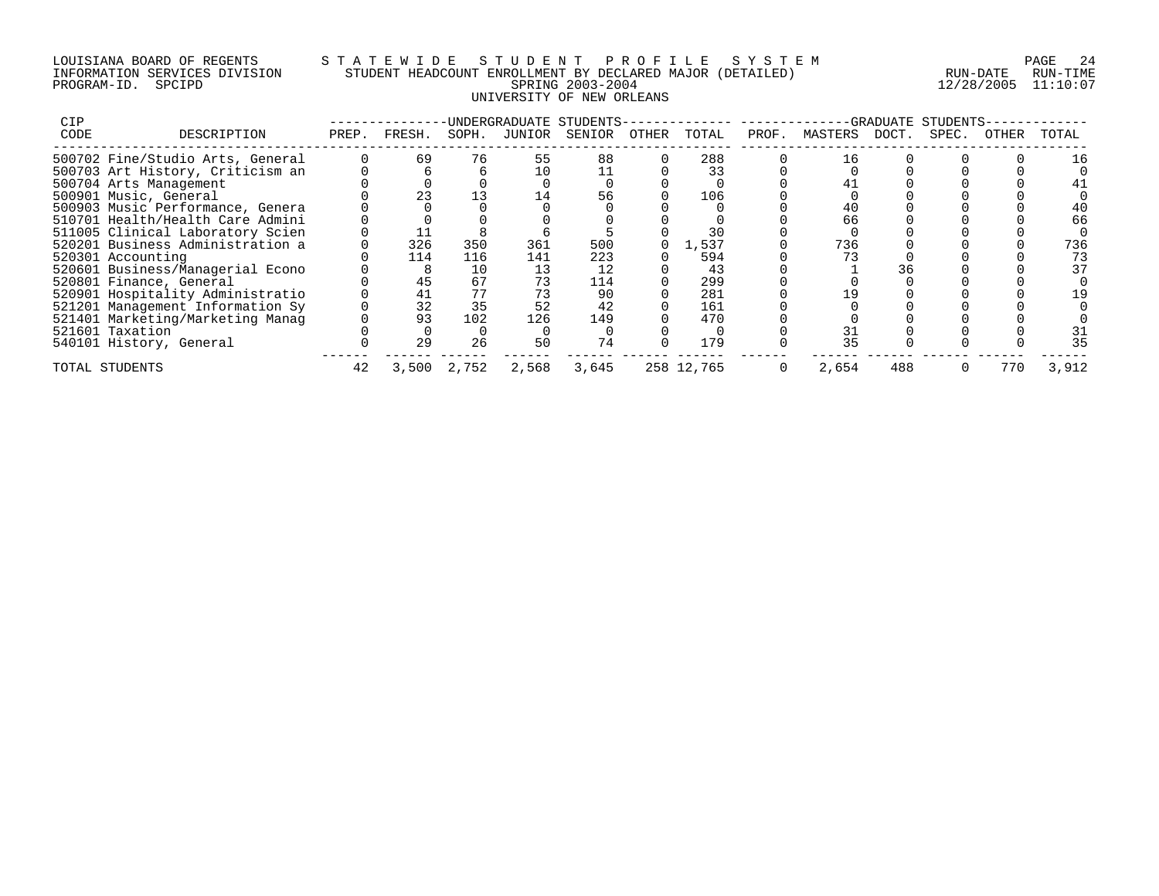## LOUISIANA BOARD OF REGENTS S T A T E W I D E S T U D E N T P R O F I L E S Y S T E M PAGE 24 INFORMATION SERVICES DIVISION STUDENT HEADCOUNT ENROLLMENT BY DECLARED MAJOR (DETAILED) RUN-DATE RUN-TIME PROGRAM-ID. SPCIPD SPRING 2003-2004 12/28/2005 11:10:07 UNIVERSITY OF NEW ORLEANS

| <b>CIP</b> |                                  |       |        |       |        | UNDERGRADUATE STUDENTS- |       |            |       |         | GRADUATE | STUDENTS |       |       |
|------------|----------------------------------|-------|--------|-------|--------|-------------------------|-------|------------|-------|---------|----------|----------|-------|-------|
| CODE       | DESCRIPTION                      | PREP. | FRESH. | SOPH. | JUNIOR | SENIOR                  | OTHER | TOTAL      | PROF. | MASTERS | DOCT.    | SPEC.    | OTHER | TOTAL |
|            | 500702 Fine/Studio Arts, General |       | 69     | 76    | 55     | 88                      |       | 288        |       | 16      |          |          |       |       |
|            | 500703 Art History, Criticism an |       |        |       |        |                         |       | 33         |       |         |          |          |       |       |
|            | 500704 Arts Management           |       |        |       |        |                         |       |            |       |         |          |          |       |       |
|            | 500901 Music, General            |       | 23     |       |        | 56                      |       | 106        |       |         |          |          |       |       |
|            | 500903 Music Performance, Genera |       |        |       |        |                         |       |            |       |         |          |          |       |       |
|            | 510701 Health/Health Care Admini |       |        |       |        |                         |       |            |       | 66      |          |          |       | 66    |
|            | 511005 Clinical Laboratory Scien |       |        |       |        |                         |       | 30         |       |         |          |          |       |       |
|            | 520201 Business Administration a |       | 326    | 350   | 361    | 500                     |       | L,537      |       | 736     |          |          |       | 736   |
|            | 520301 Accounting                |       | 114    | 116   | 141    | 223                     |       | 594        |       |         |          |          |       | 73    |
|            | 520601 Business/Managerial Econo |       | 8      | 10    | 13     | 12                      |       | 43         |       |         | 36       |          |       | 37    |
|            | 520801 Finance, General          |       | 45     | 67    | 73     | 114                     |       | 299        |       |         |          |          |       |       |
|            | 520901 Hospitality Administratio |       | 41     |       |        | 90                      |       | 281        |       |         |          |          |       |       |
|            | 521201 Management Information Sy |       | 32     | 35    | 52     | 42                      |       | 161        |       |         |          |          |       |       |
|            | 521401 Marketing/Marketing Manag |       | 93     | 102   | 126    | 149                     |       | 470        |       |         |          |          |       |       |
|            | 521601 Taxation                  |       |        |       |        |                         |       |            |       |         |          |          |       | 31    |
|            | 540101 History, General          |       | 29     | 26    | 50     | 74                      |       | 179        |       | 35      |          |          |       | 35    |
|            | TOTAL STUDENTS                   | 42    | 3,500  | 2,752 | 2,568  | 3,645                   |       | 258 12,765 |       | 2,654   | 488      |          | 770   | 3,912 |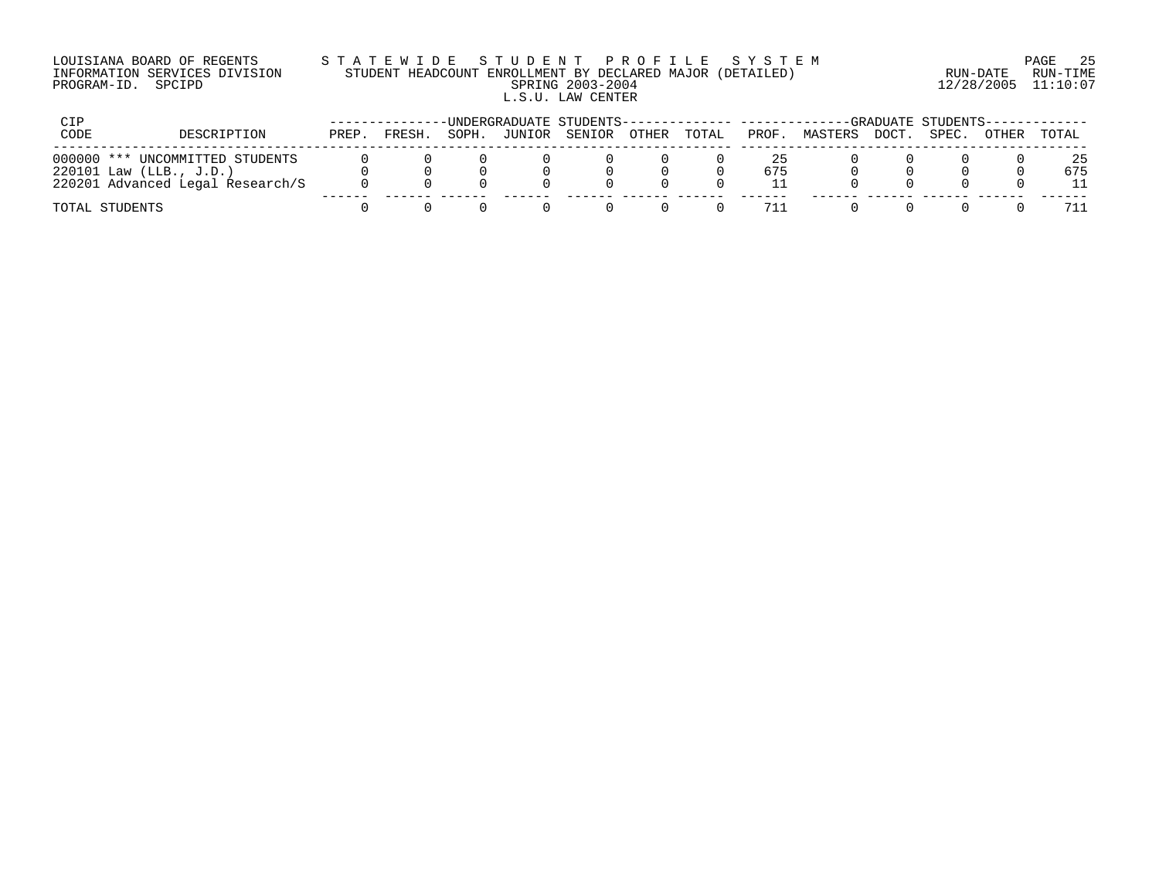| LOUISIANA BOARD OF REGENTS    | STATEWIDE STUDENT PROFILE SYSTEM                          |                     | - 25<br>PAGE |
|-------------------------------|-----------------------------------------------------------|---------------------|--------------|
| INFORMATION SERVICES DIVISION | STUDENT HEADCOUNT ENROLLMENT BY DECLARED MAJOR (DETAILED) | RUN-DATE            | RUN-TIMF     |
| PROGRAM-ID. SPCIPD            | SPRING 2003-2004                                          | 12/28/2005 11:10:07 |              |
|                               | L.S.U. LAW CENTER                                         |                     |              |

| CIP                                                                                            |       |        |       |        | -UNDERGRADUATE STUDENTS-------------- ------- |       |       |           |         |       | -GRADUATE STUDENTS-- |       |           |
|------------------------------------------------------------------------------------------------|-------|--------|-------|--------|-----------------------------------------------|-------|-------|-----------|---------|-------|----------------------|-------|-----------|
| CODE<br>DESCRIPTION                                                                            | PREP. | FRESH. | SOPH. | JUNIOR | SENIOR                                        | OTHER | TOTAL | PROF.     | MASTERS | DOCT. | SPEC.                | OTHER | TOTAL     |
| 000000 *** UNCOMMITTED STUDENTS<br>220101 Law (LLB., J.D.)<br>220201 Advanced Legal Research/S |       |        |       |        |                                               |       |       | 25<br>675 |         |       |                      |       | 25<br>675 |
| TOTAL STUDENTS                                                                                 |       |        |       |        |                                               |       |       | 711       |         |       |                      |       |           |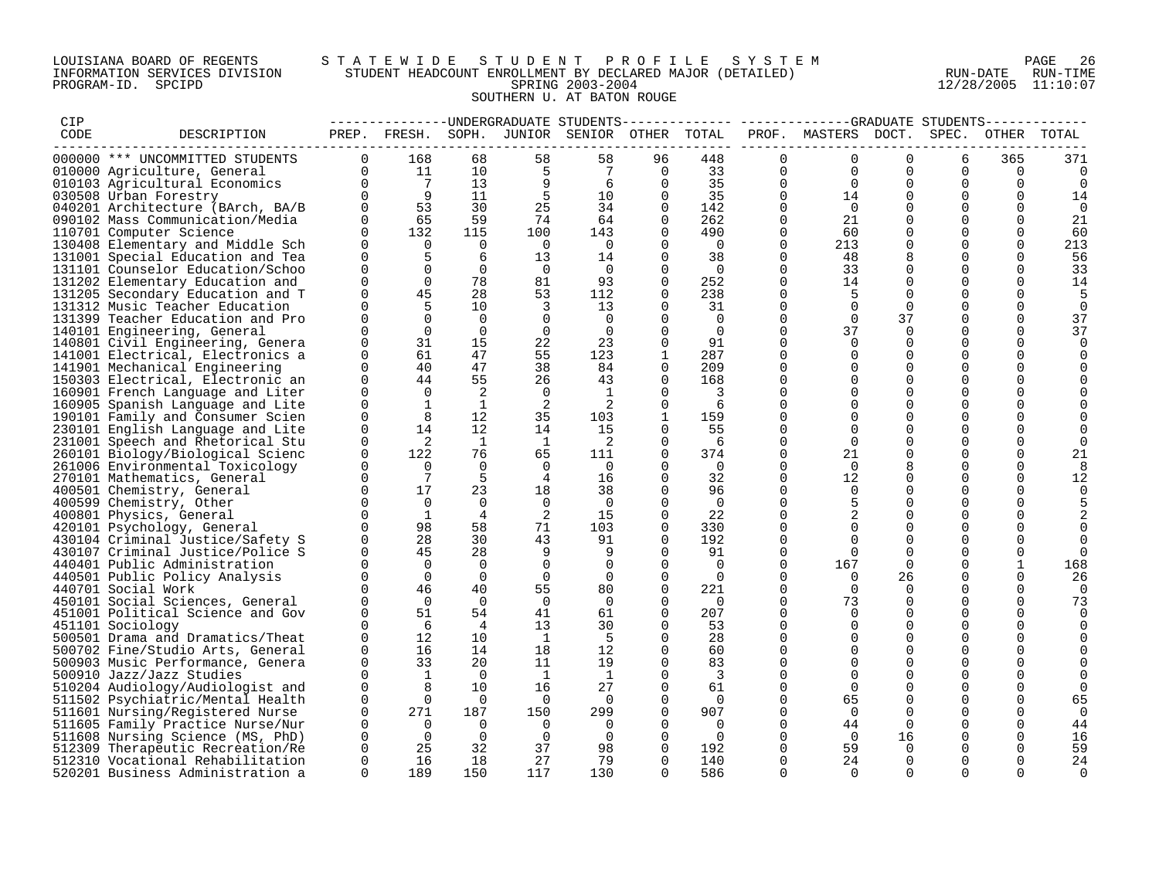## LOUISIANA BOARD OF REGENTS STATEWIDE STUDENT PROFILE SYSTEM PAGE 26 INFORMATION SERVICES DIVISION STUDENT HEADCOUNT ENROLLMENT BY DECLARED MAJOR (DETAILED) RUN-DATE RUN-DATE RUN-TIME<br>PROGRAM-ID. SPCIPD 11:10:07 PROGRAM-ID. SPCIPD SPRING 2003-2004 12/28/2005 11:10:07 SOUTHERN U. AT BATON ROUGE

| CIP  |                                  |             |                |                |                |                                              |              |                |             | --------------DNDERGRADUATE STUDENTS------------- -----------GRADUATE STUDENTS- |          |             |             |             |
|------|----------------------------------|-------------|----------------|----------------|----------------|----------------------------------------------|--------------|----------------|-------------|---------------------------------------------------------------------------------|----------|-------------|-------------|-------------|
| CODE | DESCRIPTION                      |             |                |                |                | PREP. FRESH. SOPH. JUNIOR SENIOR OTHER TOTAL |              |                |             | PROF. MASTERS DOCT. SPEC.                                                       |          |             | OTHER TOTAL |             |
|      |                                  |             |                |                |                |                                              |              |                |             |                                                                                 |          |             |             |             |
|      | 000000 *** UNCOMMITTED STUDENTS  | $\Omega$    | 168            | 68             | 58             | 58                                           | 96           | 448            | $\Omega$    | $\Omega$                                                                        | $\Omega$ | 6           | 365         | 371         |
|      | 010000 Agriculture, General      | $\Omega$    | 11             | 10             | 5              | 7                                            | 0            | 33             | 0           | 0                                                                               | $\Omega$ | 0           | 0           | 0           |
|      | 010103 Agricultural Economics    | $\Omega$    | $\overline{7}$ | 13             | 9              | 6                                            | $\Omega$     | 35             | $\Omega$    | $\Omega$                                                                        | $\Omega$ | $\Omega$    | $\Omega$    | $\Omega$    |
|      | 030508 Urban Forestry            | $\Omega$    | - 9            | 11             | 5              | 10                                           | $\Omega$     | 35             | $\Omega$    | 14                                                                              | $\Omega$ | $\Omega$    | $\Omega$    | 14          |
|      | 040201 Architecture (BArch, BA/B | $\Omega$    | 53             | 30             | 25             | 34                                           | $\Omega$     | 142            | $\Omega$    | $\Omega$                                                                        |          | $\Omega$    | $\Omega$    | $\Omega$    |
|      | 090102 Mass Communication/Media  | $\Omega$    | 65             | 59             | 74             | 64                                           | 0            | 262            | $\Omega$    | 21                                                                              | $\Omega$ | $\Omega$    | $\Omega$    | 21          |
|      | 110701 Computer Science          | $\Omega$    | 132            | 115            | 100            | 143                                          | 0            | 490            | $\Omega$    | 60                                                                              | $\Omega$ | $\Omega$    | $\Omega$    | 60          |
|      | 130408 Elementary and Middle Sch | $\Omega$    | $\Omega$       | $\Omega$       | $\overline{0}$ | $\Omega$                                     | $\Omega$     | $\overline{0}$ | $\Omega$    | 213                                                                             | $\Omega$ | $\Omega$    | $\Omega$    | 213         |
|      | 131001 Special Education and Tea | $\Omega$    | 5              | 6              | 13             | 14                                           | $\Omega$     | 38             | $\mathbf 0$ | 48                                                                              | 8        | $\Omega$    | $\Omega$    | 56          |
|      | 131101 Counselor Education/Schoo | $\Omega$    | 0              | $\overline{0}$ | $\overline{0}$ | $\Omega$                                     | 0            | $\overline{0}$ | 0           | 33                                                                              | $\Omega$ | $\Omega$    | $\Omega$    | 33          |
|      | 131202 Elementary Education and  | $\Omega$    | $\Omega$       | 78             | 81             | 93                                           | $\Omega$     | 252            | $\Omega$    | 14                                                                              | $\Omega$ | $\Omega$    | $\Omega$    | 14          |
|      | 131205 Secondary Education and T | $\Omega$    | 45             | 28             | 53             | 112                                          | $\Omega$     | 238            | $\Omega$    | 5                                                                               | $\Omega$ | $\Omega$    | $\Omega$    | 5           |
|      | 131312 Music Teacher Education   | $\Omega$    | 5              | 10             | 3              | 13                                           | 0            | 31             | 0           | $\mathbf 0$                                                                     | 0        | 0           | $\Omega$    | $\mathbf 0$ |
|      | 131399 Teacher Education and Pro |             | $\Omega$       | $\Omega$       | 0              | $\Omega$                                     |              | $\Omega$       | $\Omega$    | $\Omega$                                                                        | 37       | $\Omega$    | $\Omega$    | 37          |
|      |                                  | $\Omega$    | $\Omega$       | $\mathbf 0$    | $\overline{0}$ |                                              | $\Omega$     |                | $\Omega$    | 37                                                                              | $\Omega$ | $\Omega$    |             |             |
|      | 140101 Engineering, General      | $\Omega$    | 31             | 15             |                | 0                                            | $\Omega$     | $\overline{0}$ | $\Omega$    | $\Omega$                                                                        |          | $\Omega$    | $\Omega$    | 37          |
|      | 140801 Civil Engineering, Genera |             |                |                | 22             | 23                                           |              | 91             |             |                                                                                 | $\Omega$ |             |             |             |
|      | 141001 Electrical, Electronics a | $\Omega$    | 61             | 47             | 55             | 123                                          | $\mathbf{1}$ | 287            | 0           | $\mathbf 0$                                                                     | $\Omega$ | $\mathbf 0$ | $\Omega$    | $\Omega$    |
|      | 141901 Mechanical Engineering    | $\Omega$    | 40             | 47             | 38             | 84                                           | $\Omega$     | 209            | $\Omega$    | $\Omega$                                                                        | $\Omega$ | $\Omega$    |             |             |
|      | 150303 Electrical, Electronic an | $\Omega$    | 44             | 55             | 26             | 43                                           | 0            | 168            | $\Omega$    | $\Omega$                                                                        | $\Omega$ | $\Omega$    | O           |             |
|      | 160901 French Language and Liter | $\Omega$    | $\Omega$       | 2              | $\Omega$       | 1                                            | 0            | 3              | $\Omega$    | $\Omega$                                                                        | $\Omega$ | $\Omega$    | $\Omega$    |             |
|      | 160905 Spanish Language and Lite | $\Omega$    | $\mathbf{1}$   | 1              | 2              | 2                                            | $\Omega$     | 6              | $\Omega$    | $\Omega$                                                                        | $\Omega$ | $\mathbf 0$ | $\Omega$    |             |
|      | 190101 Family and Consumer Scien | $\Omega$    | 8              | 12             | 35             | 103                                          |              | 159            | $\Omega$    | 0                                                                               | $\Omega$ | $\Omega$    |             |             |
|      | 230101 English Language and Lite | $\mathbf 0$ | 14             | 12             | 14             | 15                                           |              | 55             | 0           | $\Omega$                                                                        | $\Omega$ | $\Omega$    | $\Omega$    |             |
|      | 231001 Speech and Rhetorical Stu | $\Omega$    | 2              | 1              | $\mathbf{1}$   | 2                                            | $\Omega$     | - 6            | $\Omega$    | $\Omega$                                                                        | $\Omega$ | $\Omega$    | $\cap$      |             |
|      | 260101 Biology/Biological Scienc | $\Omega$    | 122            | 76             | 65             | 111                                          | $\Omega$     | 374            | $\mathbf 0$ | 21                                                                              | $\Omega$ | $\Omega$    | $\Omega$    | 21          |
|      | 261006 Environmental Toxicology  | $\Omega$    | $\mathbf 0$    | $\overline{0}$ | $\overline{0}$ | $\overline{0}$                               | 0            | $\overline{0}$ | $\Omega$    | $\Omega$                                                                        | 8        | $\Omega$    | $\Omega$    |             |
|      | 270101 Mathematics, General      | $\Omega$    | 7              | 5              | $\overline{4}$ | 16                                           | 0            | 32             | $\Omega$    | 12                                                                              | $\Omega$ | $\Omega$    | $\Omega$    | 12          |
|      | 400501 Chemistry, General        | $\Omega$    | 17             | 23             | 18             | 38                                           | 0            | 96             | $\Omega$    | $\Omega$                                                                        | $\Omega$ | $\Omega$    |             |             |
|      | 400599 Chemistry, Other          | $\Omega$    | $\Omega$       | $\Omega$       | $\Omega$       | $\Omega$                                     | 0            | $\overline{0}$ | $\Omega$    |                                                                                 | $\Omega$ | $\Omega$    |             |             |
|      | 400801 Physics, General          | $\Omega$    | <sup>1</sup>   | 4              | 2              | 15                                           | $\Omega$     | 22             | $\Omega$    | 2                                                                               | $\Omega$ | $\Omega$    |             |             |
|      | 420101 Psychology, General       |             | 98             | 58             | 71             | 103                                          | 0            | 330            | $\Omega$    | $\Omega$                                                                        | $\Omega$ | $\Omega$    |             |             |
|      | 430104 Criminal Justice/Safety S |             | 28             | 30             | 43             | 91                                           | 0            | 192            | $\Omega$    | $\Omega$                                                                        | $\Omega$ | $\Omega$    |             | $\Omega$    |
|      | 430107 Criminal Justice/Police S |             | 45             | 28             | 9              | 9                                            | 0            | 91             | $\Omega$    | $\Omega$                                                                        | $\Omega$ | $\Omega$    |             | $\Omega$    |
|      | 440401 Public Administration     |             | $\Omega$       | $\Omega$       | $\overline{0}$ | $\Omega$                                     | $\Omega$     | $\Omega$       | $\Omega$    | 167                                                                             | $\Omega$ | $\Omega$    | 1           | 168         |
|      | 440501 Public Policy Analysis    | $\Omega$    | $\Omega$       | $\Omega$       | $\overline{0}$ | $\Omega$                                     | $\Omega$     | $\Omega$       | $\Omega$    | $\Omega$                                                                        | 26       | $\Omega$    | $\Omega$    | 26          |
|      | 440701 Social Work               | $\Omega$    | 46             | 40             | 55             | 80                                           | 0            | 221            | $\mathbf 0$ | $\Omega$                                                                        | $\Omega$ | $\Omega$    | $\Omega$    | $\Omega$    |
|      | 450101 Social Sciences, General  |             | $\Omega$       | $\Omega$       | $\Omega$       | $\Omega$                                     | 0            | $\overline{0}$ | $\Omega$    | 73                                                                              | $\Omega$ | $\Omega$    | $\Omega$    | 73          |
|      | 451001 Political Science and Gov | $\Omega$    | 51             | 54             | 41             | 61                                           | 0            | 207            | $\Omega$    | $\Omega$                                                                        | $\Omega$ | $\Omega$    | $\Omega$    | $\Omega$    |
|      | 451101 Sociology                 | $\Omega$    | 6              | $\overline{4}$ | 13             | 30                                           | 0            | 53             | $\Omega$    | $\Omega$                                                                        | $\Omega$ | $\Omega$    | $\Omega$    |             |
|      | 500501 Drama and Dramatics/Theat | $\Omega$    | 12             | 10             | $\overline{1}$ | - 5                                          | 0            | 28             | $\Omega$    | $\Omega$                                                                        | $\Omega$ | $\mathbf 0$ | $\Omega$    |             |
|      | 500702 Fine/Studio Arts, General | $\Omega$    | 16             | 14             | 18             | 12                                           | 0            | 60             | $\Omega$    | $\Omega$                                                                        | $\Omega$ | $\Omega$    |             |             |
|      | 500903 Music Performance, Genera | $\Omega$    | 33             | 20             | 11             | 19                                           | $\Omega$     | 83             | $\Omega$    | $\Omega$                                                                        | $\Omega$ | $\Omega$    |             |             |
|      | 500910 Jazz/Jazz Studies         | $\Omega$    | 1              | $\overline{0}$ | $\overline{1}$ | $\overline{1}$                               | 0            | 3              | $\Omega$    | $\Omega$                                                                        | $\Omega$ | $\Omega$    |             |             |
|      | 510204 Audiology/Audiologist and | $\mathbf 0$ |                | 10             | 16             | 27                                           | $\Omega$     | 61             | $\Omega$    | $\Omega$                                                                        | $\Omega$ | $\Omega$    | $\Omega$    |             |
|      | 511502 Psychiatric/Mental Health | $\Omega$    | $\mathbf 0$    | $\overline{0}$ | $\overline{0}$ | $\Omega$                                     |              | $\Omega$       | $\Omega$    | 65                                                                              | $\Omega$ | $\Omega$    | $\Omega$    | 65          |
|      |                                  | $\Omega$    | 271            | 187            | 150            | 299                                          | 0            | 907            | $\Omega$    | $\Omega$                                                                        | $\Omega$ | $\Omega$    | $\Omega$    | $\Omega$    |
|      | 511601 Nursing/Registered Nurse  | $\Omega$    | $\Omega$       | $\Omega$       | $\Omega$       |                                              | $\Omega$     |                | $\Omega$    |                                                                                 | $\Omega$ | $\Omega$    | $\Omega$    |             |
|      | 511605 Family Practice Nurse/Nur | 0           | $\overline{0}$ | $\overline{0}$ |                | $\Omega$                                     | $\Omega$     | $\Omega$       | $\Omega$    | 44<br>$\overline{0}$                                                            |          | $\Omega$    |             | 44          |
|      | 511608 Nursing Science (MS, PhD) |             |                |                | $\mathbf 0$    | 0                                            |              | $\overline{0}$ |             |                                                                                 | 16       |             |             | 16          |
|      | 512309 Therapeutic Recreation/Re | 0           | 25             | 32             | 37             | 98                                           | 0            | 192            | 0           | 59                                                                              | $\Omega$ | O           | $\Omega$    | 59          |
|      | 512310 Vocational Rehabilitation | $\Omega$    | 16             | 18             | 27             | 79                                           | 0            | 140            | 0           | 24                                                                              | $\Omega$ | $\Omega$    | $\Omega$    | 24          |
|      | 520201 Business Administration a | $\Omega$    | 189            | 150            | 117            | 130                                          | 0            | 586            | $\Omega$    | $\Omega$                                                                        | $\Omega$ | $\Omega$    | $\Omega$    | $\Omega$    |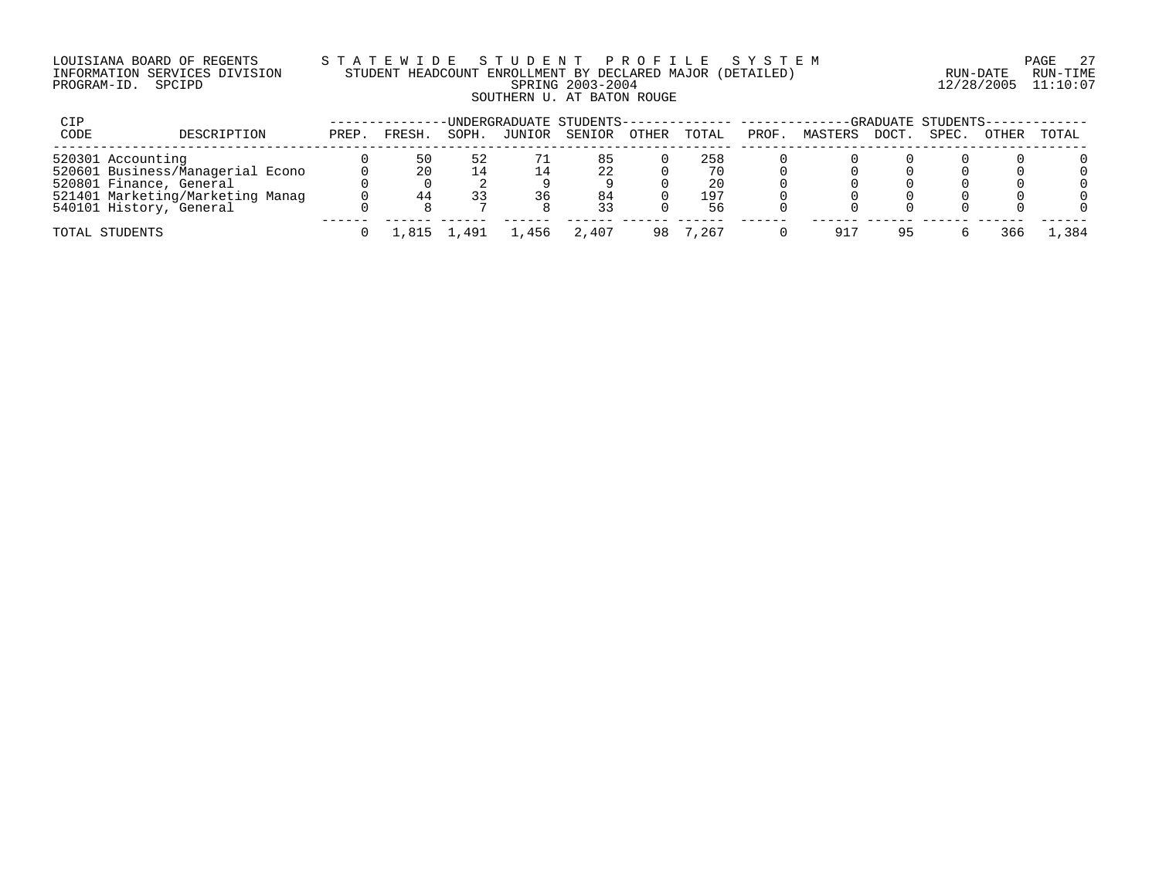## LOUISIANA BOARD OF REGENTS S T A T E W I D E S T U D E N T P R O F I L E S Y S T E M PAGE 27 INFORMATION SERVICES DIVISION STUDENT HEADCOUNT ENROLLMENT BY DECLARED MAJOR (DETAILED) RUN-DATE RUN-TIME PROGRAM-ID. SPCIPD SPRING 2003-2004 12/28/2005 11:10:07 SOUTHERN U. AT BATON ROUGE

| CIP  |                                  |       | -UNDERGRADUATE STUDENTS-------------- --------- |       |        | -GRADUATE STUDENTS-- |       |       |       |         |       |       |       |         |
|------|----------------------------------|-------|-------------------------------------------------|-------|--------|----------------------|-------|-------|-------|---------|-------|-------|-------|---------|
| CODE | DESCRIPTION                      | PREP. | FRESH.                                          | SOPH. | JUNIOR | SENIOR               | OTHER | TOTAL | PROF. | MASTERS | DOCT. | SPEC. | OTHER | TOTAL   |
|      | 520301 Accounting                |       | 50                                              | 52    |        | 85                   |       | 258   |       |         |       |       |       |         |
|      | 520601 Business/Managerial Econo |       | 20                                              |       |        | 22                   |       | 70    |       |         |       |       |       |         |
|      | 520801 Finance, General          |       |                                                 |       |        |                      |       | 20    |       |         |       |       |       |         |
|      | 521401 Marketing/Marketing Manag |       | 44                                              |       | 36     | 84                   |       | 197   |       |         |       |       |       |         |
|      | 540101 History, General          |       |                                                 |       |        |                      |       | 56    |       |         |       |       |       |         |
|      | TOTAL STUDENTS                   |       |                                                 | .491  | . 456  | 2.407                |       | .267  |       | 917     | 95    |       | 366   | . . 384 |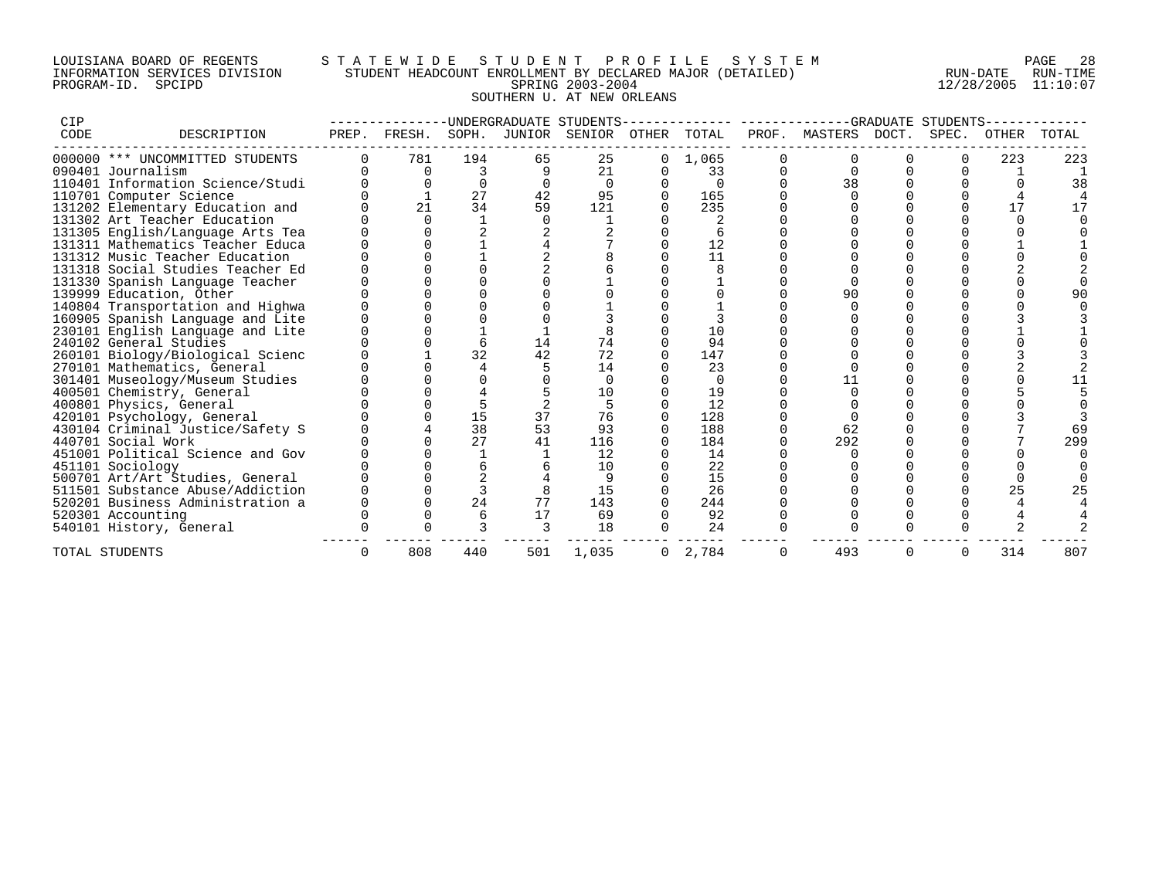## LOUISIANA BOARD OF REGENTS S T A T E W I D E S T U D E N T P R O F I L E S Y S T E M PAGE 28 INFORMATION SERVICES DIVISION STUDENT HEADCOUNT ENROLLMENT BY DECLARED MAJOR (DETAILED) RUN-DATE RUN-TIME PROGRAM-ID. SPCIPD SPRING 2003-2004 12/28/2005 11:10:07 SOUTHERN U. AT NEW ORLEANS

| CIP  |                                  |       |          |       |        | UNDERGRADUATE STUDENTS |       |          |       | GRADUATE STUDENTS |       |       |       |       |
|------|----------------------------------|-------|----------|-------|--------|------------------------|-------|----------|-------|-------------------|-------|-------|-------|-------|
| CODE | DESCRIPTION                      | PREP. | FRESH.   | SOPH. | JUNIOR | SENIOR                 | OTHER | TOTAL    | PROF. | MASTERS           | DOCT. | SPEC. | OTHER | TOTAL |
|      | 000000 *** UNCOMMITTED STUDENTS  |       | 781      | 194   | 65     | 25                     | 0     | 1,065    |       |                   |       |       | 223   | 223   |
|      | 090401 Journalism                |       | $\Omega$ |       |        | 21                     |       | 33       |       |                   |       |       |       |       |
|      | 110401 Information Science/Studi |       |          |       |        |                        |       | $\Omega$ |       | 38                |       |       |       | 38    |
|      | 110701 Computer Science          |       |          | 27    | 42     | 95                     |       | 165      |       |                   |       |       |       |       |
|      | 131202 Elementary Education and  |       | 21       | 34    | 59     | 121                    |       | 235      |       |                   |       |       | 17    |       |
|      | 131302 Art Teacher Education     |       |          |       |        |                        |       |          |       |                   |       |       |       |       |
|      | 131305 English/Language Arts Tea |       |          |       |        |                        |       |          |       |                   |       |       |       |       |
|      | 131311 Mathematics Teacher Educa |       |          |       |        |                        |       | 12       |       |                   |       |       |       |       |
|      | 131312 Music Teacher Education   |       |          |       |        |                        |       | 11       |       |                   |       |       |       |       |
|      | 131318 Social Studies Teacher Ed |       |          |       |        |                        |       |          |       |                   |       |       |       |       |
|      | 131330 Spanish Language Teacher  |       |          |       |        |                        |       |          |       |                   |       |       |       |       |
|      | 139999 Education, Other          |       |          |       |        |                        |       |          |       | 90                |       |       |       |       |
|      | 140804 Transportation and Highwa |       |          |       |        |                        |       |          |       |                   |       |       |       |       |
|      | 160905 Spanish Language and Lite |       |          |       |        |                        |       |          |       |                   |       |       |       |       |
|      | 230101 English Language and Lite |       |          |       |        |                        |       | 10       |       |                   |       |       |       |       |
|      | 240102 General Studies           |       |          |       | 14     | 74                     |       | 94       |       |                   |       |       |       |       |
|      | 260101 Biology/Biological Scienc |       |          | 32    | 42     | 72                     |       | 147      |       |                   |       |       |       |       |
|      | 270101 Mathematics, General      |       |          |       |        | 14                     |       | 23       |       |                   |       |       |       |       |
|      | 301401 Museology/Museum Studies  |       |          |       |        | $\Omega$               |       | $\Omega$ |       | 11                |       |       |       |       |
|      | 400501 Chemistry, General        |       |          |       |        | 10                     |       | 19       |       |                   |       |       |       |       |
|      | 400801 Physics, General          |       |          |       |        |                        |       | 12       |       |                   |       |       |       |       |
|      | 420101 Psychology, General       |       |          | 15    | 37     | 76                     |       | 128      |       |                   |       |       |       |       |
|      | 430104 Criminal Justice/Safety S |       |          | 38    | 53     | 93                     |       | 188      |       | 62                |       |       |       | 69    |
|      | 440701 Social Work               |       |          | 27    | 41     | 116                    |       | 184      |       | 292               |       |       |       | 299   |
|      | 451001 Political Science and Gov |       |          |       |        | 12                     |       | 14       |       |                   |       |       |       |       |
|      | 451101 Sociology                 |       |          |       |        | 10                     |       | 22       |       |                   |       |       |       |       |
|      | 500701 Art/Art Studies, General  |       |          |       |        |                        |       | 15       |       |                   |       |       |       |       |
|      | 511501 Substance Abuse/Addiction |       |          |       |        | 15                     |       | 26       |       |                   |       |       | 25    |       |
|      | 520201 Business Administration a |       |          | 24    | 77     | 143                    |       | 244      |       |                   |       |       |       |       |
|      | 520301 Accounting                |       |          |       | 17     | 69                     |       | 92       |       |                   |       |       |       |       |
|      | 540101 History, General          |       |          |       |        | 18                     |       | 24       |       |                   |       |       |       |       |
|      | TOTAL STUDENTS                   |       | 808      | 440   | 501    | 1,035                  | 0     | 2,784    |       | 493               |       |       | 314   | 807   |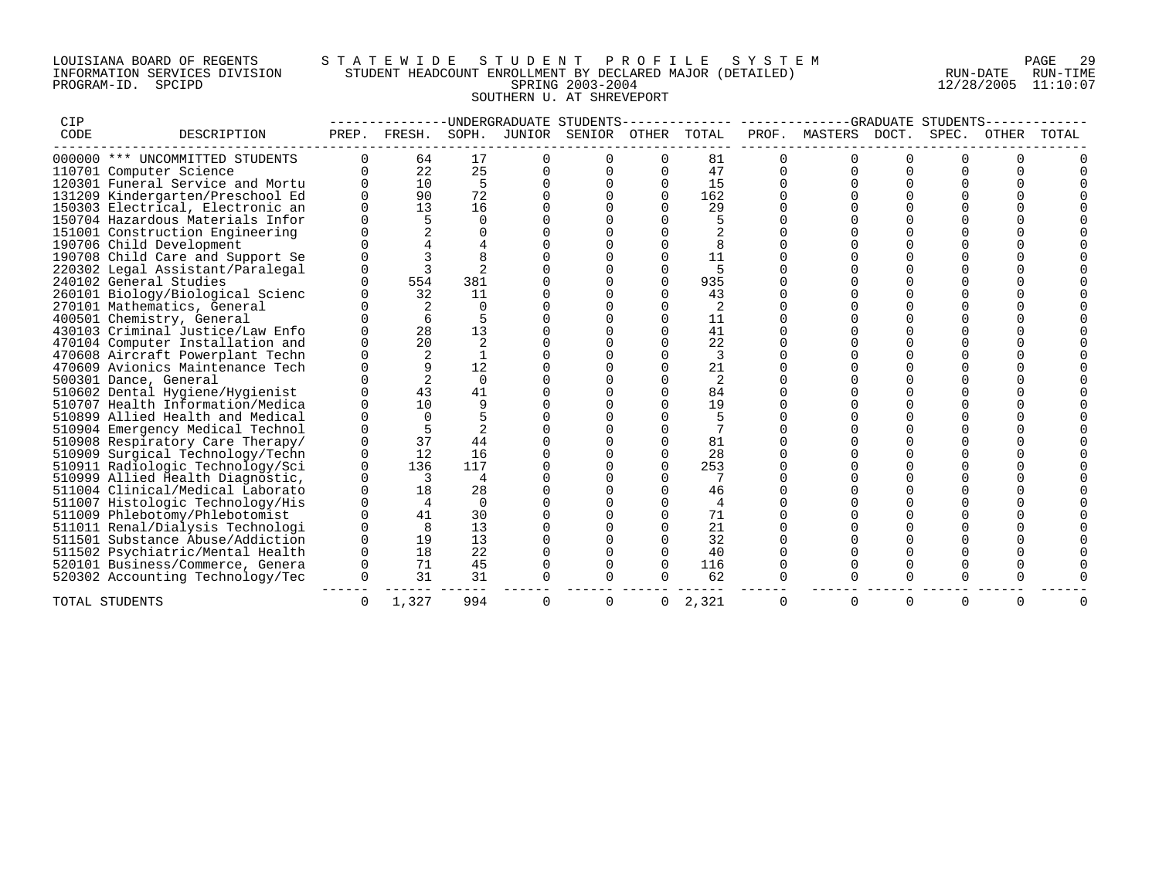## LOUISIANA BOARD OF REGENTS S T A T E W I D E S T U D E N T P R O F I L E S Y S T E M PAGE 29 INFORMATION SERVICES DIVISION STUDENT HEADCOUNT ENROLLMENT BY DECLARED MAJOR (DETAILED) RUN-DATE RUN-TIME PROGRAM-ID. SPCIPD SPRING 2003-2004 12/28/2005 11:10:07 SOUTHERN U. AT SHREVEPORT

| CIP  |                                  |          |                |          |   | -UNDERGRADUATE STUDENTS------------- |              |                |   |                     |        | -GRADUATE STUDENTS- |       |       |
|------|----------------------------------|----------|----------------|----------|---|--------------------------------------|--------------|----------------|---|---------------------|--------|---------------------|-------|-------|
| CODE | DESCRIPTION                      |          | PREP. FRESH.   | SOPH.    |   | JUNIOR SENIOR OTHER TOTAL            |              |                |   | PROF. MASTERS DOCT. |        | SPEC.               | OTHER | TOTAL |
|      | 000000 *** UNCOMMITTED STUDENTS  |          | 64             | 17       |   |                                      |              | 81             |   |                     |        |                     |       |       |
|      | 110701 Computer Science          | $\Omega$ | 22             | 25       |   |                                      | $\Omega$     | 47             |   |                     |        |                     |       |       |
|      | 120301 Funeral Service and Mortu |          | 10             | 5        |   |                                      | $\Omega$     | 15             |   |                     |        |                     |       |       |
|      | 131209 Kindergarten/Preschool Ed |          | 90             | 72       |   |                                      | $\Omega$     | 162            |   |                     |        |                     |       |       |
|      | 150303 Electrical, Electronic an |          | 13             | 16       |   |                                      |              | 29             |   |                     |        |                     |       |       |
|      | 150704 Hazardous Materials Infor |          |                | $\Omega$ |   |                                      |              |                |   |                     |        |                     |       |       |
|      | 151001 Construction Engineering  |          |                |          |   |                                      |              |                |   |                     |        |                     |       |       |
|      | 190706 Child Development         |          |                |          |   |                                      |              |                |   |                     |        |                     |       |       |
|      | 190708 Child Care and Support Se |          |                |          |   |                                      |              | 11             |   |                     |        |                     |       |       |
|      | 220302 Legal Assistant/Paralegal |          |                |          |   |                                      |              |                |   |                     |        |                     |       |       |
|      | 240102 General Studies           |          | 554            | 381      |   |                                      | $\cap$       | 935            |   |                     |        |                     |       |       |
|      | 260101 Biology/Biological Scienc |          | 32             | 11       |   |                                      | $\Omega$     | 43             |   |                     |        |                     |       |       |
|      | 270101 Mathematics, General      |          | 2              | $\Omega$ |   |                                      | $\Omega$     | 2              |   |                     |        |                     |       |       |
|      | 400501 Chemistry, General        |          |                |          |   |                                      |              | 11             |   |                     |        |                     |       |       |
|      | 430103 Criminal Justice/Law Enfo |          | 28             | 13       |   |                                      |              | 41             |   |                     |        |                     |       |       |
|      | 470104 Computer Installation and |          | 20             |          |   |                                      |              | 22             |   |                     |        |                     |       |       |
|      | 470608 Aircraft Powerplant Techn |          |                |          |   |                                      |              | 3              |   |                     |        |                     |       |       |
|      | 470609 Avionics Maintenance Tech |          |                | 12       |   |                                      | $\Omega$     | 21             |   |                     |        |                     |       |       |
|      | 500301 Dance, General            |          | $\overline{2}$ | $\Omega$ |   |                                      |              | 2              |   |                     |        |                     |       |       |
|      | 510602 Dental Hygiene/Hygienist  |          | 43             | 41       |   |                                      | $\Omega$     | 84             |   |                     |        |                     |       |       |
|      | 510707 Health Information/Medica |          | 10             | 9        |   |                                      |              | 19             |   |                     |        |                     |       |       |
|      | 510899 Allied Health and Medical |          | $\Omega$       |          |   |                                      |              |                |   |                     |        |                     |       |       |
|      | 510904 Emergency Medical Technol |          |                |          |   |                                      |              |                |   |                     |        |                     |       |       |
|      | 510908 Respiratory Care Therapy/ |          | 37             | 44       |   |                                      |              | 81             |   |                     |        |                     |       |       |
|      | 510909 Surgical Technology/Techn |          | 12             | 16       |   |                                      |              | 28             |   |                     |        |                     |       |       |
|      | 510911 Radiologic Technology/Sci | $\cap$   | 136            | 117      |   |                                      |              | 253            |   |                     |        |                     |       |       |
|      | 510999 Allied Health Diagnostic, |          | 3              | 4        |   |                                      |              |                |   |                     |        |                     |       |       |
|      | 511004 Clinical/Medical Laborato |          | 18             | 28       |   |                                      |              | 46             |   |                     |        |                     |       |       |
|      | 511007 Histologic Technology/His |          | $\overline{4}$ | $\Omega$ |   |                                      |              | $\overline{4}$ |   |                     |        |                     |       |       |
|      | 511009 Phlebotomy/Phlebotomist   |          | 41             | 30       |   |                                      |              | 71             |   |                     |        |                     |       |       |
|      | 511011 Renal/Dialysis Technologi |          | 8              | 13       |   |                                      |              | 21             |   |                     |        |                     |       |       |
|      | 511501 Substance Abuse/Addiction |          | 19             | 13       |   |                                      |              | 32             |   |                     |        | $\Omega$            |       |       |
|      | 511502 Psychiatric/Mental Health |          | 18             | 22       |   |                                      | $\Omega$     | 40             |   |                     |        |                     |       |       |
|      | 520101 Business/Commerce, Genera |          | 71             | 45       |   |                                      | $\Omega$     | 116            |   |                     |        |                     |       |       |
|      | 520302 Accounting Technology/Tec | $\Omega$ | 31             | 31       |   |                                      | $\Omega$     | 62             |   |                     | $\cap$ | $\cap$              |       |       |
|      | TOTAL STUDENTS                   | O        | 1,327          | 994      | O | 0                                    | $\mathbf{0}$ | 2,321          | 0 |                     | 0      | 0                   | 0     |       |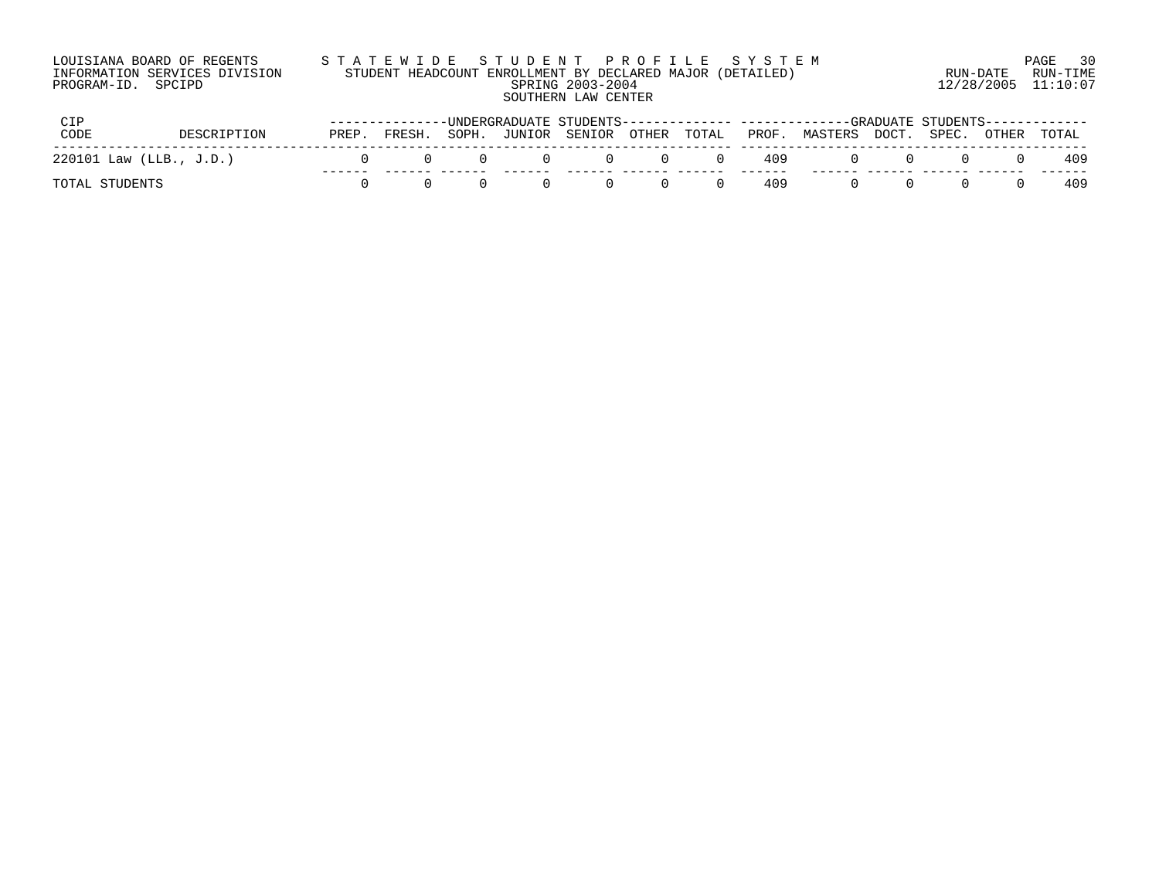| LOUISIANA BOARD OF REGENTS    | STATEWIDE STUDENT PROFILE SYSTEM                          |                     | 30<br>PAGE |
|-------------------------------|-----------------------------------------------------------|---------------------|------------|
| INFORMATION SERVICES DIVISION | STUDENT HEADCOUNT ENROLLMENT BY DECLARED MAJOR (DETAILED) | RUN-DATE            | RUN-TIME   |
| PROGRAM-ID. SPCIPD            | SPRING 2003-2004                                          | 12/28/2005 11:10:07 |            |
|                               | SOUTHERN LAW CENTER                                       |                     |            |
|                               |                                                           |                     |            |

|                           |             |       |        |       |                           |     |                  |              | --------IMDERGRADUATE STUDENTS-------------- -------------GRADUATE STUDENTS------------ |  |        |     |
|---------------------------|-------------|-------|--------|-------|---------------------------|-----|------------------|--------------|-----------------------------------------------------------------------------------------|--|--------|-----|
| CODE                      | DESCRIPTION | PREP. | FRESH. | SOPH. | JUNIOR SENIOR OTHER TOTAL |     |                  |              | PROF. MASTERS DOCT. SPEC. OTHER TOTAL                                                   |  |        |     |
| $220101$ Law (LLB., J.D.) |             |       |        |       | (1)                       | (1) | $\left( \right)$ | 409          |                                                                                         |  | $\cup$ | 409 |
| TOTAL STUDENTS            |             |       |        |       |                           | (1) |                  | -----<br>409 |                                                                                         |  |        | 409 |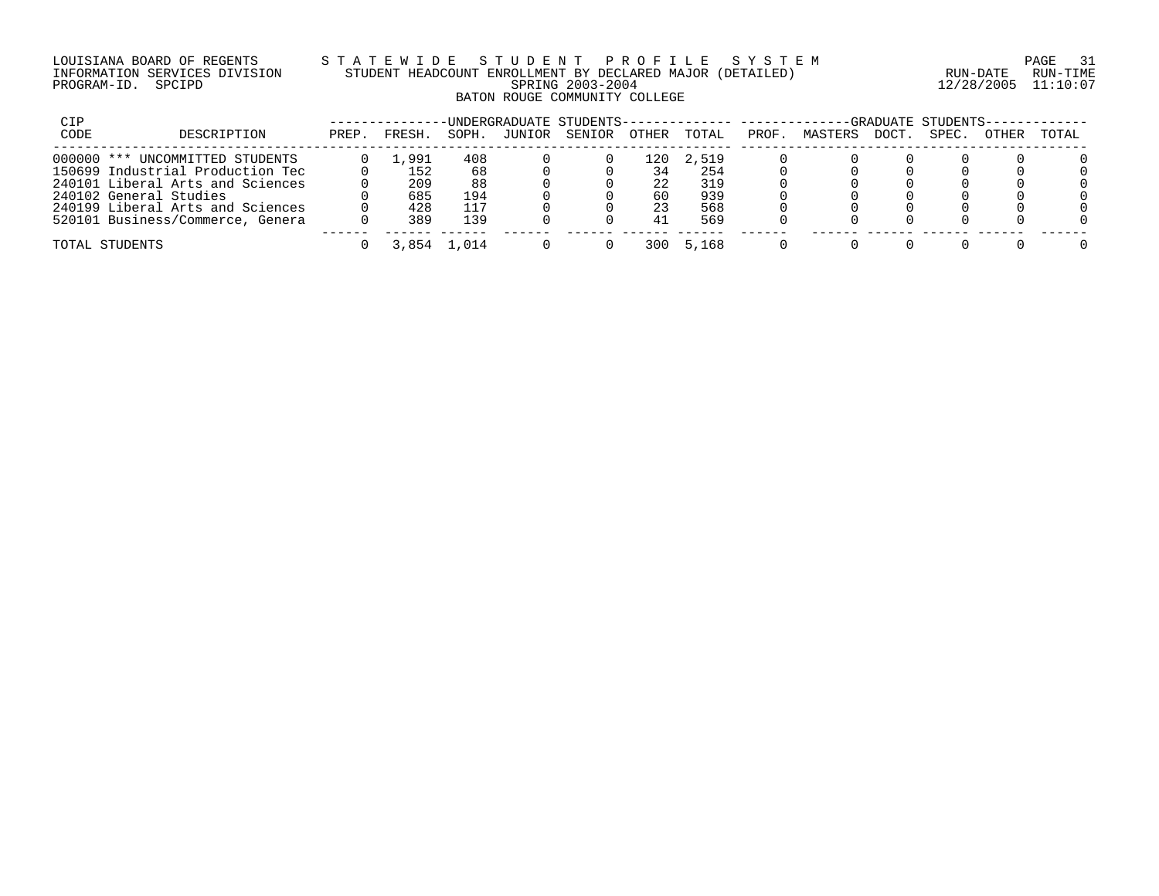## LOUISIANA BOARD OF REGENTS S T A T E W I D E S T U D E N T P R O F I L E S Y S T E M PAGE 31 INFORMATION SERVICES DIVISION STUDENT HEADCOUNT ENROLLMENT BY DECLARED MAJOR (DETAILED) RUN-DATE RUN-TIME PROGRAM-ID. SPCIPD SPRING 2003-2004 12/28/2005 11:10:07 BATON ROUGE COMMUNITY COLLEGE

| CIP  |                                  | UNDERGRADUATE STUDENTS-- |       |       |        |        |              |       |       |         |             |       | -GRADUATE STUDENTS- |       |
|------|----------------------------------|--------------------------|-------|-------|--------|--------|--------------|-------|-------|---------|-------------|-------|---------------------|-------|
| CODE | DESCRIPTION                      | PREP.                    | FRESH | SOPH. | JUNIOR | SENIOR | <b>OTHER</b> | TOTAL | PROF. | MASTERS | <b>DOCT</b> | SPEC. | OTHER               | TOTAL |
|      | 000000 *** UNCOMMITTED STUDENTS  |                          | .,991 | 408   |        |        | 120          | 2,519 |       |         |             |       |                     |       |
|      | 150699 Industrial Production Tec |                          | 152   | 68    |        |        | 34           | 254   |       |         |             |       |                     |       |
|      | 240101 Liberal Arts and Sciences |                          | 209   | 88    |        |        | 22           | 319   |       |         |             |       |                     |       |
|      | 240102 General Studies           |                          | 685   | 194   |        |        | 60           | 939   |       |         |             |       |                     |       |
|      | 240199 Liberal Arts and Sciences |                          | 428   | 117   |        |        | 23           | 568   |       |         |             |       |                     |       |
|      | 520101 Business/Commerce, Genera |                          | 389   | 139   |        |        | 41           | 569   |       |         |             |       |                     |       |
|      | TOTAL STUDENTS                   |                          | 3,854 | . 014 |        |        | 300          | 5.168 |       |         |             |       |                     |       |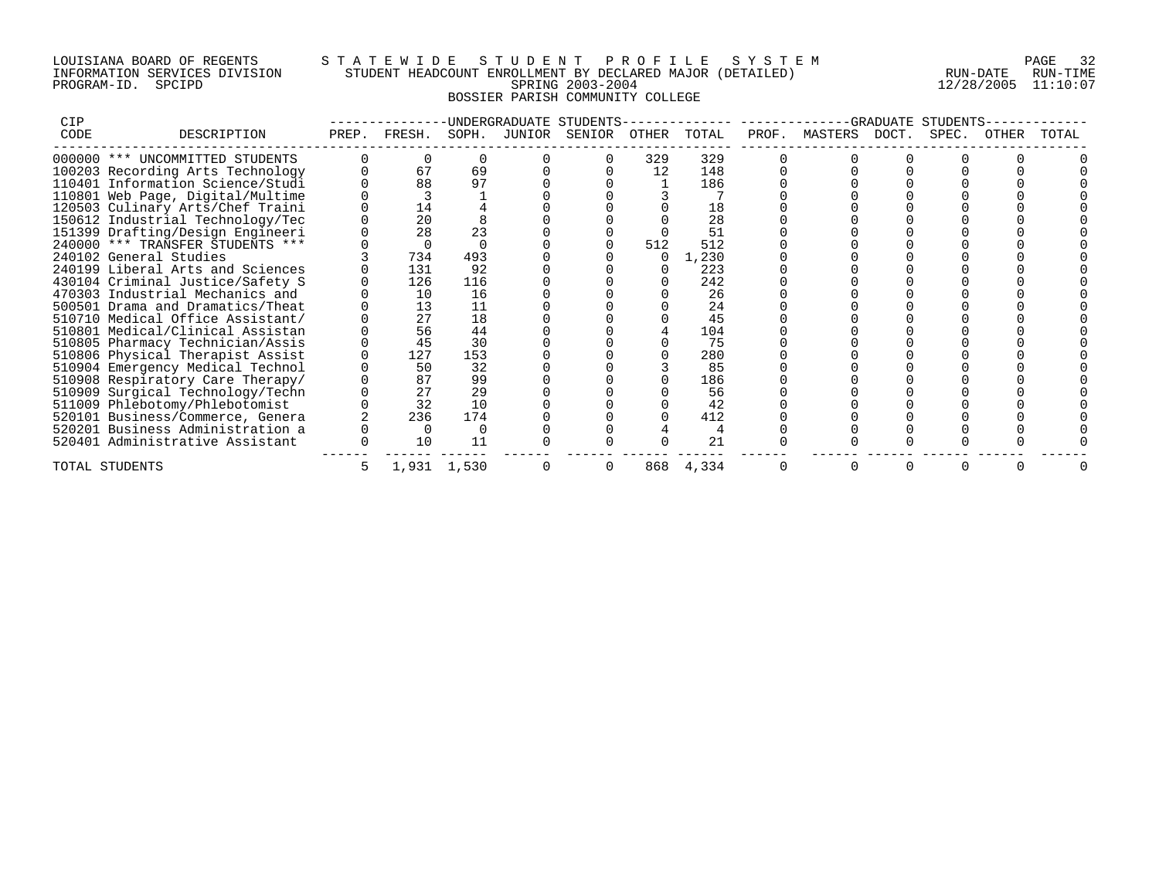## LOUISIANA BOARD OF REGENTS S T A T E W I D E S T U D E N T P R O F I L E S Y S T E M PAGE 32 INFORMATION SERVICES DIVISION STUDENT HEADCOUNT ENROLLMENT BY DECLARED MAJOR (DETAILED) RUN-DATE RUN-TIME PROGRAM-ID. SPCIPD SPRING 2003-2004 12/28/2005 11:10:07 BOSSIER PARISH COMMUNITY COLLEGE

| CIP  |                                  |       |        |             |        | -UNDERGRADUATE STUDENTS |       |       |       | -GRADUATE     | STUDENTS |       |       |       |
|------|----------------------------------|-------|--------|-------------|--------|-------------------------|-------|-------|-------|---------------|----------|-------|-------|-------|
| CODE | DESCRIPTION                      | PREP. | FRESH. | SOPH.       | JUNIOR | SENIOR                  | OTHER | TOTAL | PROF. | MASTERS DOCT. |          | SPEC. | OTHER | TOTAL |
|      | 000000 *** UNCOMMITTED STUDENTS  |       |        |             |        |                         | 329   | 329   |       |               |          |       |       |       |
|      | 100203 Recording Arts Technology |       | 67     | 69          |        |                         | 12    | 148   |       |               |          |       |       |       |
|      | 110401 Information Science/Studi |       | 88     | 97          |        |                         |       | 186   |       |               |          |       |       |       |
|      | 110801 Web Page, Digital/Multime |       |        |             |        |                         |       |       |       |               |          |       |       |       |
|      | 120503 Culinary Arts/Chef Traini |       | 14     |             |        |                         |       | 18    |       |               |          |       |       |       |
|      | 150612 Industrial Technology/Tec |       | 20     |             |        |                         |       | 28    |       |               |          |       |       |       |
|      | 151399 Drafting/Design Engineeri |       | 28     | 23          |        |                         |       | 51    |       |               |          |       |       |       |
|      | 240000 *** TRANSFER STUDENTS *** |       |        |             |        |                         | 512   | 512   |       |               |          |       |       |       |
|      | 240102 General Studies           |       | 734    | 493         |        |                         |       | 1,230 |       |               |          |       |       |       |
|      | 240199 Liberal Arts and Sciences |       | 131    | 92          |        |                         |       | 223   |       |               |          |       |       |       |
|      | 430104 Criminal Justice/Safety S |       | 126    | 116         |        |                         |       | 242   |       |               |          |       |       |       |
|      | 470303 Industrial Mechanics and  |       | 10     | 16          |        |                         |       | 26    |       |               |          |       |       |       |
|      | 500501 Drama and Dramatics/Theat |       | 13     | 11          |        |                         |       | 24    |       |               |          |       |       |       |
|      | 510710 Medical Office Assistant/ |       | 27     | 18          |        |                         |       | 45    |       |               |          |       |       |       |
|      | 510801 Medical/Clinical Assistan |       | 56     | 44          |        |                         |       | 104   |       |               |          |       |       |       |
|      | 510805 Pharmacy Technician/Assis |       | 45     | 30          |        |                         |       | 75    |       |               |          |       |       |       |
|      | 510806 Physical Therapist Assist |       | 127    | 153         |        |                         |       | 280   |       |               |          |       |       |       |
|      | 510904 Emergency Medical Technol |       | 50     | 32          |        |                         |       | 85    |       |               |          |       |       |       |
|      | 510908 Respiratory Care Therapy/ |       | 87     | 99          |        |                         |       | 186   |       |               |          |       |       |       |
|      | 510909 Surgical Technology/Techn |       | 27     | 29          |        |                         |       | 56    |       |               |          |       |       |       |
|      | 511009 Phlebotomy/Phlebotomist   |       | 32     | 10          |        |                         |       | 42    |       |               |          |       |       |       |
|      | 520101 Business/Commerce, Genera |       | 236    | 174         |        |                         |       | 412   |       |               |          |       |       |       |
|      | 520201 Business Administration a |       |        |             |        |                         |       |       |       |               |          |       |       |       |
|      | 520401 Administrative Assistant  |       | 10     | 11          |        |                         |       | 21    |       |               |          |       |       |       |
|      | TOTAL STUDENTS                   |       |        | 1,931 1,530 |        |                         | 868   | 4,334 |       |               |          |       |       |       |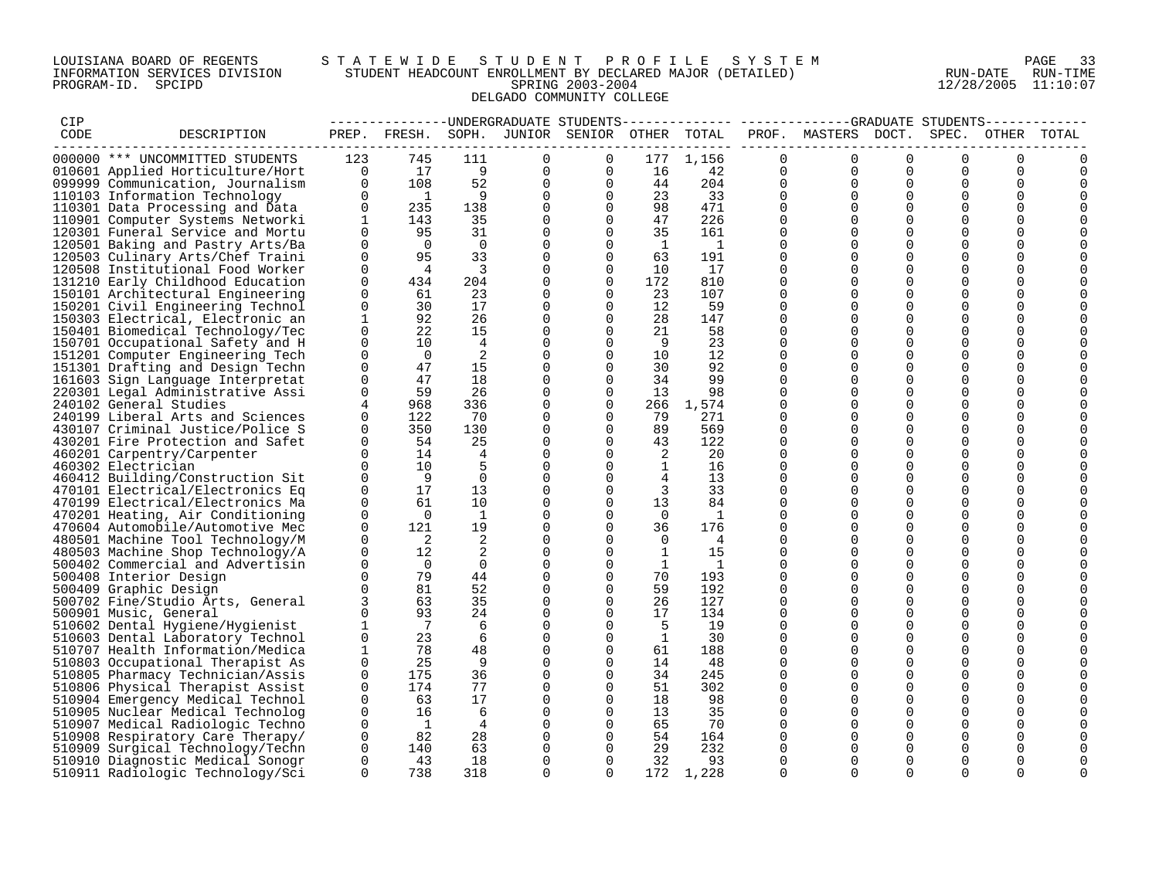## LOUISIANA BOARD OF REGENTS S T A T E W I D E S T U D E N T P R O F I L E S Y S T E M PAGE 33 INFORMATION SERVICES DIVISION STUDENT HEADCOUNT ENROLLMENT BY DECLARED MAJOR (DETAILED) RUN-DATE RUN-TIME PROGRAM-ID. SPCIPD SPRING 2003-2004 12/28/2005 11:10:07 DELGADO COMMUNITY COLLEGE

| CIP  |                                  |              |                |                |             |                                              |              |                |             | --------------DNDERGRADUATE STUDENTS------------- -----------GRADUATE STUDENTS- |             |             |             | ------------ |
|------|----------------------------------|--------------|----------------|----------------|-------------|----------------------------------------------|--------------|----------------|-------------|---------------------------------------------------------------------------------|-------------|-------------|-------------|--------------|
| CODE | DESCRIPTION                      |              |                |                |             | PREP. FRESH. SOPH. JUNIOR SENIOR OTHER TOTAL |              |                |             | PROF. MASTERS DOCT. SPEC.                                                       |             |             |             | OTHER TOTAL  |
|      |                                  |              |                |                |             |                                              |              |                |             |                                                                                 |             |             |             |              |
|      | 000000 *** UNCOMMITTED STUDENTS  | 123          | 745            | 111            | $\Omega$    | $\Omega$                                     | 177          | 1,156          | $\Omega$    | $\mathbf 0$                                                                     | $\Omega$    | $\Omega$    | $\Omega$    | O            |
|      | 010601 Applied Horticulture/Hort | $\mathbf 0$  | 17             | 9              | 0           | 0                                            | 16           | 42             | 0           | 0                                                                               | $\Omega$    | 0           | 0           | 0            |
|      | 099999 Communication, Journalism | $\Omega$     | 108            | 52             | $\Omega$    | $\Omega$                                     | 44           | 204            | $\Omega$    | $\Omega$                                                                        | $\Omega$    | $\Omega$    | 0           | 0            |
|      | 110103 Information Technology    | $\Omega$     | $\overline{1}$ | 9              | $\Omega$    | $\Omega$                                     | 23           | 33             | $\Omega$    | $\Omega$                                                                        | $\Omega$    | $\Omega$    | $\mathbf 0$ |              |
|      | 110301 Data Processing and Data  | 0            | 235            | 138            | 0           | $\Omega$                                     | 98           | 471            | $\Omega$    | $\Omega$                                                                        | $\Omega$    | $\Omega$    | $\Omega$    |              |
|      | 110901 Computer Systems Networki | $\mathbf{1}$ | 143            | 35             | 0           | $\Omega$                                     | 47           | 226            | $\Omega$    | $\Omega$                                                                        | $\Omega$    | $\Omega$    | 0           |              |
|      | 120301 Funeral Service and Mortu | $\Omega$     | 95             | 31             | 0           | $\Omega$                                     | 35           | 161            | $\Omega$    | $\Omega$                                                                        | $\Omega$    | $\Omega$    | $\Omega$    |              |
|      | 120501 Baking and Pastry Arts/Ba | $\Omega$     | $\overline{0}$ | $\overline{0}$ | $\Omega$    | $\Omega$                                     | 1            | $\overline{1}$ | $\Omega$    | $\Omega$                                                                        | $\Omega$    | $\Omega$    | $\mathbf 0$ |              |
|      | 120503 Culinary Arts/Chef Traini | $\mathbf 0$  | 95             | 33             | 0           | $\mathbf 0$                                  | 63           | 191            | $\mathbf 0$ | $\mathbf 0$                                                                     | $\mathbf 0$ | $\mathbf 0$ | 0           |              |
|      | 120508 Institutional Food Worker | $\mathbf 0$  | 4              | $\overline{3}$ | 0           | 0                                            | 10           | 17             | $\mathbf 0$ | $\Omega$                                                                        | $\Omega$    | 0           | 0           |              |
|      | 131210 Early Childhood Education | $\Omega$     | 434            | 204            | 0           | $\Omega$                                     | 172          | 810            | $\Omega$    | $\Omega$                                                                        | $\Omega$    | $\Omega$    | 0           |              |
|      |                                  | $\Omega$     | 61             | 23             | $\Omega$    | $\Omega$                                     | 23           | 107            | $\Omega$    | $\Omega$                                                                        | $\Omega$    | $\Omega$    | $\Omega$    |              |
|      | 150101 Architectural Engineering |              |                |                |             |                                              |              |                |             |                                                                                 |             |             |             |              |
|      | 150201 Civil Engineering Technol | 0            | 30             | 17             | 0           | $\mathbf 0$                                  | 12           | 59             | $\mathbf 0$ | 0                                                                               | $\mathbf 0$ | $\mathbf 0$ | 0           |              |
|      | 150303 Electrical, Electronic an | $\mathbf 1$  | 92             | 26             | 0           | $\Omega$                                     | 28           | 147            | $\Omega$    | $\Omega$                                                                        | $\Omega$    | $\Omega$    | 0           |              |
|      | 150401 Biomedical Technology/Tec | 0            | 22             | 15             | 0           | $\Omega$                                     | 21           | 58             | $\Omega$    | $\Omega$                                                                        | $\Omega$    | $\Omega$    | 0           |              |
|      | 150701 Occupational Safety and H | $\Omega$     | 10             | $\overline{4}$ | $\Omega$    | $\Omega$                                     | -9           | 23             | $\Omega$    | $\Omega$                                                                        | $\Omega$    | $\Omega$    | $\Omega$    |              |
|      | 151201 Computer Engineering Tech | $\mathbf 0$  | $\overline{0}$ | 2              | 0           | $\mathbf 0$                                  | 10           | 12             | $\mathbf 0$ | $\mathbf 0$                                                                     | $\mathbf 0$ | $\mathbf 0$ | $\mathbf 0$ |              |
|      | 151301 Drafting and Design Techn | $\mathbf 0$  | 47             | 15             | 0           | 0                                            | 30           | 92             | 0           | $\Omega$                                                                        | $\Omega$    | 0           | 0           |              |
|      | 161603 Sign Language Interpretat | $\Omega$     | 47             | 18             | $\Omega$    | $\Omega$                                     | 34           | 99             | $\Omega$    | $\Omega$                                                                        | $\Omega$    | $\Omega$    | $\Omega$    |              |
|      | 220301 Legal Administrative Assi | $\Omega$     | 59             | 26             | 0           | $\Omega$                                     | 13           | 98             | $\Omega$    | $\Omega$                                                                        | $\Omega$    | $\Omega$    | $\Omega$    |              |
|      | 240102 General Studies           | 4            | 968            | 336            | 0           | $\mathbf 0$                                  | 266          | 1,574          | $\Omega$    | $\Omega$                                                                        | $\Omega$    | $\mathbf 0$ | 0           |              |
|      | 240199 Liberal Arts and Sciences | $\mathbf 0$  | 122            | 70             | 0           | $\Omega$                                     | 79           | 271            | $\mathbf 0$ | $\mathbf 0$                                                                     | $\mathbf 0$ | $\mathbf 0$ | 0           |              |
|      | 430107 Criminal Justice/Police S | $\mathbf 0$  | 350            | 130            | 0           | $\Omega$                                     | 89           | 569            | $\mathbf 0$ | $\Omega$                                                                        | $\Omega$    | $\Omega$    | 0           |              |
|      | 430201 Fire Protection and Safet | $\Omega$     | 54             | 25             | $\Omega$    | $\Omega$                                     | 43           | 122            | $\Omega$    | $\Omega$                                                                        | $\Omega$    | $\Omega$    | $\Omega$    |              |
|      | 460201 Carpentry/Carpenter       | $\mathbf 0$  | 14             | $\overline{4}$ | 0           | $\Omega$                                     | 2            | 20             | $\Omega$    | $\Omega$                                                                        | $\Omega$    | $\mathbf 0$ | 0           |              |
|      | 460302 Electrician               | $\Omega$     | 10             | 5              | 0           | $\mathbf 0$                                  | $\mathbf{1}$ | 16             | $\Omega$    | $\Omega$                                                                        | $\Omega$    | $\mathbf 0$ | 0           |              |
|      | 460412 Building/Construction Sit | $\Omega$     | 9              | $\Omega$       | $\Omega$    | 0                                            | 4            | 13             | $\Omega$    | $\Omega$                                                                        | $\Omega$    | $\Omega$    | 0           |              |
|      | 470101 Electrical/Electronics Eq | $\mathbf 0$  | 17             | 13             | $\Omega$    | $\Omega$                                     | 3            | 33             | $\Omega$    | $\Omega$                                                                        | $\Omega$    | $\Omega$    | 0           |              |
|      | 470199 Electrical/Electronics Ma | $\Omega$     | 61             | 10             | $\Omega$    | $\Omega$                                     | 13           | 84             | $\Omega$    | $\Omega$                                                                        | $\Omega$    | $\Omega$    | 0           |              |
|      | 470201 Heating, Air Conditioning | $\mathbf 0$  | $\Omega$       | - 1            | 0           | 0                                            | $\Omega$     | -1             | 0           | 0                                                                               | 0           | $\mathbf 0$ | 0           |              |
|      | 470604 Automobile/Automotive Mec | $\mathbf 0$  | 121            | 19             | 0           | $\Omega$                                     | 36           | 176            | $\Omega$    | $\Omega$                                                                        | $\Omega$    | $\Omega$    | 0           |              |
|      | 480501 Machine Tool Technology/M | $\Omega$     | -2             | 2              | $\Omega$    | 0                                            | $\Omega$     | $\frac{4}{3}$  | $\Omega$    | $\Omega$                                                                        | $\Omega$    | $\Omega$    | $\Omega$    |              |
|      |                                  | 0            | 12             | 2              | 0           | 0                                            | 1            | 15             | $\Omega$    | $\Omega$                                                                        | $\Omega$    | $\Omega$    | $\mathbf 0$ |              |
|      | 480503 Machine Shop Technology/A |              |                |                |             |                                              |              |                |             |                                                                                 |             |             |             |              |
|      | 500402 Commercial and Advertisin | $\Omega$     | $\Omega$       | $\Omega$       | $\Omega$    | $\Omega$                                     | 1            | $\overline{1}$ | $\Omega$    | $\Omega$                                                                        | $\Omega$    | $\Omega$    | 0           |              |
|      | 500408 Interior Design           | $\Omega$     | 79             | 44             | $\Omega$    | $\Omega$                                     | 70           | 193            | $\Omega$    | $\Omega$                                                                        | $\Omega$    | $\Omega$    | 0           |              |
|      | 500409 Graphic Design            | $\Omega$     | 81             | 52             | 0           | $\Omega$                                     | 59           | 192            | $\mathbf 0$ | $\mathbf 0$                                                                     | $\mathbf 0$ | $\mathbf 0$ | 0           |              |
|      | 500702 Fine/Studio Arts, General | 3            | 63             | 35             | 0           | $\Omega$                                     | 26           | 127            | $\Omega$    | $\Omega$                                                                        | $\Omega$    | $\Omega$    | $\mathbf 0$ |              |
|      | 500901 Music, General            | $\Omega$     | 93             | 24             | 0           | $\Omega$                                     | 17           | 134            | $\Omega$    | $\Omega$                                                                        | $\Omega$    | $\Omega$    | 0           |              |
|      | 510602 Dental Hygiene/Hygienist  | $\mathbf 1$  | 7              | 6              | 0           | $\Omega$                                     | 5            | 19             | $\Omega$    | $\Omega$                                                                        | $\Omega$    | $\Omega$    | 0           |              |
|      | 510603 Dental Laboratory Technol | $\mathbf 0$  | 23             | 6              | 0           | $\Omega$                                     | <sup>1</sup> | 30             | 0           | 0                                                                               | $\Omega$    | $\mathbf 0$ | 0           |              |
|      | 510707 Health Information/Medica | $\mathbf 1$  | 78             | 48             | 0           | 0                                            | 61           | 188            | $\Omega$    | $\Omega$                                                                        | $\Omega$    | $\mathbf 0$ | 0           |              |
|      | 510803 Occupational Therapist As | $\Omega$     | 25             | -9             | $\Omega$    | $\Omega$                                     | 14           | 48             | $\Omega$    | $\Omega$                                                                        | $\Omega$    | $\Omega$    | $\Omega$    |              |
|      | 510805 Pharmacy Technician/Assis | $\mathbf 0$  | 175            | 36             | 0           | $\Omega$                                     | 34           | 245            | $\Omega$    | $\Omega$                                                                        | $\Omega$    | $\mathbf 0$ | 0           |              |
|      | 510806 Physical Therapist Assist | 0            | 174            | 77             | 0           | $\Omega$                                     | 51           | 302            | $\mathbf 0$ | $\Omega$                                                                        | $\mathbf 0$ | $\mathbf 0$ | 0           |              |
|      | 510904 Emergency Medical Technol | $\mathbf 0$  | 63             | 17             | 0           | $\Omega$                                     | 18           | 98             | $\Omega$    | $\Omega$                                                                        | $\Omega$    | $\Omega$    | 0           |              |
|      | 510905 Nuclear Medical Technolog | $\mathbf 0$  | 16             | 6              | 0           | $\Omega$                                     | 13           | 35             | $\Omega$    | $\Omega$                                                                        | $\Omega$    | $\Omega$    | $\mathbf 0$ |              |
|      | 510907 Medical Radiologic Techno | $\Omega$     | $\mathbf{1}$   | $\overline{4}$ | $\mathbf 0$ | $\Omega$                                     | 65           | 70             | $\Omega$    | $\Omega$                                                                        | $\Omega$    | $\Omega$    | $\Omega$    |              |
|      | 510908 Respiratory Care Therapy/ | $\mathbf 0$  | 82             | 28             | 0           | $\Omega$                                     | 54           | 164            | $\mathbf 0$ | $\mathbf 0$                                                                     | $\mathbf 0$ | $\mathbf 0$ | 0           |              |
|      | 510909 Surgical Technology/Techn | $\mathbf 0$  | 140            | 63             | 0           | 0                                            | 29           | 232            | 0           | $\Omega$                                                                        | $\Omega$    | 0           | 0           |              |
|      | 510910 Diagnostic Medical Sonogr | $\Omega$     | 43             | 18             | $\Omega$    | $\Omega$                                     | 32           | 93             | $\Omega$    | $\Omega$                                                                        | $\Omega$    | $\Omega$    | $\Omega$    | 0            |
|      |                                  | $\Omega$     | 738            | 318            | $\Omega$    | $\Omega$                                     |              | 172 1,228      | $\Omega$    | $\Omega$                                                                        | $\Omega$    | $\Omega$    | $\Omega$    | $\Omega$     |
|      | 510911 Radiologic Technology/Sci |              |                |                |             |                                              |              |                |             |                                                                                 |             |             |             |              |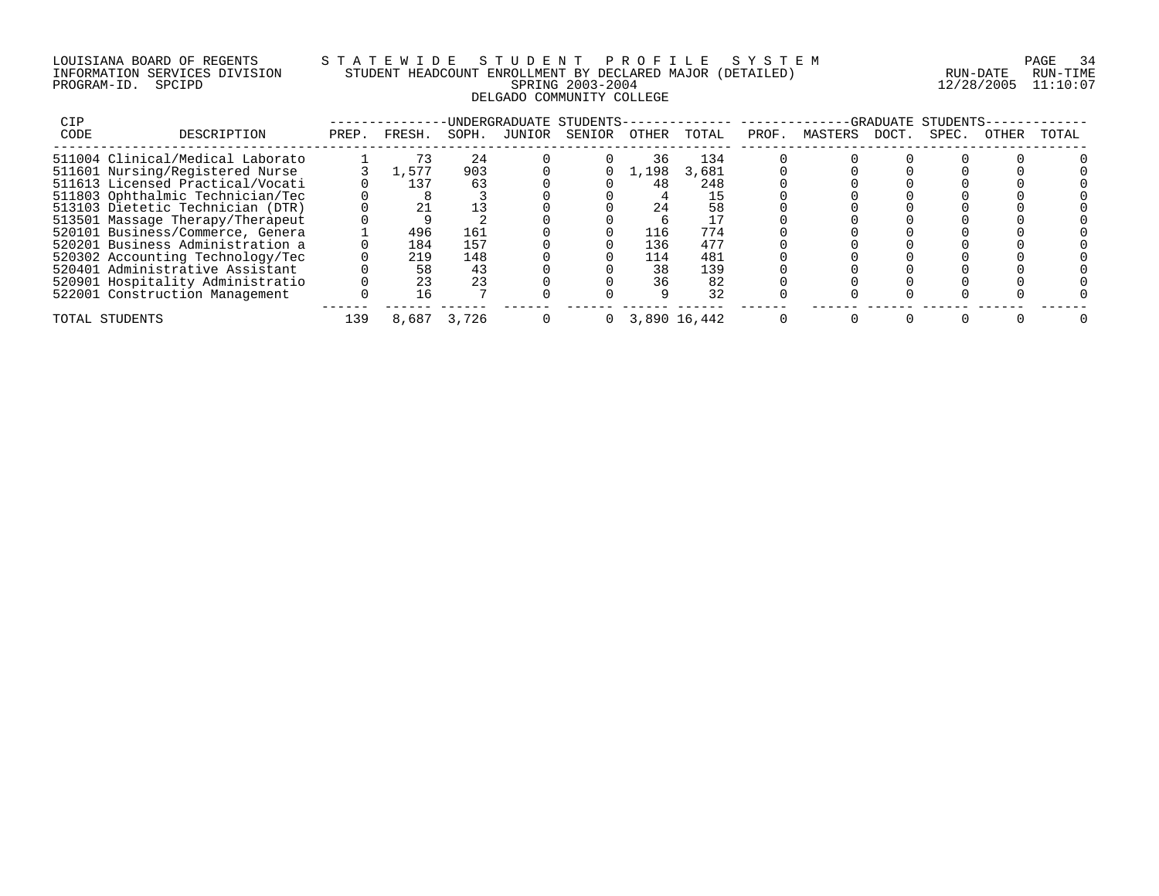## LOUISIANA BOARD OF REGENTS S T A T E W I D E S T U D E N T P R O F I L E S Y S T E M PAGE 34 INFORMATION SERVICES DIVISION STUDENT HEADCOUNT ENROLLMENT BY DECLARED MAJOR (DETAILED) RUN-DATE RUN-TIME PROGRAM-ID. SPCIPD SPRING 2003-2004 12/28/2005 11:10:07 DELGADO COMMUNITY COLLEGE

| CIP  |                                  | -GRADUATE STUDENTS |        |       |        |          |              |       |       |         |       |       |       |       |
|------|----------------------------------|--------------------|--------|-------|--------|----------|--------------|-------|-------|---------|-------|-------|-------|-------|
| CODE | DESCRIPTION                      | PREP.              | FRESH. | SOPH. | JUNIOR | SENIOR   | OTHER        | TOTAL | PROF. | MASTERS | DOCT. | SPEC. | OTHER | TOTAL |
|      | 511004 Clinical/Medical Laborato |                    |        | 24    |        |          | 36           | 134   |       |         |       |       |       |       |
|      | 511601 Nursing/Registered Nurse  |                    | 1,577  | 903   |        |          | 1,198        | 3,681 |       |         |       |       |       |       |
|      | 511613 Licensed Practical/Vocati |                    | 137    | 63    |        |          | 48           | 248   |       |         |       |       |       |       |
|      | 511803 Ophthalmic Technician/Tec |                    |        |       |        |          |              |       |       |         |       |       |       |       |
|      | 513103 Dietetic Technician (DTR) |                    |        |       |        |          | 24           | 58    |       |         |       |       |       |       |
|      | 513501 Massage Therapy/Therapeut |                    |        |       |        |          |              |       |       |         |       |       |       |       |
|      | 520101 Business/Commerce, Genera |                    | 496    | 161   |        |          | 116          | 774   |       |         |       |       |       |       |
|      | 520201 Business Administration a |                    | 184    | 157   |        |          | 136          | 477   |       |         |       |       |       |       |
|      | 520302 Accounting Technology/Tec |                    | 219    | 148   |        |          | 114          | 481   |       |         |       |       |       |       |
|      | 520401 Administrative Assistant  |                    | 58     | 43    |        |          | 38           | 139   |       |         |       |       |       |       |
|      | 520901 Hospitality Administratio |                    | 23     | 23    |        |          | 36           | 82    |       |         |       |       |       |       |
|      | 522001 Construction Management   |                    | 16     |       |        |          |              | 32    |       |         |       |       |       |       |
|      | TOTAL STUDENTS                   | 139                | 8,687  | 3,726 |        | $\Omega$ | 3,890 16,442 |       |       |         |       |       |       |       |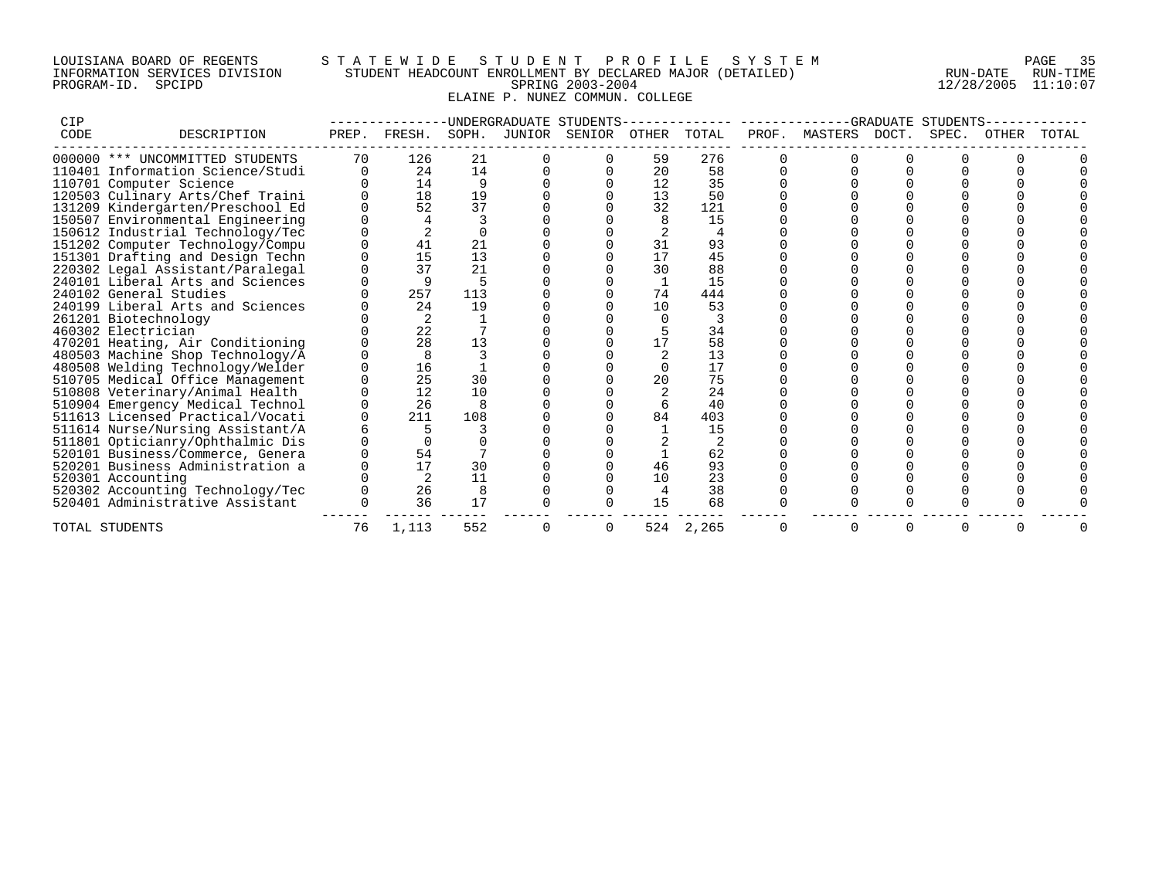## LOUISIANA BOARD OF REGENTS S T A T E W I D E S T U D E N T P R O F I L E S Y S T E M PAGE 35 INFORMATION SERVICES DIVISION STUDENT HEADCOUNT ENROLLMENT BY DECLARED MAJOR (DETAILED) RUN-DATE RUN-TIME PROGRAM-ID. SPCIPD SPRING 2003-2004 12/28/2005 11:10:07 ELAINE P. NUNEZ COMMUN. COLLEGE

| CIP  |                                  | UNDERGRADUATE STUDENTS |        |       |        |        |       |       | GRADUATE STUDENTS |               |  |       |       |       |  |
|------|----------------------------------|------------------------|--------|-------|--------|--------|-------|-------|-------------------|---------------|--|-------|-------|-------|--|
| CODE | DESCRIPTION                      | PREP.                  | FRESH. | SOPH. | JUNIOR | SENIOR | OTHER | TOTAL | PROF.             | MASTERS DOCT. |  | SPEC. | OTHER | TOTAL |  |
|      | 000000 *** UNCOMMITTED STUDENTS  | 70                     | 126    | 21    |        |        | 59    | 276   |                   |               |  |       |       |       |  |
|      | 110401 Information Science/Studi | 0                      | 24     | 14    |        |        | 20    | 58    |                   |               |  |       |       |       |  |
|      | 110701 Computer Science          |                        | 14     | 9     |        |        | 12    | 35    |                   |               |  |       |       |       |  |
|      | 120503 Culinary Arts/Chef Traini |                        | 18     | 19    |        |        | 13    | 50    |                   |               |  |       |       |       |  |
|      | 131209 Kindergarten/Preschool Ed |                        | 52     | 37    |        |        | 32    | 121   |                   |               |  |       |       |       |  |
|      | 150507 Environmental Engineering |                        |        |       |        |        |       | 15    |                   |               |  |       |       |       |  |
|      | 150612 Industrial Technology/Tec |                        |        |       |        |        |       |       |                   |               |  |       |       |       |  |
|      | 151202 Computer Technology/Compu |                        | 41     | 21    |        |        | 31    | 93    |                   |               |  |       |       |       |  |
|      | 151301 Drafting and Design Techn |                        | 15     | 13    |        |        | 17    | 45    |                   |               |  |       |       |       |  |
|      | 220302 Legal Assistant/Paralegal |                        | 37     | 21    |        |        | 30    | 88    |                   |               |  |       |       |       |  |
|      | 240101 Liberal Arts and Sciences |                        |        | 5     |        |        |       | 15    |                   |               |  |       |       |       |  |
|      | 240102 General Studies           |                        | 257    | 113   |        |        | 74    | 444   |                   |               |  |       |       |       |  |
|      | 240199 Liberal Arts and Sciences |                        | 24     | 19    |        |        | 10    | 53    |                   |               |  |       |       |       |  |
|      | 261201 Biotechnology             |                        |        |       |        |        |       |       |                   |               |  |       |       |       |  |
|      | 460302 Electrician               |                        | 22     |       |        |        |       | 34    |                   |               |  |       |       |       |  |
|      | 470201 Heating, Air Conditioning |                        | 28     | 13    |        |        |       | 58    |                   |               |  |       |       |       |  |
|      | 480503 Machine Shop Technology/A |                        |        |       |        |        |       | 13    |                   |               |  |       |       |       |  |
|      | 480508 Welding Technology/Welder |                        | 16     |       |        |        |       | 17    |                   |               |  |       |       |       |  |
|      | 510705 Medical Office Management |                        | 25     | 30    |        |        | 20    | 75    |                   |               |  |       |       |       |  |
|      | 510808 Veterinary/Animal Health  |                        | 12     | 10    |        |        |       | 24    |                   |               |  |       |       |       |  |
|      | 510904 Emergency Medical Technol |                        | 26     |       |        |        |       | 40    |                   |               |  |       |       |       |  |
|      | 511613 Licensed Practical/Vocati |                        | 211    | 108   |        |        | 84    | 403   |                   |               |  |       |       |       |  |
|      | 511614 Nurse/Nursing Assistant/A |                        |        |       |        |        |       | 15    |                   |               |  |       |       |       |  |
|      | 511801 Opticianry/Ophthalmic Dis |                        |        |       |        |        |       |       |                   |               |  |       |       |       |  |
|      | 520101 Business/Commerce, Genera |                        | 54     |       |        |        |       | 62    |                   |               |  |       |       |       |  |
|      | 520201 Business Administration a |                        | 17     | 30    |        |        | 46    | 93    |                   |               |  |       |       |       |  |
|      | 520301 Accounting                |                        |        | 11    |        |        | 10    | 23    |                   |               |  |       |       |       |  |
|      | 520302 Accounting Technology/Tec |                        | 26     | 8     |        |        |       | 38    |                   |               |  |       |       |       |  |
|      | 520401 Administrative Assistant  |                        | 36     | 17    |        |        | 15    | 68    |                   |               |  |       |       |       |  |
|      | TOTAL STUDENTS                   | 76                     | 1,113  | 552   |        |        | 524   | 2,265 |                   |               |  |       |       |       |  |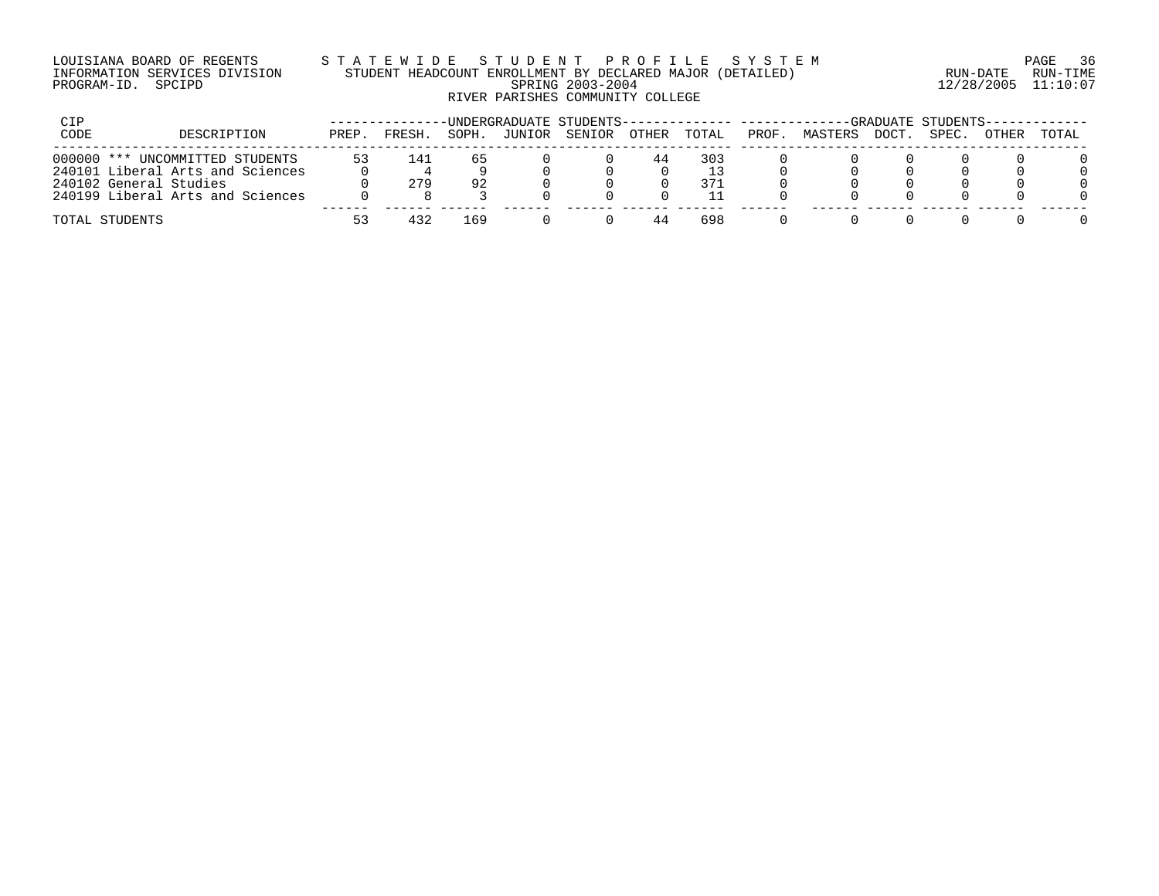#### LOUISIANA BOARD OF REGENTS S T A T E W I D E S T U D E N T P R O F I L E S Y S T E M PAGE 36 INFORMATION SERVICES DIVISION STUDENT HEADCOUNT ENROLLMENT BY DECLARED MAJOR (DETAILED) RUN-DATE RUN-TIME PROGRAM-ID. SPCIPD SPRING 2003-2004 12/28/2005 11:10:07 RIVER PARISHES COMMUNITY COLLEGE

| CIP  |                                  |       |        |       |        |        | -UNDERGRADUATE STUDENTS-------------- --------<br>-GRADUATE STUDENTS- |       |       |         |       |       |       |       |
|------|----------------------------------|-------|--------|-------|--------|--------|-----------------------------------------------------------------------|-------|-------|---------|-------|-------|-------|-------|
| CODE | DESCRIPTION                      | PREP. | FRESH. | SOPH. | JUNIOR | SENIOR | OTHER                                                                 | TOTAL | PROF. | MASTERS | DOCT. | SPEC. | OTHER | TOTAL |
|      | 000000 *** UNCOMMITTED STUDENTS  | 53    | 141    |       |        |        | 44                                                                    | 303   |       |         |       |       |       |       |
|      | 240101 Liberal Arts and Sciences |       |        |       |        |        |                                                                       |       |       |         |       |       |       |       |
|      | 240102 General Studies           |       | 279    | 92    |        |        |                                                                       | 371   |       |         |       |       |       |       |
|      | 240199 Liberal Arts and Sciences |       |        |       |        |        |                                                                       |       |       |         |       |       |       |       |
|      | TOTAL STUDENTS                   | 53    |        | 169   |        |        |                                                                       | 698   |       |         |       |       |       |       |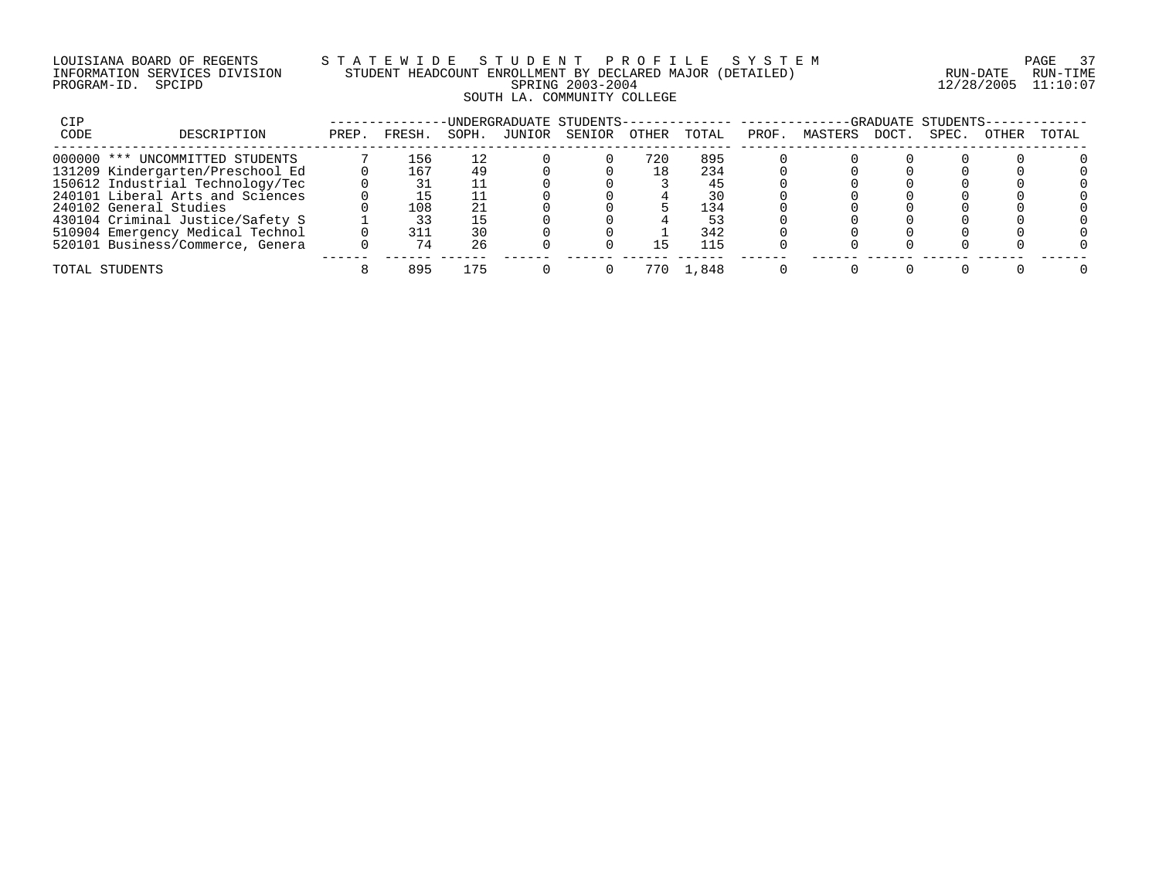#### LOUISIANA BOARD OF REGENTS S T A T E W I D E S T U D E N T P R O F I L E S Y S T E M PAGE 37 INFORMATION SERVICES DIVISION STUDENT HEADCOUNT ENROLLMENT BY DECLARED MAJOR (DETAILED) RUN-DATE RUN-TIME PROGRAM-ID. SPCIPD SPRING 2003-2004 12/28/2005 11:10:07 SOUTH LA. COMMUNITY COLLEGE

| CIP  |                                  |       |        |       |        | UNDERGRADUATE STUDENTS-- |       |       |       |         |       | -GRADUATE STUDENTS- |       |       |
|------|----------------------------------|-------|--------|-------|--------|--------------------------|-------|-------|-------|---------|-------|---------------------|-------|-------|
| CODE | DESCRIPTION                      | PREP. | FRESH. | SOPH. | JUNIOR | SENIOR                   | OTHER | TOTAL | PROF. | MASTERS | DOCT. | SPEC.               | OTHER | TOTAL |
|      | 000000 *** UNCOMMITTED STUDENTS  |       | 156    | 12    |        |                          | 720   | 895   |       |         |       |                     |       |       |
|      | 131209 Kindergarten/Preschool Ed |       | 167    |       |        |                          | 18    | 234   |       |         |       |                     |       |       |
|      | 150612 Industrial Technology/Tec |       |        |       |        |                          |       | 45    |       |         |       |                     |       |       |
|      | 240101 Liberal Arts and Sciences |       |        |       |        |                          |       | 30    |       |         |       |                     |       |       |
|      | 240102 General Studies           |       | 108    |       |        |                          |       | 134   |       |         |       |                     |       |       |
|      | 430104 Criminal Justice/Safety S |       |        |       |        |                          |       | 53    |       |         |       |                     |       |       |
|      | 510904 Emergency Medical Technol |       | 311    |       |        |                          |       | 342   |       |         |       |                     |       |       |
|      | 520101 Business/Commerce, Genera |       | 74     | 26    |        |                          | ב⊾    | 115   |       |         |       |                     |       |       |
|      | TOTAL STUDENTS                   |       | 895    | 175   |        |                          | 770   | 1,848 |       |         |       |                     |       |       |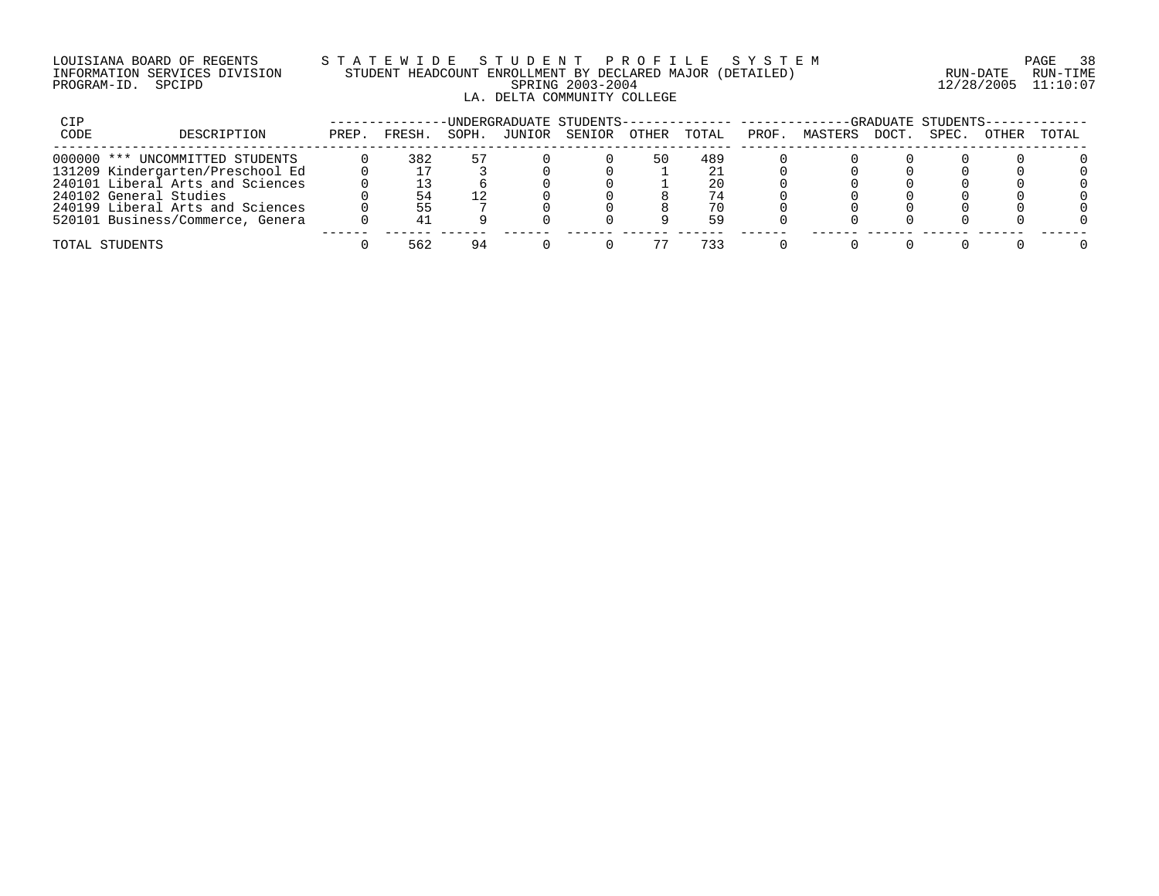#### LOUISIANA BOARD OF REGENTS S T A T E W I D E S T U D E N T P R O F I L E S Y S T E M PAGE 38 INFORMATION SERVICES DIVISION STUDENT HEADCOUNT ENROLLMENT BY DECLARED MAJOR (DETAILED) RUN-DATE RUN-TIME PROGRAM-ID. SPCIPD SPRING 2003-2004 12/28/2005 11:10:07 LA. DELTA COMMUNITY COLLEGE

| CIP  |                                  |       |        |       |        | -UNDERGRADUATE STUDENTS-------------- --------- |              |       |       |         |       | -GRADUATE STUDENTS- |       |       |
|------|----------------------------------|-------|--------|-------|--------|-------------------------------------------------|--------------|-------|-------|---------|-------|---------------------|-------|-------|
| CODE | DESCRIPTION                      | PREP. | FRESH. | SOPH. | JUNIOR | SENIOR                                          | <b>OTHER</b> | TOTAL | PROF. | MASTERS | DOCT. | SPEC.               | OTHER | TOTAL |
|      | 000000 *** UNCOMMITTED STUDENTS  |       | 382    | 57    |        |                                                 | 50           | 489   |       |         |       |                     |       |       |
|      | 131209 Kindergarten/Preschool Ed |       |        |       |        |                                                 |              |       |       |         |       |                     |       |       |
|      | 240101 Liberal Arts and Sciences |       |        |       |        |                                                 |              | 20    |       |         |       |                     |       |       |
|      | 240102 General Studies           |       |        |       |        |                                                 |              | 74    |       |         |       |                     |       |       |
|      | 240199 Liberal Arts and Sciences |       |        |       |        |                                                 |              | 70    |       |         |       |                     |       |       |
|      | 520101 Business/Commerce, Genera |       |        |       |        |                                                 |              | 59    |       |         |       |                     |       |       |
|      | TOTAL STUDENTS                   |       | 562    | 94    |        |                                                 |              | 733   |       |         |       |                     |       |       |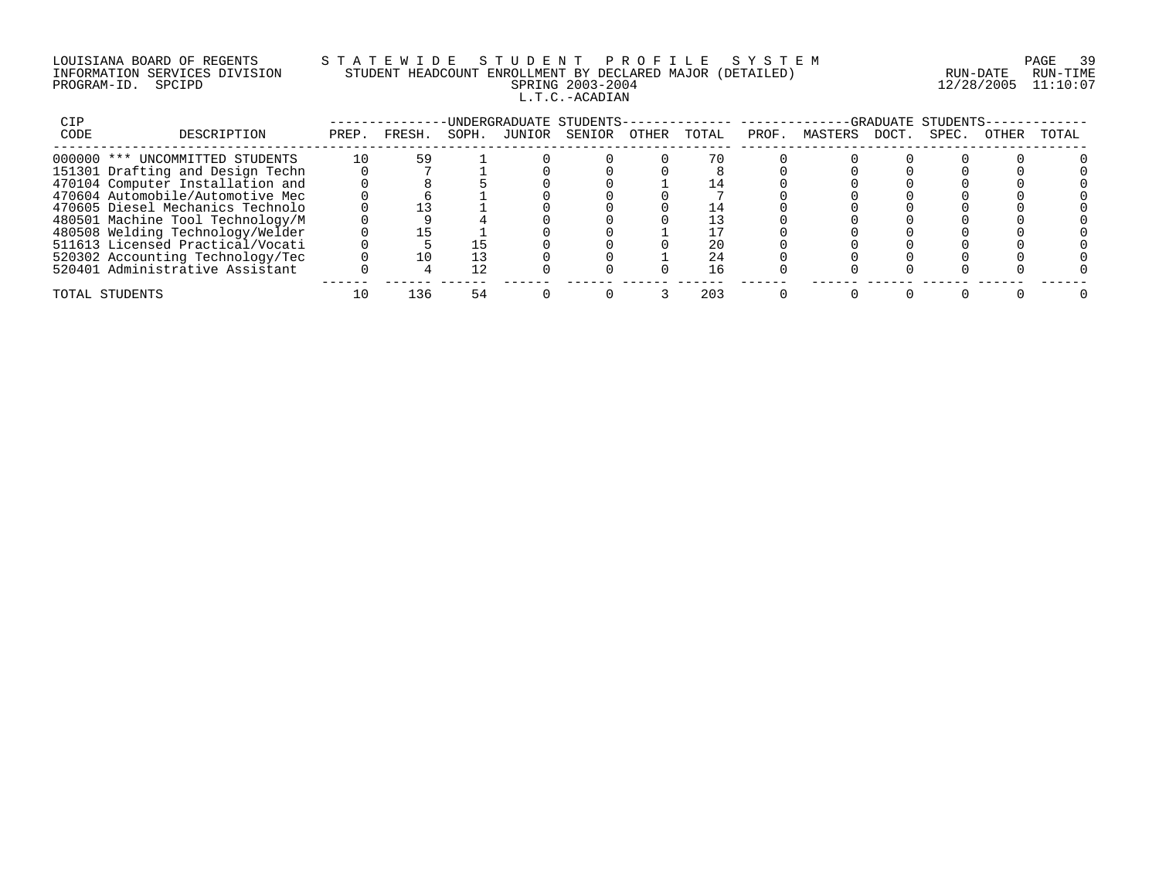# LOUISIANA BOARD OF REGENTS S T A T E W I D E S T U D E N T P R O F I L E S Y S T E M PAGE 39 INFORMATION SERVICES DIVISION STUDENT HEADCOUNT ENROLLMENT BY DECLARED MAJOR (DETAILED) RUN-DATE RUN-TIME PROGRAM-ID. SPCIPD SPRING 2003-2004 12/28/2005 11:10:07 L.T.C.-ACADIAN

| CIP  |                                  |       |        |       |        | UNDERGRADUATE STUDENTS- |       |       |       |         |       | GRADUATE STUDENTS |       |       |
|------|----------------------------------|-------|--------|-------|--------|-------------------------|-------|-------|-------|---------|-------|-------------------|-------|-------|
| CODE | DESCRIPTION                      | PREP. | FRESH. | SOPH. | JUNIOR | SENIOR                  | OTHER | TOTAL | PROF. | MASTERS | DOCT. | SPEC.             | OTHER | TOTAL |
|      | 000000 *** UNCOMMITTED STUDENTS  | 10    | 59     |       |        |                         |       |       |       |         |       |                   |       |       |
|      | 151301 Drafting and Design Techn |       |        |       |        |                         |       |       |       |         |       |                   |       |       |
|      | 470104 Computer Installation and |       |        |       |        |                         |       |       |       |         |       |                   |       |       |
|      | 470604 Automobile/Automotive Mec |       |        |       |        |                         |       |       |       |         |       |                   |       |       |
|      | 470605 Diesel Mechanics Technolo |       |        |       |        |                         |       |       |       |         |       |                   |       |       |
|      | 480501 Machine Tool Technology/M |       |        |       |        |                         |       |       |       |         |       |                   |       |       |
|      | 480508 Welding Technology/Welder |       |        |       |        |                         |       |       |       |         |       |                   |       |       |
|      | 511613 Licensed Practical/Vocati |       |        |       |        |                         |       | 20    |       |         |       |                   |       |       |
|      | 520302 Accounting Technology/Tec |       |        |       |        |                         |       | 24    |       |         |       |                   |       |       |
|      | 520401 Administrative Assistant  |       |        |       |        |                         |       | 16    |       |         |       |                   |       |       |
|      | TOTAL STUDENTS                   |       | ่ 36   |       |        |                         |       | 203   |       |         |       |                   |       |       |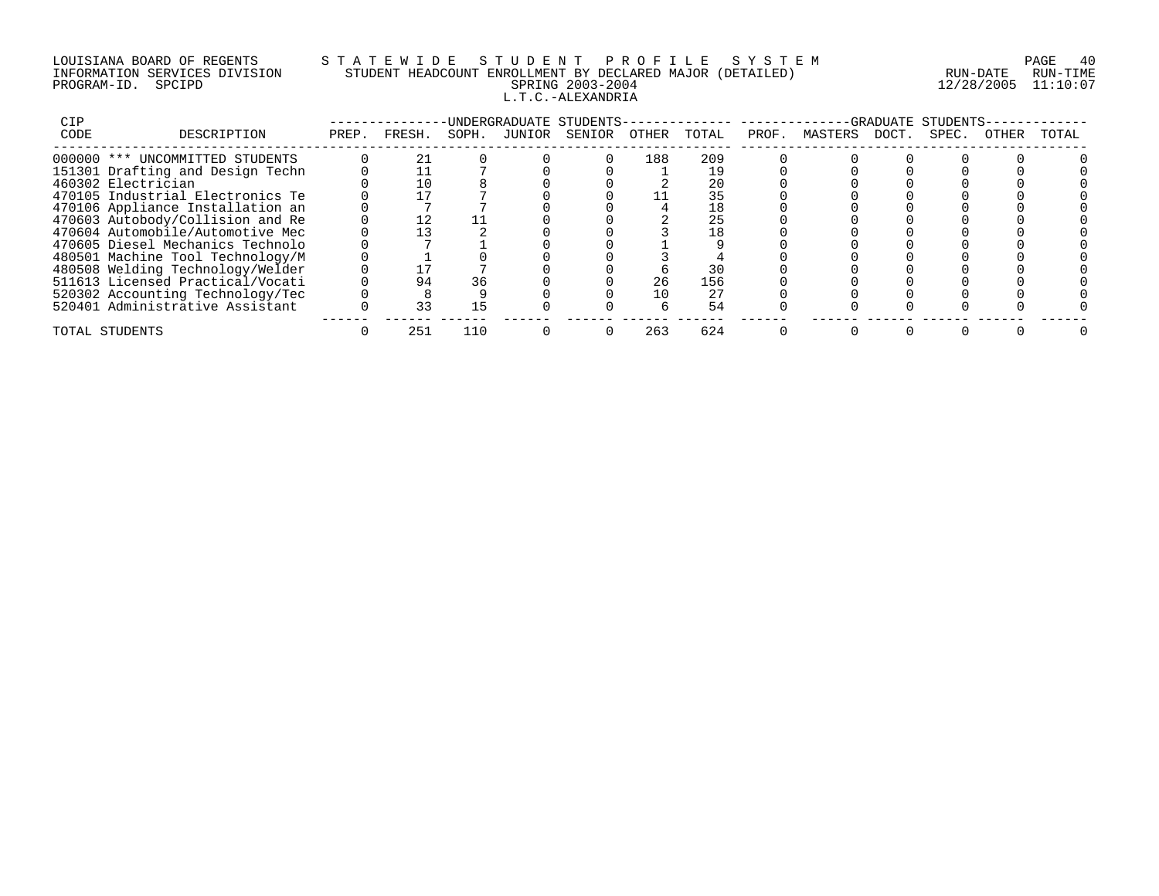# LOUISIANA BOARD OF REGENTS S T A T E W I D E S T U D E N T P R O F I L E S Y S T E M PAGE 40 INFORMATION SERVICES DIVISION STUDENT HEADCOUNT ENROLLMENT BY DECLARED MAJOR (DETAILED) RUN-DATE RUN-TIME PROGRAM-ID. SPCIPD SPRING 2003-2004 12/28/2005 11:10:07 L.T.C.-ALEXANDRIA

| CIP  |                                  |       |        |       |        | UNDERGRADUATE STUDENTS- |       |       |       |         | -GRADUATE | STUDENTS |       |       |
|------|----------------------------------|-------|--------|-------|--------|-------------------------|-------|-------|-------|---------|-----------|----------|-------|-------|
| CODE | DESCRIPTION                      | PREP. | FRESH. | SOPH. | JUNIOR | SENIOR                  | OTHER | TOTAL | PROF. | MASTERS | DOCT.     | SPEC.    | OTHER | TOTAL |
|      | 000000 *** UNCOMMITTED STUDENTS  |       |        |       |        |                         | 188   | 209   |       |         |           |          |       |       |
|      | 151301 Drafting and Design Techn |       |        |       |        |                         |       |       |       |         |           |          |       |       |
|      | 460302 Electrician               |       | 10     |       |        |                         |       | 20    |       |         |           |          |       |       |
|      | 470105 Industrial Electronics Te |       |        |       |        |                         |       | 35    |       |         |           |          |       |       |
|      | 470106 Appliance Installation an |       |        |       |        |                         |       | 18    |       |         |           |          |       |       |
|      | 470603 Autobody/Collision and Re |       |        |       |        |                         |       | 25    |       |         |           |          |       |       |
|      | 470604 Automobile/Automotive Mec |       |        |       |        |                         |       |       |       |         |           |          |       |       |
|      | 470605 Diesel Mechanics Technolo |       |        |       |        |                         |       |       |       |         |           |          |       |       |
|      | 480501 Machine Tool Technology/M |       |        |       |        |                         |       |       |       |         |           |          |       |       |
|      | 480508 Welding Technology/Welder |       |        |       |        |                         |       | 30    |       |         |           |          |       |       |
|      | 511613 Licensed Practical/Vocati |       | 94     | 36    |        |                         | 26    | 156   |       |         |           |          |       |       |
|      | 520302 Accounting Technology/Tec |       |        |       |        |                         | 10    | 27    |       |         |           |          |       |       |
|      | 520401 Administrative Assistant  |       | る      |       |        |                         |       | 54    |       |         |           |          |       |       |
|      | TOTAL STUDENTS                   |       | 251    | 110   |        |                         | 263   | 624   |       |         |           |          |       |       |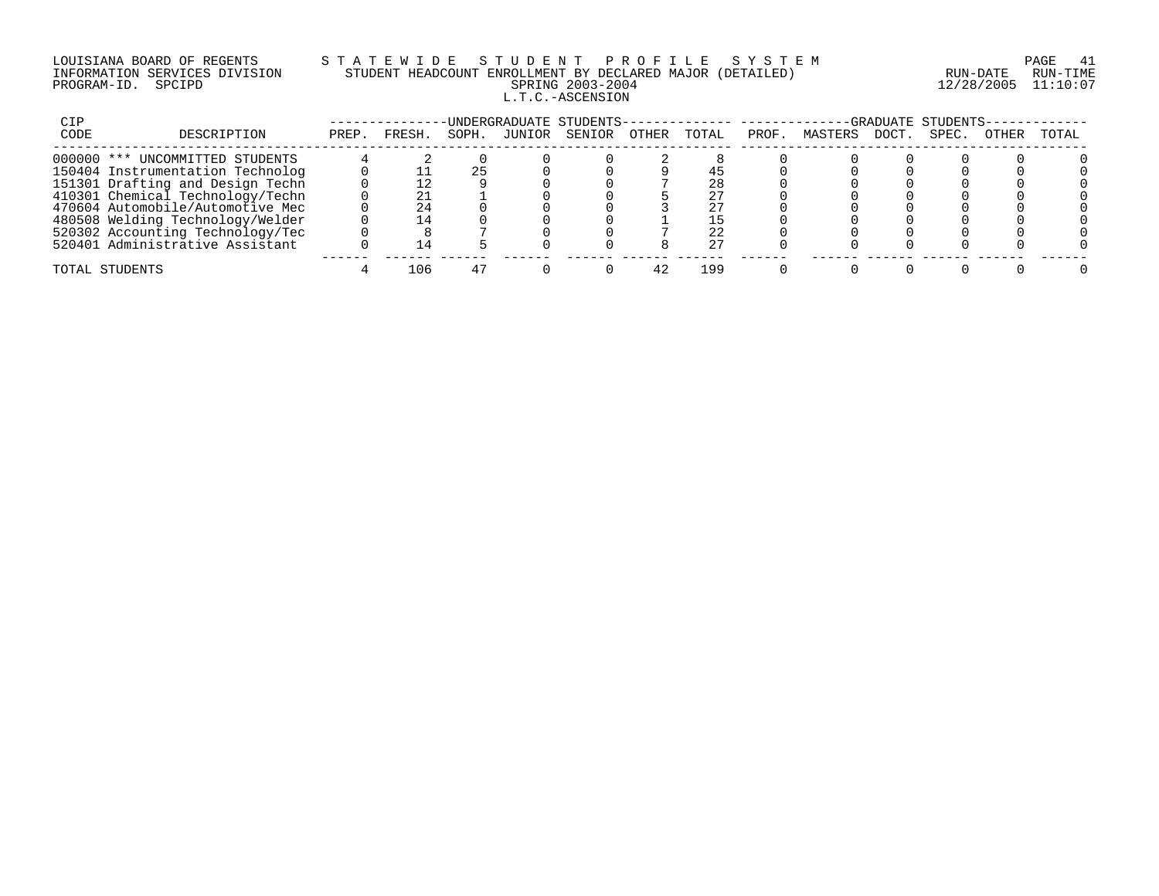# LOUISIANA BOARD OF REGENTS S T A T E W I D E S T U D E N T P R O F I L E S Y S T E M PAGE 41 INFORMATION SERVICES DIVISION STUDENT HEADCOUNT ENROLLMENT BY DECLARED MAJOR (DETAILED) RUN-DATE RUN-TIME PROGRAM-ID. SPCIPD SPRING 2003-2004 12/28/2005 11:10:07 L.T.C.-ASCENSION

| CIP  |                                  |       |       |       |        | UNDERGRADUATE STUDENTS-- |       |       |      |         |      | -GRADUATE STUDENTS- |       |       |
|------|----------------------------------|-------|-------|-------|--------|--------------------------|-------|-------|------|---------|------|---------------------|-------|-------|
| CODE | DESCRIPTION                      | PREP. | FRESH | SOPH. | JUNIOR | SENIOR                   | OTHER | TOTAL | PROF | MASTERS | DOCT | SPEC.               | OTHER | TOTAL |
|      | 000000 *** UNCOMMITTED STUDENTS  |       |       |       |        |                          |       |       |      |         |      |                     |       |       |
|      | 150404 Instrumentation Technolog |       |       |       |        |                          |       |       |      |         |      |                     |       |       |
|      | 151301 Drafting and Design Techn |       |       |       |        |                          |       | 28    |      |         |      |                     |       |       |
|      | 410301 Chemical Technology/Techn |       |       |       |        |                          |       | 27    |      |         |      |                     |       |       |
|      | 470604 Automobile/Automotive Mec |       |       |       |        |                          |       |       |      |         |      |                     |       |       |
|      | 480508 Welding Technology/Welder |       |       |       |        |                          |       |       |      |         |      |                     |       |       |
|      | 520302 Accounting Technology/Tec |       |       |       |        |                          |       | 22    |      |         |      |                     |       |       |
|      | 520401 Administrative Assistant  |       |       |       |        |                          |       | 27    |      |         |      |                     |       |       |
|      | TOTAL STUDENTS                   |       | 106   |       |        |                          |       | 199   |      |         |      |                     |       |       |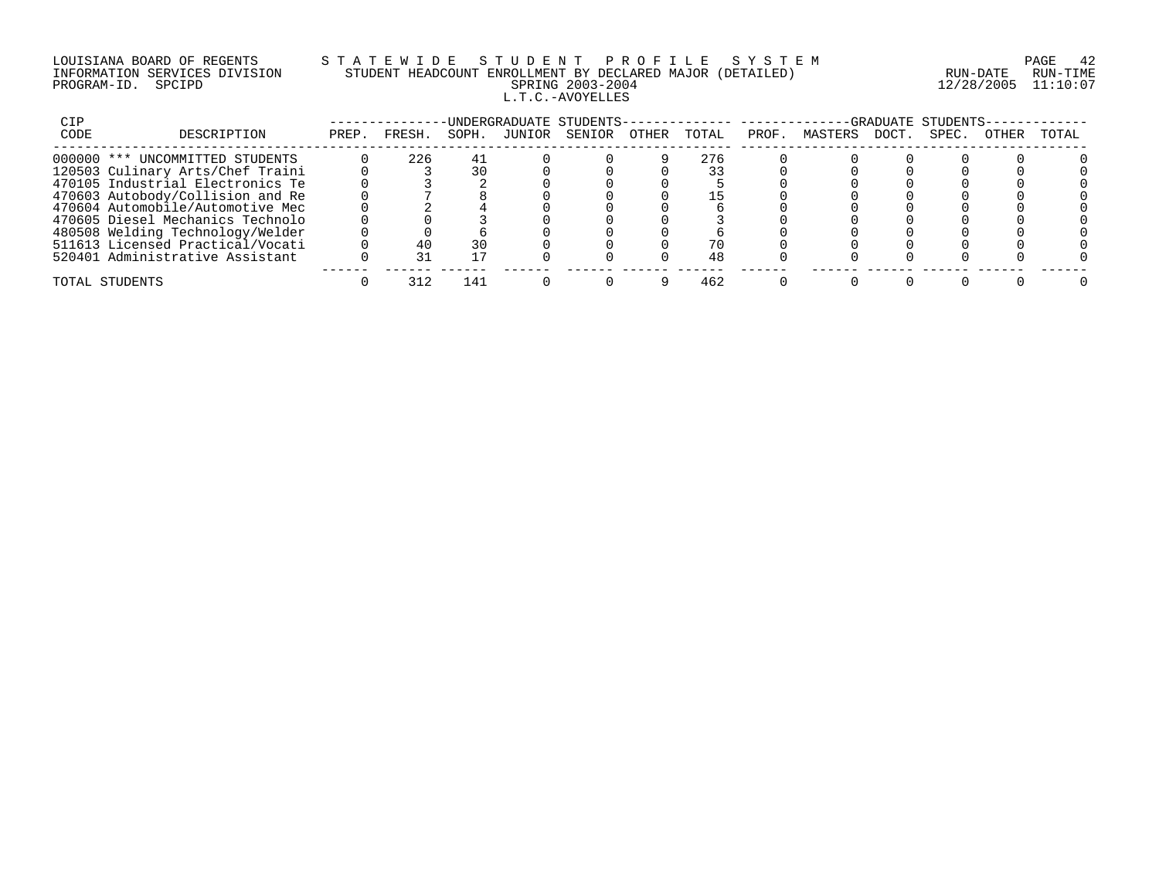# LOUISIANA BOARD OF REGENTS S T A T E W I D E S T U D E N T P R O F I L E S Y S T E M PAGE 42 INFORMATION SERVICES DIVISION STUDENT HEADCOUNT ENROLLMENT BY DECLARED MAJOR (DETAILED) RUN-DATE RUN-TIME PROGRAM-ID. SPCIPD SPRING 2003-2004 12/28/2005 11:10:07 L.T.C.-AVOYELLES

| CIP  |                                  |       |        |       | UNDERGRADUATE STUDENTS- |       |       |       |         |       | -GRADUATE STUDENTS |       |       |
|------|----------------------------------|-------|--------|-------|-------------------------|-------|-------|-------|---------|-------|--------------------|-------|-------|
| CODE | DESCRIPTION                      | PREP. | FRESH. | SOPH. | JUNIOR SENIOR           | OTHER | TOTAL | PROF. | MASTERS | DOCT. | SPEC.              | OTHER | TOTAL |
|      | 000000 *** UNCOMMITTED STUDENTS  |       | 226    | 41    |                         |       | 276   |       |         |       |                    |       |       |
|      | 120503 Culinary Arts/Chef Traini |       |        |       |                         |       |       |       |         |       |                    |       |       |
|      | 470105 Industrial Electronics Te |       |        |       |                         |       |       |       |         |       |                    |       |       |
|      | 470603 Autobody/Collision and Re |       |        |       |                         |       |       |       |         |       |                    |       |       |
|      | 470604 Automobile/Automotive Mec |       |        |       |                         |       |       |       |         |       |                    |       |       |
|      | 470605 Diesel Mechanics Technolo |       |        |       |                         |       |       |       |         |       |                    |       |       |
|      | 480508 Welding Technology/Welder |       |        |       |                         |       |       |       |         |       |                    |       |       |
|      | 511613 Licensed Practical/Vocati |       |        |       |                         |       |       |       |         |       |                    |       |       |
|      | 520401 Administrative Assistant  |       |        |       |                         |       | 48    |       |         |       |                    |       |       |
|      | TOTAL STUDENTS                   |       | 312    | 141   |                         |       | 462   |       |         |       |                    |       |       |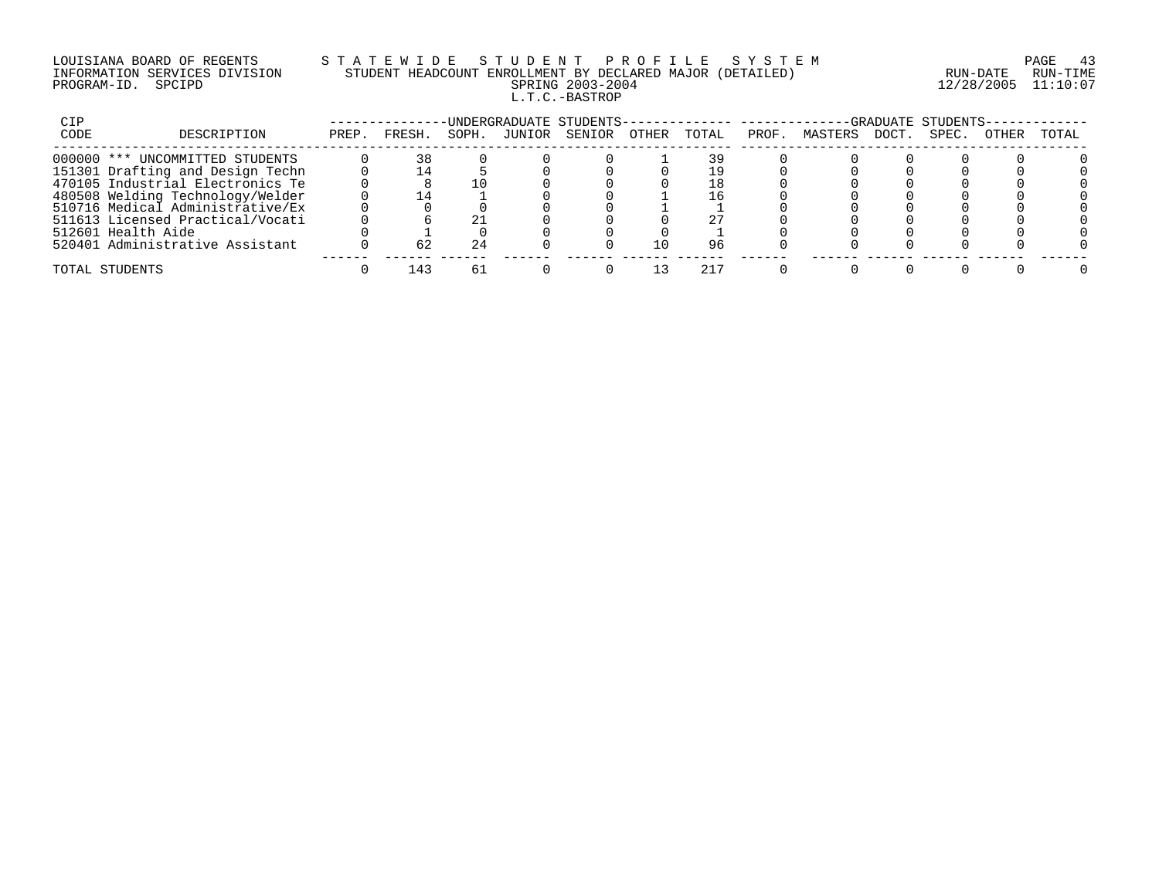# LOUISIANA BOARD OF REGENTS S T A T E W I D E S T U D E N T P R O F I L E S Y S T E M PAGE 43 INFORMATION SERVICES DIVISION STUDENT HEADCOUNT ENROLLMENT BY DECLARED MAJOR (DETAILED) RUN-DATE RUN-TIME PROGRAM-ID. SPCIPD SPRING 2003-2004 12/28/2005 11:10:07 L.T.C.-BASTROP

| CIP  |                                  |       |              |       |        | INDERGRADUATE STUDENTS- |       |       |       |         |       | -GRADUATE STUDENTS- |       |       |
|------|----------------------------------|-------|--------------|-------|--------|-------------------------|-------|-------|-------|---------|-------|---------------------|-------|-------|
| CODE | DESCRIPTION                      | PREP. | FRESH.       | SOPH. | JUNIOR | SENIOR                  | OTHER | TOTAL | PROF. | MASTERS | DOCT. | SPEC.               | OTHER | TOTAL |
|      | 000000 *** UNCOMMITTED STUDENTS  |       | 38           |       |        |                         |       | 39    |       |         |       |                     |       |       |
|      | 151301 Drafting and Design Techn |       |              |       |        |                         |       |       |       |         |       |                     |       |       |
|      | 470105 Industrial Electronics Te |       |              |       |        |                         |       | L8    |       |         |       |                     |       |       |
|      | 480508 Welding Technology/Welder |       |              |       |        |                         |       | -6    |       |         |       |                     |       |       |
|      | 510716 Medical Administrative/Ex |       |              |       |        |                         |       |       |       |         |       |                     |       |       |
|      | 511613 Licensed Practical/Vocati |       |              |       |        |                         |       |       |       |         |       |                     |       |       |
|      | 512601 Health Aide               |       |              |       |        |                         |       |       |       |         |       |                     |       |       |
|      | 520401 Administrative Assistant  |       | 62           |       |        |                         | L O   | 96    |       |         |       |                     |       |       |
|      | TOTAL STUDENTS                   |       | $\mathbf{A}$ | h     |        |                         |       |       |       |         |       |                     |       |       |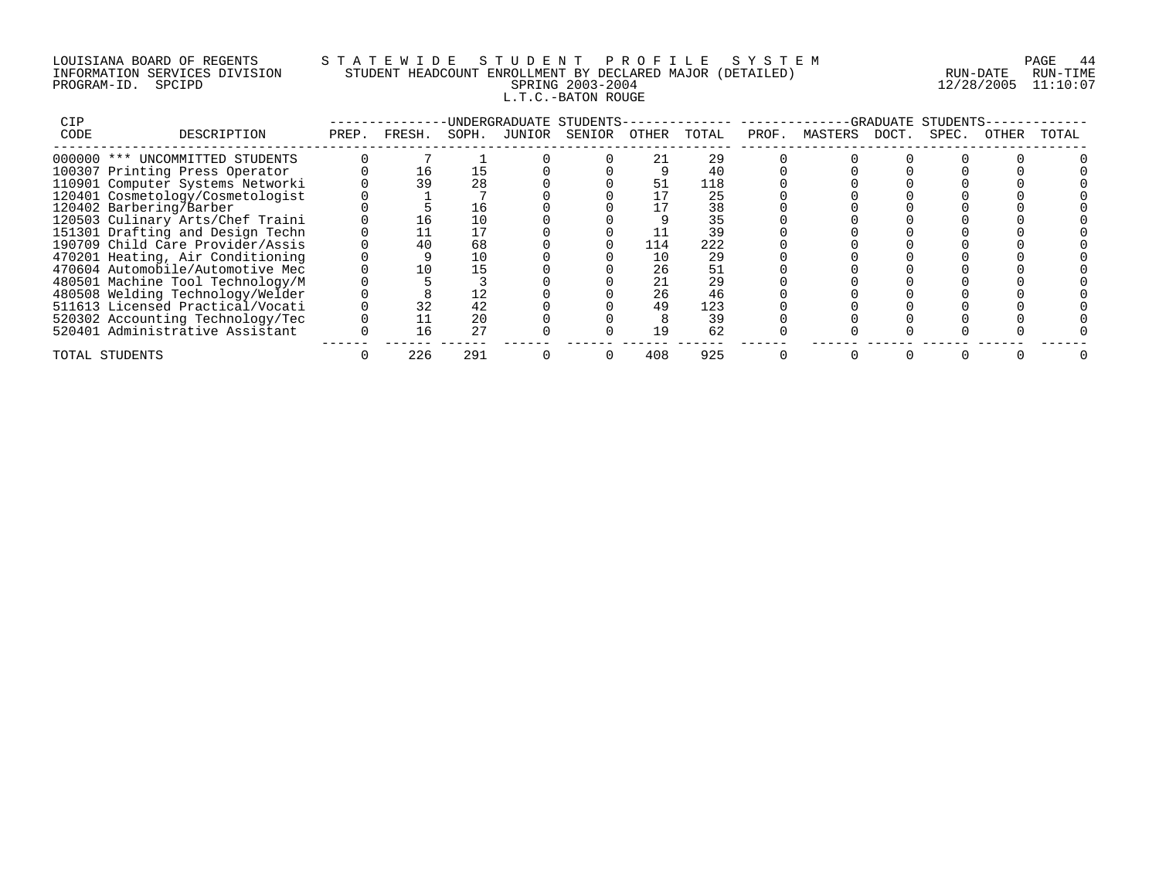# LOUISIANA BOARD OF REGENTS S T A T E W I D E S T U D E N T P R O F I L E S Y S T E M PAGE 44 INFORMATION SERVICES DIVISION STUDENT HEADCOUNT ENROLLMENT BY DECLARED MAJOR (DETAILED) RUN-DATE RUN-TIME PROGRAM-ID. SPCIPD SPRING 2003-2004 12/28/2005 11:10:07 L.T.C.-BATON ROUGE

| CIP  |                                  |       |        |       |        | UNDERGRADUATE STUDENTS- |       |       |       |         | GRADUATE | STUDENTS |       |       |
|------|----------------------------------|-------|--------|-------|--------|-------------------------|-------|-------|-------|---------|----------|----------|-------|-------|
| CODE | DESCRIPTION                      | PREP. | FRESH. | SOPH. | JUNIOR | SENIOR                  | OTHER | TOTAL | PROF. | MASTERS | DOCT.    | SPEC.    | OTHER | TOTAL |
|      | 000000 *** UNCOMMITTED STUDENTS  |       |        |       |        |                         |       | 29    |       |         |          |          |       |       |
|      | 100307 Printing Press Operator   |       | 16     | 15    |        |                         |       | 40    |       |         |          |          |       |       |
|      | 110901 Computer Systems Networki |       | 39     | 28    |        |                         |       | 118   |       |         |          |          |       |       |
|      | 120401 Cosmetology/Cosmetologist |       |        |       |        |                         |       | 25    |       |         |          |          |       |       |
|      | 120402 Barbering/Barber          |       |        | 16    |        |                         |       | 38    |       |         |          |          |       |       |
|      | 120503 Culinary Arts/Chef Traini |       | 16     |       |        |                         |       | 35    |       |         |          |          |       |       |
|      | 151301 Drafting and Design Techn |       |        |       |        |                         |       | 39    |       |         |          |          |       |       |
|      | 190709 Child Care Provider/Assis |       | 40     | 68    |        |                         | 114   | 222   |       |         |          |          |       |       |
|      | 470201 Heating, Air Conditioning |       |        | 10    |        |                         | 10    | 29    |       |         |          |          |       |       |
|      | 470604 Automobile/Automotive Mec |       |        |       |        |                         | 26    | 51    |       |         |          |          |       |       |
|      | 480501 Machine Tool Technology/M |       |        |       |        |                         |       | 29    |       |         |          |          |       |       |
|      | 480508 Welding Technology/Welder |       |        | 12    |        |                         | 26    | 46    |       |         |          |          |       |       |
|      | 511613 Licensed Practical/Vocati |       |        | 42    |        |                         | 49    | 123   |       |         |          |          |       |       |
|      | 520302 Accounting Technology/Tec |       |        | 20    |        |                         |       | 39    |       |         |          |          |       |       |
|      | 520401 Administrative Assistant  |       | 16     | 2.7   |        |                         |       | 62    |       |         |          |          |       |       |
|      | TOTAL STUDENTS                   |       | 226    | 291   |        |                         | 408   | 925   |       |         |          |          |       |       |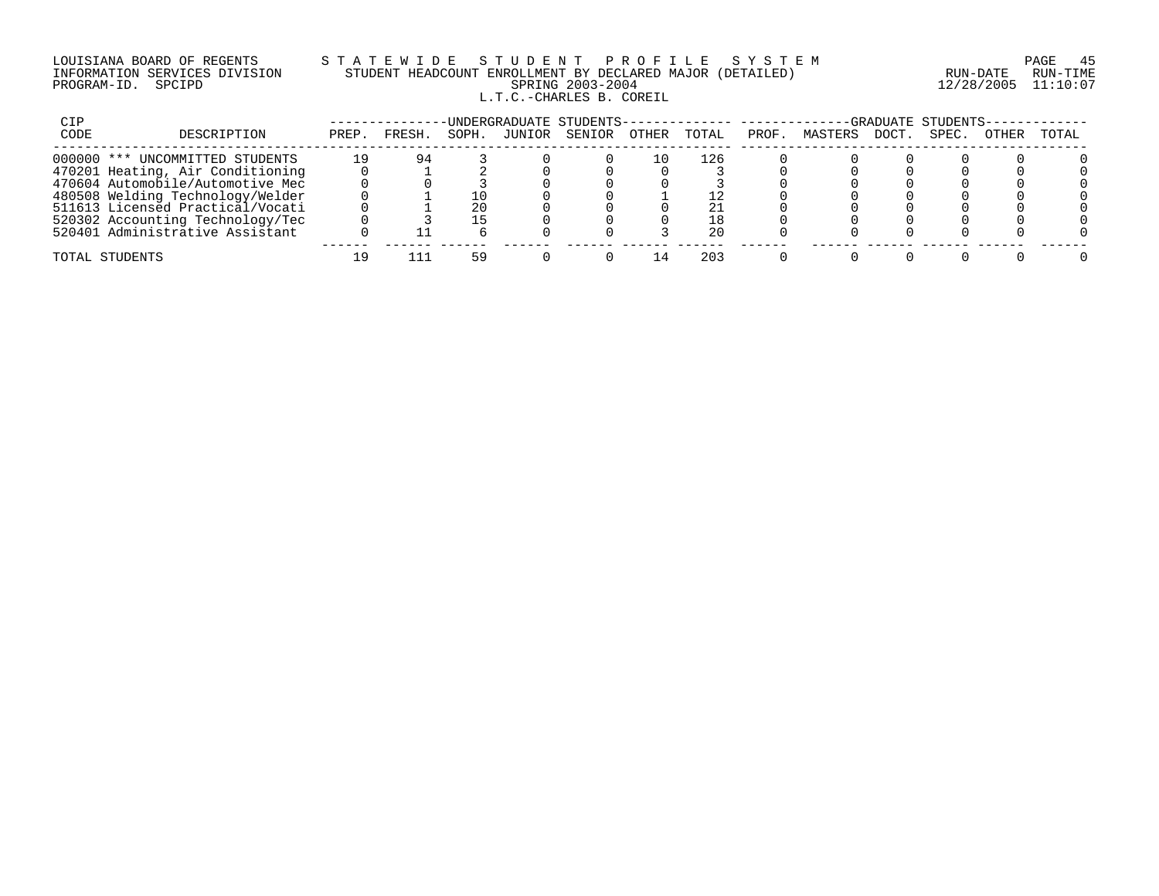#### LOUISIANA BOARD OF REGENTS S T A T E W I D E S T U D E N T P R O F I L E S Y S T E M PAGE 45 INFORMATION SERVICES DIVISION STUDENT HEADCOUNT ENROLLMENT BY DECLARED MAJOR (DETAILED) RUN-DATE RUN-TIME PROGRAM-ID. SPCIPD SPRING 2003-2004 12/28/2005 11:10:07 L.T.C.-CHARLES B. COREIL

| CIP  |                                  |       |       |       |        | -UNDERGRADUATE STUDENTS- |       |       |       |         |      | -GRADUATE STUDENTS- |       |       |
|------|----------------------------------|-------|-------|-------|--------|--------------------------|-------|-------|-------|---------|------|---------------------|-------|-------|
| CODE | DESCRIPTION                      | PREP. | FRESH | SOPH. | JUNIOR | SENIOR                   | OTHER | TOTAL | PROF. | MASTERS | DOCT | SPEC.               | OTHER | TOTAL |
|      | 000000 *** UNCOMMITTED STUDENTS  | 19    | 94    |       |        |                          | - 0   | 126   |       |         |      |                     |       |       |
|      | 470201 Heating, Air Conditioning |       |       |       |        |                          |       |       |       |         |      |                     |       |       |
|      | 470604 Automobile/Automotive Mec |       |       |       |        |                          |       |       |       |         |      |                     |       |       |
|      | 480508 Welding Technology/Welder |       |       |       |        |                          |       |       |       |         |      |                     |       |       |
|      | 511613 Licensed Practical/Vocati |       |       | 20    |        |                          |       |       |       |         |      |                     |       |       |
|      | 520302 Accounting Technology/Tec |       |       |       |        |                          |       | 18    |       |         |      |                     |       |       |
|      | 520401 Administrative Assistant  |       |       |       |        |                          |       | 20    |       |         |      |                     |       |       |
|      | TOTAL STUDENTS                   |       |       |       |        |                          |       | 203   |       |         |      |                     |       |       |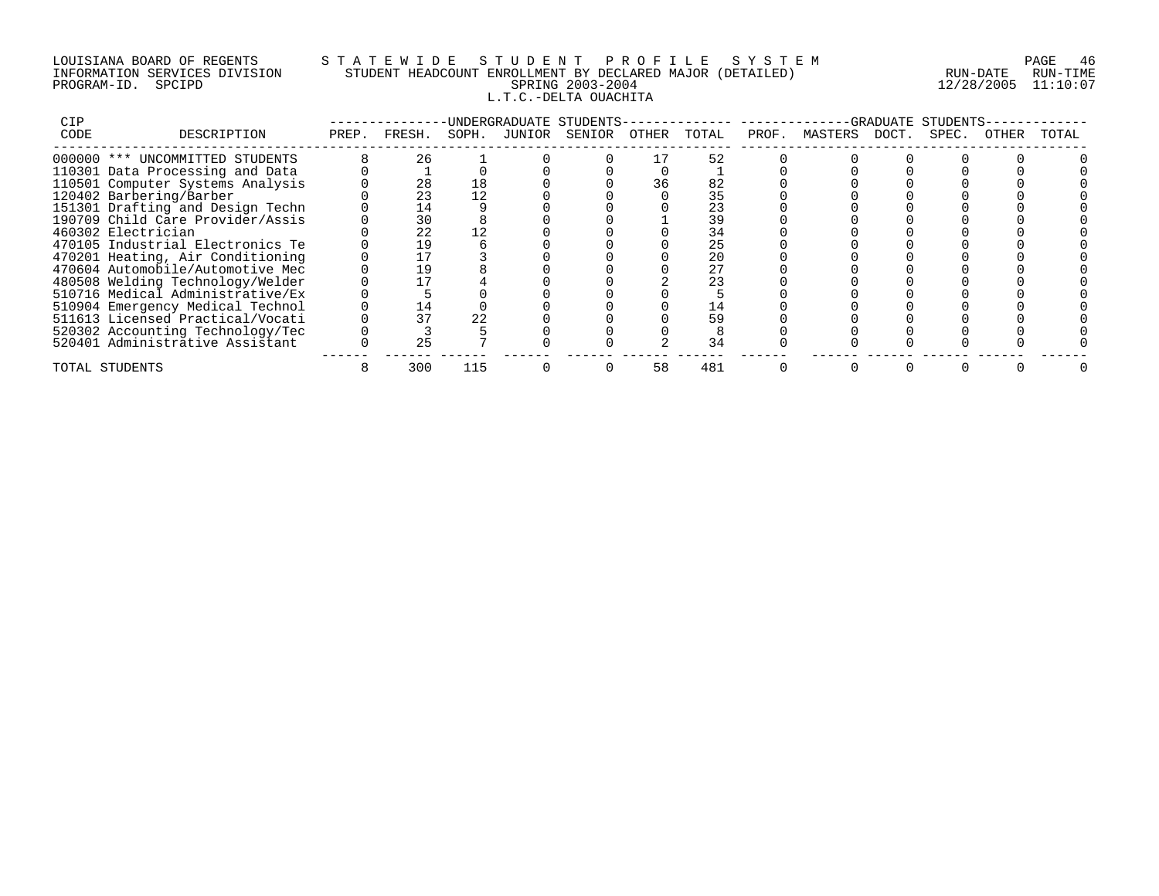## LOUISIANA BOARD OF REGENTS S T A T E W I D E S T U D E N T P R O F I L E S Y S T E M PAGE 46 INFORMATION SERVICES DIVISION STUDENT HEADCOUNT ENROLLMENT BY DECLARED MAJOR (DETAILED) RUN-DATE RUN-TIME PROGRAM-ID. SPCIPD SPRING 2003-2004 12/28/2005 11:10:07 L.T.C.-DELTA OUACHITA

| CIP  |                                  |              |       |        | UNDERGRADUATE STUDENTS- |       |       |       |               | -GRADUATE STUDENTS |       |       |
|------|----------------------------------|--------------|-------|--------|-------------------------|-------|-------|-------|---------------|--------------------|-------|-------|
| CODE | DESCRIPTION                      | PREP. FRESH. | SOPH. | JUNIOR | SENIOR                  | OTHER | TOTAL | PROF. | MASTERS DOCT. | SPEC.              | OTHER | TOTAL |
|      | 000000 *** UNCOMMITTED STUDENTS  | 26           |       |        |                         |       |       |       |               |                    |       |       |
|      | 110301 Data Processing and Data  |              |       |        |                         |       |       |       |               |                    |       |       |
|      | 110501 Computer Systems Analysis | 28           | 18    |        |                         | 36    | 82    |       |               |                    |       |       |
|      | 120402 Barbering/Barber          | 23           |       |        |                         |       | 35    |       |               |                    |       |       |
|      | 151301 Drafting and Design Techn | 14           |       |        |                         |       | 23    |       |               |                    |       |       |
|      | 190709 Child Care Provider/Assis | 30           |       |        |                         |       | 39    |       |               |                    |       |       |
|      | 460302 Electrician               | 22           |       |        |                         |       | 34    |       |               |                    |       |       |
|      | 470105 Industrial Electronics Te | 19           |       |        |                         |       | 25    |       |               |                    |       |       |
|      | 470201 Heating, Air Conditioning |              |       |        |                         |       | 20    |       |               |                    |       |       |
|      | 470604 Automobile/Automotive Mec | 19           |       |        |                         |       | 27    |       |               |                    |       |       |
|      | 480508 Welding Technology/Welder |              |       |        |                         |       | 23    |       |               |                    |       |       |
|      | 510716 Medical Administrative/Ex |              |       |        |                         |       |       |       |               |                    |       |       |
|      | 510904 Emergency Medical Technol | 14           |       |        |                         |       | 14    |       |               |                    |       |       |
|      | 511613 Licensed Practical/Vocati |              |       |        |                         |       |       |       |               |                    |       |       |
|      | 520302 Accounting Technology/Tec |              |       |        |                         |       |       |       |               |                    |       |       |
|      | 520401 Administrative Assistant  |              |       |        |                         |       | 34    |       |               |                    |       |       |
|      | TOTAL STUDENTS                   | 300          | 115   |        |                         | 58    | 481   |       |               |                    |       |       |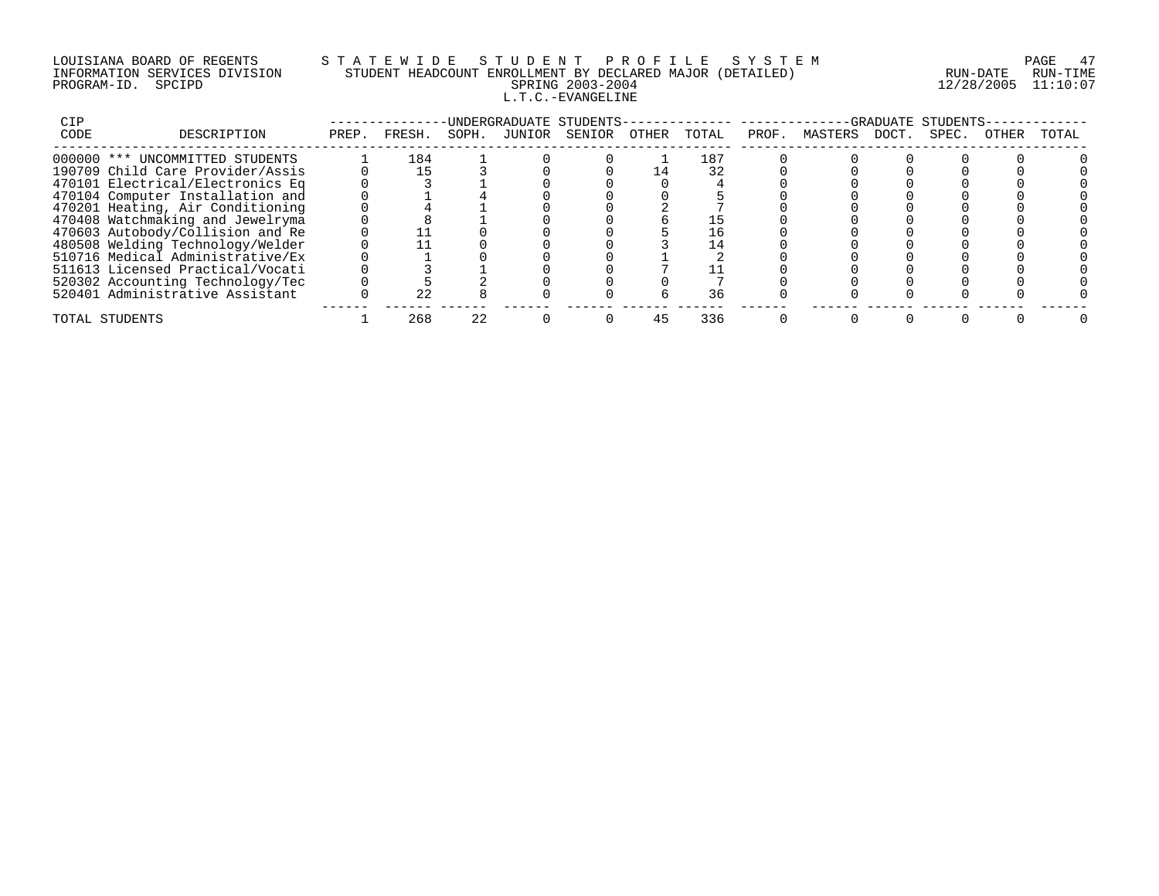# LOUISIANA BOARD OF REGENTS S T A T E W I D E S T U D E N T P R O F I L E S Y S T E M PAGE 47 INFORMATION SERVICES DIVISION STUDENT HEADCOUNT ENROLLMENT BY DECLARED MAJOR (DETAILED) RUN-DATE RUN-TIME PROGRAM-ID. SPCIPD SPRING 2003-2004 12/28/2005 11:10:07 L.T.C.-EVANGELINE

| CIP                              |       |        |       | -UNDERGRADUATE STUDENTS- |       |       |       |         |       | -GRADUATE STUDENTS- |       |       |
|----------------------------------|-------|--------|-------|--------------------------|-------|-------|-------|---------|-------|---------------------|-------|-------|
| CODE<br>DESCRIPTION              | PREP. | FRESH. | SOPH. | JUNIOR SENIOR            | OTHER | TOTAL | PROF. | MASTERS | DOCT. | SPEC.               | OTHER | TOTAL |
| 000000 *** UNCOMMITTED STUDENTS  |       | 184    |       |                          |       | 187   |       |         |       |                     |       |       |
| 190709 Child Care Provider/Assis |       |        |       |                          |       | 32    |       |         |       |                     |       |       |
| 470101 Electrical/Electronics Eq |       |        |       |                          |       |       |       |         |       |                     |       |       |
| 470104 Computer Installation and |       |        |       |                          |       |       |       |         |       |                     |       |       |
| 470201 Heating, Air Conditioning |       |        |       |                          |       |       |       |         |       |                     |       |       |
| 470408 Watchmaking and Jewelryma |       |        |       |                          |       |       |       |         |       |                     |       |       |
| 470603 Autobody/Collision and Re |       |        |       |                          |       |       |       |         |       |                     |       |       |
| 480508 Welding Technology/Welder |       |        |       |                          |       |       |       |         |       |                     |       |       |
| 510716 Medical Administrative/Ex |       |        |       |                          |       |       |       |         |       |                     |       |       |
| 511613 Licensed Practical/Vocati |       |        |       |                          |       |       |       |         |       |                     |       |       |
| 520302 Accounting Technology/Tec |       |        |       |                          |       |       |       |         |       |                     |       |       |
| 520401 Administrative Assistant  |       | 22     |       |                          |       |       |       |         |       |                     |       |       |
| TOTAL STUDENTS                   |       | 268    |       |                          |       | 336   |       |         |       |                     |       |       |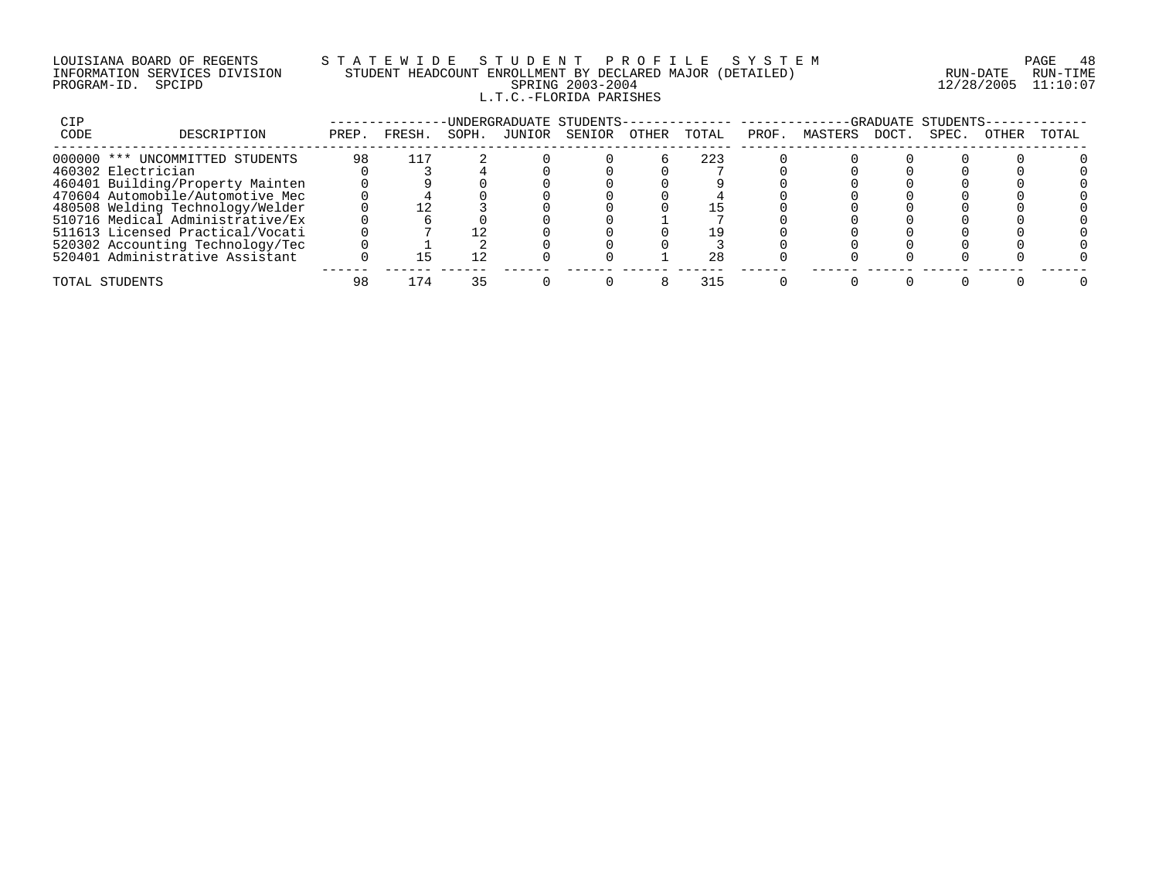#### LOUISIANA BOARD OF REGENTS S T A T E W I D E S T U D E N T P R O F I L E S Y S T E M PAGE 48 INFORMATION SERVICES DIVISION STUDENT HEADCOUNT ENROLLMENT BY DECLARED MAJOR (DETAILED) RUN-DATE RUN-TIME PROGRAM-ID. SPCIPD SPRING 2003-2004 12/28/2005 11:10:07 L.T.C.-FLORIDA PARISHES

| CIP  |                                  |       |        |       | UNDERGRADUATE STUDENTS- |       |       |       |         |       | -GRADUATE STUDENTS |       |       |
|------|----------------------------------|-------|--------|-------|-------------------------|-------|-------|-------|---------|-------|--------------------|-------|-------|
| CODE | DESCRIPTION                      | PREP. | FRESH. | SOPH. | JUNIOR SENIOR           | OTHER | TOTAL | PROF. | MASTERS | DOCT. | SPEC.              | OTHER | TOTAL |
|      | 000000 *** UNCOMMITTED STUDENTS  | 98    | 117    |       |                         |       | 223   |       |         |       |                    |       |       |
|      | 460302 Electrician               |       |        |       |                         |       |       |       |         |       |                    |       |       |
|      | 460401 Building/Property Mainten |       |        |       |                         |       |       |       |         |       |                    |       |       |
|      | 470604 Automobile/Automotive Mec |       |        |       |                         |       |       |       |         |       |                    |       |       |
|      | 480508 Welding Technology/Welder |       |        |       |                         |       |       |       |         |       |                    |       |       |
|      | 510716 Medical Administrative/Ex |       |        |       |                         |       |       |       |         |       |                    |       |       |
|      | 511613 Licensed Practical/Vocati |       |        |       |                         |       |       |       |         |       |                    |       |       |
|      | 520302 Accounting Technology/Tec |       |        |       |                         |       |       |       |         |       |                    |       |       |
|      | 520401 Administrative Assistant  |       |        |       |                         |       | 28    |       |         |       |                    |       |       |
|      | TOTAL STUDENTS                   | 98    | l 74   |       |                         |       | 315   |       |         |       |                    |       |       |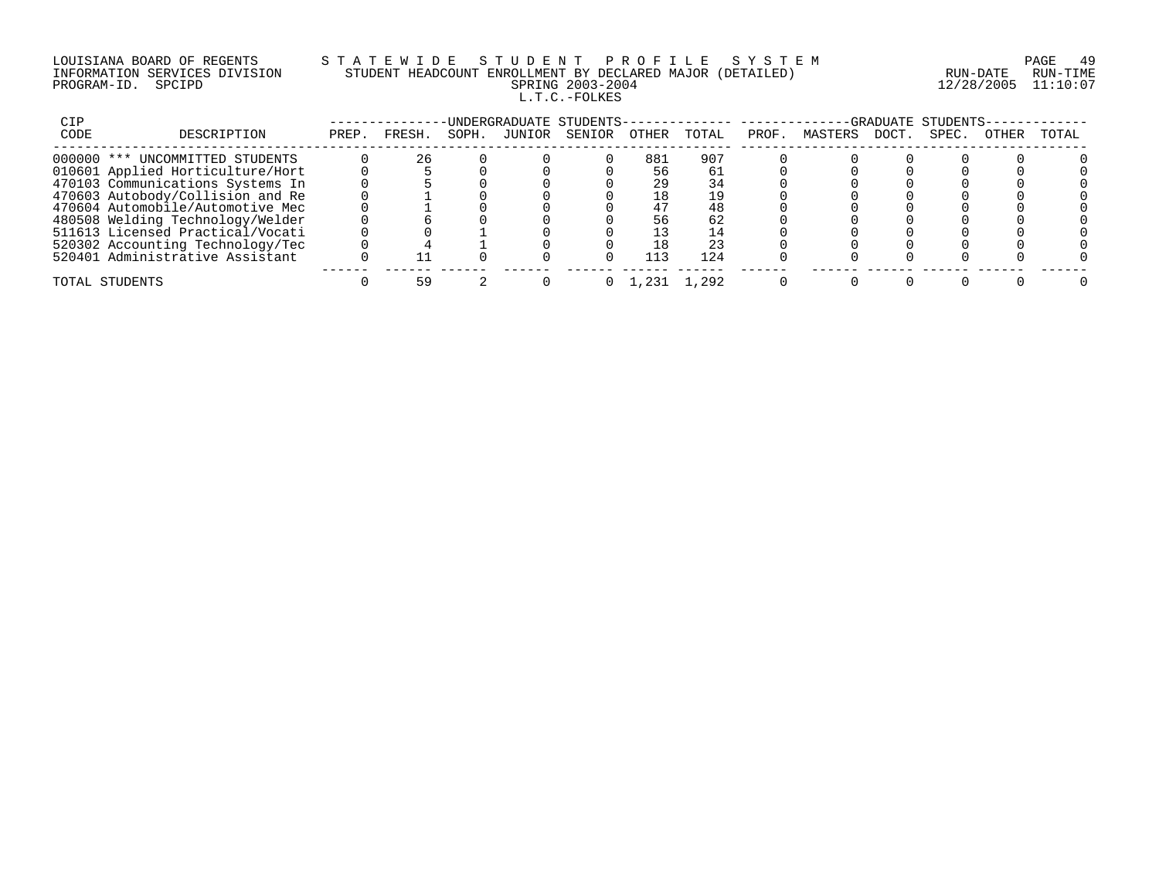# LOUISIANA BOARD OF REGENTS S T A T E W I D E S T U D E N T P R O F I L E S Y S T E M PAGE 49 INFORMATION SERVICES DIVISION STUDENT HEADCOUNT ENROLLMENT BY DECLARED MAJOR (DETAILED) RUN-DATE RUN-TIME PROGRAM-ID. SPCIPD SPRING 2003-2004 12/28/2005 11:10:07 L.T.C.-FOLKES

| CIP  |                                  |       |        |       | -UNDERGRADUATE STUDENTS- |       |       |       |         |       | -GRADUATE STUDENTS- |       |       |
|------|----------------------------------|-------|--------|-------|--------------------------|-------|-------|-------|---------|-------|---------------------|-------|-------|
| CODE | DESCRIPTION                      | PREP. | FRESH. | SOPH. | JUNIOR SENIOR            | OTHER | TOTAL | PROF. | MASTERS | DOCT. | SPEC.               | OTHER | TOTAL |
|      | 000000 *** UNCOMMITTED STUDENTS  |       | 26     |       |                          | 881   | 907   |       |         |       |                     |       |       |
|      | 010601 Applied Horticulture/Hort |       |        |       |                          | 56    |       |       |         |       |                     |       |       |
|      | 470103 Communications Systems In |       |        |       |                          | 29    | 34    |       |         |       |                     |       |       |
|      | 470603 Autobody/Collision and Re |       |        |       |                          | 18    | 19    |       |         |       |                     |       |       |
|      | 470604 Automobile/Automotive Mec |       |        |       |                          | 47    | 48    |       |         |       |                     |       |       |
|      | 480508 Welding Technology/Welder |       |        |       |                          | 56    | 62    |       |         |       |                     |       |       |
|      | 511613 Licensed Practical/Vocati |       |        |       |                          |       |       |       |         |       |                     |       |       |
|      | 520302 Accounting Technology/Tec |       |        |       |                          | 18    | 23    |       |         |       |                     |       |       |
|      | 520401 Administrative Assistant  |       |        |       |                          | 113   | 124   |       |         |       |                     |       |       |
|      | TOTAL STUDENTS                   |       |        |       |                          |       | 1.292 |       |         |       |                     |       |       |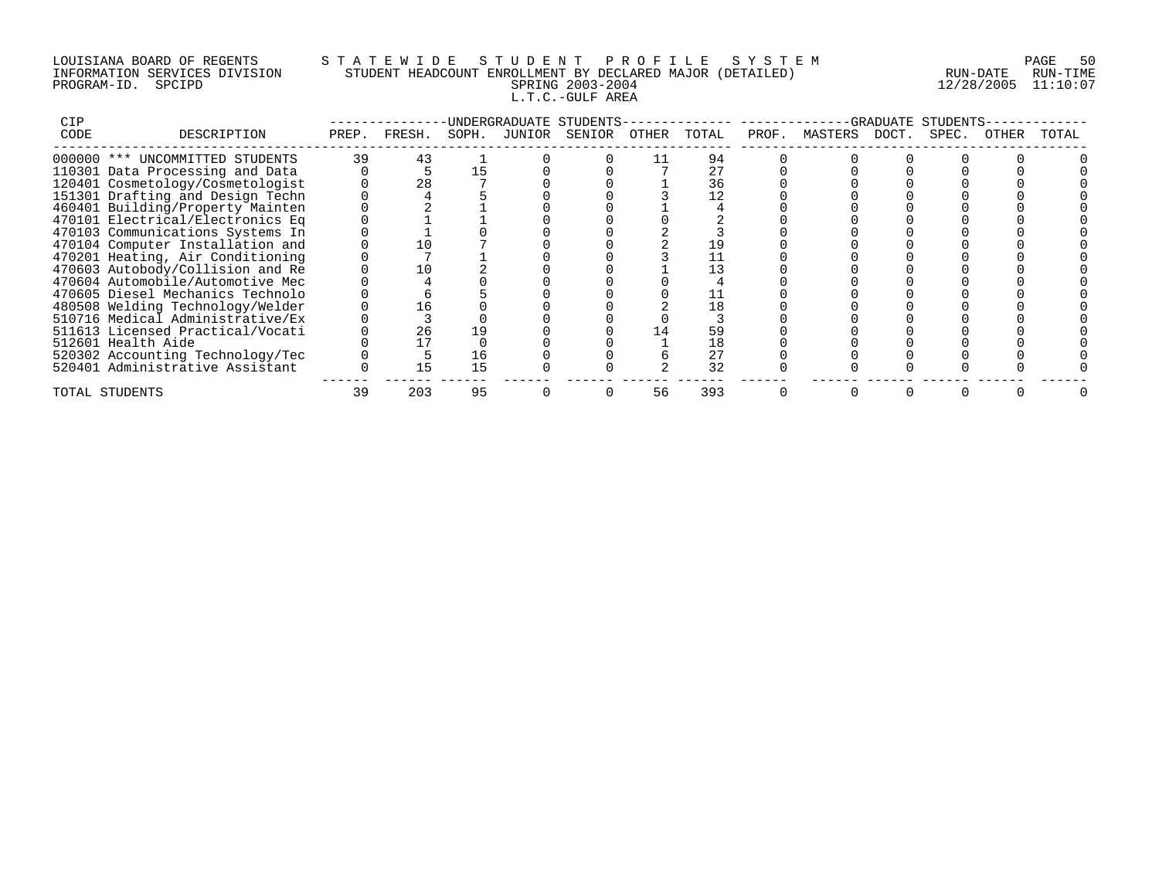# LOUISIANA BOARD OF REGENTS S T A T E W I D E S T U D E N T P R O F I L E S Y S T E M PAGE 50 INFORMATION SERVICES DIVISION STUDENT HEADCOUNT ENROLLMENT BY DECLARED MAJOR (DETAILED) RUN-DATE RUN-TIME PROGRAM-ID. SPCIPD SPRING 2003-2004 12/28/2005 11:10:07 L.T.C.-GULF AREA

| CIP  |                                  |       |        |       | -UNDERGRADUATE STUDENTS- |    |       |       |               | -GRADUATE | STUDENTS |       |       |
|------|----------------------------------|-------|--------|-------|--------------------------|----|-------|-------|---------------|-----------|----------|-------|-------|
| CODE | DESCRIPTION                      | PREP. | FRESH. | SOPH. | JUNIOR SENIOR OTHER      |    | TOTAL | PROF. | MASTERS DOCT. |           | SPEC.    | OTHER | TOTAL |
|      | 000000 *** UNCOMMITTED STUDENTS  | 39    | 43     |       |                          |    | 94    |       |               |           |          |       |       |
|      | 110301 Data Processing and Data  |       |        |       |                          |    |       |       |               |           |          |       |       |
|      | 120401 Cosmetology/Cosmetologist |       | 28     |       |                          |    | 36    |       |               |           |          |       |       |
|      | 151301 Drafting and Design Techn |       |        |       |                          |    |       |       |               |           |          |       |       |
|      | 460401 Building/Property Mainten |       |        |       |                          |    |       |       |               |           |          |       |       |
|      | 470101 Electrical/Electronics Eq |       |        |       |                          |    |       |       |               |           |          |       |       |
|      | 470103 Communications Systems In |       |        |       |                          |    |       |       |               |           |          |       |       |
|      | 470104 Computer Installation and |       |        |       |                          |    |       |       |               |           |          |       |       |
|      | 470201 Heating, Air Conditioning |       |        |       |                          |    |       |       |               |           |          |       |       |
|      | 470603 Autobody/Collision and Re |       |        |       |                          |    |       |       |               |           |          |       |       |
|      | 470604 Automobile/Automotive Mec |       |        |       |                          |    |       |       |               |           |          |       |       |
|      | 470605 Diesel Mechanics Technolo |       |        |       |                          |    |       |       |               |           |          |       |       |
|      | 480508 Welding Technology/Welder |       | ⊥6     |       |                          |    |       |       |               |           |          |       |       |
|      | 510716 Medical Administrative/Ex |       |        |       |                          |    |       |       |               |           |          |       |       |
|      | 511613 Licensed Practical/Vocati |       | 26     | 19    |                          |    |       |       |               |           |          |       |       |
|      | 512601 Health Aide               |       |        |       |                          |    | 18    |       |               |           |          |       |       |
|      | 520302 Accounting Technology/Tec |       |        | 16    |                          |    | 27    |       |               |           |          |       |       |
|      | 520401 Administrative Assistant  |       | 15     | 15    |                          |    | 32    |       |               |           |          |       |       |
|      | TOTAL STUDENTS                   | 39    | 203    | 95    |                          | 56 | 393   |       |               |           |          |       |       |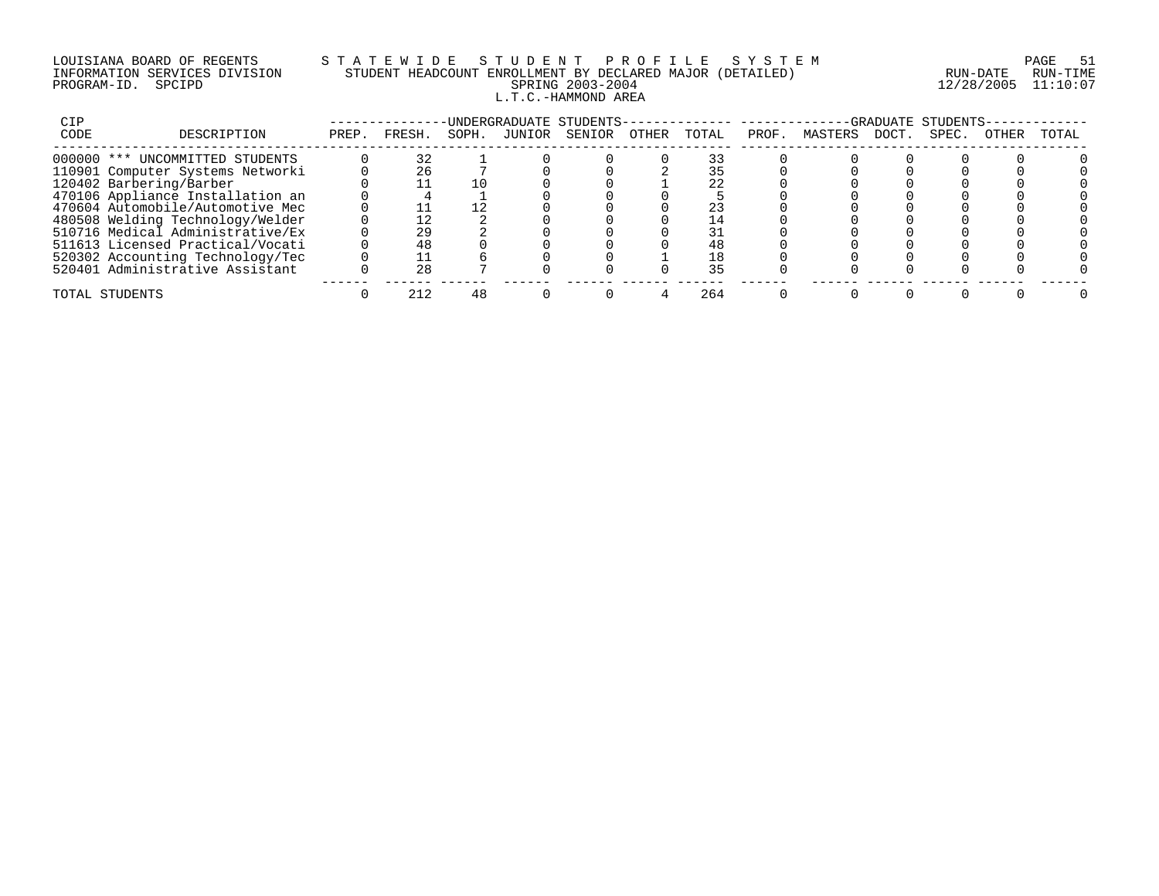# LOUISIANA BOARD OF REGENTS S T A T E W I D E S T U D E N T P R O F I L E S Y S T E M PAGE 51 INFORMATION SERVICES DIVISION STUDENT HEADCOUNT ENROLLMENT BY DECLARED MAJOR (DETAILED) RUN-DATE RUN-TIME PROGRAM-ID. SPCIPD SPRING 2003-2004 12/28/2005 11:10:07 L.T.C.-HAMMOND AREA

| CIP   |                                  |       |        |       |        | UNDERGRADUATE STUDENTS- |       |       |       |         | -GRADUATE | STUDENTS |              |       |
|-------|----------------------------------|-------|--------|-------|--------|-------------------------|-------|-------|-------|---------|-----------|----------|--------------|-------|
| CODE  | DESCRIPTION                      | PREP. | FRESH. | SOPH. | JUNIOR | SENIOR                  | OTHER | TOTAL | PROF. | MASTERS | DOCT.     | SPEC.    | <b>OTHER</b> | TOTAL |
|       | 000000 *** UNCOMMITTED STUDENTS  |       | 32     |       |        |                         |       |       |       |         |           |          |              |       |
|       | 110901 Computer Systems Networki |       | 26     |       |        |                         |       |       |       |         |           |          |              |       |
|       | 120402 Barbering/Barber          |       |        |       |        |                         |       | 22    |       |         |           |          |              |       |
|       | 470106 Appliance Installation an |       |        |       |        |                         |       |       |       |         |           |          |              |       |
|       | 470604 Automobile/Automotive Mec |       |        |       |        |                         |       |       |       |         |           |          |              |       |
|       | 480508 Welding Technology/Welder |       |        |       |        |                         |       |       |       |         |           |          |              |       |
|       | 510716 Medical Administrative/Ex |       | 29     |       |        |                         |       |       |       |         |           |          |              |       |
|       | 511613 Licensed Practical/Vocati |       | 48     |       |        |                         |       | 48    |       |         |           |          |              |       |
|       | 520302 Accounting Technology/Tec |       |        |       |        |                         |       | 18    |       |         |           |          |              |       |
|       | 520401 Administrative Assistant  |       | 2.8    |       |        |                         |       | 35    |       |         |           |          |              |       |
| TOTAL | STUDENTS                         |       |        |       |        |                         |       | 264   |       |         |           |          |              |       |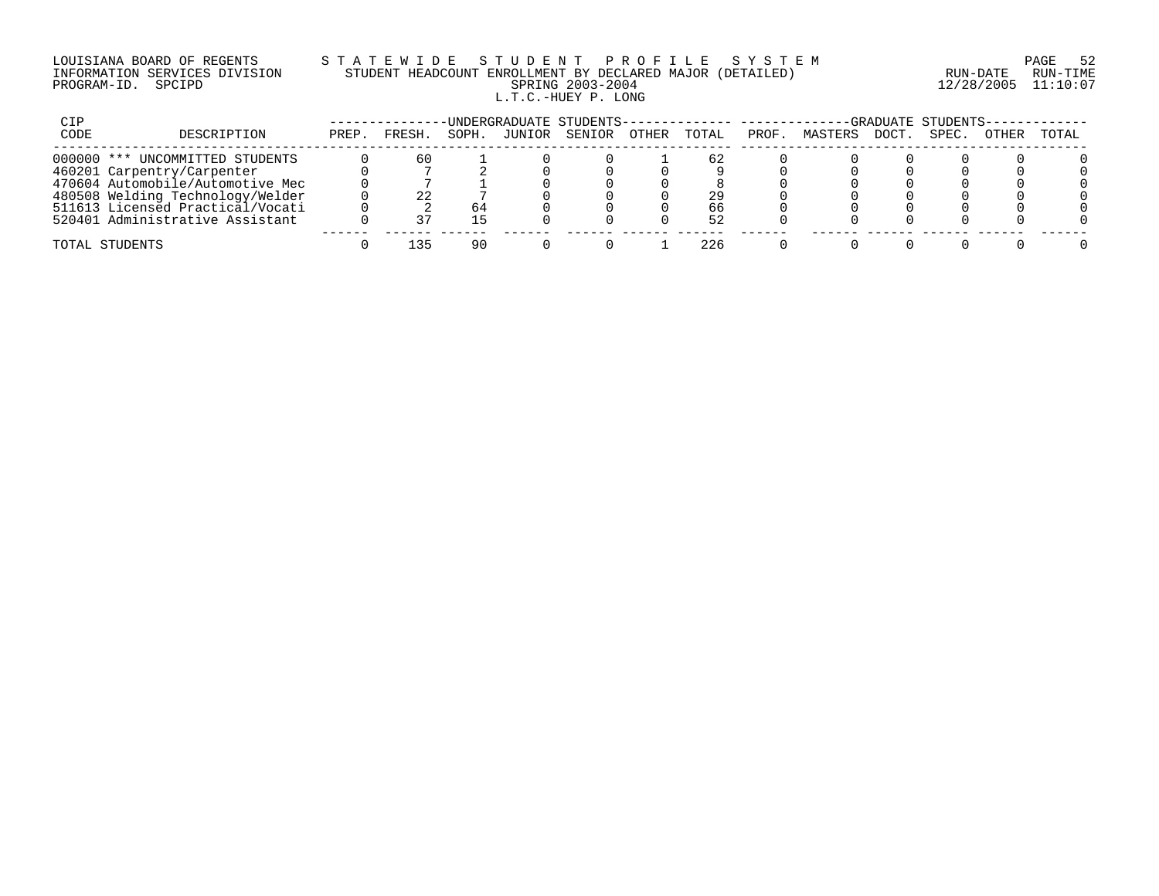# LOUISIANA BOARD OF REGENTS S T A T E W I D E S T U D E N T P R O F I L E S Y S T E M PAGE 52 INFORMATION SERVICES DIVISION STUDENT HEADCOUNT ENROLLMENT BY DECLARED MAJOR (DETAILED) RUN-DATE RUN-TIME PROGRAM-ID. SPCIPD SPRING 2003-2004 12/28/2005 11:10:07 L.T.C.-HUEY P. LONG

| CIP  |                                  |       |        |       |        | -UNDERGRADUATE STUDENTS-------------- --------- |       |       |       |         |             | GRADUATE STUDENTS- |              |       |
|------|----------------------------------|-------|--------|-------|--------|-------------------------------------------------|-------|-------|-------|---------|-------------|--------------------|--------------|-------|
| CODE | DESCRIPTION                      | PREP. | FRESH. | SOPH. | JUNIOR | SENIOR                                          | OTHER | TOTAL | PROF. | MASTERS | <b>DOCT</b> | SPEC.              | <b>OTHER</b> | TOTAL |
|      | 000000 *** UNCOMMITTED STUDENTS  |       | 60     |       |        |                                                 |       | 62    |       |         |             |                    |              |       |
|      | 460201 Carpentry/Carpenter       |       |        |       |        |                                                 |       |       |       |         |             |                    |              |       |
|      | 470604 Automobile/Automotive Mec |       |        |       |        |                                                 |       |       |       |         |             |                    |              |       |
|      | 480508 Welding Technology/Welder |       | 22     |       |        |                                                 |       | 29    |       |         |             |                    |              |       |
|      | 511613 Licensed Practical/Vocati |       |        | 64    |        |                                                 |       | 66    |       |         |             |                    |              |       |
|      | 520401 Administrative Assistant  |       |        |       |        |                                                 |       | 52    |       |         |             |                    |              |       |
|      | TOTAL STUDENTS                   |       | マロ     | 90    |        |                                                 |       | 226   |       |         |             |                    |              |       |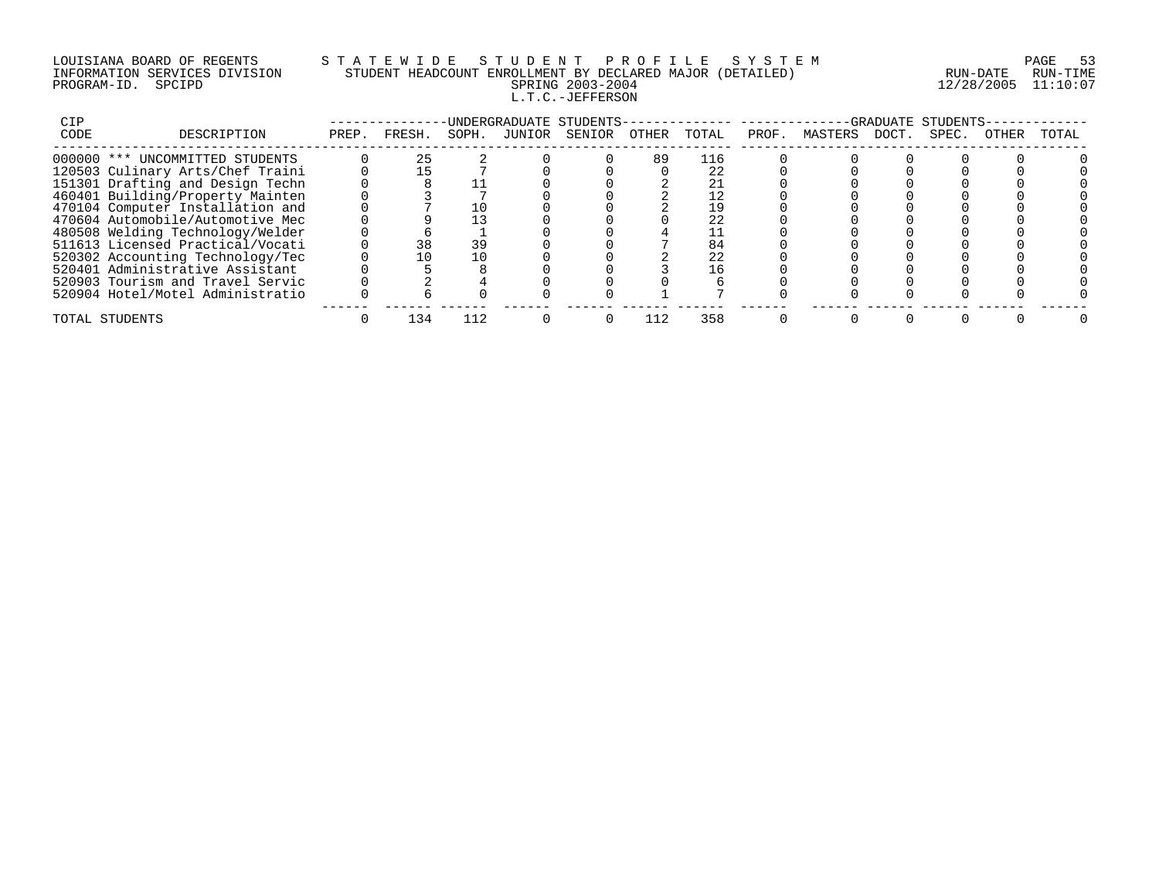# LOUISIANA BOARD OF REGENTS S T A T E W I D E S T U D E N T P R O F I L E S Y S T E M PAGE 53 INFORMATION SERVICES DIVISION STUDENT HEADCOUNT ENROLLMENT BY DECLARED MAJOR (DETAILED) RUN-DATE RUN-TIME PROGRAM-ID. SPCIPD SPRING 2003-2004 12/28/2005 11:10:07 L.T.C.-JEFFERSON

| CIP  |                                  |       |        |       |        | -UNDERGRADUATE STUDENTS- |       |       |       |         |       | -GRADUATE STUDENTS- |       |       |
|------|----------------------------------|-------|--------|-------|--------|--------------------------|-------|-------|-------|---------|-------|---------------------|-------|-------|
| CODE | DESCRIPTION                      | PREP. | FRESH. | SOPH. | JUNIOR | SENIOR                   | OTHER | TOTAL | PROF. | MASTERS | DOCT. | SPEC.               | OTHER | TOTAL |
|      | 000000 *** UNCOMMITTED STUDENTS  |       | 25     |       |        |                          | 89    | 116   |       |         |       |                     |       |       |
|      | 120503 Culinary Arts/Chef Traini |       |        |       |        |                          |       | 22    |       |         |       |                     |       |       |
|      | 151301 Drafting and Design Techn |       |        |       |        |                          |       |       |       |         |       |                     |       |       |
|      | 460401 Building/Property Mainten |       |        |       |        |                          |       |       |       |         |       |                     |       |       |
|      | 470104 Computer Installation and |       |        |       |        |                          |       | 19    |       |         |       |                     |       |       |
|      | 470604 Automobile/Automotive Mec |       |        |       |        |                          |       | 22    |       |         |       |                     |       |       |
|      | 480508 Welding Technology/Welder |       |        |       |        |                          |       |       |       |         |       |                     |       |       |
|      | 511613 Licensed Practical/Vocati |       |        |       |        |                          |       | 84    |       |         |       |                     |       |       |
|      | 520302 Accounting Technology/Tec |       |        |       |        |                          |       | 22    |       |         |       |                     |       |       |
|      | 520401 Administrative Assistant  |       |        |       |        |                          |       | 16    |       |         |       |                     |       |       |
|      | 520903 Tourism and Travel Servic |       |        |       |        |                          |       |       |       |         |       |                     |       |       |
|      | 520904 Hotel/Motel Administratio |       |        |       |        |                          |       |       |       |         |       |                     |       |       |
|      | TOTAL STUDENTS                   |       | -34    |       |        |                          |       | 358   |       |         |       |                     |       |       |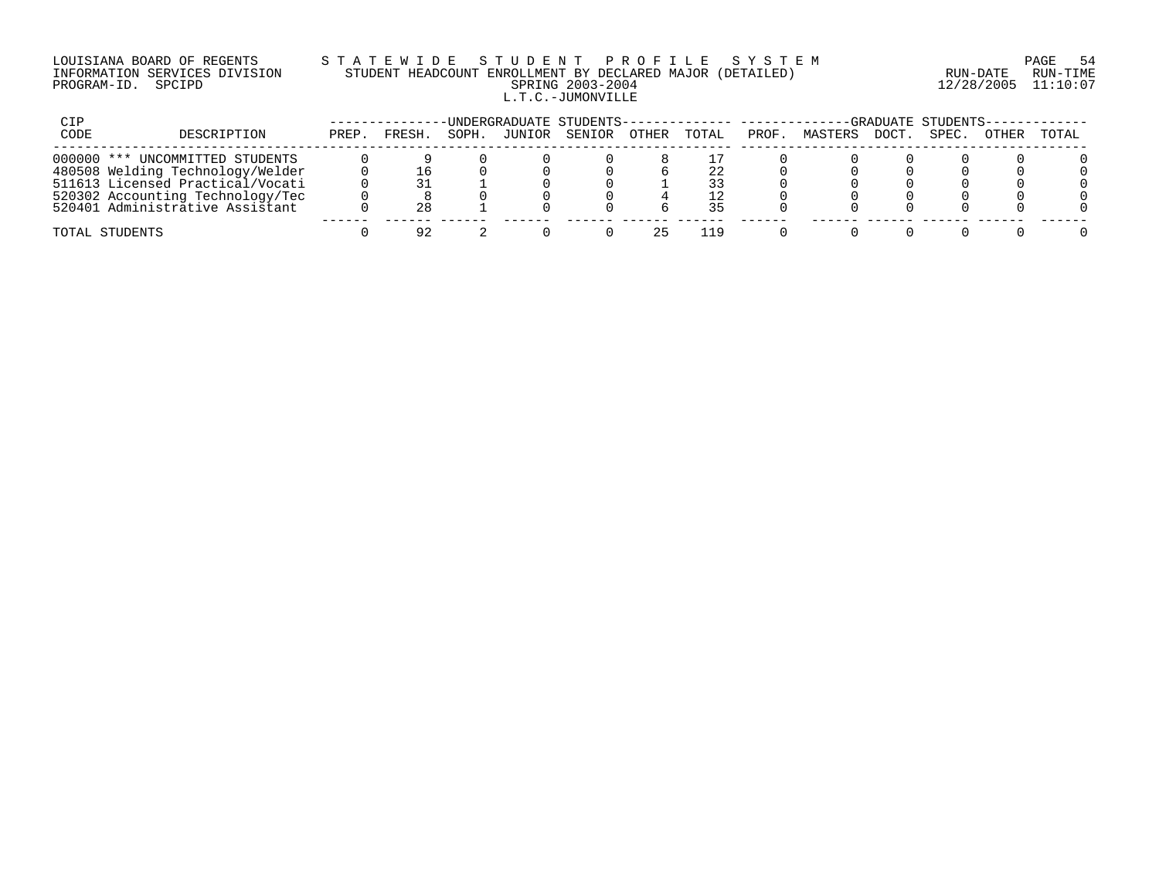# LOUISIANA BOARD OF REGENTS S T A T E W I D E S T U D E N T P R O F I L E S Y S T E M PAGE 54 INFORMATION SERVICES DIVISION STUDENT HEADCOUNT ENROLLMENT BY DECLARED MAJOR (DETAILED) RUN-DATE RUN-TIME PROGRAM-ID. SPCIPD SPRING 2003-2004 12/28/2005 11:10:07 L.T.C.-JUMONVILLE

| CIP          |                                  |       |              |       |        | -UNDERGRADUATE STUDENTS-------------- --------- |              |       |       |         |      | -GRADUATE STUDENTS- |              |       |
|--------------|----------------------------------|-------|--------------|-------|--------|-------------------------------------------------|--------------|-------|-------|---------|------|---------------------|--------------|-------|
| CODE         | DESCRIPTION                      | PREP. | <b>FRESH</b> | SOPH. | JUNIOR | SENIOR                                          | <b>OTHER</b> | TOTAL | PROF. | MASTERS | DOCT | SPEC.               | <b>OTHER</b> | TOTAL |
| $000000$ *** | UNCOMMITTED STUDENTS             |       |              |       |        |                                                 |              |       |       |         |      |                     |              |       |
|              | 480508 Welding Technology/Welder |       |              |       |        |                                                 |              |       |       |         |      |                     |              |       |
|              | 511613 Licensed Practical/Vocati |       |              |       |        |                                                 |              | 33    |       |         |      |                     |              |       |
|              | 520302 Accounting Technology/Tec |       |              |       |        |                                                 |              | 12    |       |         |      |                     |              |       |
|              | 520401 Administrative Assistant  |       |              |       |        |                                                 |              |       |       |         |      |                     |              |       |
|              | TOTAL STUDENTS                   |       | OΩ           |       |        |                                                 |              |       |       |         |      |                     |              |       |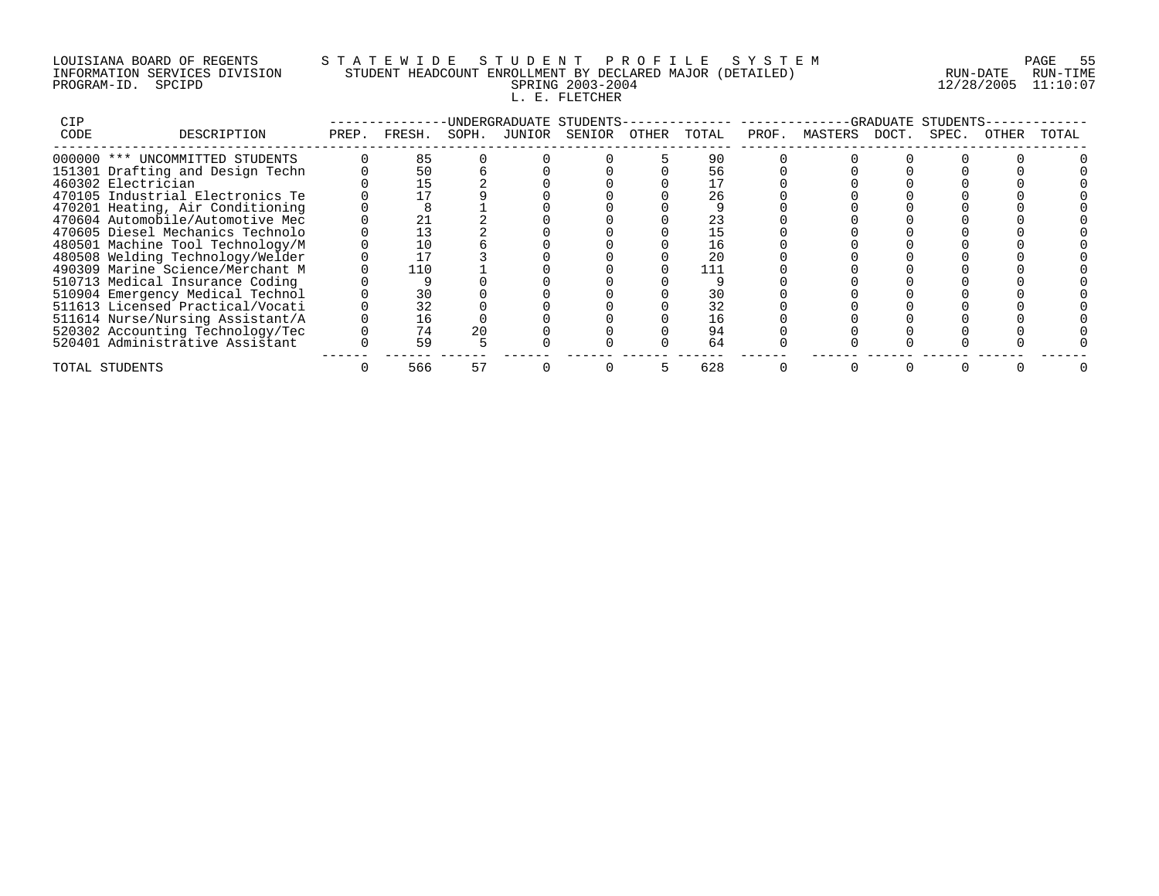# LOUISIANA BOARD OF REGENTS S T A T E W I D E S T U D E N T P R O F I L E S Y S T E M PAGE 55 INFORMATION SERVICES DIVISION STUDENT HEADCOUNT ENROLLMENT BY DECLARED MAJOR (DETAILED) RUN-DATE RUN-TIME PROGRAM-ID. SPCIPD SPRING 2003-2004 12/28/2005 11:10:07 L. E. FLETCHER

| CIP  |                                  |              |       | -UNDERGRADUATE STUDENTS- |       |       |                     | -GRADUATE STUDENTS |       |       |
|------|----------------------------------|--------------|-------|--------------------------|-------|-------|---------------------|--------------------|-------|-------|
| CODE | DESCRIPTION                      | PREP. FRESH. | SOPH. | JUNIOR SENIOR            | OTHER | TOTAL | PROF. MASTERS DOCT. | SPEC.              | OTHER | TOTAL |
|      | 000000 *** UNCOMMITTED STUDENTS  | 85           |       |                          |       | 90    |                     |                    |       |       |
|      | 151301 Drafting and Design Techn | 50           |       |                          |       | 56    |                     |                    |       |       |
|      | 460302 Electrician               |              |       |                          |       |       |                     |                    |       |       |
|      | 470105 Industrial Electronics Te |              |       |                          |       | 26    |                     |                    |       |       |
|      | 470201 Heating, Air Conditioning |              |       |                          |       |       |                     |                    |       |       |
|      | 470604 Automobile/Automotive Mec |              |       |                          |       | 23    |                     |                    |       |       |
|      | 470605 Diesel Mechanics Technolo | 13           |       |                          |       |       |                     |                    |       |       |
|      | 480501 Machine Tool Technology/M | 10           |       |                          |       | 16    |                     |                    |       |       |
|      | 480508 Welding Technology/Welder |              |       |                          |       | 20    |                     |                    |       |       |
|      | 490309 Marine Science/Merchant M | 110          |       |                          |       |       |                     |                    |       |       |
|      | 510713 Medical Insurance Coding  |              |       |                          |       |       |                     |                    |       |       |
|      | 510904 Emergency Medical Technol | 30           |       |                          |       | 30    |                     |                    |       |       |
|      | 511613 Licensed Practical/Vocati | 32           |       |                          |       | 32    |                     |                    |       |       |
|      | 511614 Nurse/Nursing Assistant/A | 16           |       |                          |       | 16    |                     |                    |       |       |
|      | 520302 Accounting Technology/Tec | 74           |       |                          |       | 94    |                     |                    |       |       |
|      | 520401 Administrative Assistant  | 59           |       |                          |       | 64    |                     |                    |       |       |
|      | TOTAL STUDENTS                   | 566          |       |                          |       | 628   |                     |                    |       |       |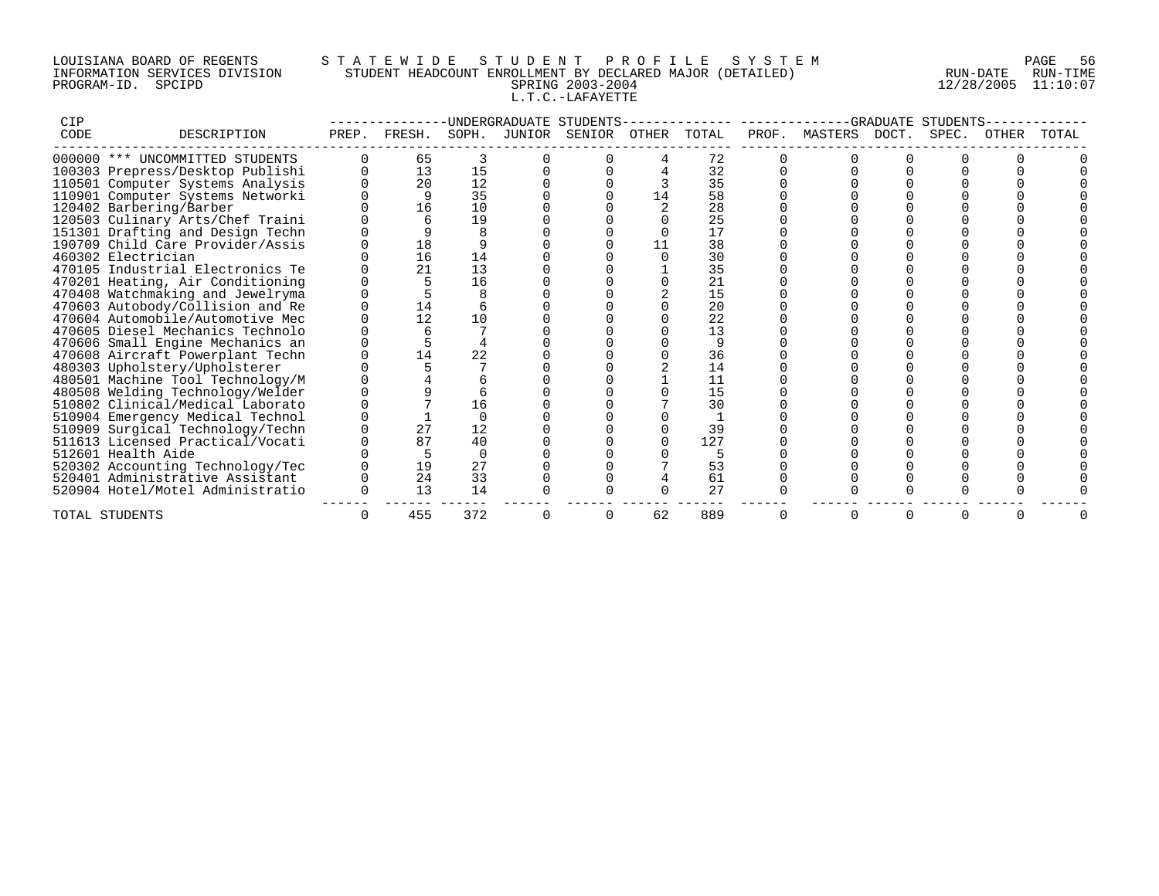# LOUISIANA BOARD OF REGENTS S T A T E W I D E S T U D E N T P R O F I L E S Y S T E M PAGE 56 INFORMATION SERVICES DIVISION STUDENT HEADCOUNT ENROLLMENT BY DECLARED MAJOR (DETAILED) RUN-DATE RUN-TIME PROGRAM-ID. SPCIPD SPRING 2003-2004 12/28/2005 11:10:07 L.T.C.-LAFAYETTE

| CIP  |                                  |      |        |       | UNDERGRADUATE | -STUDENT |       |       |       |         |       |      |           |  |
|------|----------------------------------|------|--------|-------|---------------|----------|-------|-------|-------|---------|-------|------|-----------|--|
| CODE | DESCRIPTION                      | PREP | FRESH. | SOPH. | JUNIOR        | SENIOR   | OTHER | TOTAL | PROF. | MASTERS | DOCT. | SPEC | ().L.HF.K |  |
|      | 000000 *** UNCOMMITTED STUDENTS  |      | 65     |       |               |          |       | 72    |       |         |       |      |           |  |
|      | 100303 Prepress/Desktop Publishi |      | 13     | 15    |               |          |       | 32    |       |         |       |      |           |  |
|      | 110501 Computer Systems Analysis |      | 20     | 12    |               |          |       | 35    |       |         |       |      |           |  |
|      | 110901 Computer Systems Networki |      | 9      | 35    |               |          |       | 58    |       |         |       |      |           |  |
|      | 120402 Barbering/Barber          |      | 16     | 10    |               |          |       | 28    |       |         |       |      |           |  |
|      | 120503 Culinary Arts/Chef Traini |      |        | 19    |               |          |       | 25    |       |         |       |      |           |  |
|      | 151301 Drafting and Design Techn |      |        |       |               |          |       | 17    |       |         |       |      |           |  |
|      | 190709 Child Care Provider/Assis |      | 18     |       |               |          |       | 38    |       |         |       |      |           |  |
|      | 460302 Electrician               |      | 16     | 14    |               |          |       | 30    |       |         |       |      |           |  |
|      | 470105 Industrial Electronics Te |      | 21     | 13    |               |          |       | 35    |       |         |       |      |           |  |
|      | 470201 Heating, Air Conditioning |      |        | 16    |               |          |       | 21    |       |         |       |      |           |  |
|      | 470408 Watchmaking and Jewelryma |      |        |       |               |          |       | 15    |       |         |       |      |           |  |
|      | 470603 Autobody/Collision and Re |      | 14     |       |               |          |       | 20    |       |         |       |      |           |  |
|      | 470604 Automobile/Automotive Mec |      | 12     | 10    |               |          |       | 22    |       |         |       |      |           |  |
|      | 470605 Diesel Mechanics Technolo |      |        |       |               |          |       | 13    |       |         |       |      |           |  |
|      | 470606 Small Engine Mechanics an |      |        |       |               |          |       |       |       |         |       |      |           |  |
|      | 470608 Aircraft Powerplant Techn |      | 14     | 22    |               |          |       | 36    |       |         |       |      |           |  |
|      | 480303 Upholstery/Upholsterer    |      |        |       |               |          |       | 14    |       |         |       |      |           |  |
|      | 480501 Machine Tool Technology/M |      |        |       |               |          |       | 11    |       |         |       |      |           |  |
|      | 480508 Welding Technology/Welder |      |        |       |               |          |       | 15    |       |         |       |      |           |  |
|      | 510802 Clinical/Medical Laborato |      |        | 16    |               |          |       | 30    |       |         |       |      |           |  |
|      | 510904 Emergency Medical Technol |      |        |       |               |          |       |       |       |         |       |      |           |  |
|      | 510909 Surgical Technology/Techn |      | 27     | 12    |               |          |       | 39    |       |         |       |      |           |  |
|      | 511613 Licensed Practical/Vocati |      | 87     | 40    |               |          |       | 127   |       |         |       |      |           |  |
|      | 512601 Health Aide               |      |        |       |               |          |       |       |       |         |       |      |           |  |
|      | 520302 Accounting Technology/Tec |      | 19     | 27    |               |          |       | 53    |       |         |       |      |           |  |
|      | 520401 Administrative Assistant  |      | 24     | 33    |               |          |       | 61    |       |         |       |      |           |  |
|      | 520904 Hotel/Motel Administratio |      | 13     | 14    |               |          |       | 27    |       |         |       |      |           |  |
|      | TOTAL STUDENTS                   |      | 455    | 372   |               |          | 62    | 889   |       |         |       |      |           |  |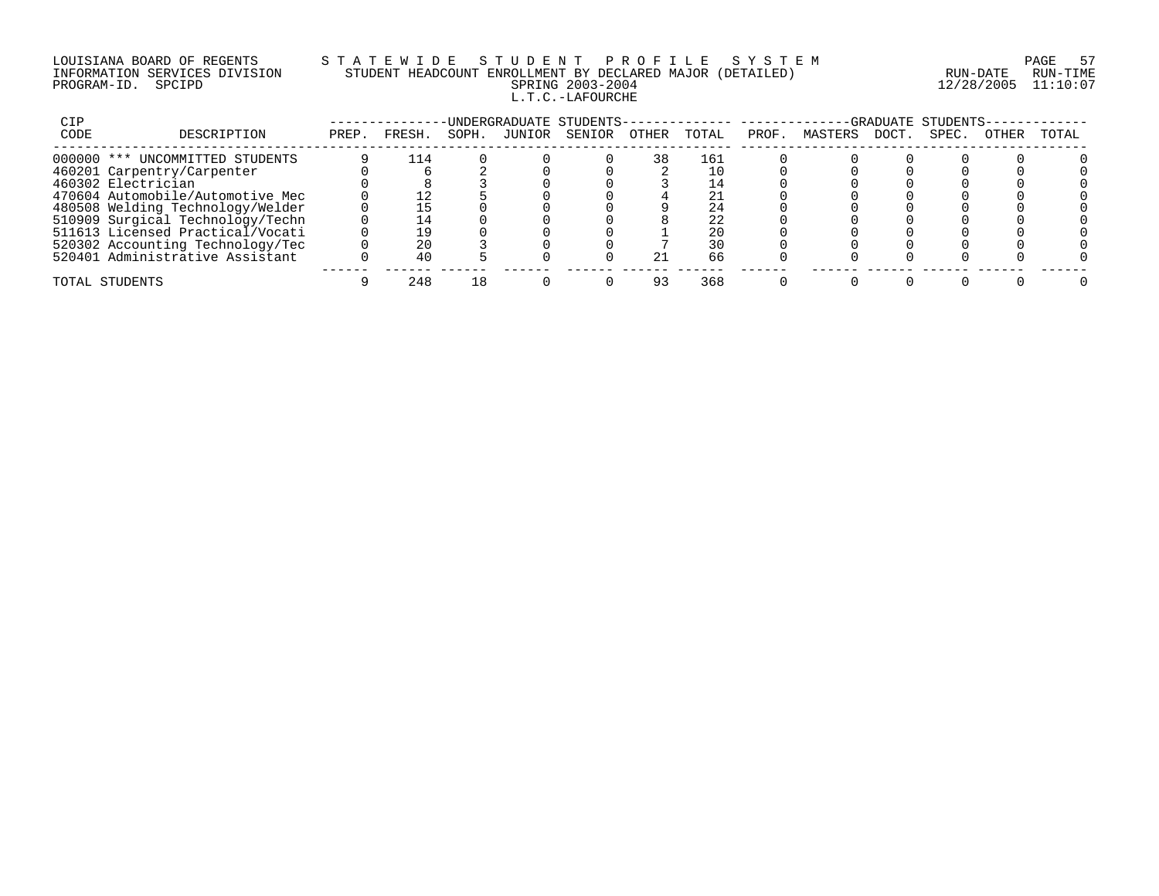# LOUISIANA BOARD OF REGENTS S T A T E W I D E S T U D E N T P R O F I L E S Y S T E M PAGE 57 INFORMATION SERVICES DIVISION STUDENT HEADCOUNT ENROLLMENT BY DECLARED MAJOR (DETAILED) RUN-DATE RUN-TIME PROGRAM-ID. SPCIPD SPRING 2003-2004 12/28/2005 11:10:07 L.T.C.-LAFOURCHE

| CIP  |                                  |       |        |       |        | UNDERGRADUATE STUDENTS- |       |       |       |         |       | -GRADUATE STUDENTS |       |       |
|------|----------------------------------|-------|--------|-------|--------|-------------------------|-------|-------|-------|---------|-------|--------------------|-------|-------|
| CODE | DESCRIPTION                      | PREP. | FRESH. | SOPH. | JUNIOR | SENIOR                  | OTHER | TOTAL | PROF. | MASTERS | DOCT. | SPEC.              | OTHER | TOTAL |
|      | 000000 *** UNCOMMITTED STUDENTS  |       | 114    |       |        |                         | 38    | 161   |       |         |       |                    |       |       |
|      | 460201 Carpentry/Carpenter       |       |        |       |        |                         |       |       |       |         |       |                    |       |       |
|      | 460302 Electrician               |       |        |       |        |                         |       |       |       |         |       |                    |       |       |
|      | 470604 Automobile/Automotive Mec |       |        |       |        |                         |       |       |       |         |       |                    |       |       |
|      | 480508 Welding Technology/Welder |       |        |       |        |                         |       |       |       |         |       |                    |       |       |
|      | 510909 Surgical Technology/Techn |       |        |       |        |                         |       | 22    |       |         |       |                    |       |       |
|      | 511613 Licensed Practical/Vocati |       |        |       |        |                         |       | 20    |       |         |       |                    |       |       |
|      | 520302 Accounting Technology/Tec |       |        |       |        |                         |       | 30    |       |         |       |                    |       |       |
|      | 520401 Administrative Assistant  |       | 40     |       |        |                         |       | 66    |       |         |       |                    |       |       |
|      | TOTAL STUDENTS                   |       | 248    |       |        |                         |       | 368   |       |         |       |                    |       |       |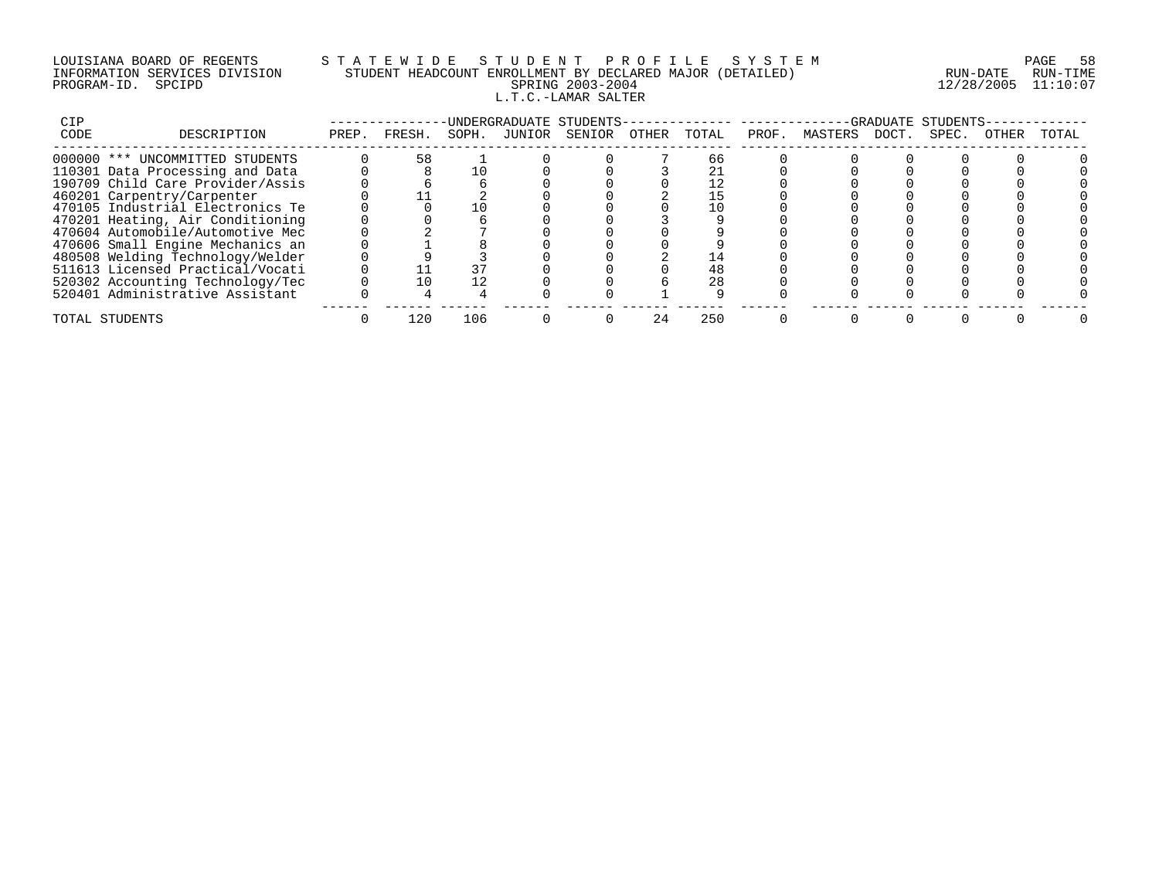# LOUISIANA BOARD OF REGENTS S T A T E W I D E S T U D E N T P R O F I L E S Y S T E M PAGE 58 INFORMATION SERVICES DIVISION STUDENT HEADCOUNT ENROLLMENT BY DECLARED MAJOR (DETAILED) RUN-DATE RUN-TIME PROGRAM-ID. SPCIPD SPRING 2003-2004 12/28/2005 11:10:07 L.T.C.-LAMAR SALTER

| CIP  |                                  |       |        |       |        | UNDERGRADUATE STUDENTS- |       |       |       |         |       | -GRADUATE STUDENTS- |       |       |
|------|----------------------------------|-------|--------|-------|--------|-------------------------|-------|-------|-------|---------|-------|---------------------|-------|-------|
| CODE | DESCRIPTION                      | PREP. | FRESH. | SOPH. | JUNIOR | SENIOR                  | OTHER | TOTAL | PROF. | MASTERS | DOCT. | SPEC.               | 0THER | TOTAL |
|      | 000000 *** UNCOMMITTED STUDENTS  |       | 58     |       |        |                         |       | 66    |       |         |       |                     |       |       |
|      | 110301 Data Processing and Data  |       |        |       |        |                         |       |       |       |         |       |                     |       |       |
|      | 190709 Child Care Provider/Assis |       |        |       |        |                         |       |       |       |         |       |                     |       |       |
|      | 460201 Carpentry/Carpenter       |       |        |       |        |                         |       |       |       |         |       |                     |       |       |
|      | 470105 Industrial Electronics Te |       |        |       |        |                         |       |       |       |         |       |                     |       |       |
|      | 470201 Heating, Air Conditioning |       |        |       |        |                         |       |       |       |         |       |                     |       |       |
|      | 470604 Automobile/Automotive Mec |       |        |       |        |                         |       |       |       |         |       |                     |       |       |
|      | 470606 Small Engine Mechanics an |       |        |       |        |                         |       |       |       |         |       |                     |       |       |
|      | 480508 Welding Technology/Welder |       |        |       |        |                         |       |       |       |         |       |                     |       |       |
|      | 511613 Licensed Practical/Vocati |       |        |       |        |                         |       | 48    |       |         |       |                     |       |       |
|      | 520302 Accounting Technology/Tec |       |        |       |        |                         |       | 28    |       |         |       |                     |       |       |
|      | 520401 Administrative Assistant  |       |        |       |        |                         |       |       |       |         |       |                     |       |       |
|      | TOTAL STUDENTS                   |       | 120    | 106   |        |                         |       | 250   |       |         |       |                     |       |       |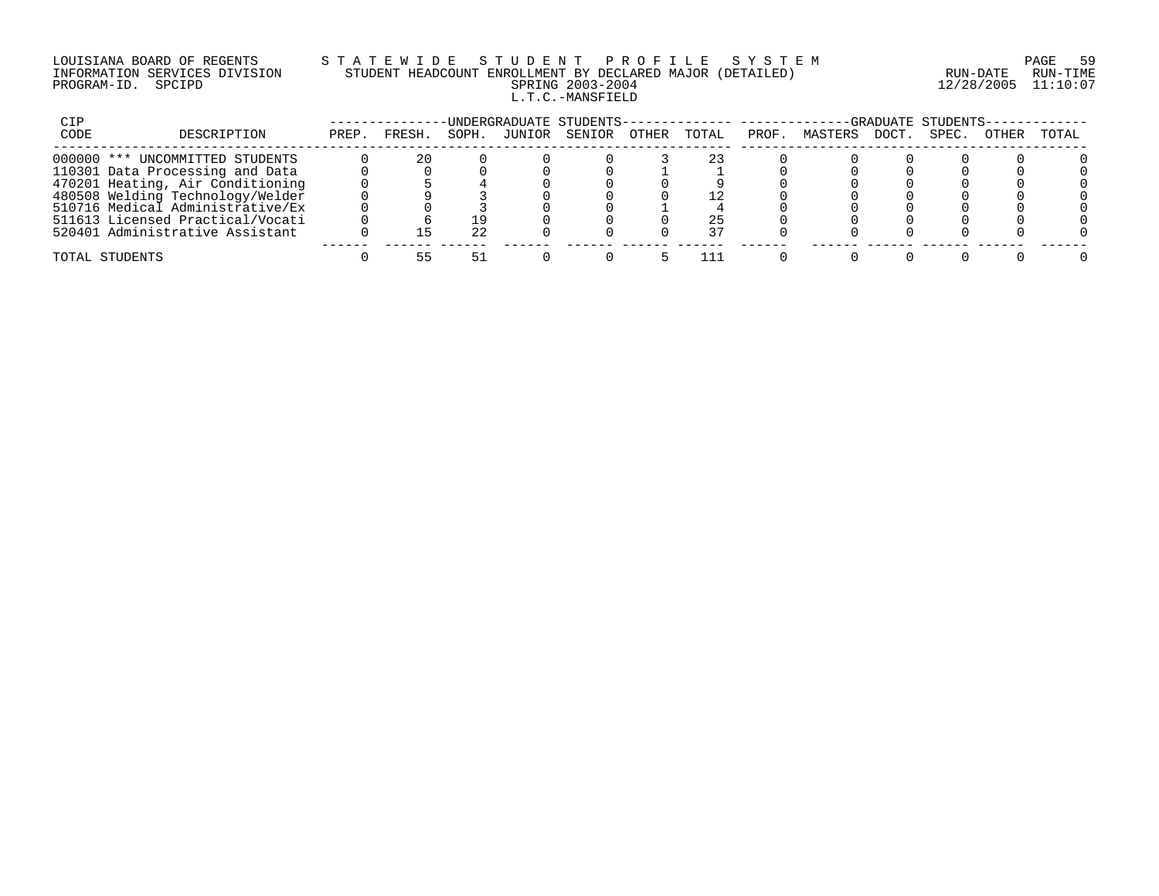# LOUISIANA BOARD OF REGENTS S T A T E W I D E S T U D E N T P R O F I L E S Y S T E M PAGE 59 INFORMATION SERVICES DIVISION STUDENT HEADCOUNT ENROLLMENT BY DECLARED MAJOR (DETAILED) RUN-DATE RUN-TIME PROGRAM-ID. SPCIPD SPRING 2003-2004 12/28/2005 11:10:07 L.T.C.-MANSFIELD

| CIP  |                                  |       |       |       |        | ·UNDERGRADUATE STUDENTS- |       |       |       |         |       | -GRADUATE STUDENTS |       |       |
|------|----------------------------------|-------|-------|-------|--------|--------------------------|-------|-------|-------|---------|-------|--------------------|-------|-------|
| CODE | DESCRIPTION                      | PREP. | FRESH | SOPH. | JUNIOR | SENIOR                   | OTHER | TOTAL | PROF. | MASTERS | DOCT. | SPEC.              | OTHER | TOTAL |
|      | 000000 *** UNCOMMITTED STUDENTS  |       |       |       |        |                          |       |       |       |         |       |                    |       |       |
|      | 110301 Data Processing and Data  |       |       |       |        |                          |       |       |       |         |       |                    |       |       |
|      | 470201 Heating, Air Conditioning |       |       |       |        |                          |       |       |       |         |       |                    |       |       |
|      | 480508 Welding Technology/Welder |       |       |       |        |                          |       |       |       |         |       |                    |       |       |
|      | 510716 Medical Administrative/Ex |       |       |       |        |                          |       |       |       |         |       |                    |       |       |
|      | 511613 Licensed Practical/Vocati |       |       |       |        |                          |       |       |       |         |       |                    |       |       |
|      | 520401 Administrative Assistant  |       |       | つつ    |        |                          |       |       |       |         |       |                    |       |       |
|      | TOTAL STUDENTS                   |       |       |       |        |                          |       |       |       |         |       |                    |       |       |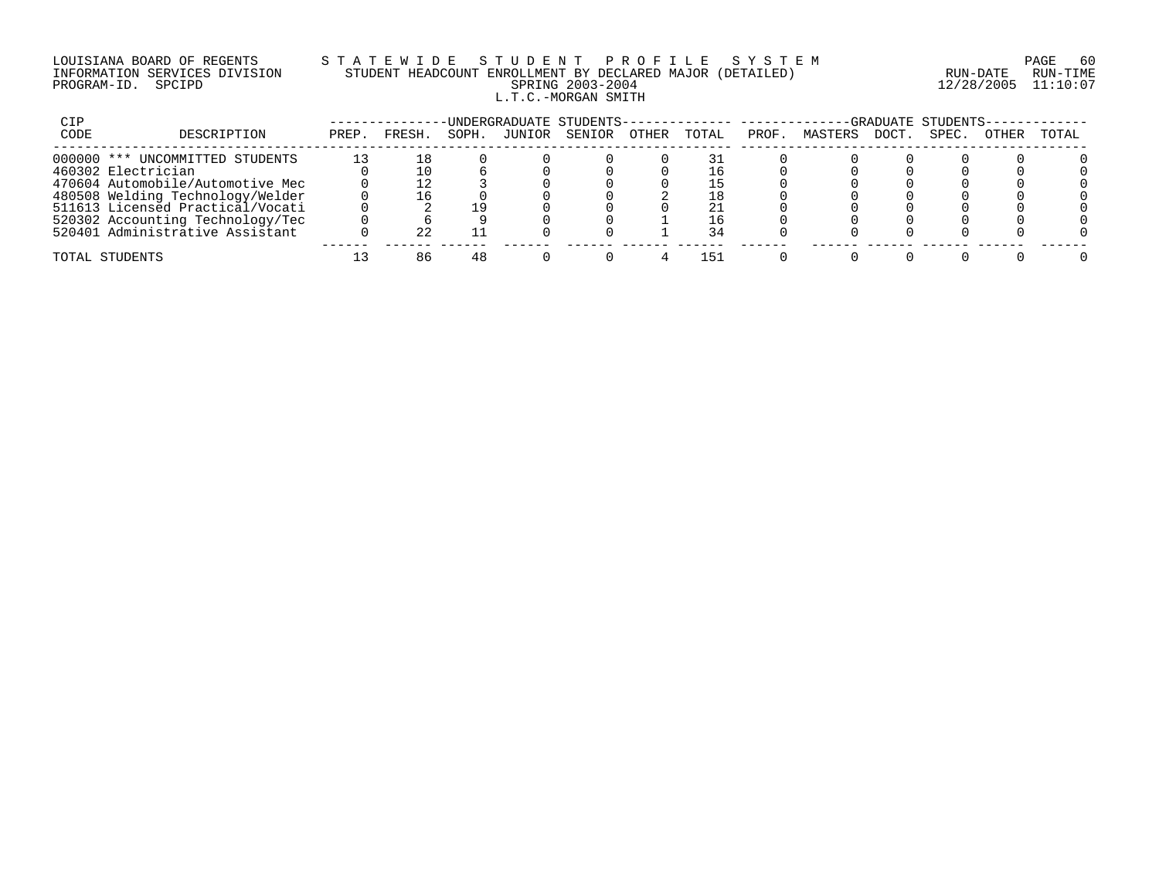# LOUISIANA BOARD OF REGENTS S T A T E W I D E S T U D E N T P R O F I L E S Y S T E M PAGE 60 INFORMATION SERVICES DIVISION STUDENT HEADCOUNT ENROLLMENT BY DECLARED MAJOR (DETAILED) RUN-DATE RUN-TIME PROGRAM-ID. SPCIPD SPRING 2003-2004 12/28/2005 11:10:07 L.T.C.-MORGAN SMITH

| CIP  |                                  |       |        |       |        | UNDERGRADUATE STUDENTS- |       |       |       |         |      | -GRADUATE STUDENTS |       |       |
|------|----------------------------------|-------|--------|-------|--------|-------------------------|-------|-------|-------|---------|------|--------------------|-------|-------|
| CODE | DESCRIPTION                      | PREP. | FRESH  | SOPH. | JUNIOR | SENIOR                  | OTHER | TOTAL | PROF. | MASTERS | DOCT | SPEC               | OTHER | TOTAL |
|      | 000000 *** UNCOMMITTED STUDENTS  |       |        |       |        |                         |       |       |       |         |      |                    |       |       |
|      | 460302 Electrician               |       |        |       |        |                         |       |       |       |         |      |                    |       |       |
|      | 470604 Automobile/Automotive Mec |       |        |       |        |                         |       | ー     |       |         |      |                    |       |       |
|      | 480508 Welding Technology/Welder |       |        |       |        |                         |       |       |       |         |      |                    |       |       |
|      | 511613 Licensed Practical/Vocati |       |        |       |        |                         |       |       |       |         |      |                    |       |       |
|      | 520302 Accounting Technology/Tec |       |        |       |        |                         |       |       |       |         |      |                    |       |       |
|      | 520401 Administrative Assistant  |       | $\cap$ |       |        |                         |       |       |       |         |      |                    |       |       |
|      | TOTAL STUDENTS                   |       |        |       |        |                         |       | 151   |       |         |      |                    |       |       |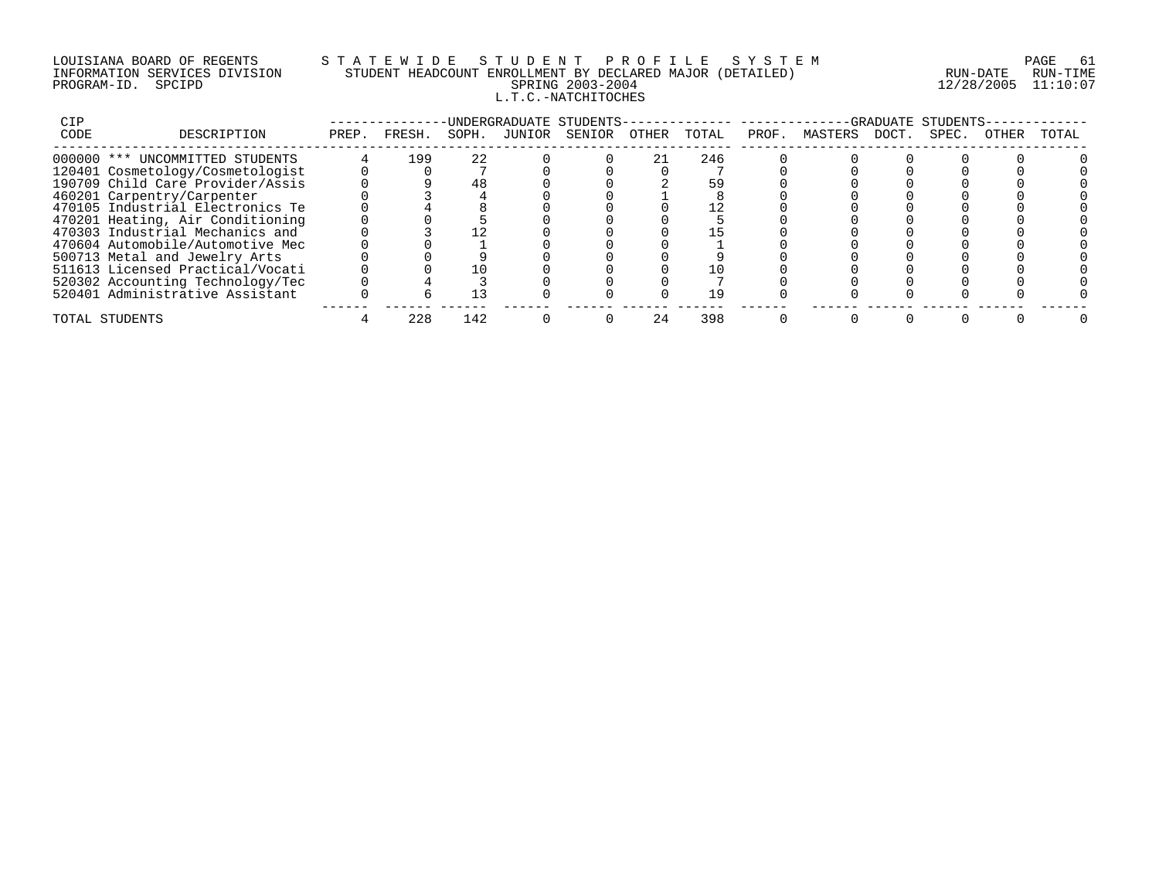# LOUISIANA BOARD OF REGENTS S T A T E W I D E S T U D E N T P R O F I L E S Y S T E M PAGE 61 INFORMATION SERVICES DIVISION STUDENT HEADCOUNT ENROLLMENT BY DECLARED MAJOR (DETAILED) RUN-DATE RUN-TIME PROGRAM-ID. SPCIPD SPRING 2003-2004 12/28/2005 11:10:07 L.T.C.-NATCHITOCHES

| CIP  |                                  |       |        |       |        | -UNDERGRADUATE STUDENTS- |       |       |       |         |       | -GRADUATE STUDENTS- |       |       |
|------|----------------------------------|-------|--------|-------|--------|--------------------------|-------|-------|-------|---------|-------|---------------------|-------|-------|
| CODE | DESCRIPTION                      | PREP. | FRESH. | SOPH. | JUNIOR | SENIOR                   | OTHER | TOTAL | PROF. | MASTERS | DOCT. | SPEC.               | OTHER | TOTAL |
|      | 000000 *** UNCOMMITTED STUDENTS  |       | 199    | 22    |        |                          |       | 246   |       |         |       |                     |       |       |
|      | 120401 Cosmetology/Cosmetologist |       |        |       |        |                          |       |       |       |         |       |                     |       |       |
|      | 190709 Child Care Provider/Assis |       |        |       |        |                          |       |       |       |         |       |                     |       |       |
|      | 460201 Carpentry/Carpenter       |       |        |       |        |                          |       |       |       |         |       |                     |       |       |
|      | 470105 Industrial Electronics Te |       |        |       |        |                          |       |       |       |         |       |                     |       |       |
|      | 470201 Heating, Air Conditioning |       |        |       |        |                          |       |       |       |         |       |                     |       |       |
|      | 470303 Industrial Mechanics and  |       |        |       |        |                          |       |       |       |         |       |                     |       |       |
|      | 470604 Automobile/Automotive Mec |       |        |       |        |                          |       |       |       |         |       |                     |       |       |
|      | 500713 Metal and Jewelry Arts    |       |        |       |        |                          |       |       |       |         |       |                     |       |       |
|      | 511613 Licensed Practical/Vocati |       |        |       |        |                          |       |       |       |         |       |                     |       |       |
|      | 520302 Accounting Technology/Tec |       |        |       |        |                          |       |       |       |         |       |                     |       |       |
|      | 520401 Administrative Assistant  |       |        |       |        |                          |       |       |       |         |       |                     |       |       |
|      | TOTAL STUDENTS                   |       | 228    | 142   |        |                          |       | 398   |       |         |       |                     |       |       |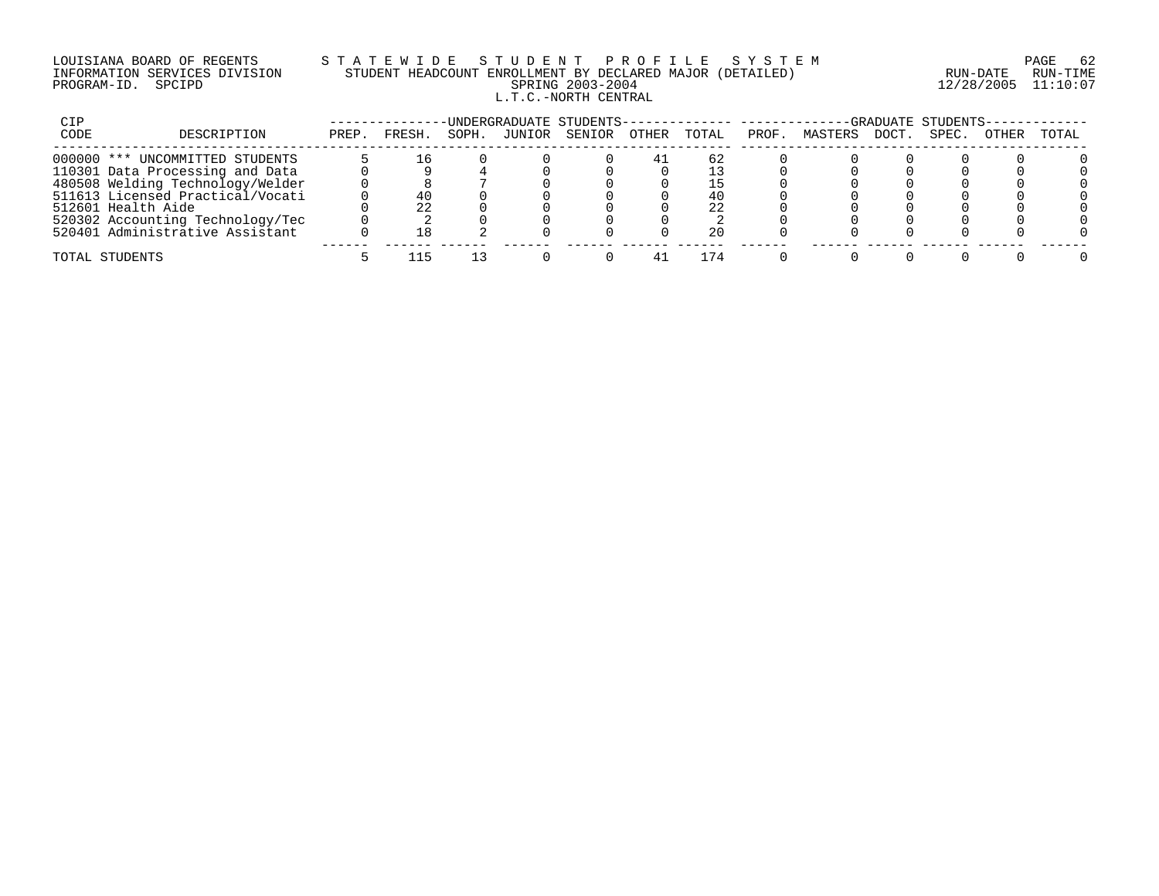#### LOUISIANA BOARD OF REGENTS S T A T E W I D E S T U D E N T P R O F I L E S Y S T E M PAGE 62 INFORMATION SERVICES DIVISION STUDENT HEADCOUNT ENROLLMENT BY DECLARED MAJOR (DETAILED) RUN-DATE RUN-TIME PROGRAM-ID. SPCIPD SPRING 2003-2004 12/28/2005 11:10:07 L.T.C.-NORTH CENTRAL

| CIP  |                                  |       |        |       |        | -UNDERGRADUATE STUDENTS-------------- ---------- |       |       |       |         |       | -GRADUATE STUDENTS- |       |       |
|------|----------------------------------|-------|--------|-------|--------|--------------------------------------------------|-------|-------|-------|---------|-------|---------------------|-------|-------|
| CODE | DESCRIPTION                      | PREP. | FRESH. | SOPH. | JUNIOR | SENIOR                                           | OTHER | TOTAL | PROF. | MASTERS | DOCT. | SPEC.               | OTHER | TOTAL |
|      | 000000 *** UNCOMMITTED STUDENTS  |       |        |       |        |                                                  |       | 62    |       |         |       |                     |       |       |
|      | 110301 Data Processing and Data  |       |        |       |        |                                                  |       |       |       |         |       |                     |       |       |
|      | 480508 Welding Technology/Welder |       |        |       |        |                                                  |       |       |       |         |       |                     |       |       |
|      | 511613 Licensed Practical/Vocati |       |        |       |        |                                                  |       |       |       |         |       |                     |       |       |
|      | 512601 Health Aide               |       | 22     |       |        |                                                  |       | 2.2.  |       |         |       |                     |       |       |
|      | 520302 Accounting Technology/Tec |       |        |       |        |                                                  |       |       |       |         |       |                     |       |       |
|      | 520401 Administrative Assistant  |       |        |       |        |                                                  |       | 20    |       |         |       |                     |       |       |
|      | TOTAL STUDENTS                   |       |        |       |        |                                                  |       | 74    |       |         |       |                     |       |       |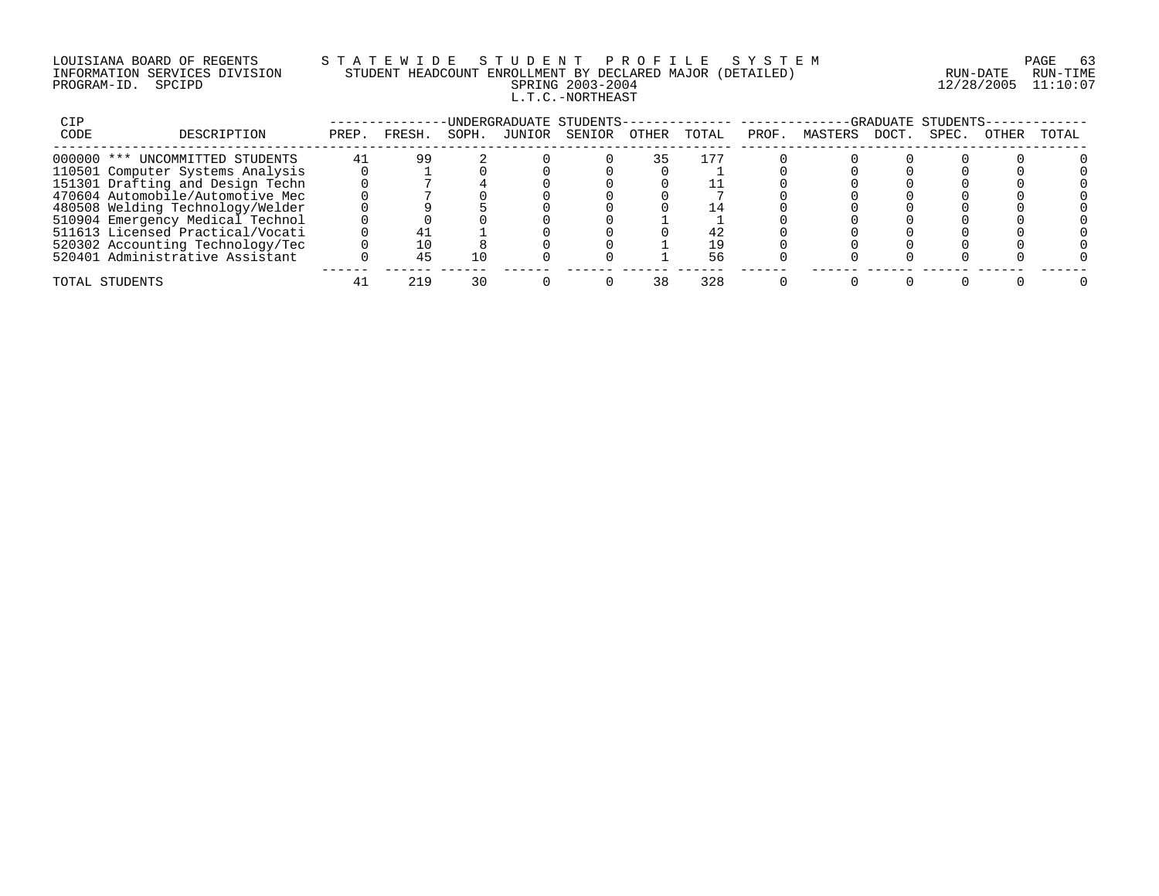# LOUISIANA BOARD OF REGENTS S T A T E W I D E S T U D E N T P R O F I L E S Y S T E M PAGE 63 INFORMATION SERVICES DIVISION STUDENT HEADCOUNT ENROLLMENT BY DECLARED MAJOR (DETAILED) RUN-DATE RUN-TIME PROGRAM-ID. SPCIPD SPRING 2003-2004 12/28/2005 11:10:07 L.T.C.-NORTHEAST

| CIP  |                                  |       |        |       |        | UNDERGRADUATE STUDENTS- |       |       |       |         |       | -GRADUATE STUDENTS |       |       |
|------|----------------------------------|-------|--------|-------|--------|-------------------------|-------|-------|-------|---------|-------|--------------------|-------|-------|
| CODE | DESCRIPTION                      | PREP. | FRESH. | SOPH. | JUNIOR | SENIOR                  | OTHER | TOTAL | PROF. | MASTERS | DOCT. | SPEC.              | OTHER | TOTAL |
|      | 000000 *** UNCOMMITTED STUDENTS  | 41    | -99    |       |        |                         |       |       |       |         |       |                    |       |       |
|      | 110501 Computer Systems Analysis |       |        |       |        |                         |       |       |       |         |       |                    |       |       |
|      | 151301 Drafting and Design Techn |       |        |       |        |                         |       |       |       |         |       |                    |       |       |
|      | 470604 Automobile/Automotive Mec |       |        |       |        |                         |       |       |       |         |       |                    |       |       |
|      | 480508 Welding Technology/Welder |       |        |       |        |                         |       |       |       |         |       |                    |       |       |
|      | 510904 Emergency Medical Technol |       |        |       |        |                         |       |       |       |         |       |                    |       |       |
|      | 511613 Licensed Practical/Vocati |       |        |       |        |                         |       |       |       |         |       |                    |       |       |
|      | 520302 Accounting Technology/Tec |       |        |       |        |                         |       | 1 Q   |       |         |       |                    |       |       |
|      | 520401 Administrative Assistant  |       |        |       |        |                         |       |       |       |         |       |                    |       |       |
|      | TOTAL STUDENTS                   |       | 219    |       |        |                         |       | 328   |       |         |       |                    |       |       |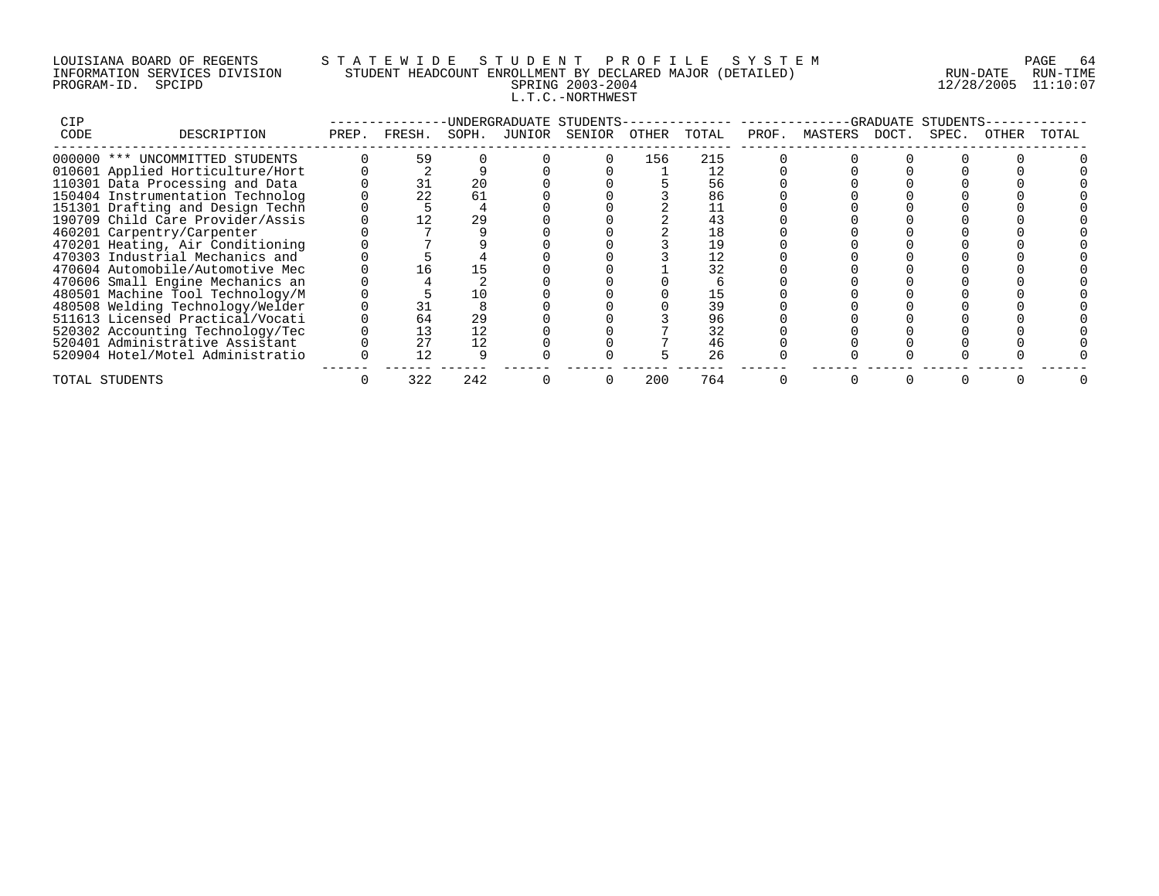# LOUISIANA BOARD OF REGENTS S T A T E W I D E S T U D E N T P R O F I L E S Y S T E M PAGE 64 INFORMATION SERVICES DIVISION STUDENT HEADCOUNT ENROLLMENT BY DECLARED MAJOR (DETAILED) RUN-DATE RUN-TIME PROGRAM-ID. SPCIPD SPRING 2003-2004 12/28/2005 11:10:07 L.T.C.-NORTHWEST

| <b>CIP</b> |                                  |       |        |       | -UNDERGRADUATE STUDENTS- |       |       |       |               | -GRADUATE | STUDENTS |       |       |
|------------|----------------------------------|-------|--------|-------|--------------------------|-------|-------|-------|---------------|-----------|----------|-------|-------|
| CODE       | DESCRIPTION                      | PREP. | FRESH. | SOPH. | JUNIOR SENIOR            | OTHER | TOTAL | PROF. | MASTERS DOCT. |           | SPEC.    | OTHER | TOTAL |
|            | 000000 *** UNCOMMITTED STUDENTS  |       | 59     |       |                          | 156   | 215   |       |               |           |          |       |       |
|            | 010601 Applied Horticulture/Hort |       |        |       |                          |       |       |       |               |           |          |       |       |
|            | 110301 Data Processing and Data  |       |        | 20    |                          |       | 56    |       |               |           |          |       |       |
|            | 150404 Instrumentation Technolog |       | 22     | 61    |                          |       | 86    |       |               |           |          |       |       |
|            | 151301 Drafting and Design Techn |       |        |       |                          |       |       |       |               |           |          |       |       |
|            | 190709 Child Care Provider/Assis |       |        | 29    |                          |       | 43    |       |               |           |          |       |       |
|            | 460201 Carpentry/Carpenter       |       |        |       |                          |       | 18    |       |               |           |          |       |       |
|            | 470201 Heating, Air Conditioning |       |        |       |                          |       |       |       |               |           |          |       |       |
|            | 470303 Industrial Mechanics and  |       |        |       |                          |       | 12    |       |               |           |          |       |       |
|            | 470604 Automobile/Automotive Mec |       | I h    |       |                          |       | 32    |       |               |           |          |       |       |
|            | 470606 Small Engine Mechanics an |       |        |       |                          |       |       |       |               |           |          |       |       |
|            | 480501 Machine Tool Technology/M |       |        | 10    |                          |       | 15    |       |               |           |          |       |       |
|            | 480508 Welding Technology/Welder |       |        |       |                          |       | 39    |       |               |           |          |       |       |
|            | 511613 Licensed Practical/Vocati |       | 64     | 29    |                          |       | 96    |       |               |           |          |       |       |
|            | 520302 Accounting Technology/Tec |       | 13     | 12    |                          |       | 32    |       |               |           |          |       |       |
|            | 520401 Administrative Assistant  |       | 27     | 12    |                          |       | 46    |       |               |           |          |       |       |
|            | 520904 Hotel/Motel Administratio |       |        |       |                          |       | 26    |       |               |           |          |       |       |
|            | TOTAL STUDENTS                   |       | 322    | 242   |                          | 200   | 764   |       |               |           |          |       |       |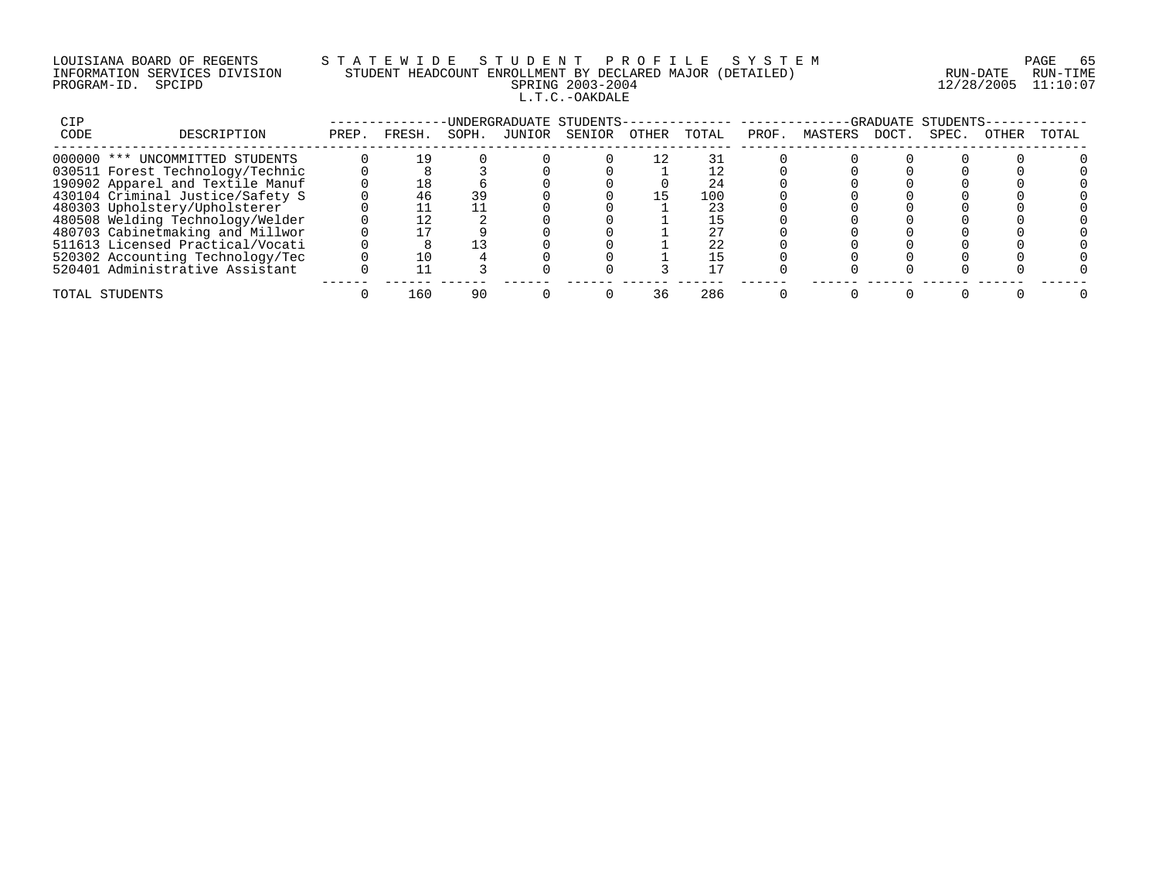# LOUISIANA BOARD OF REGENTS S T A T E W I D E S T U D E N T P R O F I L E S Y S T E M PAGE 65 INFORMATION SERVICES DIVISION STUDENT HEADCOUNT ENROLLMENT BY DECLARED MAJOR (DETAILED) RUN-DATE RUN-TIME PROGRAM-ID. SPCIPD SPRING 2003-2004 12/28/2005 11:10:07 L.T.C.-OAKDALE

| CIP  |                                  |       |        |       | -UNDERGRADUATE STUDENTS- |       |       |       |         |       | -GRADUATE STUDENTS |       |       |
|------|----------------------------------|-------|--------|-------|--------------------------|-------|-------|-------|---------|-------|--------------------|-------|-------|
| CODE | DESCRIPTION                      | PREP. | FRESH. | SOPH. | JUNIOR SENIOR            | OTHER | TOTAL | PROF. | MASTERS | DOCT. | SPEC.              | OTHER | TOTAL |
|      | 000000 *** UNCOMMITTED STUDENTS  |       |        |       |                          |       |       |       |         |       |                    |       |       |
|      | 030511 Forest Technology/Technic |       |        |       |                          |       |       |       |         |       |                    |       |       |
|      | 190902 Apparel and Textile Manuf |       | ⊥8⊥    |       |                          |       | 24    |       |         |       |                    |       |       |
|      | 430104 Criminal Justice/Safety S |       | 46     |       |                          |       | 100   |       |         |       |                    |       |       |
|      | 480303 Upholstery/Upholsterer    |       |        |       |                          |       |       |       |         |       |                    |       |       |
|      | 480508 Welding Technology/Welder |       |        |       |                          |       |       |       |         |       |                    |       |       |
|      | 480703 Cabinetmaking and Millwor |       |        |       |                          |       |       |       |         |       |                    |       |       |
|      | 511613 Licensed Practical/Vocati |       |        |       |                          |       | 22    |       |         |       |                    |       |       |
|      | 520302 Accounting Technology/Tec |       |        |       |                          |       |       |       |         |       |                    |       |       |
|      | 520401 Administrative Assistant  |       |        |       |                          |       |       |       |         |       |                    |       |       |
|      | TOTAL STUDENTS                   |       | 160    | 90    |                          | 36    | 286   |       |         |       |                    |       |       |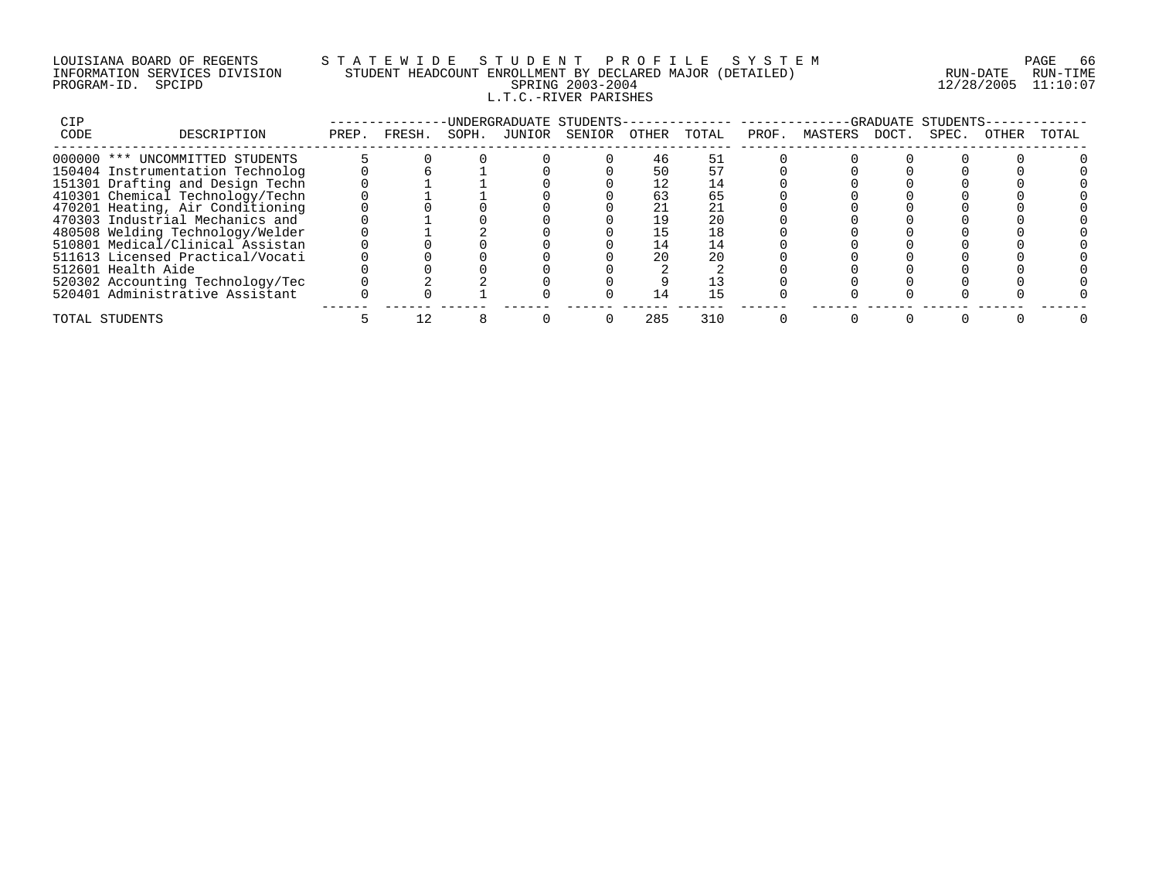# LOUISIANA BOARD OF REGENTS S T A T E W I D E S T U D E N T P R O F I L E S Y S T E M PAGE 66 INFORMATION SERVICES DIVISION STUDENT HEADCOUNT ENROLLMENT BY DECLARED MAJOR (DETAILED) RUN-DATE RUN-TIME PROGRAM-ID. SPCIPD SPRING 2003-2004 12/28/2005 11:10:07 L.T.C.-RIVER PARISHES

| CIP  |                                  |       |        |       |        | UNDERGRADUATE STUDENTS- |          |       |       |         |       | -GRADUATE STUDENTS |       |       |
|------|----------------------------------|-------|--------|-------|--------|-------------------------|----------|-------|-------|---------|-------|--------------------|-------|-------|
| CODE | DESCRIPTION                      | PREP. | FRESH. | SOPH. | JUNIOR | SENIOR                  | OTHER    | TOTAL | PROF. | MASTERS | DOCT. | SPEC.              | OTHER | TOTAL |
|      | 000000 *** UNCOMMITTED STUDENTS  |       |        |       |        |                         | 46       |       |       |         |       |                    |       |       |
|      | 150404 Instrumentation Technolog |       |        |       |        |                         | 50       |       |       |         |       |                    |       |       |
|      | 151301 Drafting and Design Techn |       |        |       |        |                         |          |       |       |         |       |                    |       |       |
|      | 410301 Chemical Technology/Techn |       |        |       |        |                         | 63       | 65    |       |         |       |                    |       |       |
|      | 470201 Heating, Air Conditioning |       |        |       |        |                         |          |       |       |         |       |                    |       |       |
|      | 470303 Industrial Mechanics and  |       |        |       |        |                         | 19       | 20    |       |         |       |                    |       |       |
|      | 480508 Welding Technology/Welder |       |        |       |        |                         |          | L 8   |       |         |       |                    |       |       |
|      | 510801 Medical/Clinical Assistan |       |        |       |        |                         | 14       | 14    |       |         |       |                    |       |       |
|      | 511613 Licensed Practical/Vocati |       |        |       |        |                         | 20       | 20    |       |         |       |                    |       |       |
|      | 512601 Health Aide               |       |        |       |        |                         |          |       |       |         |       |                    |       |       |
|      | 520302 Accounting Technology/Tec |       |        |       |        |                         |          |       |       |         |       |                    |       |       |
|      | 520401 Administrative Assistant  |       |        |       |        |                         | <b>4</b> | + 5   |       |         |       |                    |       |       |
|      | TOTAL STUDENTS                   |       |        |       |        |                         | 285      | 310   |       |         |       |                    |       |       |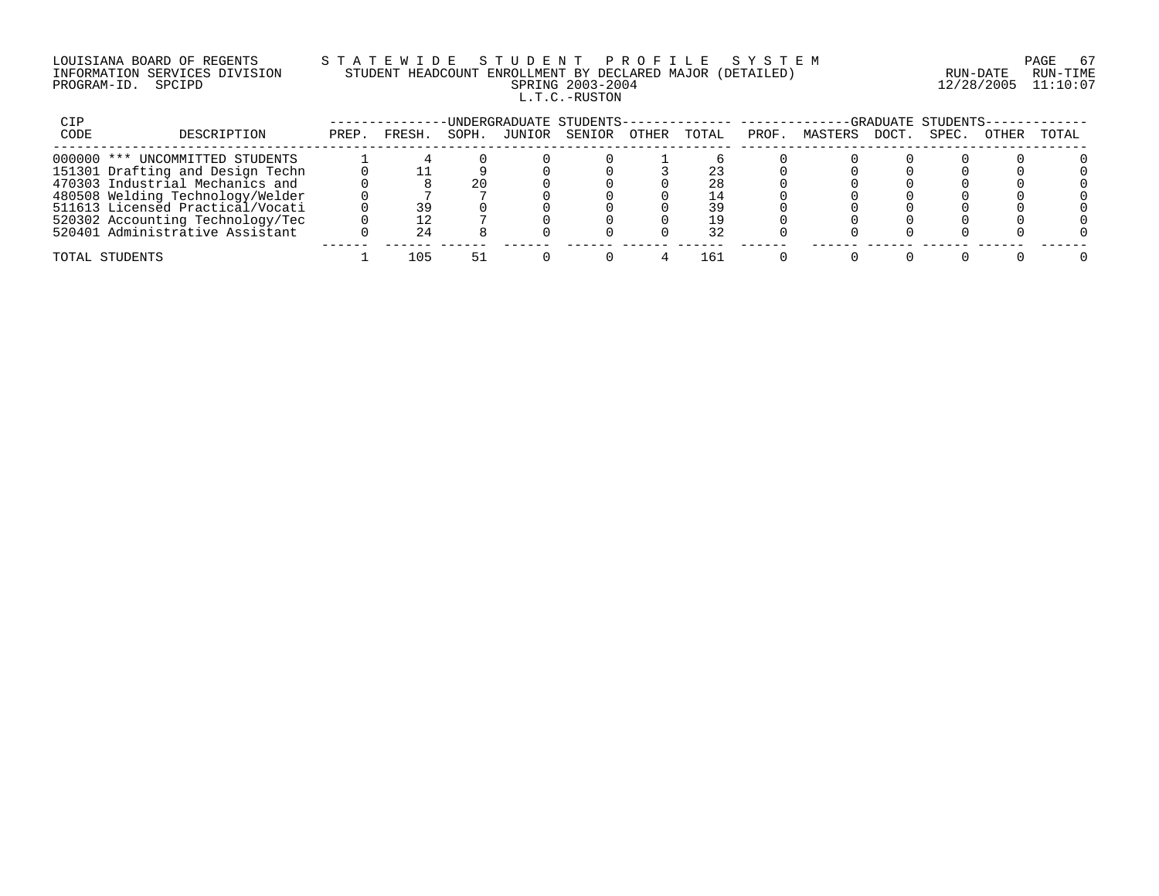## LOUISIANA BOARD OF REGENTS S T A T E W I D E S T U D E N T P R O F I L E S Y S T E M PAGE 67 INFORMATION SERVICES DIVISION STUDENT HEADCOUNT ENROLLMENT BY DECLARED MAJOR (DETAILED) RUN-DATE RUN-TIME PROGRAM-ID. SPCIPD SPRING 2003-2004 12/28/2005 11:10:07 L.T.C.-RUSTON

| CIP  |                                  |       |        |       |        | -UNDERGRADUATE STUDENTS-------------- ---------- |       |       |       |         |       | -GRADUATE STUDENTS- |       |       |
|------|----------------------------------|-------|--------|-------|--------|--------------------------------------------------|-------|-------|-------|---------|-------|---------------------|-------|-------|
| CODE | DESCRIPTION                      | PREP. | FRESH. | SOPH. | JUNIOR | SENIOR                                           | OTHER | TOTAL | PROF. | MASTERS | DOCT. | SPEC.               | OTHER | TOTAL |
|      | 000000 *** UNCOMMITTED STUDENTS  |       |        |       |        |                                                  |       |       |       |         |       |                     |       |       |
|      | 151301 Drafting and Design Techn |       |        |       |        |                                                  |       |       |       |         |       |                     |       |       |
|      | 470303 Industrial Mechanics and  |       |        | 20    |        |                                                  |       | 28    |       |         |       |                     |       |       |
|      | 480508 Welding Technology/Welder |       |        |       |        |                                                  |       | -4    |       |         |       |                     |       |       |
|      | 511613 Licensed Practical/Vocati |       | 39     |       |        |                                                  |       | 39    |       |         |       |                     |       |       |
|      | 520302 Accounting Technology/Tec |       |        |       |        |                                                  |       | າ ຊ⊢  |       |         |       |                     |       |       |
|      | 520401 Administrative Assistant  |       |        |       |        |                                                  |       |       |       |         |       |                     |       |       |
|      | TOTAL STUDENTS                   |       | 105    |       |        |                                                  |       | -61   |       |         |       |                     |       |       |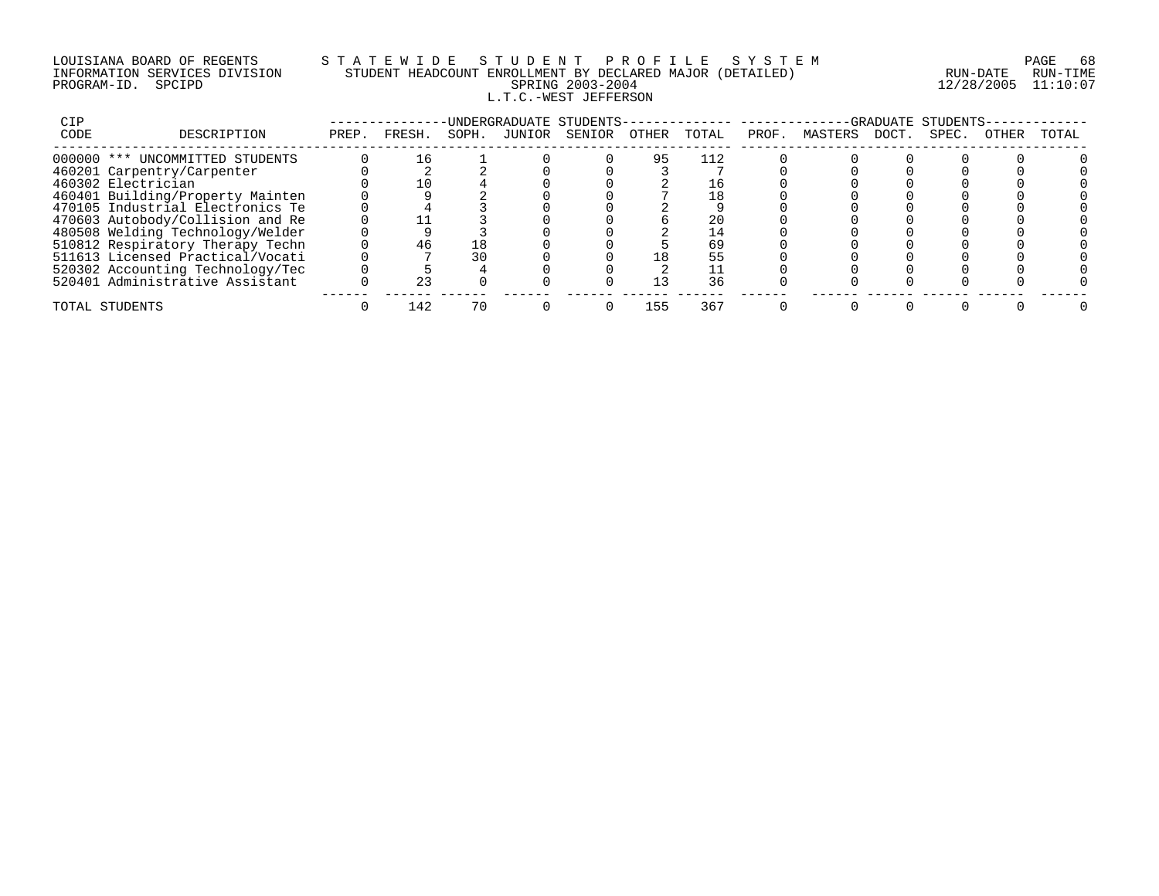# LOUISIANA BOARD OF REGENTS S T A T E W I D E S T U D E N T P R O F I L E S Y S T E M PAGE 68 INFORMATION SERVICES DIVISION STUDENT HEADCOUNT ENROLLMENT BY DECLARED MAJOR (DETAILED) RUN-DATE RUN-TIME PROGRAM-ID. SPCIPD SPRING 2003-2004 12/28/2005 11:10:07 L.T.C.-WEST JEFFERSON

| CIP  |                                  |       |        |       | UNDERGRADUATE STUDENTS- |       |       |       |         | GRADIJATE. | STUDENTS |              |       |
|------|----------------------------------|-------|--------|-------|-------------------------|-------|-------|-------|---------|------------|----------|--------------|-------|
| CODE | DESCRIPTION                      | PREP. | FRESH. | SOPH. | JUNIOR SENIOR           | OTHER | TOTAL | PROF. | MASTERS | DOCT.      | SPEC.    | <b>OTHER</b> | TOTAL |
|      | 000000 *** UNCOMMITTED STUDENTS  |       | 16     |       |                         | 95    | 112   |       |         |            |          |              |       |
|      | 460201 Carpentry/Carpenter       |       |        |       |                         |       |       |       |         |            |          |              |       |
|      | 460302 Electrician               |       | 10     |       |                         |       |       |       |         |            |          |              |       |
|      | 460401 Building/Property Mainten |       |        |       |                         |       |       |       |         |            |          |              |       |
|      | 470105 Industrial Electronics Te |       |        |       |                         |       |       |       |         |            |          |              |       |
|      | 470603 Autobody/Collision and Re |       |        |       |                         |       | 20    |       |         |            |          |              |       |
|      | 480508 Welding Technology/Welder |       |        |       |                         |       |       |       |         |            |          |              |       |
|      | 510812 Respiratory Therapy Techn |       | 46     | -8    |                         |       | 69    |       |         |            |          |              |       |
|      | 511613 Licensed Practical/Vocati |       |        | 30    |                         |       | 55    |       |         |            |          |              |       |
|      | 520302 Accounting Technology/Tec |       |        |       |                         |       |       |       |         |            |          |              |       |
|      | 520401 Administrative Assistant  |       |        |       |                         | 13    | 36    |       |         |            |          |              |       |
|      | TOTAL STUDENTS                   |       | 142    | 70    |                         | 155   | 367   |       |         |            |          |              |       |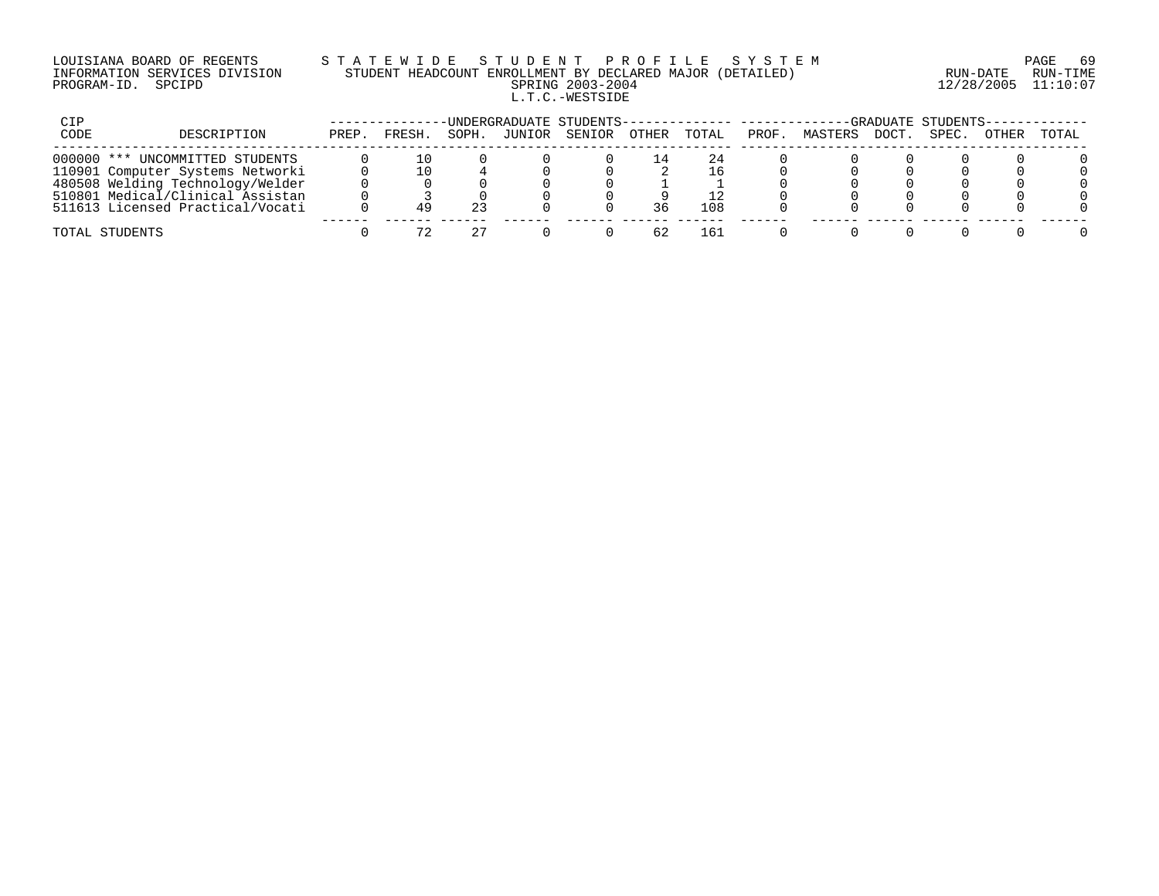# LOUISIANA BOARD OF REGENTS S T A T E W I D E S T U D E N T P R O F I L E S Y S T E M PAGE 69 INFORMATION SERVICES DIVISION STUDENT HEADCOUNT ENROLLMENT BY DECLARED MAJOR (DETAILED) RUN-DATE RUN-TIME PROGRAM-ID. SPCIPD SPRING 2003-2004 12/28/2005 11:10:07 L.T.C.-WESTSIDE

| CIP  |                                  |       |       |       |        | -UNDERGRADUATE STUDENTS-------------- --------- |       |       |       |         |       | -GRADUATE STUDENTS-- |       |       |
|------|----------------------------------|-------|-------|-------|--------|-------------------------------------------------|-------|-------|-------|---------|-------|----------------------|-------|-------|
| CODE | DESCRIPTION                      | PREP. | FRESH | SOPH. | JUNIOR | SENIOR                                          | OTHER | TOTAL | PROF. | MASTERS | DOCT. | SPEC.                | OTHER | TOTAL |
|      | 000000 *** UNCOMMITTED STUDENTS  |       |       |       |        |                                                 |       |       |       |         |       |                      |       |       |
|      | 110901 Computer Systems Networki |       |       |       |        |                                                 |       | 16    |       |         |       |                      |       |       |
|      | 480508 Welding Technology/Welder |       |       |       |        |                                                 |       |       |       |         |       |                      |       |       |
|      | 510801 Medical/Clinical Assistan |       |       |       |        |                                                 |       |       |       |         |       |                      |       |       |
|      | 511613 Licensed Practical/Vocati |       |       |       |        |                                                 |       | 108   |       |         |       |                      |       |       |
|      | TOTAL STUDENTS                   |       |       |       |        |                                                 |       | 161   |       |         |       |                      |       |       |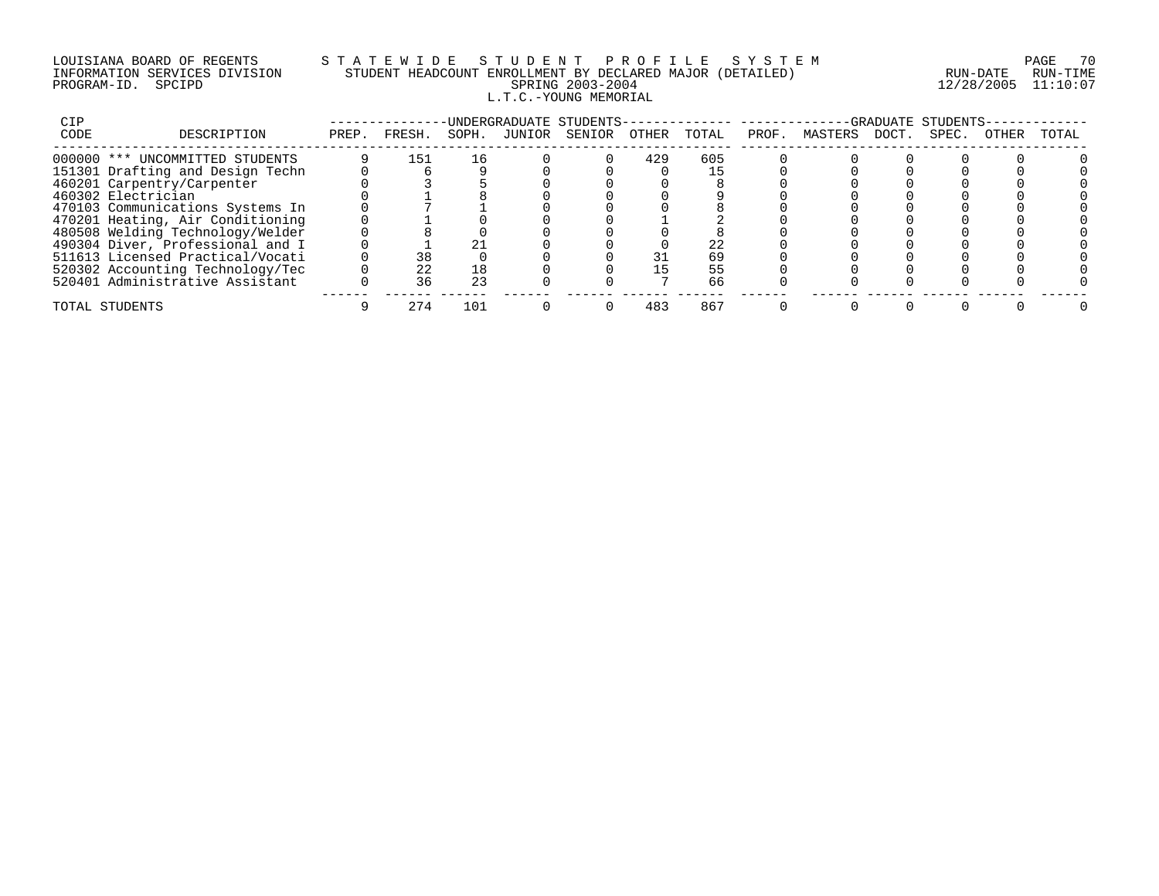# LOUISIANA BOARD OF REGENTS S T A T E W I D E S T U D E N T P R O F I L E S Y S T E M PAGE 70 INFORMATION SERVICES DIVISION STUDENT HEADCOUNT ENROLLMENT BY DECLARED MAJOR (DETAILED) RUN-DATE RUN-TIME PROGRAM-ID. SPCIPD SPRING 2003-2004 12/28/2005 11:10:07 L.T.C.-YOUNG MEMORIAL

| CIP  |                                  |       |        |       | -UNDERGRADUATE STUDENTS- |       |       |       |               | GRADUATE STUDENTS |       |       |
|------|----------------------------------|-------|--------|-------|--------------------------|-------|-------|-------|---------------|-------------------|-------|-------|
| CODE | DESCRIPTION                      | PREP. | FRESH. | SOPH. | JUNIOR SENIOR            | OTHER | TOTAL | PROF. | MASTERS DOCT. | SPEC.             | OTHER | TOTAL |
|      | 000000 *** UNCOMMITTED STUDENTS  |       | 151    | 16    |                          | 429   | 605   |       |               |                   |       |       |
|      | 151301 Drafting and Design Techn |       |        |       |                          |       |       |       |               |                   |       |       |
|      | 460201 Carpentry/Carpenter       |       |        |       |                          |       |       |       |               |                   |       |       |
|      | 460302 Electrician               |       |        |       |                          |       |       |       |               |                   |       |       |
|      | 470103 Communications Systems In |       |        |       |                          |       |       |       |               |                   |       |       |
|      | 470201 Heating, Air Conditioning |       |        |       |                          |       |       |       |               |                   |       |       |
|      | 480508 Welding Technology/Welder |       |        |       |                          |       |       |       |               |                   |       |       |
|      | 490304 Diver, Professional and I |       |        |       |                          |       | 22    |       |               |                   |       |       |
|      | 511613 Licensed Practical/Vocati |       | 38     |       |                          |       | 69    |       |               |                   |       |       |
|      | 520302 Accounting Technology/Tec |       | 22     | 18    |                          |       | 55    |       |               |                   |       |       |
|      | 520401 Administrative Assistant  |       | 36     | 23    |                          |       | 66    |       |               |                   |       |       |
|      | TOTAL STUDENTS                   |       | 274    | 101   |                          | 483   | 867   |       |               |                   |       |       |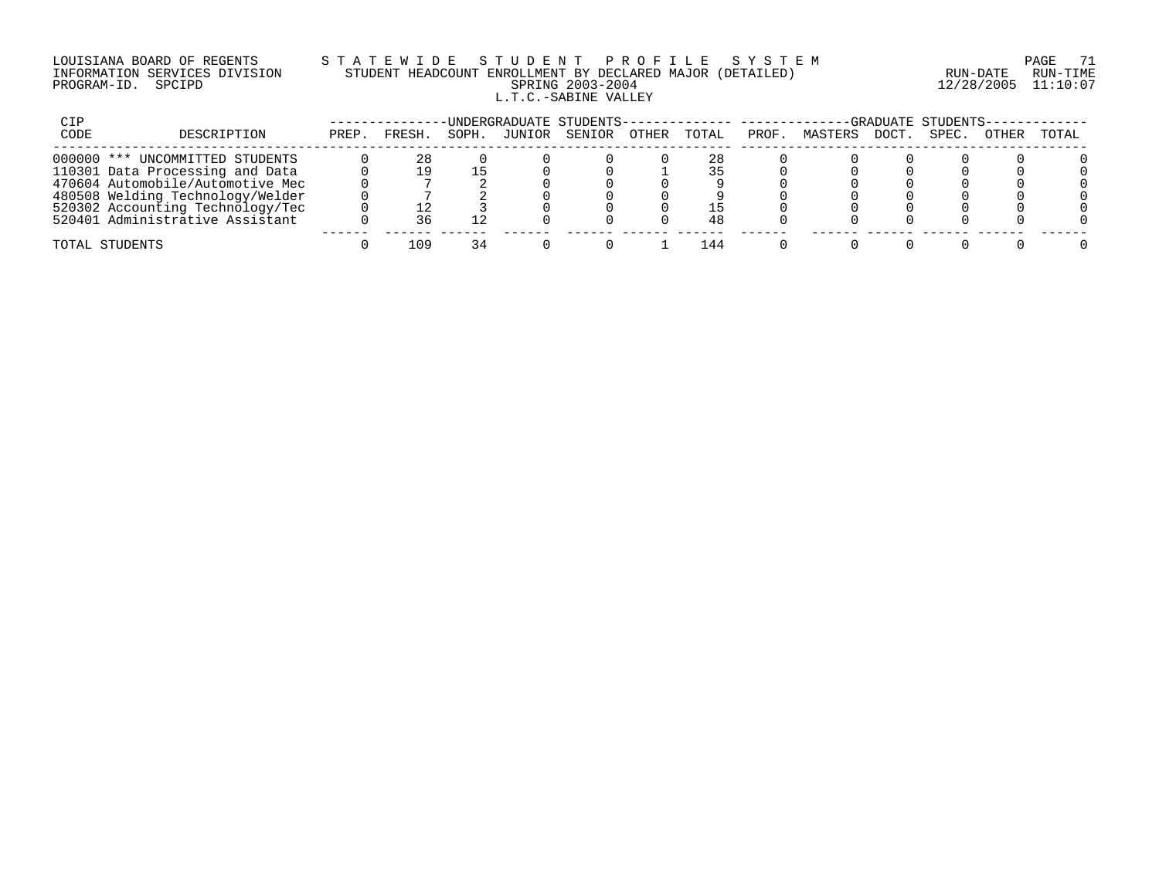#### LOUISIANA BOARD OF REGENTS S T A T E W I D E S T U D E N T P R O F I L E S Y S T E M PAGE 71 INFORMATION SERVICES DIVISION STUDENT HEADCOUNT ENROLLMENT BY DECLARED MAJOR (DETAILED) RUN-DATE RUN-TIME PROGRAM-ID. SPCIPD SPRING 2003-2004 12/28/2005 11:10:07 L.T.C.-SABINE VALLEY

| CIP  |                                  |       |       |      |        | UNDERGRADUATE STUDENTS-- |              |       |       |         |      | -GRADUATE STUDENTS- |              |       |
|------|----------------------------------|-------|-------|------|--------|--------------------------|--------------|-------|-------|---------|------|---------------------|--------------|-------|
| CODE | DESCRIPTION                      | PREP. | FRESH | SOPH | JUNIOR | SENIOR                   | <b>OTHER</b> | TOTAL | PROF. | MASTERS | DOCT | SPEC.               | <b>OTHER</b> | TOTAL |
|      | 000000 *** UNCOMMITTED STUDENTS  |       | 28    |      |        |                          |              | 28    |       |         |      |                     |              |       |
|      | 110301 Data Processing and Data  |       |       |      |        |                          |              |       |       |         |      |                     |              |       |
|      | 470604 Automobile/Automotive Mec |       |       |      |        |                          |              |       |       |         |      |                     |              |       |
|      | 480508 Welding Technology/Welder |       |       |      |        |                          |              |       |       |         |      |                     |              |       |
|      | 520302 Accounting Technology/Tec |       |       |      |        |                          |              |       |       |         |      |                     |              |       |
|      | 520401 Administrative Assistant  |       |       |      |        |                          |              | 48    |       |         |      |                     |              |       |
|      | TOTAL STUDENTS                   |       | 1 N 9 |      |        |                          |              | 44    |       |         |      |                     |              |       |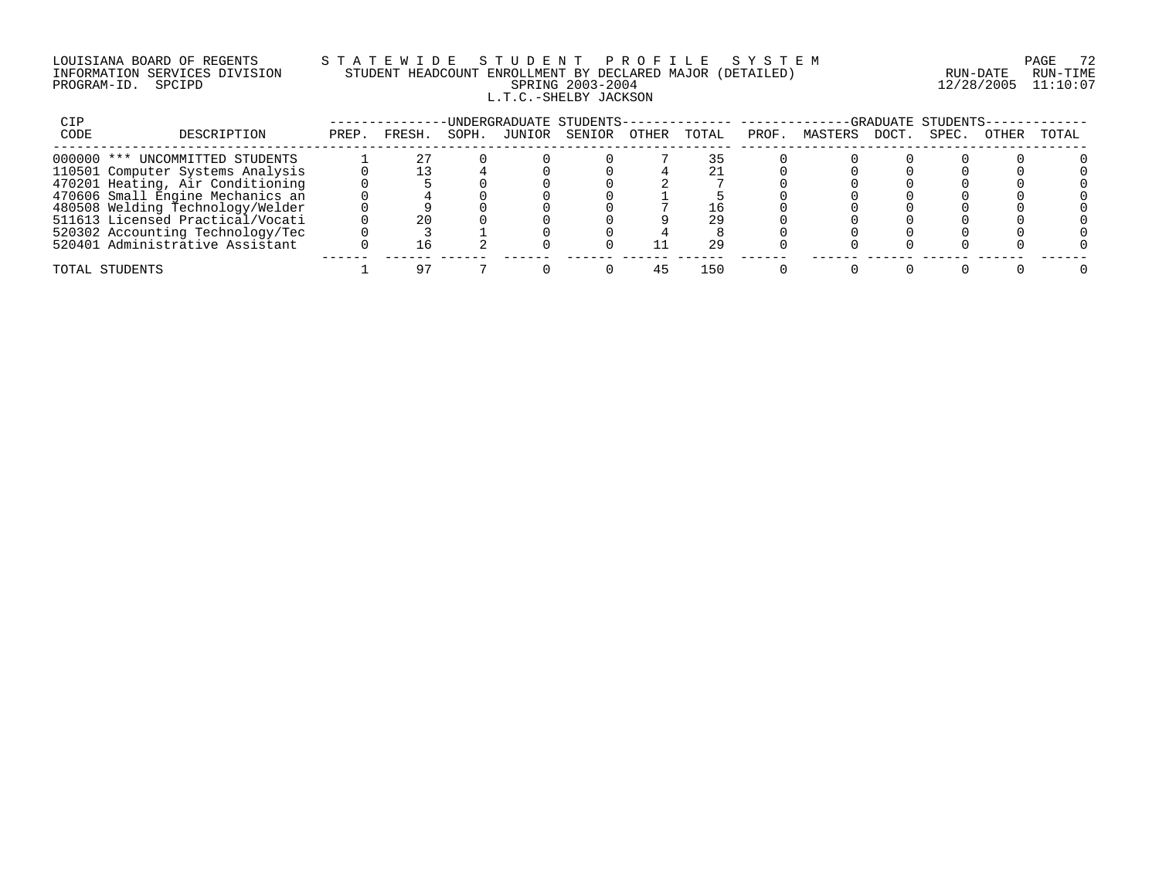#### LOUISIANA BOARD OF REGENTS S T A T E W I D E S T U D E N T P R O F I L E S Y S T E M PAGE 72 INFORMATION SERVICES DIVISION STUDENT HEADCOUNT ENROLLMENT BY DECLARED MAJOR (DETAILED) RUN-DATE RUN-TIME PROGRAM-ID. SPCIPD SPRING 2003-2004 12/28/2005 11:10:07 L.T.C.-SHELBY JACKSON

| CIP  |                                  |       |        |       |        | UNDERGRADUATE STUDENTS-- |       |       |       |         |       | -GRADUATE STUDENTS- |       |       |
|------|----------------------------------|-------|--------|-------|--------|--------------------------|-------|-------|-------|---------|-------|---------------------|-------|-------|
| CODE | DESCRIPTION                      | PREP. | FRESH. | SOPH. | JUNIOR | SENIOR                   | OTHER | TOTAL | PROF. | MASTERS | DOCT. | SPEC.               | OTHER | TOTAL |
|      | 000000 *** UNCOMMITTED STUDENTS  |       |        |       |        |                          |       |       |       |         |       |                     |       |       |
|      | 110501 Computer Systems Analysis |       |        |       |        |                          |       |       |       |         |       |                     |       |       |
|      | 470201 Heating, Air Conditioning |       |        |       |        |                          |       |       |       |         |       |                     |       |       |
|      | 470606 Small Engine Mechanics an |       |        |       |        |                          |       |       |       |         |       |                     |       |       |
|      | 480508 Welding Technology/Welder |       |        |       |        |                          |       |       |       |         |       |                     |       |       |
|      | 511613 Licensed Practical/Vocati |       |        |       |        |                          |       | 29    |       |         |       |                     |       |       |
|      | 520302 Accounting Technology/Tec |       |        |       |        |                          |       |       |       |         |       |                     |       |       |
|      | 520401 Administrative Assistant  |       |        |       |        |                          |       | 29    |       |         |       |                     |       |       |
|      | TOTAL STUDENTS                   |       |        |       |        |                          |       | 150   |       |         |       |                     |       |       |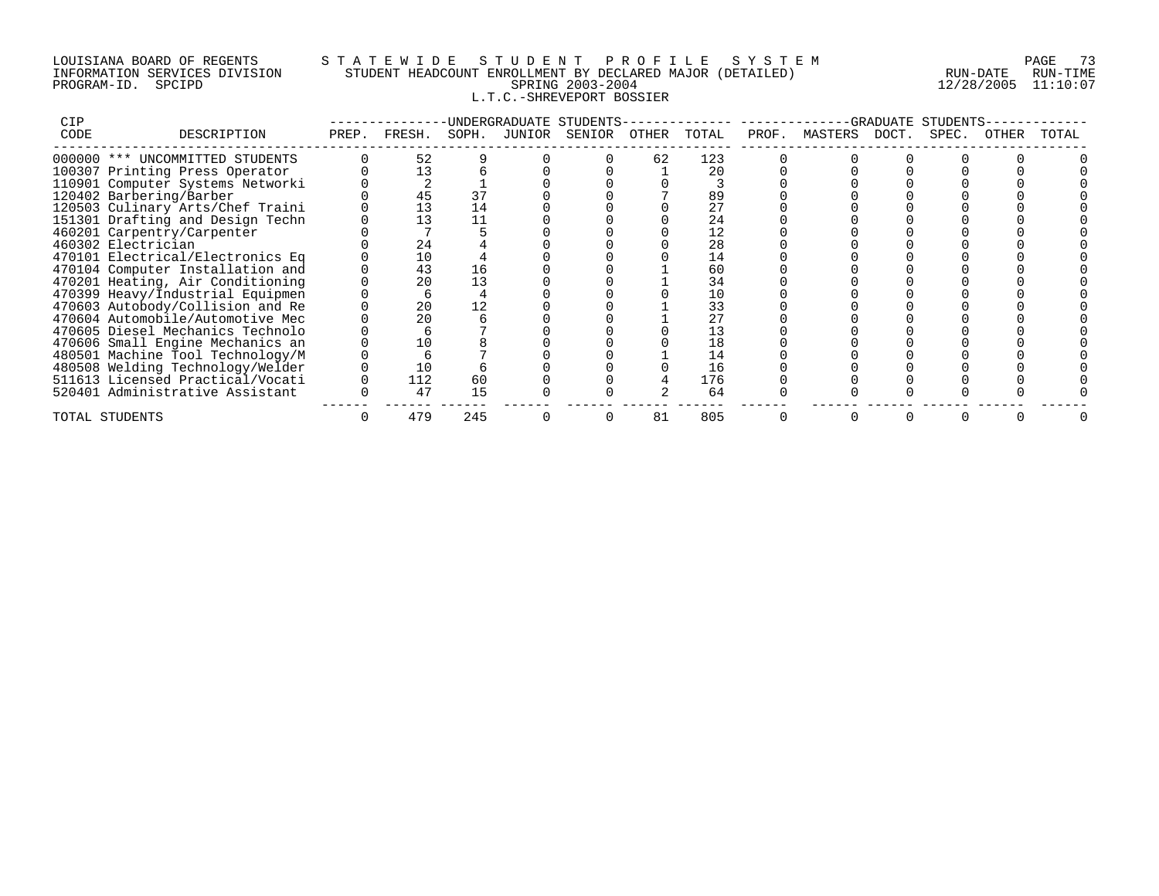### LOUISIANA BOARD OF REGENTS S T A T E W I D E S T U D E N T P R O F I L E S Y S T E M PAGE 73 INFORMATION SERVICES DIVISION STUDENT HEADCOUNT ENROLLMENT BY DECLARED MAJOR (DETAILED) RUN-DATE RUN-TIME PROGRAM-ID. SPCIPD SPRING 2003-2004 12/28/2005 11:10:07 L.T.C.-SHREVEPORT BOSSIER

| <b>CIP</b> |                                  | UNDERGRADUATE STUDENTS- |        |       |        |        |       |       | GRADUATE<br>STUDENTS |         |       |       |       |       |  |
|------------|----------------------------------|-------------------------|--------|-------|--------|--------|-------|-------|----------------------|---------|-------|-------|-------|-------|--|
| CODE       | DESCRIPTION                      | PREP.                   | FRESH. | SOPH. | JUNIOR | SENIOR | OTHER | TOTAL | PROF.                | MASTERS | DOCT. | SPEC. | OTHER | TOTAL |  |
|            | 000000 *** UNCOMMITTED STUDENTS  |                         | 52     |       |        |        | 62    | 123   |                      |         |       |       |       |       |  |
|            | 100307 Printing Press Operator   |                         | 13     |       |        |        |       | 20    |                      |         |       |       |       |       |  |
|            | 110901 Computer Systems Networki |                         |        |       |        |        |       |       |                      |         |       |       |       |       |  |
|            | 120402 Barbering/Barber          |                         |        | 37    |        |        |       | 89    |                      |         |       |       |       |       |  |
|            | 120503 Culinary Arts/Chef Traini |                         | 13     | 14    |        |        |       | 27    |                      |         |       |       |       |       |  |
|            | 151301 Drafting and Design Techn |                         | 13     |       |        |        |       | 24    |                      |         |       |       |       |       |  |
|            | 460201 Carpentry/Carpenter       |                         |        |       |        |        |       | 12    |                      |         |       |       |       |       |  |
|            | 460302 Electrician               |                         | 24     |       |        |        |       | 28    |                      |         |       |       |       |       |  |
|            | 470101 Electrical/Electronics Eq |                         | 10     |       |        |        |       | 14    |                      |         |       |       |       |       |  |
|            | 470104 Computer Installation and |                         | 43     | 16    |        |        |       | 60    |                      |         |       |       |       |       |  |
|            | 470201 Heating, Air Conditioning |                         | 20     |       |        |        |       | 34    |                      |         |       |       |       |       |  |
|            | 470399 Heavy/Industrial Equipmen |                         |        |       |        |        |       | 10    |                      |         |       |       |       |       |  |
|            | 470603 Autobody/Collision and Re |                         | 20     |       |        |        |       | 33    |                      |         |       |       |       |       |  |
|            | 470604 Automobile/Automotive Mec |                         | 20     |       |        |        |       | 27    |                      |         |       |       |       |       |  |
|            | 470605 Diesel Mechanics Technolo |                         |        |       |        |        |       | 13    |                      |         |       |       |       |       |  |
|            | 470606 Small Engine Mechanics an |                         | 10     |       |        |        |       | 18    |                      |         |       |       |       |       |  |
|            | 480501 Machine Tool Technology/M |                         |        |       |        |        |       | 14    |                      |         |       |       |       |       |  |
|            | 480508 Welding Technology/Welder |                         | 10     |       |        |        |       | 16    |                      |         |       |       |       |       |  |
|            | 511613 Licensed Practical/Vocati |                         | 112    | 60    |        |        |       | 176   |                      |         |       |       |       |       |  |
|            | 520401 Administrative Assistant  |                         | 47     | 15    |        |        |       | 64    |                      |         |       |       |       |       |  |
|            | TOTAL STUDENTS                   |                         | 479    | 245   |        |        | 81    | 805   |                      |         |       |       |       |       |  |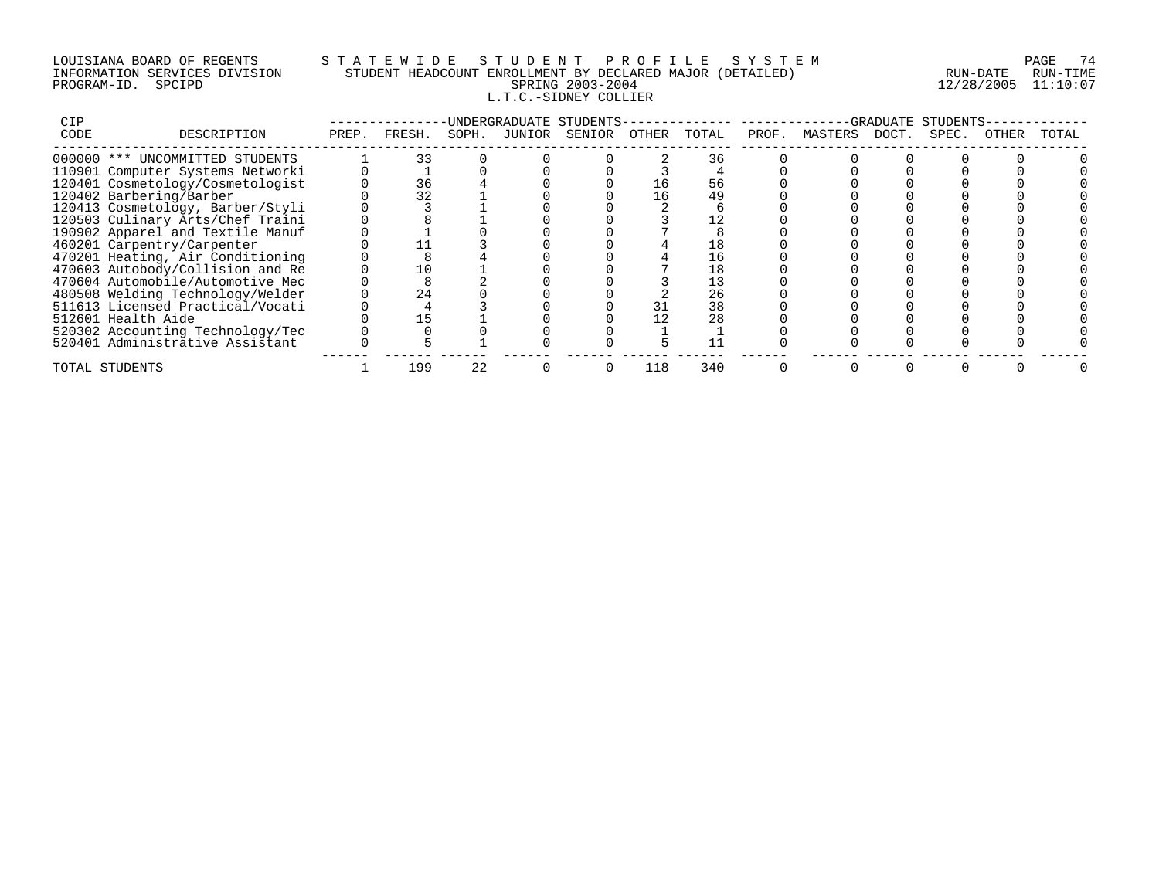# LOUISIANA BOARD OF REGENTS S T A T E W I D E S T U D E N T P R O F I L E S Y S T E M PAGE 74 INFORMATION SERVICES DIVISION STUDENT HEADCOUNT ENROLLMENT BY DECLARED MAJOR (DETAILED) RUN-DATE RUN-TIME PROGRAM-ID. SPCIPD SPRING 2003-2004 12/28/2005 11:10:07 L.T.C.-SIDNEY COLLIER

| CIP  |                                  |       |        |       | UNDERGRADUATE STUDENTS- |       |       |       |         |       | -GRADUATE STUDENTS |       |       |
|------|----------------------------------|-------|--------|-------|-------------------------|-------|-------|-------|---------|-------|--------------------|-------|-------|
| CODE | DESCRIPTION                      | PREP. | FRESH. | SOPH. | JUNIOR SENIOR           | OTHER | TOTAL | PROF. | MASTERS | DOCT. | SPEC.              | OTHER | TOTAL |
|      | 000000 *** UNCOMMITTED STUDENTS  |       |        |       |                         |       | 36    |       |         |       |                    |       |       |
|      | 110901 Computer Systems Networki |       |        |       |                         |       |       |       |         |       |                    |       |       |
|      | 120401 Cosmetology/Cosmetologist |       | 36     |       |                         |       | 56    |       |         |       |                    |       |       |
|      | 120402 Barbering/Barber          |       | 32     |       |                         | 16    | 49    |       |         |       |                    |       |       |
|      | 120413 Cosmetology, Barber/Styli |       |        |       |                         |       |       |       |         |       |                    |       |       |
|      | 120503 Culinary Arts/Chef Traini |       |        |       |                         |       |       |       |         |       |                    |       |       |
|      | 190902 Apparel and Textile Manuf |       |        |       |                         |       |       |       |         |       |                    |       |       |
|      | 460201 Carpentry/Carpenter       |       |        |       |                         |       |       |       |         |       |                    |       |       |
|      | 470201 Heating, Air Conditioning |       |        |       |                         |       | 16    |       |         |       |                    |       |       |
|      | 470603 Autobody/Collision and Re |       |        |       |                         |       |       |       |         |       |                    |       |       |
|      | 470604 Automobile/Automotive Mec |       |        |       |                         |       |       |       |         |       |                    |       |       |
|      | 480508 Welding Technology/Welder |       | 24     |       |                         |       | 26    |       |         |       |                    |       |       |
|      | 511613 Licensed Practical/Vocati |       |        |       |                         |       | 38    |       |         |       |                    |       |       |
|      | 512601 Health Aide               |       |        |       |                         |       | 28    |       |         |       |                    |       |       |
|      | 520302 Accounting Technology/Tec |       |        |       |                         |       |       |       |         |       |                    |       |       |
|      | 520401 Administrative Assistant  |       |        |       |                         |       |       |       |         |       |                    |       |       |
|      | TOTAL STUDENTS                   |       | 199    | 22    |                         | 118   | 340   |       |         |       |                    |       |       |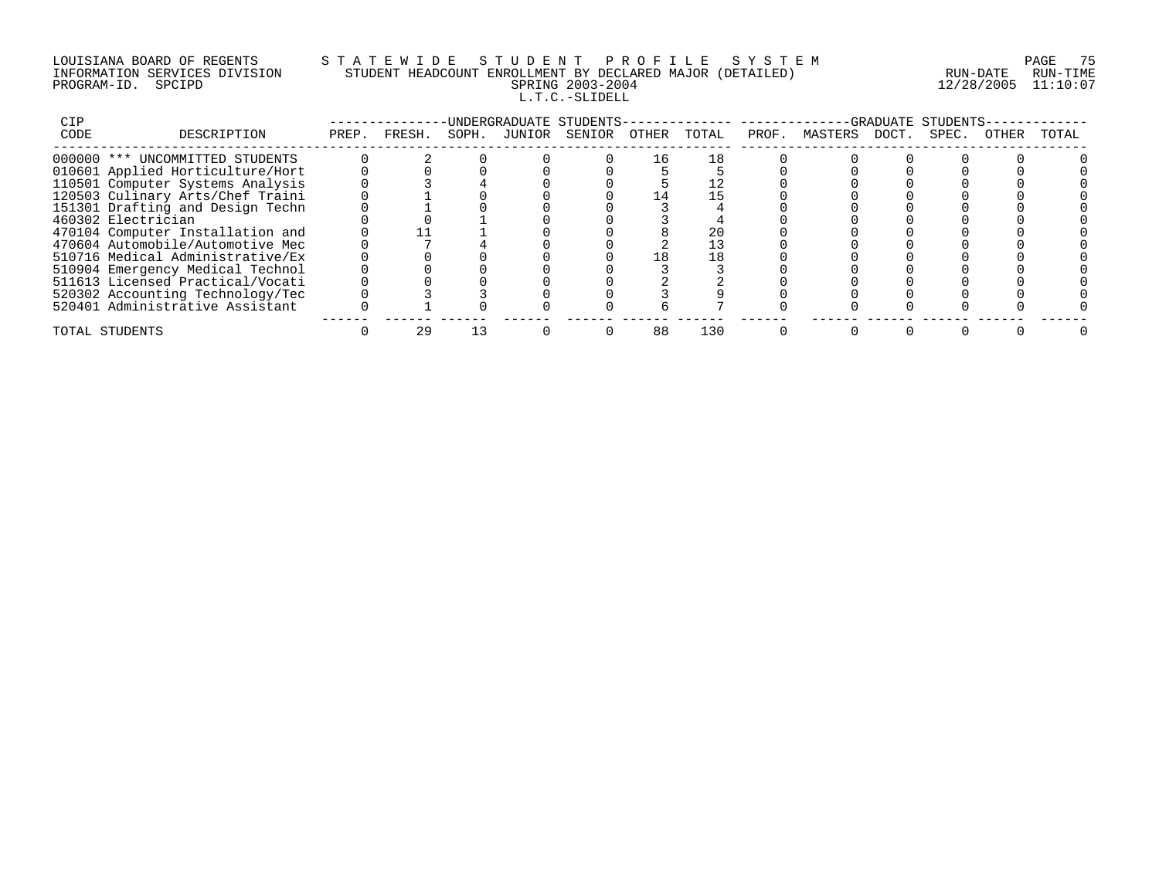# LOUISIANA BOARD OF REGENTS S T A T E W I D E S T U D E N T P R O F I L E S Y S T E M PAGE 75 INFORMATION SERVICES DIVISION STUDENT HEADCOUNT ENROLLMENT BY DECLARED MAJOR (DETAILED) RUN-DATE RUN-TIME PROGRAM-ID. SPCIPD SPRING 2003-2004 12/28/2005 11:10:07 L.T.C.-SLIDELL

| CIP  |                                  |       |        |       | -UNDERGRADUATE STUDENTS- |       |       |       |         |       | -GRADUATE STUDENTS |       |       |
|------|----------------------------------|-------|--------|-------|--------------------------|-------|-------|-------|---------|-------|--------------------|-------|-------|
| CODE | DESCRIPTION                      | PREP. | FRESH. | SOPH. | JUNIOR SENIOR            | OTHER | TOTAL | PROF. | MASTERS | DOCT. | SPEC.              | OTHER | TOTAL |
|      | 000000 *** UNCOMMITTED STUDENTS  |       |        |       |                          |       |       |       |         |       |                    |       |       |
|      | 010601 Applied Horticulture/Hort |       |        |       |                          |       |       |       |         |       |                    |       |       |
|      | 110501 Computer Systems Analysis |       |        |       |                          |       |       |       |         |       |                    |       |       |
|      | 120503 Culinary Arts/Chef Traini |       |        |       |                          |       |       |       |         |       |                    |       |       |
|      | 151301 Drafting and Design Techn |       |        |       |                          |       |       |       |         |       |                    |       |       |
|      | 460302 Electrician               |       |        |       |                          |       |       |       |         |       |                    |       |       |
|      | 470104 Computer Installation and |       |        |       |                          |       | 20    |       |         |       |                    |       |       |
|      | 470604 Automobile/Automotive Mec |       |        |       |                          |       |       |       |         |       |                    |       |       |
|      | 510716 Medical Administrative/Ex |       |        |       |                          | 18    | 18    |       |         |       |                    |       |       |
|      | 510904 Emergency Medical Technol |       |        |       |                          |       |       |       |         |       |                    |       |       |
|      | 511613 Licensed Practical/Vocati |       |        |       |                          |       |       |       |         |       |                    |       |       |
|      | 520302 Accounting Technology/Tec |       |        |       |                          |       |       |       |         |       |                    |       |       |
|      | 520401 Administrative Assistant  |       |        |       |                          |       |       |       |         |       |                    |       |       |
|      | TOTAL STUDENTS                   |       |        |       |                          | 88    | 130   |       |         |       |                    |       |       |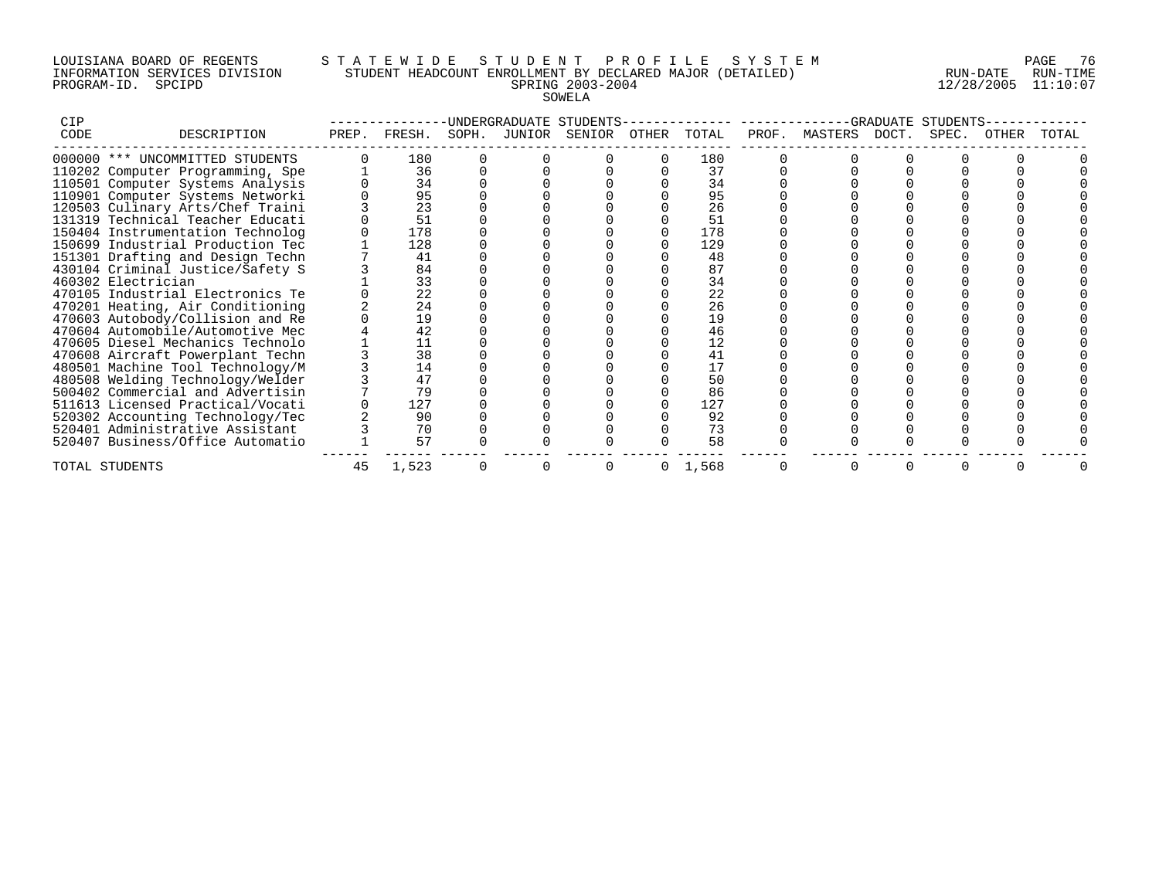#### LOUISIANA BOARD OF REGENTS S T A T E W I D E S T U D E N T P R O F I L E S Y S T E M PAGE 76 INFORMATION SERVICES DIVISION STUDENT HEADCOUNT ENROLLMENT BY DECLARED MAJOR (DETAILED) RUN-DATE RUN-TIME PROGRAM-ID. SPCIPD SPRING 2003-2004 12/28/2005 11:10:07 SOWELA

| CIP  | UNDERGRADUATE STUDENTS           |       |        |       |        |        |       |           | STUDENTS<br><b>GRADUATE</b> |         |       |       |       |       |  |  |
|------|----------------------------------|-------|--------|-------|--------|--------|-------|-----------|-----------------------------|---------|-------|-------|-------|-------|--|--|
| CODE | DESCRIPTION                      | PREP. | FRESH. | SOPH. | JUNIOR | SENIOR | OTHER | TOTAL     | PROF.                       | MASTERS | DOCT. | SPEC. | OTHER | TOTAL |  |  |
|      | 000000 *** UNCOMMITTED STUDENTS  |       | 180    |       |        |        |       | 180       |                             |         |       |       |       |       |  |  |
|      | 110202 Computer Programming, Spe |       | 36     |       |        |        |       | 37        |                             |         |       |       |       |       |  |  |
|      | 110501 Computer Systems Analysis |       | 34     |       |        |        |       | 34        |                             |         |       |       |       |       |  |  |
|      | 110901 Computer Systems Networki |       | 95     |       |        |        |       | 95        |                             |         |       |       |       |       |  |  |
|      | 120503 Culinary Arts/Chef Traini |       | 23     |       |        |        |       | 26        |                             |         |       |       |       |       |  |  |
|      | 131319 Technical Teacher Educati |       | 51     |       |        |        |       | 51        |                             |         |       |       |       |       |  |  |
|      | 150404 Instrumentation Technolog |       | 178    |       |        |        |       | 178       |                             |         |       |       |       |       |  |  |
|      | 150699 Industrial Production Tec |       | 128    |       |        |        |       | 129       |                             |         |       |       |       |       |  |  |
|      | 151301 Drafting and Design Techn |       | 41     |       |        |        |       | 48        |                             |         |       |       |       |       |  |  |
|      | 430104 Criminal Justice/Safety S |       | 84     |       |        |        |       | 87        |                             |         |       |       |       |       |  |  |
|      | 460302 Electrician               |       | 33     |       |        |        |       | 34        |                             |         |       |       |       |       |  |  |
|      | 470105 Industrial Electronics Te |       | 22     |       |        |        |       | 22        |                             |         |       |       |       |       |  |  |
|      | 470201 Heating, Air Conditioning |       | 24     |       |        |        |       | 26        |                             |         |       |       |       |       |  |  |
|      | 470603 Autobody/Collision and Re |       | 19     |       |        |        |       | 19        |                             |         |       |       |       |       |  |  |
|      | 470604 Automobile/Automotive Mec |       | 42     |       |        |        |       | 46        |                             |         |       |       |       |       |  |  |
|      | 470605 Diesel Mechanics Technolo |       |        |       |        |        |       | 12        |                             |         |       |       |       |       |  |  |
|      | 470608 Aircraft Powerplant Techn |       | 38     |       |        |        |       | 41        |                             |         |       |       |       |       |  |  |
|      | 480501 Machine Tool Technology/M |       | 14     |       |        |        |       | 17        |                             |         |       |       |       |       |  |  |
|      | 480508 Welding Technology/Welder |       | 47     |       |        |        |       | 50        |                             |         |       |       |       |       |  |  |
|      | 500402 Commercial and Advertisin |       | 79     |       |        |        |       | 86        |                             |         |       |       |       |       |  |  |
|      | 511613 Licensed Practical/Vocati |       | 127    |       |        |        |       | 127       |                             |         |       |       |       |       |  |  |
|      | 520302 Accounting Technology/Tec |       | 90     |       |        |        |       | 92        |                             |         |       |       |       |       |  |  |
|      | 520401 Administrative Assistant  |       | 70     |       |        |        |       | 73        |                             |         |       |       |       |       |  |  |
|      | 520407 Business/Office Automatio |       | 57     |       |        |        |       | 58        |                             |         |       |       |       |       |  |  |
|      | TOTAL STUDENTS                   | 45    | 1,523  |       |        |        |       | 0, 1, 568 |                             |         |       |       |       |       |  |  |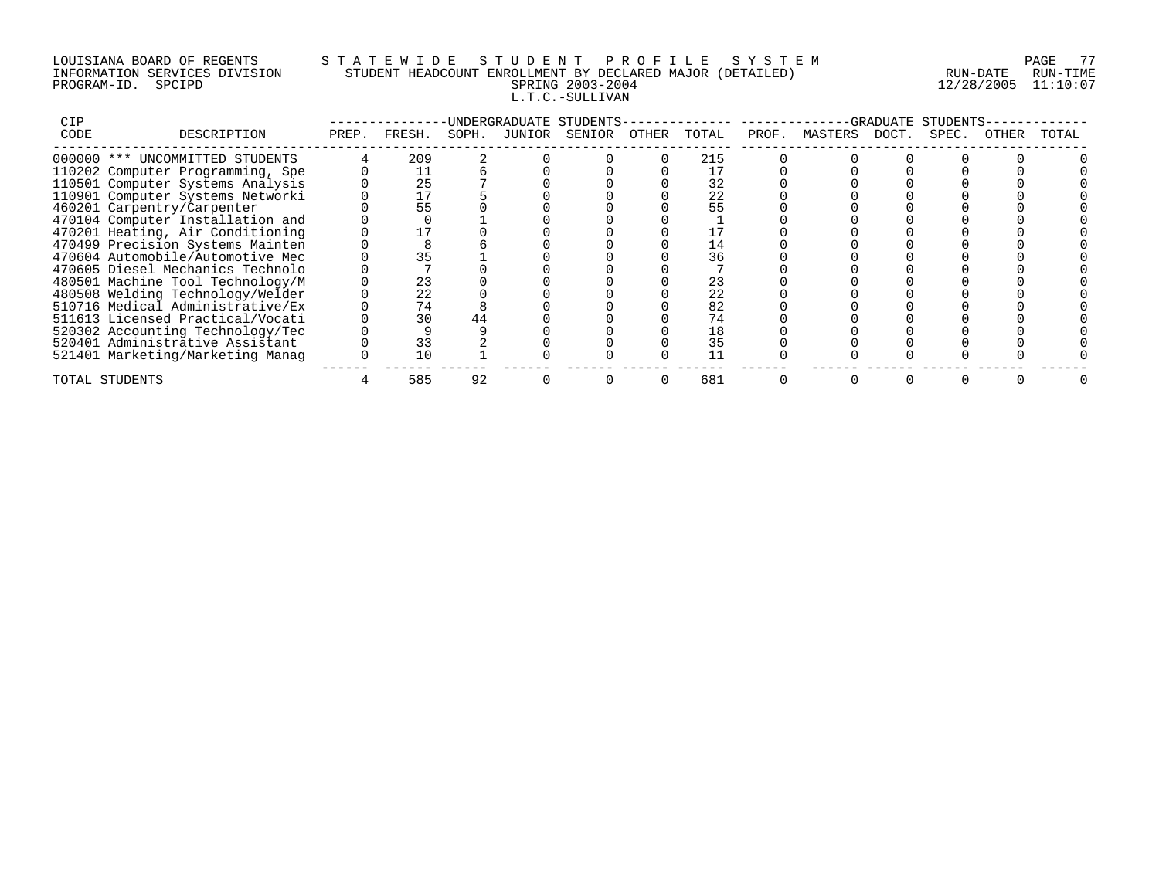# LOUISIANA BOARD OF REGENTS S T A T E W I D E S T U D E N T P R O F I L E S Y S T E M PAGE 77 INFORMATION SERVICES DIVISION STUDENT HEADCOUNT ENROLLMENT BY DECLARED MAJOR (DETAILED) RUN-DATE RUN-TIME PROGRAM-ID. SPCIPD SPRING 2003-2004 12/28/2005 11:10:07 L.T.C.-SULLIVAN

| CIP  |                                  |       |        |       | -UNDERGRADUATE STUDENTS- |       |       |       |               | -GRADUATE | STUDENTS |       |       |
|------|----------------------------------|-------|--------|-------|--------------------------|-------|-------|-------|---------------|-----------|----------|-------|-------|
| CODE | DESCRIPTION                      | PREP. | FRESH. | SOPH. | JUNIOR SENIOR            | OTHER | TOTAL | PROF. | MASTERS DOCT. |           | SPEC.    | OTHER | TOTAL |
|      | 000000 *** UNCOMMITTED STUDENTS  |       | 209    |       |                          |       | 215   |       |               |           |          |       |       |
|      | 110202 Computer Programming, Spe |       |        |       |                          |       |       |       |               |           |          |       |       |
|      | 110501 Computer Systems Analysis |       | 25     |       |                          |       | 32    |       |               |           |          |       |       |
|      | 110901 Computer Systems Networki |       |        |       |                          |       | 22    |       |               |           |          |       |       |
|      | 460201 Carpentry/Carpenter       |       | 55     |       |                          |       |       |       |               |           |          |       |       |
|      | 470104 Computer Installation and |       |        |       |                          |       |       |       |               |           |          |       |       |
|      | 470201 Heating, Air Conditioning |       |        |       |                          |       |       |       |               |           |          |       |       |
|      | 470499 Precision Systems Mainten |       |        |       |                          |       |       |       |               |           |          |       |       |
|      | 470604 Automobile/Automotive Mec |       |        |       |                          |       | 36    |       |               |           |          |       |       |
|      | 470605 Diesel Mechanics Technolo |       |        |       |                          |       |       |       |               |           |          |       |       |
|      | 480501 Machine Tool Technology/M |       | 23     |       |                          |       | 23    |       |               |           |          |       |       |
|      | 480508 Welding Technology/Welder |       | 22     |       |                          |       | 22    |       |               |           |          |       |       |
|      | 510716 Medical Administrative/Ex |       | 74     |       |                          |       | 82    |       |               |           |          |       |       |
|      | 511613 Licensed Practical/Vocati |       | 30     | 44    |                          |       |       |       |               |           |          |       |       |
|      | 520302 Accounting Technology/Tec |       |        |       |                          |       | 18    |       |               |           |          |       |       |
|      | 520401 Administrative Assistant  |       | 33     |       |                          |       | 35    |       |               |           |          |       |       |
|      | 521401 Marketing/Marketing Manag |       |        |       |                          |       |       |       |               |           |          |       |       |
|      | TOTAL STUDENTS                   |       | 585    | 92    |                          |       | 681   |       |               |           |          |       |       |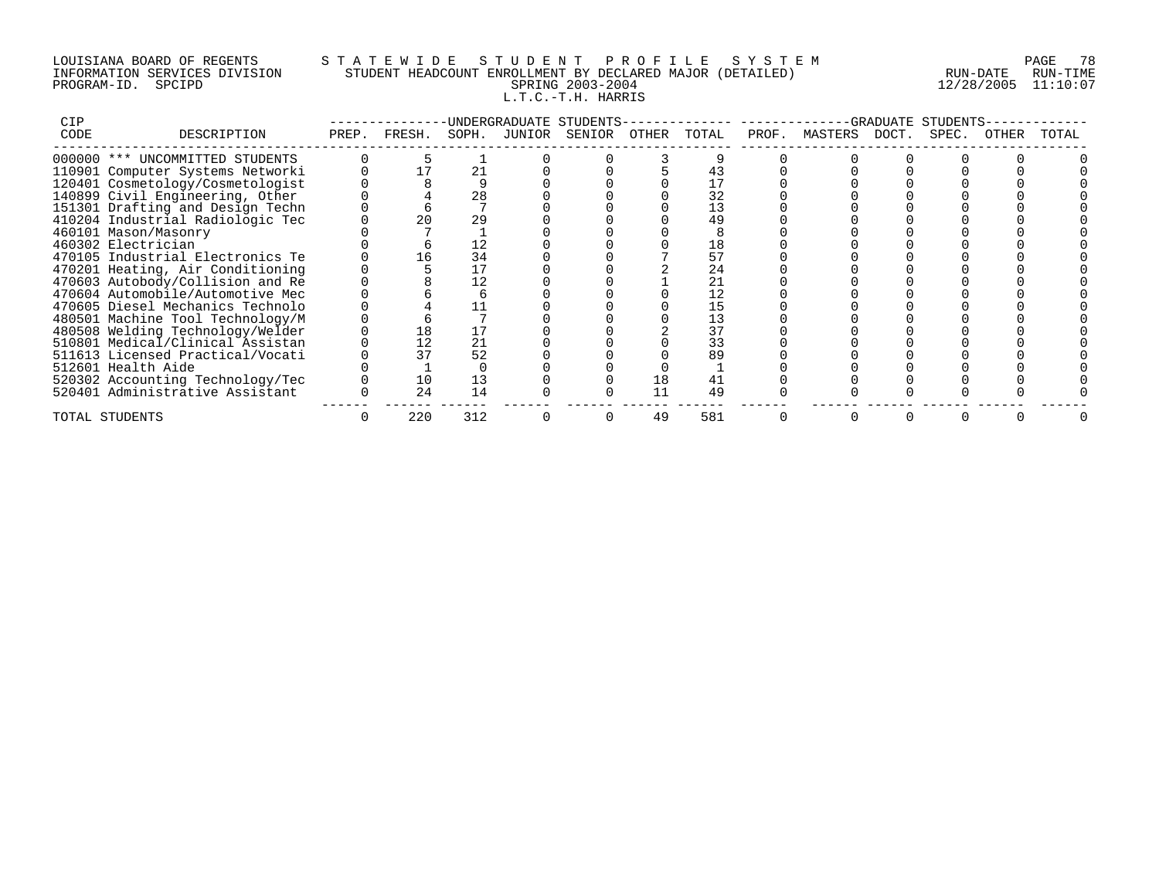# LOUISIANA BOARD OF REGENTS S T A T E W I D E S T U D E N T P R O F I L E S Y S T E M PAGE 78 INFORMATION SERVICES DIVISION STUDENT HEADCOUNT ENROLLMENT BY DECLARED MAJOR (DETAILED) RUN-DATE RUN-TIME PROGRAM-ID. SPCIPD SPRING 2003-2004 12/28/2005 11:10:07 L.T.C.-T.H. HARRIS

| <b>CIP</b> |                                  | UNDERGRADUATE STUDENTS- |        |       |  |               |       |       |       | -GRADUATE<br>STUDENTS |  |       |       |       |  |  |
|------------|----------------------------------|-------------------------|--------|-------|--|---------------|-------|-------|-------|-----------------------|--|-------|-------|-------|--|--|
| CODE       | DESCRIPTION                      | PREP.                   | FRESH. | SOPH. |  | JUNIOR SENIOR | OTHER | TOTAL | PROF. | MASTERS DOCT.         |  | SPEC. | OTHER | TOTAL |  |  |
|            | 000000 *** UNCOMMITTED STUDENTS  |                         |        |       |  |               |       |       |       |                       |  |       |       |       |  |  |
|            | 110901 Computer Systems Networki |                         |        | 21    |  |               |       |       |       |                       |  |       |       |       |  |  |
|            | 120401 Cosmetology/Cosmetologist |                         |        |       |  |               |       |       |       |                       |  |       |       |       |  |  |
|            | 140899 Civil Engineering, Other  |                         |        | 28    |  |               |       | 32    |       |                       |  |       |       |       |  |  |
|            | 151301 Drafting and Design Techn |                         |        |       |  |               |       | 13    |       |                       |  |       |       |       |  |  |
|            | 410204 Industrial Radiologic Tec |                         | 20     | 29    |  |               |       | 49    |       |                       |  |       |       |       |  |  |
|            | 460101 Mason/Masonry             |                         |        |       |  |               |       |       |       |                       |  |       |       |       |  |  |
|            | 460302 Electrician               |                         |        | 12    |  |               |       | 18    |       |                       |  |       |       |       |  |  |
|            | 470105 Industrial Electronics Te |                         | 16     | 34    |  |               |       | 57    |       |                       |  |       |       |       |  |  |
|            | 470201 Heating, Air Conditioning |                         |        |       |  |               |       | 24    |       |                       |  |       |       |       |  |  |
|            | 470603 Autobody/Collision and Re |                         |        | 12    |  |               |       | 21    |       |                       |  |       |       |       |  |  |
|            | 470604 Automobile/Automotive Mec |                         |        |       |  |               |       | 12    |       |                       |  |       |       |       |  |  |
|            | 470605 Diesel Mechanics Technolo |                         |        |       |  |               |       | 15    |       |                       |  |       |       |       |  |  |
|            | 480501 Machine Tool Technology/M |                         |        |       |  |               |       | 13    |       |                       |  |       |       |       |  |  |
|            | 480508 Welding Technology/Welder |                         | 18     |       |  |               |       | 37    |       |                       |  |       |       |       |  |  |
|            | 510801 Medical/Clinical Assistan |                         |        | 21    |  |               |       | 33    |       |                       |  |       |       |       |  |  |
|            | 511613 Licensed Practical/Vocati |                         | 37     | 52    |  |               |       | 89    |       |                       |  |       |       |       |  |  |
|            | 512601 Health Aide               |                         |        |       |  |               |       |       |       |                       |  |       |       |       |  |  |
|            | 520302 Accounting Technology/Tec |                         | 10     | 13    |  |               | 18    |       |       |                       |  |       |       |       |  |  |
|            | 520401 Administrative Assistant  |                         | 24     | 14    |  |               | 11    | 49    |       |                       |  |       |       |       |  |  |
|            | TOTAL STUDENTS                   |                         | 220    | 312   |  |               | 49    | 581   |       |                       |  |       |       |       |  |  |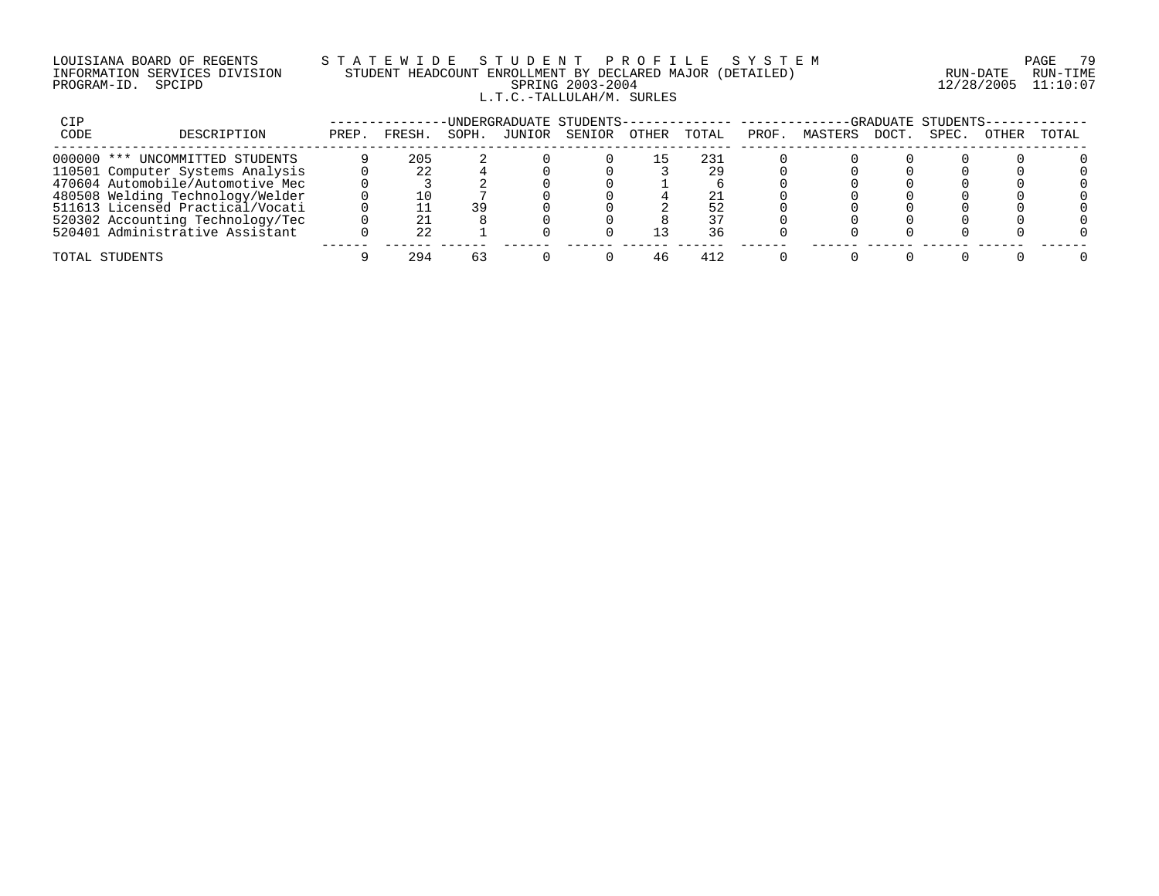### LOUISIANA BOARD OF REGENTS S T A T E W I D E S T U D E N T P R O F I L E S Y S T E M PAGE 79 INFORMATION SERVICES DIVISION STUDENT HEADCOUNT ENROLLMENT BY DECLARED MAJOR (DETAILED) RUN-DATE RUN-TIME PROGRAM-ID. SPCIPD SPRING 2003-2004 12/28/2005 11:10:07 L.T.C.-TALLULAH/M. SURLES

| CIP  | UNDERGRADUATE STUDENTS-          |       |              |       |        |        |       |       |       | -GRADUATE STUDENTS- |      |       |       |       |  |  |  |
|------|----------------------------------|-------|--------------|-------|--------|--------|-------|-------|-------|---------------------|------|-------|-------|-------|--|--|--|
| CODE | DESCRIPTION                      | PREP. | <b>FRESH</b> | SOPH. | JUNIOR | SENIOR | OTHER | TOTAL | PROF. | MASTERS             | DOCT | SPEC. | OTHER | TOTAL |  |  |  |
|      | 000000 *** UNCOMMITTED STUDENTS  |       | 205          |       |        |        |       | 231   |       |                     |      |       |       |       |  |  |  |
|      | 110501 Computer Systems Analysis |       | 22           |       |        |        |       | 29    |       |                     |      |       |       |       |  |  |  |
|      | 470604 Automobile/Automotive Mec |       |              |       |        |        |       |       |       |                     |      |       |       |       |  |  |  |
|      | 480508 Welding Technology/Welder |       |              |       |        |        |       |       |       |                     |      |       |       |       |  |  |  |
|      | 511613 Licensed Practical/Vocati |       |              |       |        |        |       |       |       |                     |      |       |       |       |  |  |  |
|      | 520302 Accounting Technology/Tec |       |              |       |        |        |       |       |       |                     |      |       |       |       |  |  |  |
|      | 520401 Administrative Assistant  |       |              |       |        |        |       | 36    |       |                     |      |       |       |       |  |  |  |
|      | TOTAL STUDENTS                   |       | 294          |       |        |        |       |       |       |                     |      |       |       |       |  |  |  |